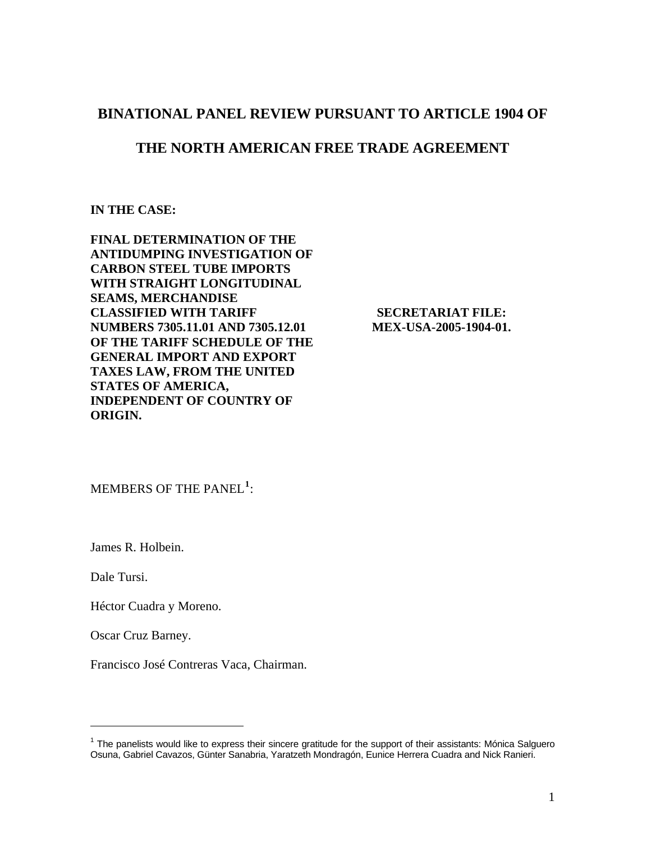# **BINATIONAL PANEL REVIEW PURSUANT TO ARTICLE 1904 OF**

# **THE NORTH AMERICAN FREE TRADE AGREEMENT**

## **IN THE CASE:**

**FINAL DETERMINATION OF THE ANTIDUMPING INVESTIGATION OF CARBON STEEL TUBE IMPORTS WITH STRAIGHT LONGITUDINAL SEAMS, MERCHANDISE CLASSIFIED WITH TARIFF NUMBERS 7305.11.01 AND 7305.12.01 OF THE TARIFF SCHEDULE OF THE GENERAL IMPORT AND EXPORT TAXES LAW, FROM THE UNITED STATES OF AMERICA, INDEPENDENT OF COUNTRY OF ORIGIN.** 

### **SECRETARIAT FILE: MEX-USA-2005-1904-01.**

MEMBERS OF THE PANEL**[1](#page-0-0)** :

James R. Holbein.

Dale Tursi.

<u>.</u>

Héctor Cuadra y Moreno.

Oscar Cruz Barney.

Francisco José Contreras Vaca, Chairman.

<span id="page-0-0"></span><sup>&</sup>lt;sup>1</sup> The panelists would like to express their sincere gratitude for the support of their assistants: Mónica Salguero Osuna, Gabriel Cavazos, Günter Sanabria, Yaratzeth Mondragón, Eunice Herrera Cuadra and Nick Ranieri.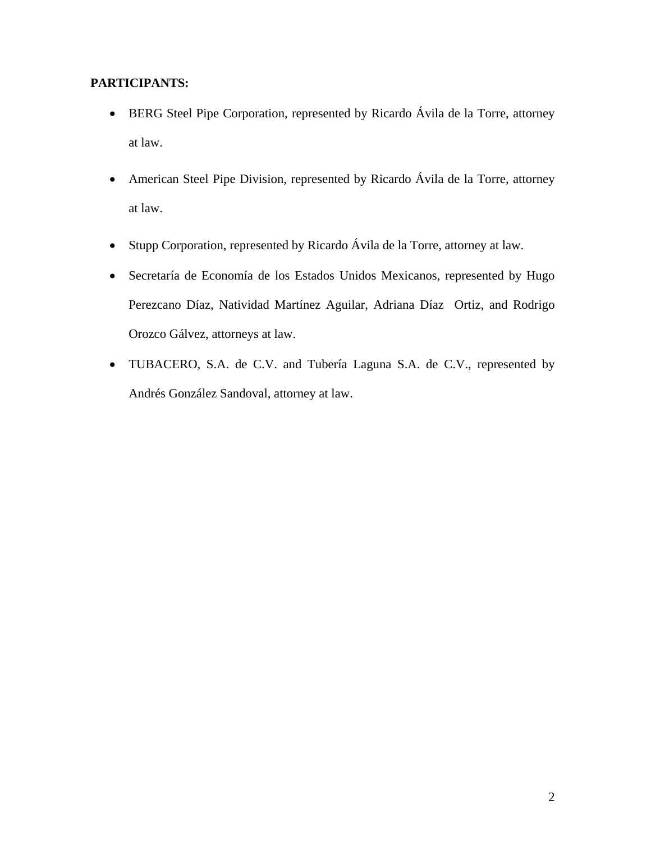# **PARTICIPANTS:**

- BERG Steel Pipe Corporation, represented by Ricardo Ávila de la Torre, attorney at law.
- American Steel Pipe Division, represented by Ricardo Ávila de la Torre, attorney at law.
- Stupp Corporation, represented by Ricardo Ávila de la Torre, attorney at law.
- Secretaría de Economía de los Estados Unidos Mexicanos, represented by Hugo Perezcano Díaz, Natividad Martínez Aguilar, Adriana Díaz Ortiz, and Rodrigo Orozco Gálvez, attorneys at law.
- TUBACERO, S.A. de C.V. and Tubería Laguna S.A. de C.V., represented by Andrés González Sandoval, attorney at law.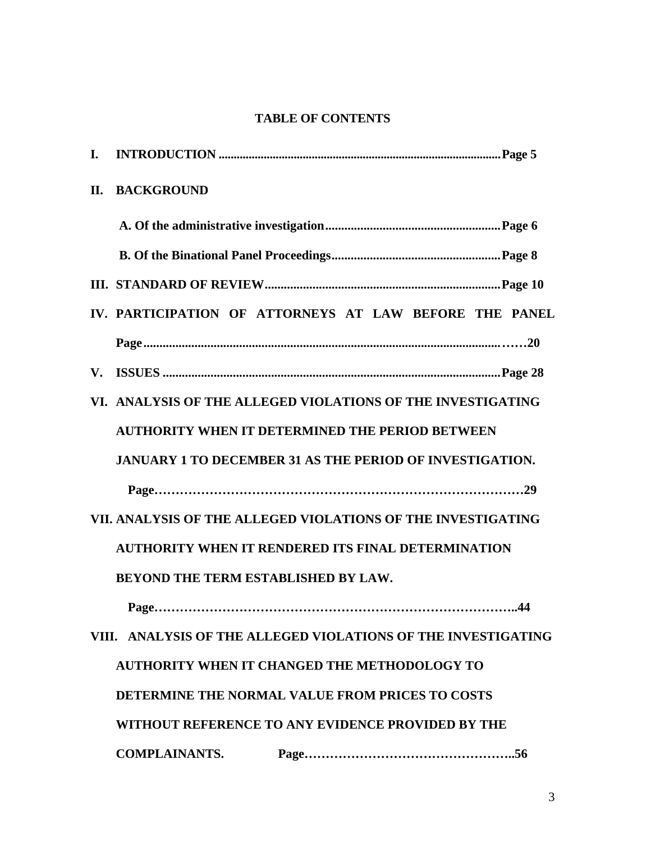# **TABLE OF CONTENTS**

| I. |                                                                 |
|----|-----------------------------------------------------------------|
| П. | <b>BACKGROUND</b>                                               |
|    |                                                                 |
|    |                                                                 |
|    |                                                                 |
|    | IV. PARTICIPATION OF ATTORNEYS AT LAW BEFORE THE PANEL          |
|    |                                                                 |
| V. |                                                                 |
|    | VI. ANALYSIS OF THE ALLEGED VIOLATIONS OF THE INVESTIGATING     |
|    | <b>AUTHORITY WHEN IT DETERMINED THE PERIOD BETWEEN</b>          |
|    | <b>JANUARY 1 TO DECEMBER 31 AS THE PERIOD OF INVESTIGATION.</b> |
|    |                                                                 |
|    | VII. ANALYSIS OF THE ALLEGED VIOLATIONS OF THE INVESTIGATING    |
|    | <b>AUTHORITY WHEN IT RENDERED ITS FINAL DETERMINATION</b>       |
|    | <b>BEYOND THE TERM ESTABLISHED BY LAW.</b>                      |
|    |                                                                 |
|    | VIII. ANALYSIS OF THE ALLEGED VIOLATIONS OF THE INVESTIGATING   |
|    | <b>AUTHORITY WHEN IT CHANGED THE METHODOLOGY TO</b>             |
|    | DETERMINE THE NORMAL VALUE FROM PRICES TO COSTS                 |
|    | WITHOUT REFERENCE TO ANY EVIDENCE PROVIDED BY THE               |
|    | <b>COMPLAINANTS.</b>                                            |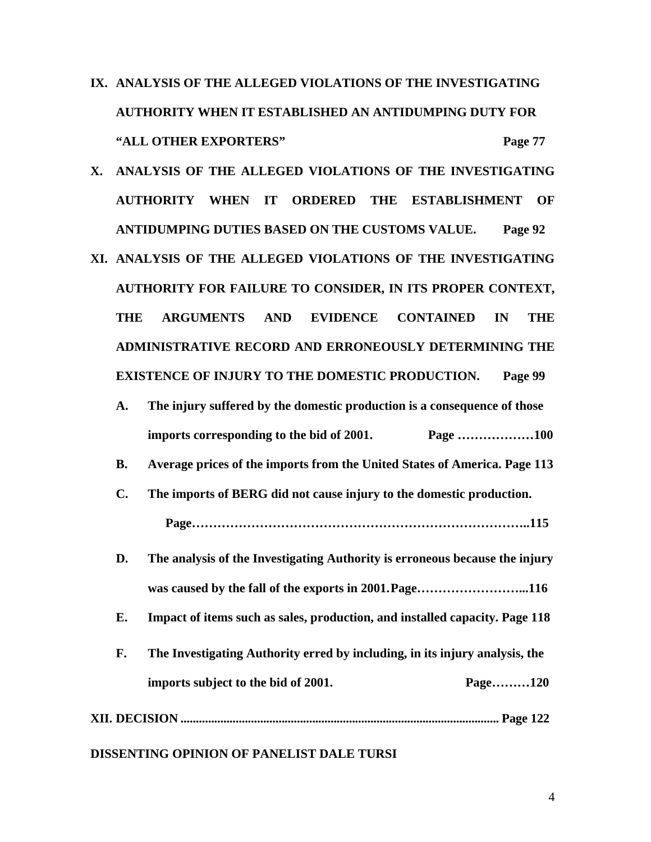- **IX. ANALYSIS OF THE ALLEGED VIOLATIONS OF THE INVESTIGATING AUTHORITY WHEN IT ESTABLISHED AN ANTIDUMPING DUTY FOR "ALL OTHER EXPORTERS" Page 77**
- **X. ANALYSIS OF THE ALLEGED VIOLATIONS OF THE INVESTIGATING AUTHORITY WHEN IT ORDERED THE ESTABLISHMENT OF ANTIDUMPING DUTIES BASED ON THE CUSTOMS VALUE. Page 92**
- **XI. ANALYSIS OF THE ALLEGED VIOLATIONS OF THE INVESTIGATING AUTHORITY FOR FAILURE TO CONSIDER, IN ITS PROPER CONTEXT, THE ARGUMENTS AND EVIDENCE CONTAINED IN THE ADMINISTRATIVE RECORD AND ERRONEOUSLY DETERMINING THE EXISTENCE OF INJURY TO THE DOMESTIC PRODUCTION. Page 99** 
	- **A. The injury suffered by the domestic production is a consequence of those imports corresponding to the bid of 2001. Page ………………100**
	- **B. Average prices of the imports from the United States of America. Page 113**
	- **C. The imports of BERG did not cause injury to the domestic production. Page……………………………………………………………………..115**
	- **D. The analysis of the Investigating Authority is erroneous because the injury was caused by the fall of the exports in 2001. Page……………………...116**
	- **E. Impact of items such as sales, production, and installed capacity. Page 118**
	- **F. The Investigating Authority erred by including, in its injury analysis, the imports subject to the bid of 2001. Page………120**

**XII. DECISION ........................................................................................................ Page 122** 

### **DISSENTING OPINION OF PANELIST DALE TURSI**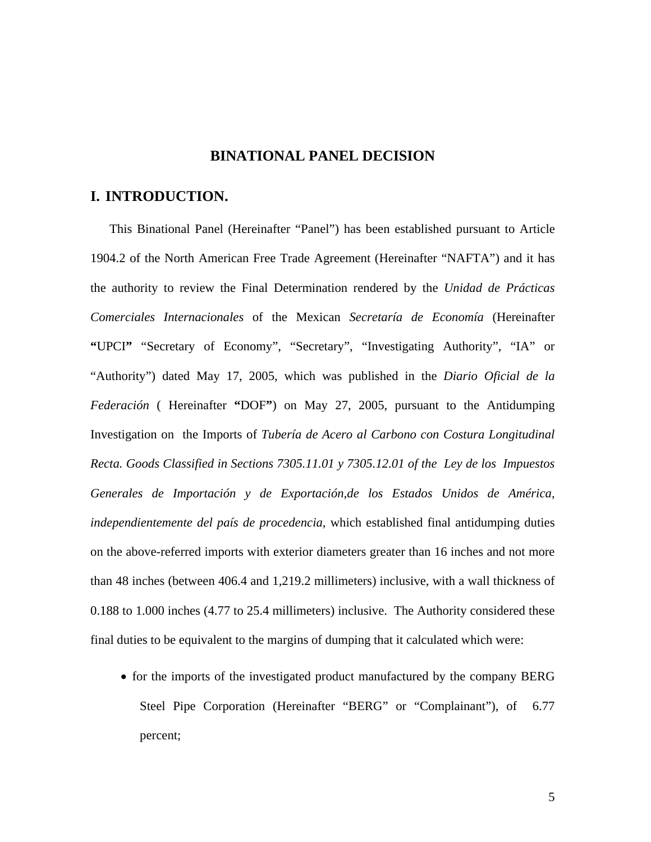## **BINATIONAL PANEL DECISION**

## **I. INTRODUCTION.**

This Binational Panel (Hereinafter "Panel") has been established pursuant to Article 1904.2 of the North American Free Trade Agreement (Hereinafter "NAFTA") and it has the authority to review the Final Determination rendered by the *Unidad de Prácticas Comerciales Internacionales* of the Mexican *Secretaría de Economía* (Hereinafter **"**UPCI**"** "Secretary of Economy", "Secretary", "Investigating Authority", "IA" or "Authority") dated May 17, 2005, which was published in the *Diario Oficial de la Federación* ( Hereinafter **"**DOF**"**) on May 27, 2005, pursuant to the Antidumping Investigation on the Imports of *Tubería de Acero al Carbono con Costura Longitudinal Recta. Goods Classified in Sections 7305.11.01 y 7305.12.01 of the Ley de los Impuestos Generales de Importación y de Exportación,de los Estados Unidos de América, independientemente del país de procedencia,* which established final antidumping duties on the above-referred imports with exterior diameters greater than 16 inches and not more than 48 inches (between 406.4 and 1,219.2 millimeters) inclusive, with a wall thickness of 0.188 to 1.000 inches (4.77 to 25.4 millimeters) inclusive. The Authority considered these final duties to be equivalent to the margins of dumping that it calculated which were:

• for the imports of the investigated product manufactured by the company BERG Steel Pipe Corporation (Hereinafter "BERG" or "Complainant"), of 6.77 percent;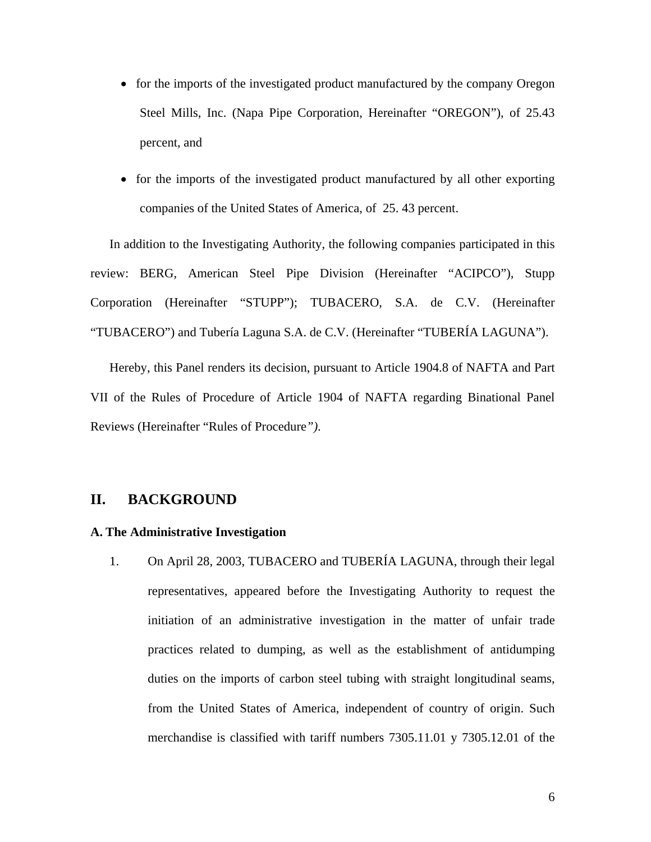- for the imports of the investigated product manufactured by the company Oregon Steel Mills, Inc. (Napa Pipe Corporation, Hereinafter "OREGON"), of 25.43 percent, and
- for the imports of the investigated product manufactured by all other exporting companies of the United States of America, of 25. 43 percent.

In addition to the Investigating Authority, the following companies participated in this review: BERG, American Steel Pipe Division (Hereinafter "ACIPCO"), Stupp Corporation (Hereinafter "STUPP"); TUBACERO, S.A. de C.V. (Hereinafter "TUBACERO") and Tubería Laguna S.A. de C.V. (Hereinafter "TUBERÍA LAGUNA").

Hereby, this Panel renders its decision, pursuant to Article 1904.8 of NAFTA and Part VII of the Rules of Procedure of Article 1904 of NAFTA regarding Binational Panel Reviews (Hereinafter "Rules of Procedure*")*.

# **II. BACKGROUND**

#### **A. The Administrative Investigation**

1. On April 28, 2003, TUBACERO and TUBERÍA LAGUNA, through their legal representatives, appeared before the Investigating Authority to request the initiation of an administrative investigation in the matter of unfair trade practices related to dumping, as well as the establishment of antidumping duties on the imports of carbon steel tubing with straight longitudinal seams, from the United States of America, independent of country of origin. Such merchandise is classified with tariff numbers 7305.11.01 y 7305.12.01 of the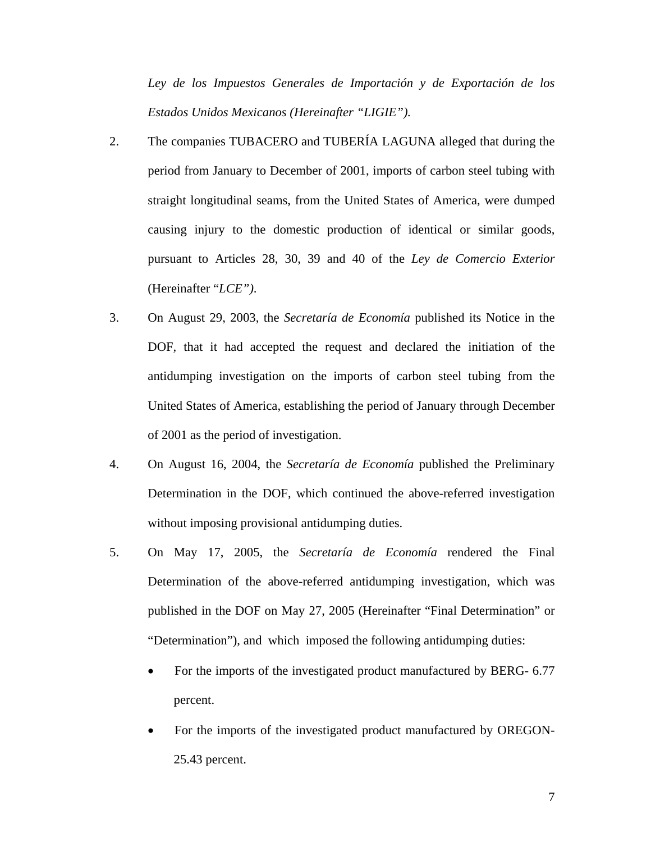*Ley de los Impuestos Generales de Importación y de Exportación de los Estados Unidos Mexicanos (Hereinafter "LIGIE").* 

- 2. The companies TUBACERO and TUBERÍA LAGUNA alleged that during the period from January to December of 2001, imports of carbon steel tubing with straight longitudinal seams, from the United States of America, were dumped causing injury to the domestic production of identical or similar goods, pursuant to Articles 28, 30, 39 and 40 of the *Ley de Comercio Exterior* (Hereinafter "*LCE")*.
- 3. On August 29, 2003, the *Secretaría de Economía* published its Notice in the DOF*,* that it had accepted the request and declared the initiation of the antidumping investigation on the imports of carbon steel tubing from the United States of America, establishing the period of January through December of 2001 as the period of investigation.
- 4. On August 16, 2004, the *Secretaría de Economía* published the Preliminary Determination in the DOF, which continued the above-referred investigation without imposing provisional antidumping duties.
- 5. On May 17, 2005, the *Secretaría de Economía* rendered the Final Determination of the above-referred antidumping investigation, which was published in the DOF on May 27, 2005 (Hereinafter "Final Determination" or "Determination"), and which imposed the following antidumping duties:
	- For the imports of the investigated product manufactured by BERG- 6.77 percent.
	- For the imports of the investigated product manufactured by OREGON-25.43 percent.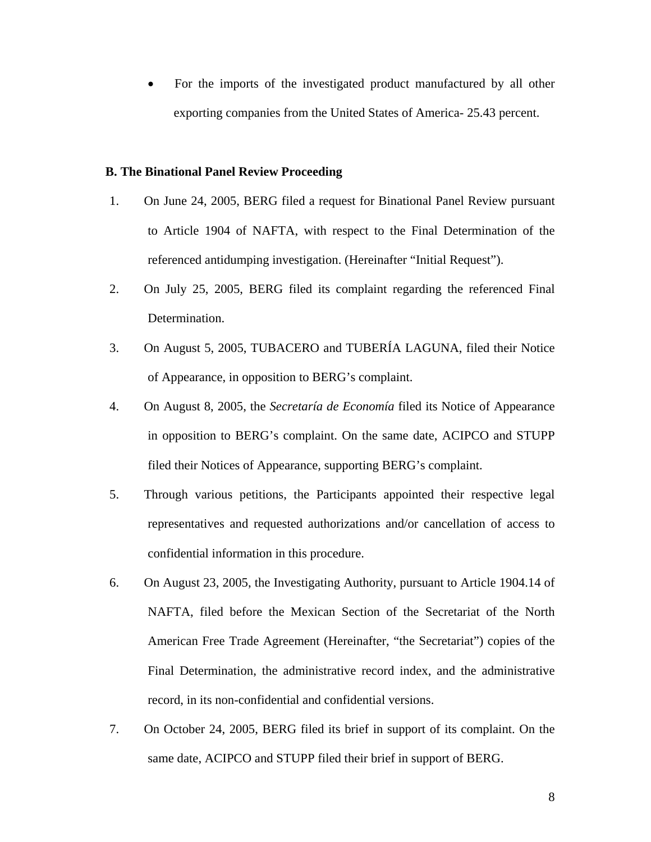• For the imports of the investigated product manufactured by all other exporting companies from the United States of America- 25.43 percent.

#### **B. The Binational Panel Review Proceeding**

- 1. On June 24, 2005, BERG filed a request for Binational Panel Review pursuant to Article 1904 of NAFTA, with respect to the Final Determination of the referenced antidumping investigation. (Hereinafter "Initial Request").
- 2. On July 25, 2005, BERG filed its complaint regarding the referenced Final Determination.
- 3. On August 5, 2005, TUBACERO and TUBERÍA LAGUNA, filed their Notice of Appearance, in opposition to BERG's complaint.
- 4. On August 8, 2005, the *Secretaría de Economía* filed its Notice of Appearance in opposition to BERG's complaint. On the same date, ACIPCO and STUPP filed their Notices of Appearance, supporting BERG's complaint.
- 5. Through various petitions, the Participants appointed their respective legal representatives and requested authorizations and/or cancellation of access to confidential information in this procedure.
- 6. On August 23, 2005, the Investigating Authority, pursuant to Article 1904.14 of NAFTA, filed before the Mexican Section of the Secretariat of the North American Free Trade Agreement (Hereinafter, "the Secretariat") copies of the Final Determination, the administrative record index, and the administrative record, in its non-confidential and confidential versions.
- 7. On October 24, 2005, BERG filed its brief in support of its complaint. On the same date, ACIPCO and STUPP filed their brief in support of BERG.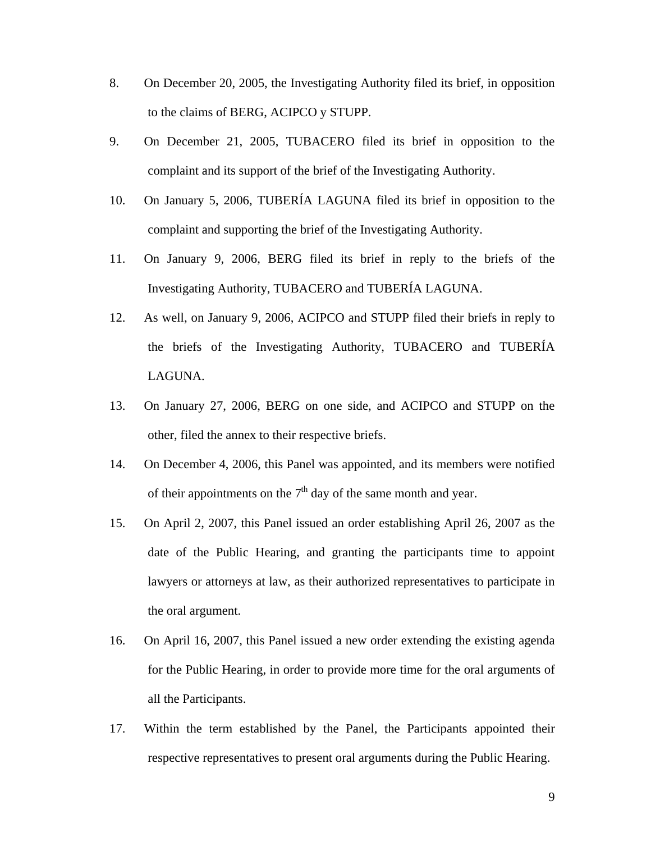- 8. On December 20, 2005, the Investigating Authority filed its brief, in opposition to the claims of BERG, ACIPCO y STUPP.
- 9. On December 21, 2005, TUBACERO filed its brief in opposition to the complaint and its support of the brief of the Investigating Authority.
- 10. On January 5, 2006, TUBERÍA LAGUNA filed its brief in opposition to the complaint and supporting the brief of the Investigating Authority.
- 11. On January 9, 2006, BERG filed its brief in reply to the briefs of the Investigating Authority, TUBACERO and TUBERÍA LAGUNA.
- 12. As well, on January 9, 2006, ACIPCO and STUPP filed their briefs in reply to the briefs of the Investigating Authority, TUBACERO and TUBERÍA LAGUNA.
- 13. On January 27, 2006, BERG on one side, and ACIPCO and STUPP on the other, filed the annex to their respective briefs.
- 14. On December 4, 2006, this Panel was appointed, and its members were notified of their appointments on the  $7<sup>th</sup>$  day of the same month and year.
- 15. On April 2, 2007, this Panel issued an order establishing April 26, 2007 as the date of the Public Hearing, and granting the participants time to appoint lawyers or attorneys at law, as their authorized representatives to participate in the oral argument.
- 16. On April 16, 2007, this Panel issued a new order extending the existing agenda for the Public Hearing, in order to provide more time for the oral arguments of all the Participants.
- 17. Within the term established by the Panel, the Participants appointed their respective representatives to present oral arguments during the Public Hearing.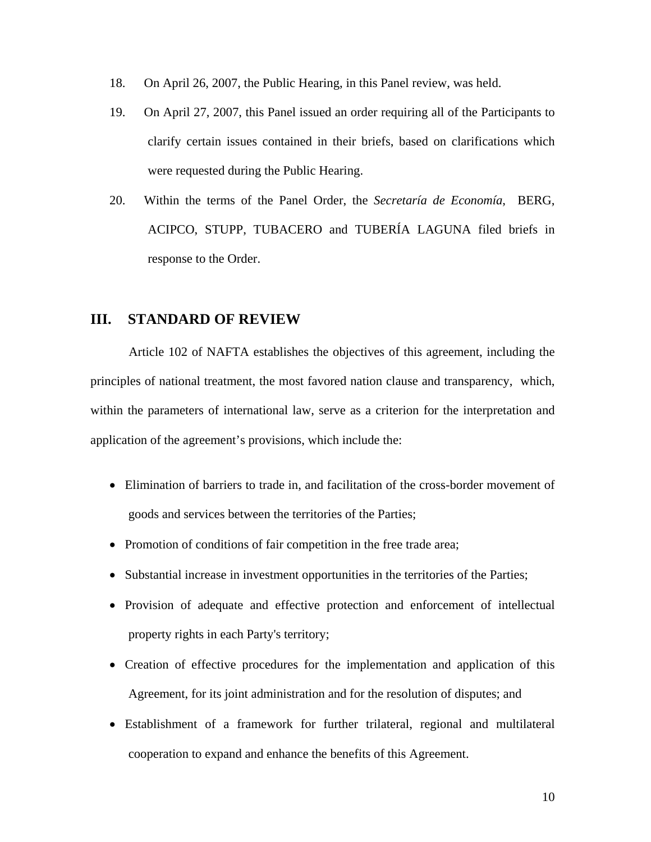- 18. On April 26, 2007, the Public Hearing, in this Panel review, was held.
- 19. On April 27, 2007, this Panel issued an order requiring all of the Participants to clarify certain issues contained in their briefs, based on clarifications which were requested during the Public Hearing.
- 20. Within the terms of the Panel Order, the *Secretaría de Economía*, BERG, ACIPCO, STUPP, TUBACERO and TUBERÍA LAGUNA filed briefs in response to the Order.

#### **III. STANDARD OF REVIEW**

Article 102 of NAFTA establishes the objectives of this agreement, including the principles of national treatment, the most favored nation clause and transparency, which, within the parameters of international law, serve as a criterion for the interpretation and application of the agreement's provisions, which include the:

- Elimination of barriers to trade in, and facilitation of the cross-border movement of goods and services between the territories of the Parties;
- Promotion of conditions of fair competition in the free trade area;
- Substantial increase in investment opportunities in the territories of the Parties;
- Provision of adequate and effective protection and enforcement of intellectual property rights in each Party's territory;
- Creation of effective procedures for the implementation and application of this Agreement, for its joint administration and for the resolution of disputes; and
- Establishment of a framework for further trilateral, regional and multilateral cooperation to expand and enhance the benefits of this Agreement.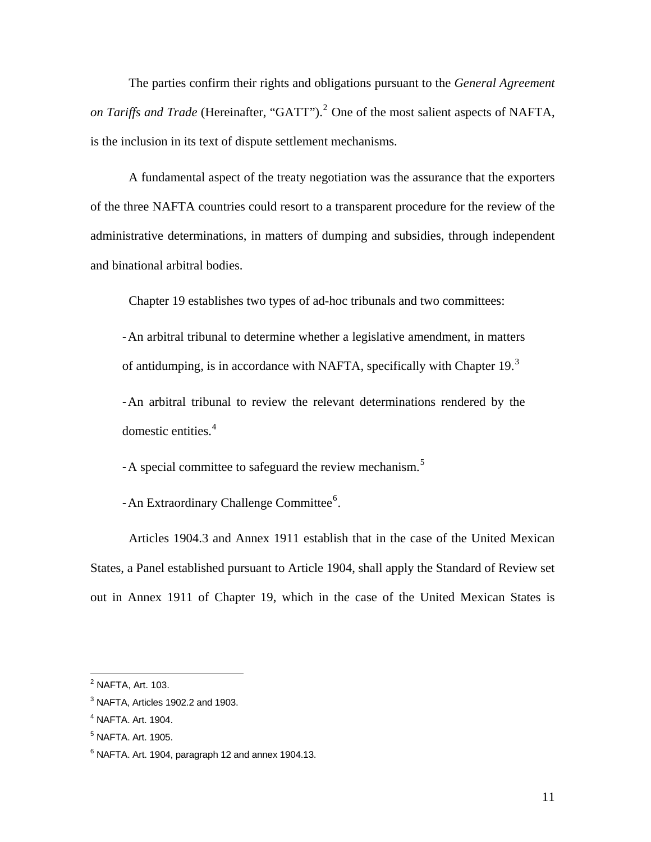The parties confirm their rights and obligations pursuant to the *General Agreement*  on Tariffs and Trade (Hereinafter, "GATT").<sup>[2](#page-10-0)</sup> One of the most salient aspects of NAFTA, is the inclusion in its text of dispute settlement mechanisms.

A fundamental aspect of the treaty negotiation was the assurance that the exporters of the three NAFTA countries could resort to a transparent procedure for the review of the administrative determinations, in matters of dumping and subsidies, through independent and binational arbitral bodies.

Chapter 19 establishes two types of ad-hoc tribunals and two committees:

- An arbitral tribunal to determine whether a legislative amendment, in matters of antidumping, is in accordance with NAFTA, specifically with Chapter 19. $3$ 

- An arbitral tribunal to review the relevant determinations rendered by the domestic entities.<sup>[4](#page-10-2)</sup>

- A special committee to safeguard the review mechanism.<sup>[5](#page-10-3)</sup>

- An Extraordinary Challenge Committee<sup>[6](#page-10-4)</sup>.

Articles 1904.3 and Annex 1911 establish that in the case of the United Mexican States, a Panel established pursuant to Article 1904, shall apply the Standard of Review set out in Annex 1911 of Chapter 19, which in the case of the United Mexican States is

 2 NAFTA, Art. 103.

<span id="page-10-1"></span><span id="page-10-0"></span> $3$  NAFTA, Articles 1902.2 and 1903.

<span id="page-10-2"></span><sup>4</sup> NAFTA. Art. 1904.

<sup>5</sup> NAFTA. Art. 1905.

<span id="page-10-4"></span><span id="page-10-3"></span> $6$  NAFTA. Art. 1904, paragraph 12 and annex 1904.13.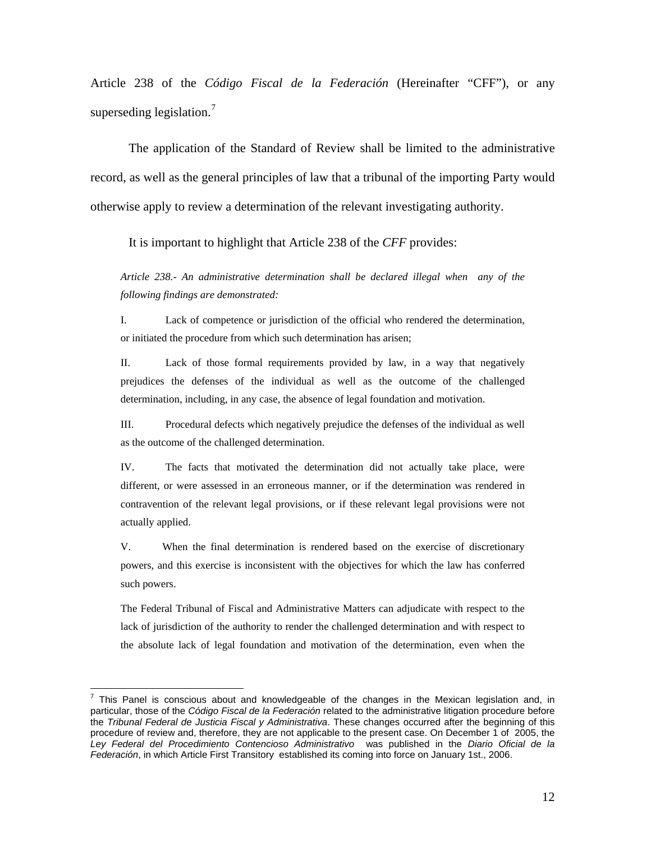Article 238 of the *Código Fiscal de la Federación* (Hereinafter "CFF"), or any superseding legislation.<sup>[7](#page-11-0)</sup>

The application of the Standard of Review shall be limited to the administrative record, as well as the general principles of law that a tribunal of the importing Party would otherwise apply to review a determination of the relevant investigating authority.

It is important to highlight that Article 238 of the *CFF* provides:

*Article 238.- An administrative determination shall be declared illegal when any of the following findings are demonstrated:* 

I. Lack of competence or jurisdiction of the official who rendered the determination, or initiated the procedure from which such determination has arisen;

II. Lack of those formal requirements provided by law, in a way that negatively prejudices the defenses of the individual as well as the outcome of the challenged determination, including, in any case, the absence of legal foundation and motivation.

III. Procedural defects which negatively prejudice the defenses of the individual as well as the outcome of the challenged determination.

IV. The facts that motivated the determination did not actually take place, were different, or were assessed in an erroneous manner, or if the determination was rendered in contravention of the relevant legal provisions, or if these relevant legal provisions were not actually applied.

V. When the final determination is rendered based on the exercise of discretionary powers, and this exercise is inconsistent with the objectives for which the law has conferred such powers.

The Federal Tribunal of Fiscal and Administrative Matters can adjudicate with respect to the lack of jurisdiction of the authority to render the challenged determination and with respect to the absolute lack of legal foundation and motivation of the determination, even when the

<span id="page-11-0"></span> $<sup>7</sup>$  This Panel is conscious about and knowledgeable of the changes in the Mexican legislation and, in</sup> particular, those of the *Código Fiscal de la Federación* related to the administrative litigation procedure before the *Tribunal Federal de Justicia Fiscal y Administrativa*. These changes occurred after the beginning of this procedure of review and, therefore, they are not applicable to the present case. On December 1 of 2005, the *Ley Federal del Procedimiento Contencioso Administrativo* was published in the *Diario Oficial de la Federación*, in which Article First Transitory established its coming into force on January 1st., 2006.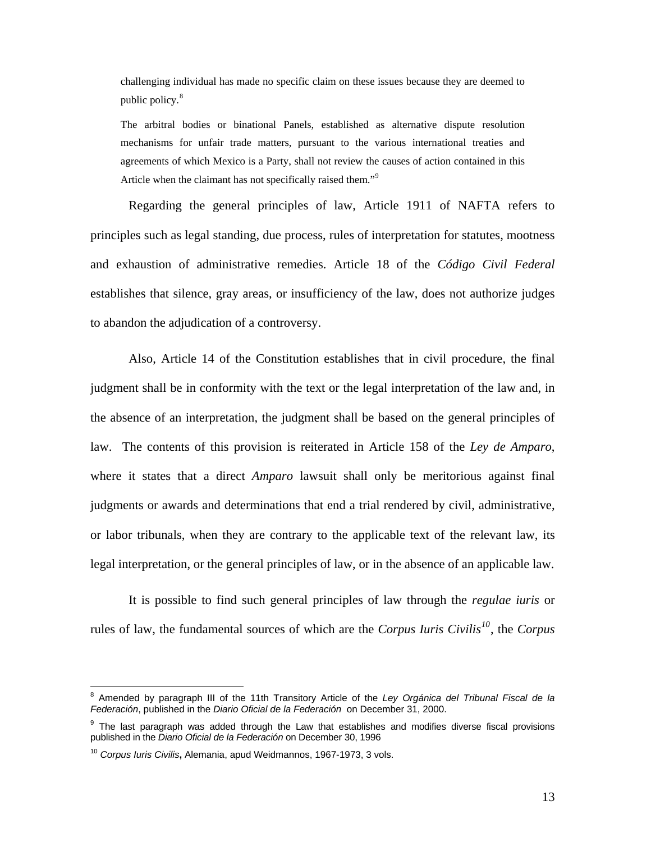challenging individual has made no specific claim on these issues because they are deemed to public policy.[8](#page-12-0)

The arbitral bodies or binational Panels, established as alternative dispute resolution mechanisms for unfair trade matters, pursuant to the various international treaties and agreements of which Mexico is a Party, shall not review the causes of action contained in this Article when the claimant has not specifically raised them."<sup>[9](#page-12-1)</sup>

Regarding the general principles of law, Article 1911 of NAFTA refers to principles such as legal standing, due process, rules of interpretation for statutes, mootness and exhaustion of administrative remedies. Article 18 of the *Código Civil Federal* establishes that silence, gray areas, or insufficiency of the law, does not authorize judges to abandon the adjudication of a controversy.

Also, Article 14 of the Constitution establishes that in civil procedure, the final judgment shall be in conformity with the text or the legal interpretation of the law and, in the absence of an interpretation, the judgment shall be based on the general principles of law. The contents of this provision is reiterated in Article 158 of the *Ley de Amparo*, where it states that a direct *Amparo* lawsuit shall only be meritorious against final judgments or awards and determinations that end a trial rendered by civil, administrative, or labor tribunals, when they are contrary to the applicable text of the relevant law, its legal interpretation, or the general principles of law, or in the absence of an applicable law.

It is possible to find such general principles of law through the *regulae iuris* or rules of law, the fundamental sources of which are the *Corpus Iuris Civilis[10](#page-12-2)*, the *Corpus* 

<u>.</u>

<span id="page-12-0"></span><sup>8</sup> Amended by paragraph III of the 11th Transitory Article of the *Ley Orgánica del Tribunal Fiscal de la Federación*, published in the *Diario Oficial de la Federación* on December 31, 2000.

<span id="page-12-1"></span> $9$  The last paragraph was added through the Law that establishes and modifies diverse fiscal provisions published in the *Diario Oficial de la Federación* on December 30, 1996

<span id="page-12-2"></span><sup>10</sup> *Corpus Iuris Civilis***,** Alemania, apud Weidmannos, 1967-1973, 3 vols.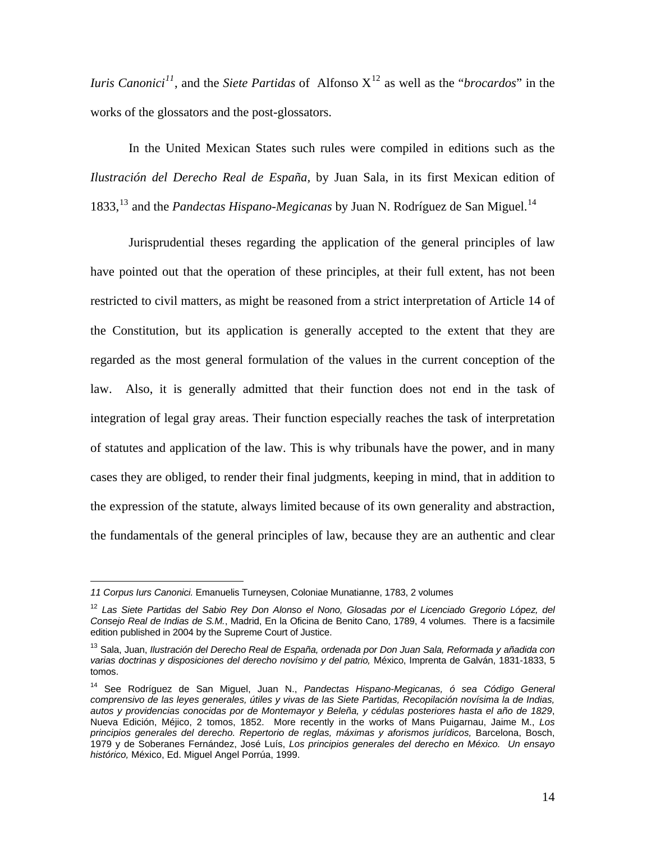*Iuris Canonici*<sup> $11$ </sup>, and the *Siete Partidas* of Alfonso  $X^{12}$  $X^{12}$  $X^{12}$  as well as the "*brocardos*" in the works of the glossators and the post-glossators.

In the United Mexican States such rules were compiled in editions such as the *Ilustración del Derecho Real de España,* by Juan Sala, in its first Mexican edition of 1833,[13](#page-13-2) and the *Pandectas Hispano-Megicanas* by Juan N. Rodríguez de San Miguel.[14](#page-13-3)

Jurisprudential theses regarding the application of the general principles of law have pointed out that the operation of these principles, at their full extent, has not been restricted to civil matters, as might be reasoned from a strict interpretation of Article 14 of the Constitution, but its application is generally accepted to the extent that they are regarded as the most general formulation of the values in the current conception of the law. Also, it is generally admitted that their function does not end in the task of integration of legal gray areas. Their function especially reaches the task of interpretation of statutes and application of the law. This is why tribunals have the power, and in many cases they are obliged, to render their final judgments, keeping in mind, that in addition to the expression of the statute, always limited because of its own generality and abstraction, the fundamentals of the general principles of law, because they are an authentic and clear

<span id="page-13-0"></span>*<sup>11</sup> Corpus Iurs Canonici.* Emanuelis Turneysen, Coloniae Munatianne, 1783, 2 volumes

<span id="page-13-1"></span><sup>12</sup> *Las Siete Partidas del Sabio Rey Don Alonso el Nono, Glosadas por el Licenciado Gregorio López, del Consejo Real de Indias de S.M.*, Madrid, En la Oficina de Benito Cano, 1789, 4 volumes. There is a facsimile edition published in 2004 by the Supreme Court of Justice.

<span id="page-13-2"></span><sup>13</sup> Sala, Juan, *Ilustración del Derecho Real de España, ordenada por Don Juan Sala, Reformada y añadida con varias doctrinas y disposiciones del derecho novísimo y del patrio,* México, Imprenta de Galván, 1831-1833, 5 tomos.

<span id="page-13-3"></span><sup>14</sup> See Rodríguez de San Miguel, Juan N., *Pandectas Hispano-Megicanas, ó sea Código General comprensivo de las leyes generales, útiles y vivas de las Siete Partidas, Recopilación novísima la de Indias, autos y providencias conocidas por de Montemayor y Beleña, y cédulas posteriores hasta el año de 1829*, Nueva Edición, Méjico, 2 tomos, 1852. More recently in the works of Mans Puigarnau, Jaime M., *Los principios generales del derecho. Repertorio de reglas, máximas y aforismos jurídicos,* Barcelona, Bosch, 1979 y de Soberanes Fernández, José Luís, *Los principios generales del derecho en México. Un ensayo histórico,* México, Ed. Miguel Angel Porrúa, 1999.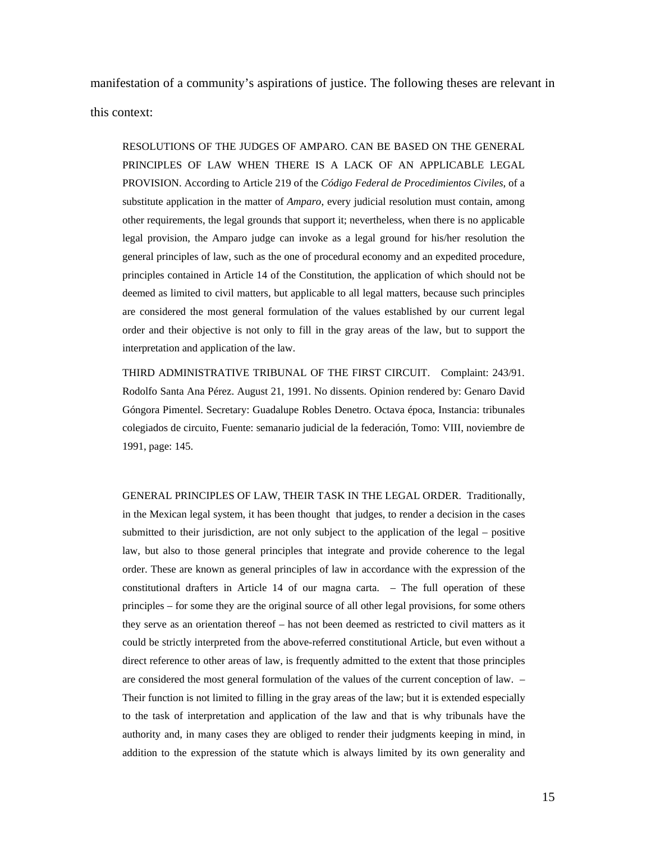manifestation of a community's aspirations of justice. The following theses are relevant in this context:

RESOLUTIONS OF THE JUDGES OF AMPARO. CAN BE BASED ON THE GENERAL PRINCIPLES OF LAW WHEN THERE IS A LACK OF AN APPLICABLE LEGAL PROVISION. According to Article 219 of the *Código Federal de Procedimientos Civiles*, of a substitute application in the matter of *Amparo*, every judicial resolution must contain, among other requirements, the legal grounds that support it; nevertheless, when there is no applicable legal provision, the Amparo judge can invoke as a legal ground for his/her resolution the general principles of law, such as the one of procedural economy and an expedited procedure, principles contained in Article 14 of the Constitution, the application of which should not be deemed as limited to civil matters, but applicable to all legal matters, because such principles are considered the most general formulation of the values established by our current legal order and their objective is not only to fill in the gray areas of the law, but to support the interpretation and application of the law.

THIRD ADMINISTRATIVE TRIBUNAL OF THE FIRST CIRCUIT. Complaint: 243/91. Rodolfo Santa Ana Pérez. August 21, 1991. No dissents. Opinion rendered by: Genaro David Góngora Pimentel. Secretary: Guadalupe Robles Denetro. Octava época, Instancia: tribunales colegiados de circuito, Fuente: semanario judicial de la federación, Tomo: VIII, noviembre de 1991, page: 145.

GENERAL PRINCIPLES OF LAW, THEIR TASK IN THE LEGAL ORDER. Traditionally, in the Mexican legal system, it has been thought that judges, to render a decision in the cases submitted to their jurisdiction, are not only subject to the application of the legal – positive law, but also to those general principles that integrate and provide coherence to the legal order. These are known as general principles of law in accordance with the expression of the constitutional drafters in Article 14 of our magna carta. – The full operation of these principles – for some they are the original source of all other legal provisions, for some others they serve as an orientation thereof – has not been deemed as restricted to civil matters as it could be strictly interpreted from the above-referred constitutional Article, but even without a direct reference to other areas of law, is frequently admitted to the extent that those principles are considered the most general formulation of the values of the current conception of law. – Their function is not limited to filling in the gray areas of the law; but it is extended especially to the task of interpretation and application of the law and that is why tribunals have the authority and, in many cases they are obliged to render their judgments keeping in mind, in addition to the expression of the statute which is always limited by its own generality and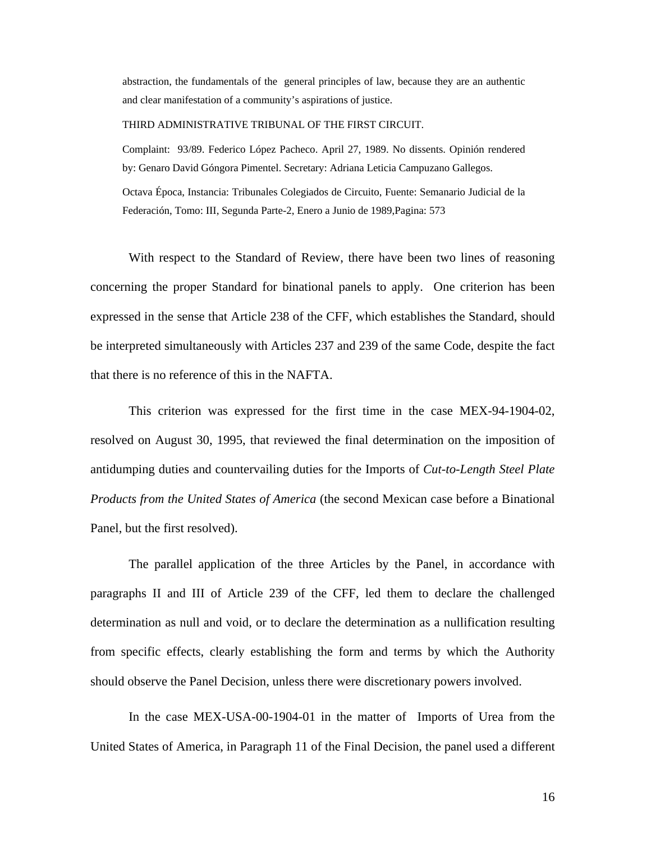abstraction, the fundamentals of the general principles of law, because they are an authentic and clear manifestation of a community's aspirations of justice.

THIRD ADMINISTRATIVE TRIBUNAL OF THE FIRST CIRCUIT.

Complaint: 93/89. Federico López Pacheco. April 27, 1989. No dissents. Opinión rendered by: Genaro David Góngora Pimentel. Secretary: Adriana Leticia Campuzano Gallegos.

Octava Época, Instancia: Tribunales Colegiados de Circuito, Fuente: Semanario Judicial de la Federación, Tomo: III, Segunda Parte-2, Enero a Junio de 1989,Pagina: 573

With respect to the Standard of Review, there have been two lines of reasoning concerning the proper Standard for binational panels to apply. One criterion has been expressed in the sense that Article 238 of the CFF, which establishes the Standard, should be interpreted simultaneously with Articles 237 and 239 of the same Code, despite the fact that there is no reference of this in the NAFTA.

This criterion was expressed for the first time in the case MEX-94-1904-02, resolved on August 30, 1995, that reviewed the final determination on the imposition of antidumping duties and countervailing duties for the Imports of *Cut-to-Length Steel Plate Products from the United States of America* (the second Mexican case before a Binational Panel, but the first resolved).

The parallel application of the three Articles by the Panel, in accordance with paragraphs II and III of Article 239 of the CFF, led them to declare the challenged determination as null and void, or to declare the determination as a nullification resulting from specific effects, clearly establishing the form and terms by which the Authority should observe the Panel Decision, unless there were discretionary powers involved.

In the case MEX-USA-00-1904-01 in the matter of Imports of Urea from the United States of America, in Paragraph 11 of the Final Decision, the panel used a different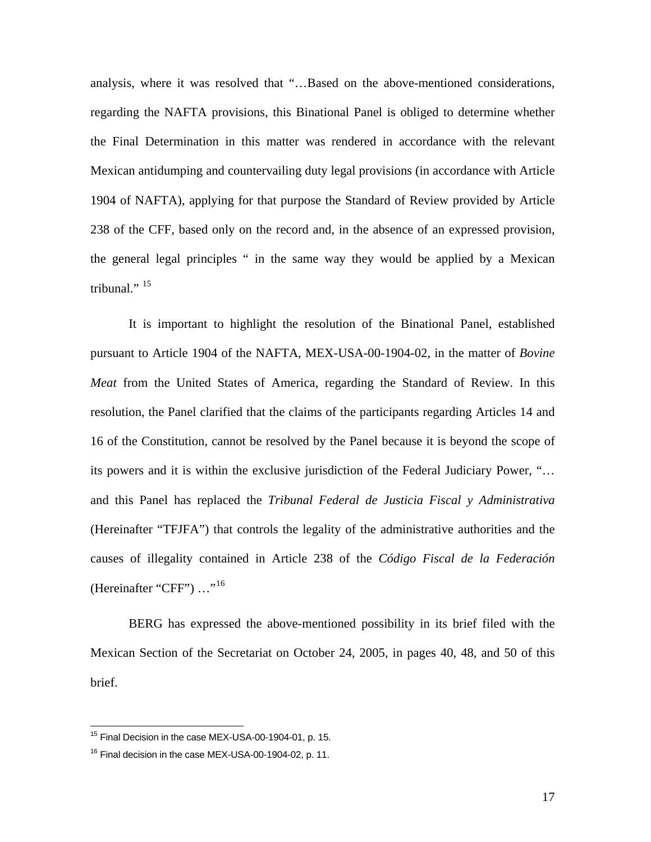analysis, where it was resolved that "…Based on the above-mentioned considerations, regarding the NAFTA provisions, this Binational Panel is obliged to determine whether the Final Determination in this matter was rendered in accordance with the relevant Mexican antidumping and countervailing duty legal provisions (in accordance with Article 1904 of NAFTA), applying for that purpose the Standard of Review provided by Article 238 of the CFF, based only on the record and, in the absence of an expressed provision, the general legal principles " in the same way they would be applied by a Mexican tribunal."<sup>[15](#page-16-0)</sup>

It is important to highlight the resolution of the Binational Panel, established pursuant to Article 1904 of the NAFTA, MEX-USA-00-1904-02, in the matter of *Bovine Meat* from the United States of America, regarding the Standard of Review. In this resolution, the Panel clarified that the claims of the participants regarding Articles 14 and 16 of the Constitution, cannot be resolved by the Panel because it is beyond the scope of its powers and it is within the exclusive jurisdiction of the Federal Judiciary Power, "… and this Panel has replaced the *Tribunal Federal de Justicia Fiscal y Administrativa* (Hereinafter "TFJFA") that controls the legality of the administrative authorities and the causes of illegality contained in Article 238 of the *Código Fiscal de la Federación* (Hereinafter "CFF") …"[16](#page-16-1)

BERG has expressed the above-mentioned possibility in its brief filed with the Mexican Section of the Secretariat on October 24, 2005, in pages 40, 48, and 50 of this brief.

 $\overline{a}$ 

<sup>&</sup>lt;sup>15</sup> Final Decision in the case MEX-USA-00-1904-01, p. 15.

<span id="page-16-1"></span><span id="page-16-0"></span> $16$  Final decision in the case MEX-USA-00-1904-02, p. 11.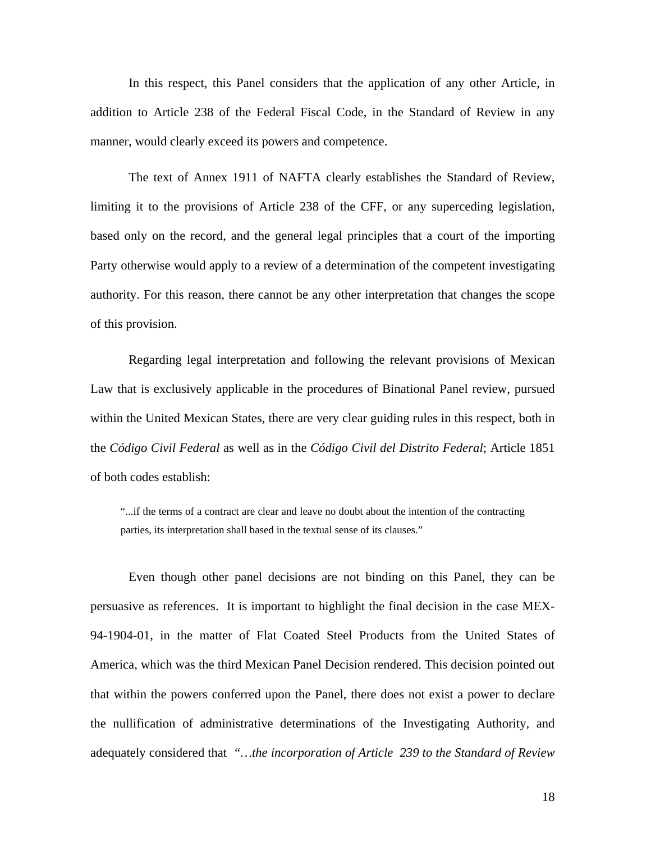In this respect, this Panel considers that the application of any other Article, in addition to Article 238 of the Federal Fiscal Code, in the Standard of Review in any manner, would clearly exceed its powers and competence.

The text of Annex 1911 of NAFTA clearly establishes the Standard of Review, limiting it to the provisions of Article 238 of the CFF, or any superceding legislation, based only on the record, and the general legal principles that a court of the importing Party otherwise would apply to a review of a determination of the competent investigating authority. For this reason, there cannot be any other interpretation that changes the scope of this provision.

Regarding legal interpretation and following the relevant provisions of Mexican Law that is exclusively applicable in the procedures of Binational Panel review, pursued within the United Mexican States, there are very clear guiding rules in this respect, both in the *Código Civil Federal* as well as in the *Código Civil del Distrito Federal*; Article 1851 of both codes establish:

"...if the terms of a contract are clear and leave no doubt about the intention of the contracting parties, its interpretation shall based in the textual sense of its clauses."

Even though other panel decisions are not binding on this Panel, they can be persuasive as references. It is important to highlight the final decision in the case MEX-94-1904-01, in the matter of Flat Coated Steel Products from the United States of America, which was the third Mexican Panel Decision rendered. This decision pointed out that within the powers conferred upon the Panel, there does not exist a power to declare the nullification of administrative determinations of the Investigating Authority, and adequately considered that *"…the incorporation of Article 239 to the Standard of Review*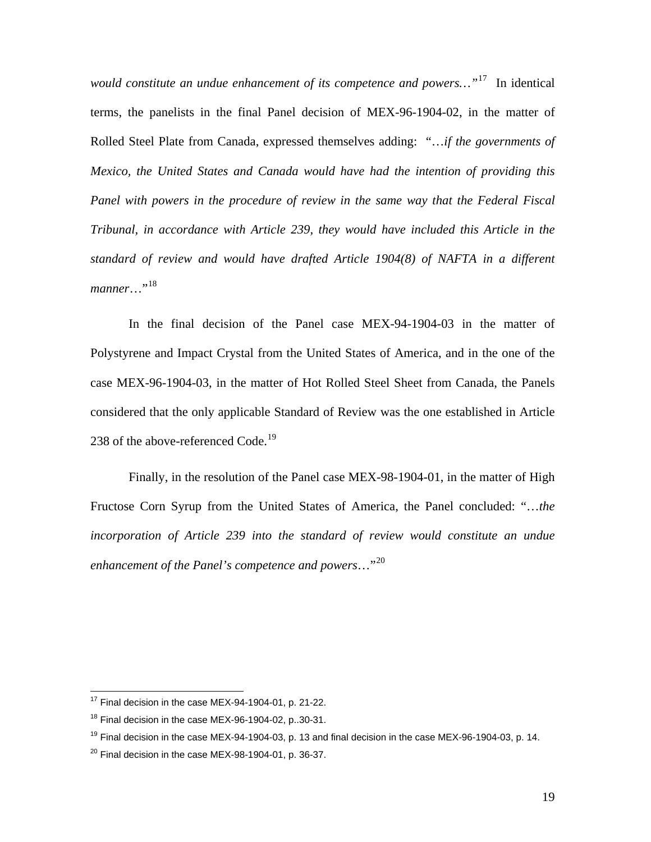*would constitute an undue enhancement of its competence and powers…"*[17](#page-18-0) In identical terms, the panelists in the final Panel decision of MEX-96-1904-02, in the matter of Rolled Steel Plate from Canada, expressed themselves adding: "…*if the governments of Mexico, the United States and Canada would have had the intention of providing this Panel with powers in the procedure of review in the same way that the Federal Fiscal Tribunal, in accordance with Article 239, they would have included this Article in the standard of review and would have drafted Article 1904(8) of NAFTA in a different manner*…"<sup>[18](#page-18-1)</sup>

In the final decision of the Panel case MEX-94-1904-03 in the matter of Polystyrene and Impact Crystal from the United States of America, and in the one of the case MEX-96-1904-03, in the matter of Hot Rolled Steel Sheet from Canada, the Panels considered that the only applicable Standard of Review was the one established in Article 238 of the above-referenced Code.<sup>[19](#page-18-2)</sup>

Finally, in the resolution of the Panel case MEX-98-1904-01, in the matter of High Fructose Corn Syrup from the United States of America, the Panel concluded: "…*the incorporation of Article 239 into the standard of review would constitute an undue enhancement of the Panel's competence and powers*…"[20](#page-18-3)

 $17$  Final decision in the case MEX-94-1904-01, p. 21-22.

<span id="page-18-1"></span><span id="page-18-0"></span> $18$  Final decision in the case MEX-96-1904-02, p..30-31.

 $19$  Final decision in the case MEX-94-1904-03, p. 13 and final decision in the case MEX-96-1904-03, p. 14.

<span id="page-18-3"></span><span id="page-18-2"></span> $^{20}$  Final decision in the case MEX-98-1904-01, p. 36-37.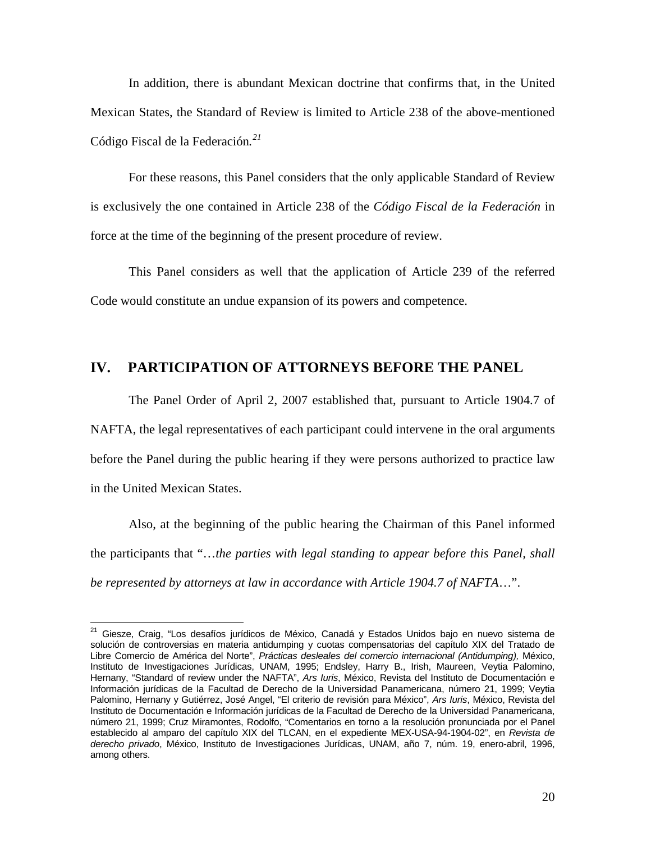In addition, there is abundant Mexican doctrine that confirms that, in the United Mexican States, the Standard of Review is limited to Article 238 of the above-mentioned Código Fiscal de la Federación*. [21](#page-19-0)*

For these reasons, this Panel considers that the only applicable Standard of Review is exclusively the one contained in Article 238 of the *Código Fiscal de la Federación* in force at the time of the beginning of the present procedure of review.

This Panel considers as well that the application of Article 239 of the referred Code would constitute an undue expansion of its powers and competence.

## **IV. PARTICIPATION OF ATTORNEYS BEFORE THE PANEL**

The Panel Order of April 2, 2007 established that, pursuant to Article 1904.7 of NAFTA, the legal representatives of each participant could intervene in the oral arguments before the Panel during the public hearing if they were persons authorized to practice law in the United Mexican States.

Also, at the beginning of the public hearing the Chairman of this Panel informed the participants that "…*the parties with legal standing to appear before this Panel, shall be represented by attorneys at law in accordance with Article 1904.7 of NAFTA*…".

 $\overline{a}$ 

<span id="page-19-0"></span><sup>&</sup>lt;sup>21</sup> Giesze, Craig, "Los desafíos jurídicos de México, Canadá y Estados Unidos bajo en nuevo sistema de solución de controversias en materia antidumping y cuotas compensatorias del capítulo XIX del Tratado de Libre Comercio de América del Norte", *Prácticas desleales del comercio internacional (Antidumping),* México, Instituto de Investigaciones Jurídicas, UNAM, 1995; Endsley, Harry B., Irish, Maureen, Veytia Palomino, Hernany, "Standard of review under the NAFTA", *Ars Iuris*, México, Revista del Instituto de Documentación e Información jurídicas de la Facultad de Derecho de la Universidad Panamericana, número 21, 1999; Veytia Palomino, Hernany y Gutiérrez, José Angel, "El criterio de revisión para México", *Ars Iuris*, México, Revista del Instituto de Documentación e Información jurídicas de la Facultad de Derecho de la Universidad Panamericana, número 21, 1999; Cruz Miramontes, Rodolfo, "Comentarios en torno a la resolución pronunciada por el Panel establecido al amparo del capítulo XIX del TLCAN, en el expediente MEX-USA-94-1904-02", en *Revista de derecho privado*, México, Instituto de Investigaciones Jurídicas, UNAM, año 7, núm. 19, enero-abril, 1996, among others.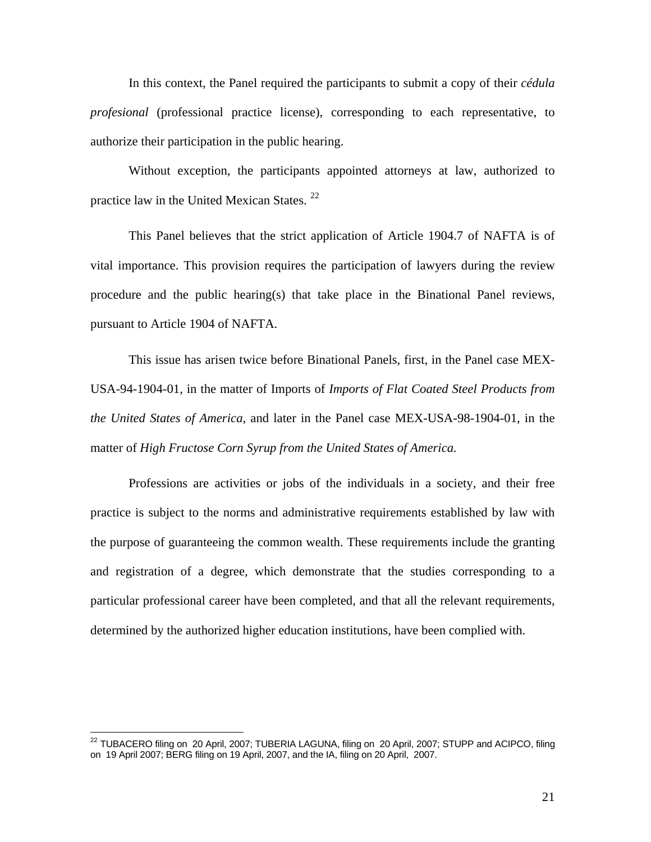In this context, the Panel required the participants to submit a copy of their *cédula profesional* (professional practice license), corresponding to each representative, to authorize their participation in the public hearing.

Without exception, the participants appointed attorneys at law, authorized to practice law in the United Mexican States.<sup>[22](#page-20-0)</sup>

This Panel believes that the strict application of Article 1904.7 of NAFTA is of vital importance. This provision requires the participation of lawyers during the review procedure and the public hearing(s) that take place in the Binational Panel reviews, pursuant to Article 1904 of NAFTA.

This issue has arisen twice before Binational Panels, first, in the Panel case MEX-USA-94-1904-01, in the matter of Imports of *Imports of Flat Coated Steel Products from the United States of America*, and later in the Panel case MEX-USA-98-1904-01, in the matter of *High Fructose Corn Syrup from the United States of America.* 

Professions are activities or jobs of the individuals in a society, and their free practice is subject to the norms and administrative requirements established by law with the purpose of guaranteeing the common wealth. These requirements include the granting and registration of a degree, which demonstrate that the studies corresponding to a particular professional career have been completed, and that all the relevant requirements, determined by the authorized higher education institutions, have been complied with.

 $\overline{a}$ 

<span id="page-20-0"></span> $^{22}$  TUBACERO filing on 20 April, 2007; TUBERIA LAGUNA, filing on 20 April, 2007; STUPP and ACIPCO, filing on 19 April 2007; BERG filing on 19 April, 2007, and the IA, filing on 20 April, 2007.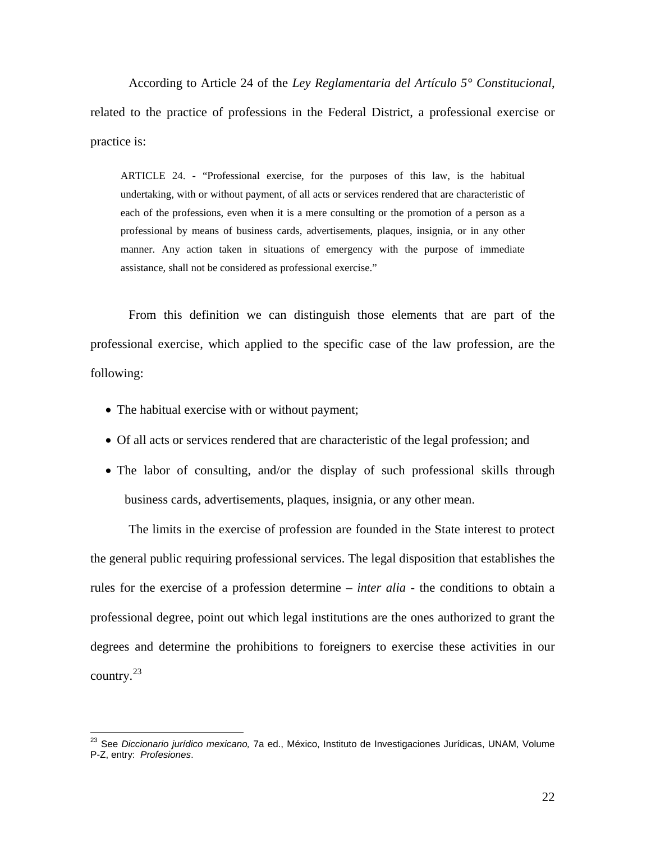According to Article 24 of the *Ley Reglamentaria del Artículo 5° Constitucional*, related to the practice of professions in the Federal District, a professional exercise or practice is:

ARTICLE 24. - "Professional exercise, for the purposes of this law, is the habitual undertaking, with or without payment, of all acts or services rendered that are characteristic of each of the professions, even when it is a mere consulting or the promotion of a person as a professional by means of business cards, advertisements, plaques, insignia, or in any other manner. Any action taken in situations of emergency with the purpose of immediate assistance, shall not be considered as professional exercise."

From this definition we can distinguish those elements that are part of the professional exercise, which applied to the specific case of the law profession, are the following:

• The habitual exercise with or without payment;

 $\overline{a}$ 

- Of all acts or services rendered that are characteristic of the legal profession; and
- The labor of consulting, and/or the display of such professional skills through business cards, advertisements, plaques, insignia, or any other mean.

The limits in the exercise of profession are founded in the State interest to protect the general public requiring professional services. The legal disposition that establishes the rules for the exercise of a profession determine – *inter alia* - the conditions to obtain a professional degree, point out which legal institutions are the ones authorized to grant the degrees and determine the prohibitions to foreigners to exercise these activities in our country.[23](#page-21-0)

<span id="page-21-0"></span><sup>23</sup> See *Diccionario jurídico mexicano,* 7a ed., México, Instituto de Investigaciones Jurídicas, UNAM, Volume P-Z, entry: *Profesiones*.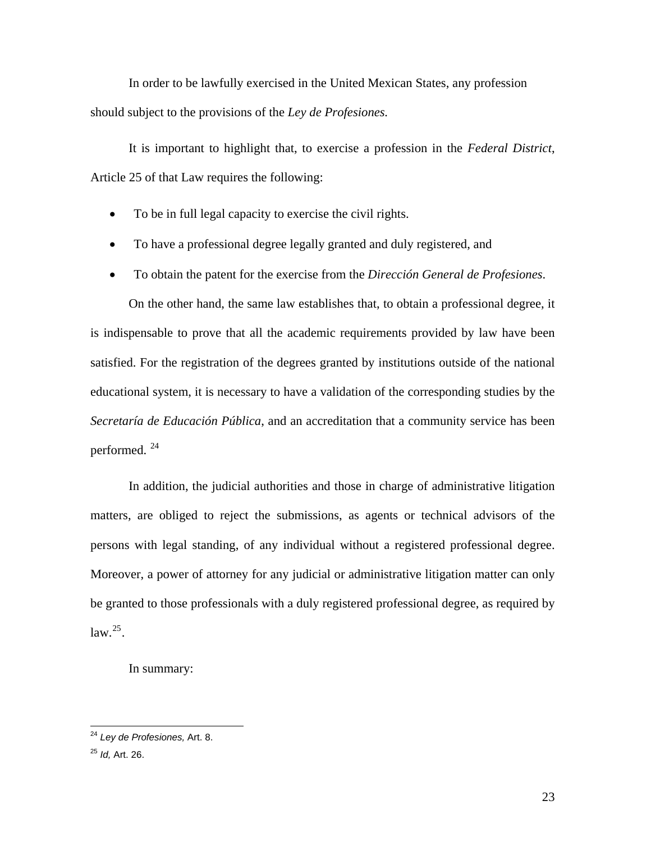In order to be lawfully exercised in the United Mexican States, any profession should subject to the provisions of the *Ley de Profesiones.* 

It is important to highlight that, to exercise a profession in the *Federal District*, Article 25 of that Law requires the following:

- To be in full legal capacity to exercise the civil rights.
- To have a professional degree legally granted and duly registered, and
- To obtain the patent for the exercise from the *Dirección General de Profesiones*.

On the other hand, the same law establishes that, to obtain a professional degree, it is indispensable to prove that all the academic requirements provided by law have been satisfied. For the registration of the degrees granted by institutions outside of the national educational system, it is necessary to have a validation of the corresponding studies by the *Secretaría de Educación Pública*, and an accreditation that a community service has been performed. [24](#page-22-0)

In addition, the judicial authorities and those in charge of administrative litigation matters, are obliged to reject the submissions, as agents or technical advisors of the persons with legal standing, of any individual without a registered professional degree. Moreover, a power of attorney for any judicial or administrative litigation matter can only be granted to those professionals with a duly registered professional degree, as required by  $law.<sup>25</sup>$  $law.<sup>25</sup>$  $law.<sup>25</sup>$ .

In summary:

 $\overline{a}$ 

<sup>24</sup> *Ley de Profesiones,* Art. 8.

<span id="page-22-1"></span><span id="page-22-0"></span><sup>25</sup> *Id,* Art. 26.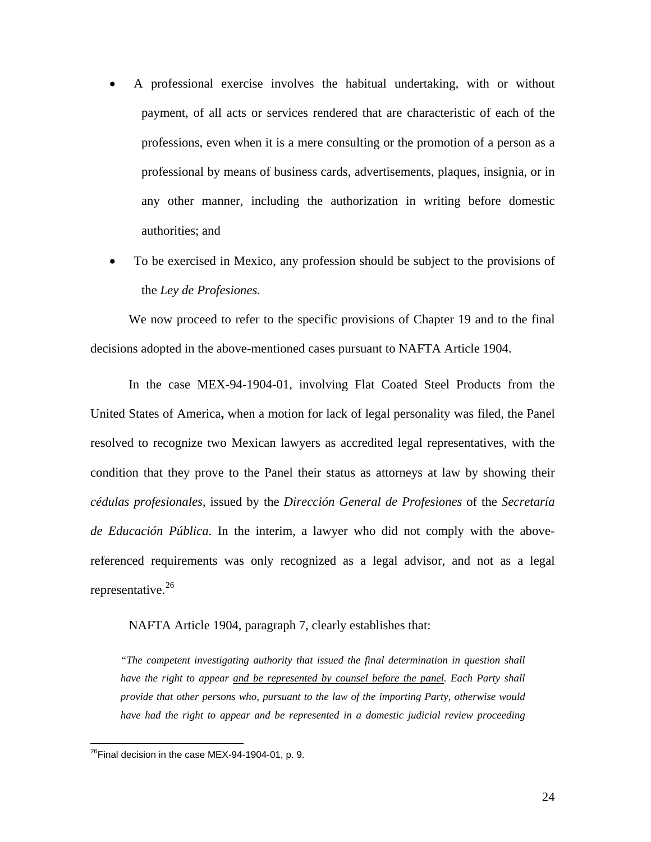- A professional exercise involves the habitual undertaking, with or without payment, of all acts or services rendered that are characteristic of each of the professions, even when it is a mere consulting or the promotion of a person as a professional by means of business cards, advertisements, plaques, insignia, or in any other manner, including the authorization in writing before domestic authorities; and
- To be exercised in Mexico, any profession should be subject to the provisions of the *Ley de Profesiones.*

We now proceed to refer to the specific provisions of Chapter 19 and to the final decisions adopted in the above-mentioned cases pursuant to NAFTA Article 1904.

In the case MEX-94-1904-01, involving Flat Coated Steel Products from the United States of America**,** when a motion for lack of legal personality was filed, the Panel resolved to recognize two Mexican lawyers as accredited legal representatives, with the condition that they prove to the Panel their status as attorneys at law by showing their *cédulas profesionales*, issued by the *Dirección General de Profesiones* of the *Secretaría de Educación Pública*. In the interim, a lawyer who did not comply with the abovereferenced requirements was only recognized as a legal advisor, and not as a legal representative. $26$ 

NAFTA Article 1904, paragraph 7, clearly establishes that:

*"The competent investigating authority that issued the final determination in question shall have the right to appear and be represented by counsel before the panel. Each Party shall provide that other persons who, pursuant to the law of the importing Party, otherwise would have had the right to appear and be represented in a domestic judicial review proceeding* 

<span id="page-23-0"></span> $^{26}$ Final decision in the case MEX-94-1904-01, p. 9.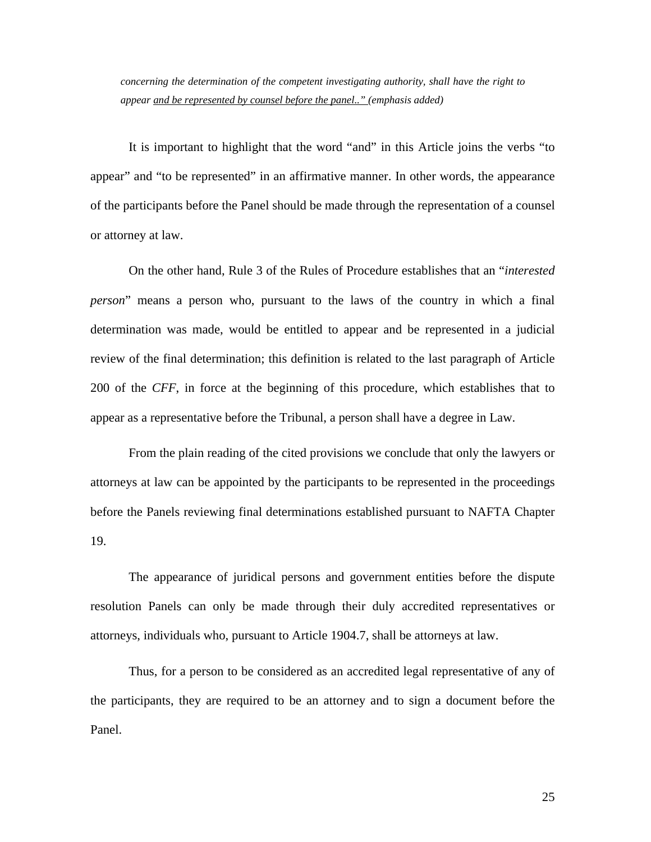*concerning the determination of the competent investigating authority, shall have the right to appear and be represented by counsel before the panel*.*." (emphasis added)* 

It is important to highlight that the word "and" in this Article joins the verbs "to appear" and "to be represented" in an affirmative manner. In other words, the appearance of the participants before the Panel should be made through the representation of a counsel or attorney at law.

On the other hand, Rule 3 of the Rules of Procedure establishes that an "*interested person*" means a person who, pursuant to the laws of the country in which a final determination was made, would be entitled to appear and be represented in a judicial review of the final determination; this definition is related to the last paragraph of Article 200 of the *CFF*, in force at the beginning of this procedure, which establishes that to appear as a representative before the Tribunal, a person shall have a degree in Law.

From the plain reading of the cited provisions we conclude that only the lawyers or attorneys at law can be appointed by the participants to be represented in the proceedings before the Panels reviewing final determinations established pursuant to NAFTA Chapter 19.

The appearance of juridical persons and government entities before the dispute resolution Panels can only be made through their duly accredited representatives or attorneys, individuals who, pursuant to Article 1904.7, shall be attorneys at law.

Thus, for a person to be considered as an accredited legal representative of any of the participants, they are required to be an attorney and to sign a document before the Panel.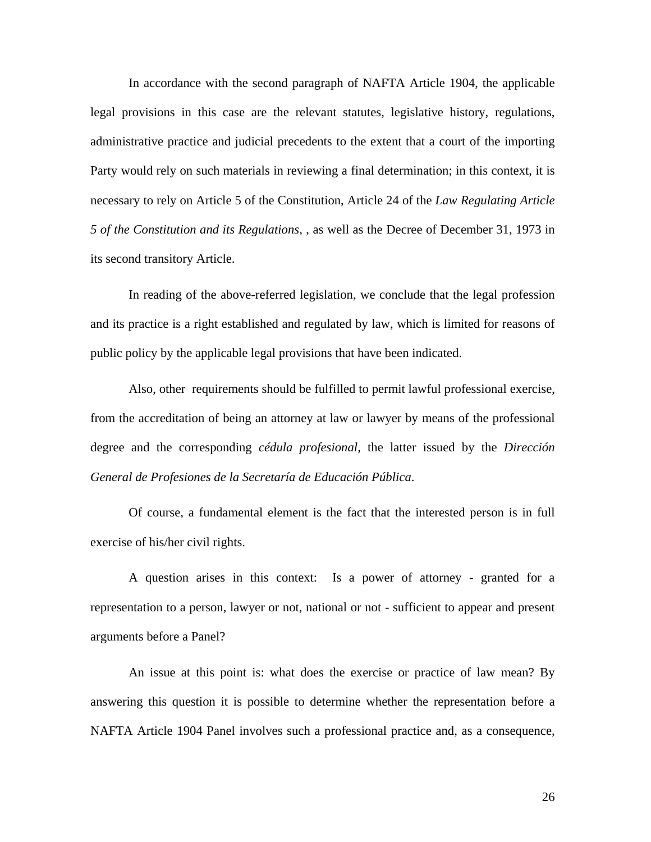In accordance with the second paragraph of NAFTA Article 1904, the applicable legal provisions in this case are the relevant statutes, legislative history, regulations, administrative practice and judicial precedents to the extent that a court of the importing Party would rely on such materials in reviewing a final determination; in this context, it is necessary to rely on Article 5 of the Constitution, Article 24 of the *Law Regulating Article 5 of the Constitution and its Regulations,* , as well as the Decree of December 31, 1973 in its second transitory Article.

In reading of the above-referred legislation, we conclude that the legal profession and its practice is a right established and regulated by law, which is limited for reasons of public policy by the applicable legal provisions that have been indicated.

Also, other requirements should be fulfilled to permit lawful professional exercise, from the accreditation of being an attorney at law or lawyer by means of the professional degree and the corresponding *cédula profesional*, the latter issued by the *Dirección General de Profesiones de la Secretaría de Educación Pública*.

Of course, a fundamental element is the fact that the interested person is in full exercise of his/her civil rights.

A question arises in this context: Is a power of attorney - granted for a representation to a person, lawyer or not, national or not - sufficient to appear and present arguments before a Panel?

An issue at this point is: what does the exercise or practice of law mean? By answering this question it is possible to determine whether the representation before a NAFTA Article 1904 Panel involves such a professional practice and, as a consequence,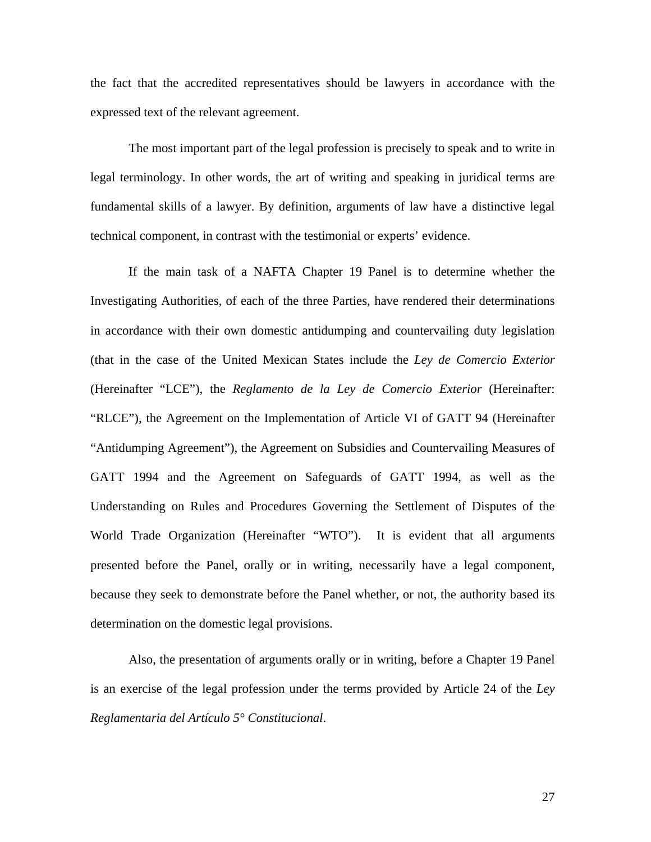the fact that the accredited representatives should be lawyers in accordance with the expressed text of the relevant agreement.

The most important part of the legal profession is precisely to speak and to write in legal terminology. In other words, the art of writing and speaking in juridical terms are fundamental skills of a lawyer. By definition, arguments of law have a distinctive legal technical component, in contrast with the testimonial or experts' evidence.

If the main task of a NAFTA Chapter 19 Panel is to determine whether the Investigating Authorities, of each of the three Parties, have rendered their determinations in accordance with their own domestic antidumping and countervailing duty legislation (that in the case of the United Mexican States include the *Ley de Comercio Exterior* (Hereinafter "LCE"), the *Reglamento de la Ley de Comercio Exterior* (Hereinafter: "RLCE"), the Agreement on the Implementation of Article VI of GATT 94 (Hereinafter "Antidumping Agreement"), the Agreement on Subsidies and Countervailing Measures of GATT 1994 and the Agreement on Safeguards of GATT 1994, as well as the Understanding on Rules and Procedures Governing the Settlement of Disputes of the World Trade Organization (Hereinafter "WTO"). It is evident that all arguments presented before the Panel, orally or in writing, necessarily have a legal component, because they seek to demonstrate before the Panel whether, or not, the authority based its determination on the domestic legal provisions.

Also, the presentation of arguments orally or in writing, before a Chapter 19 Panel is an exercise of the legal profession under the terms provided by Article 24 of the *Ley Reglamentaria del Artículo 5° Constitucional*.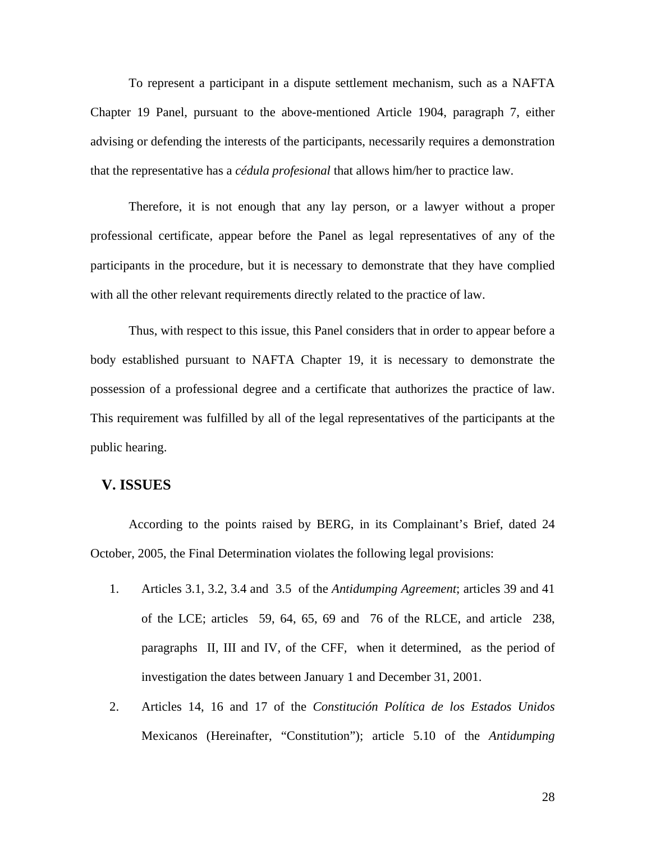To represent a participant in a dispute settlement mechanism, such as a NAFTA Chapter 19 Panel, pursuant to the above-mentioned Article 1904, paragraph 7, either advising or defending the interests of the participants, necessarily requires a demonstration that the representative has a *cédula profesional* that allows him/her to practice law.

Therefore, it is not enough that any lay person, or a lawyer without a proper professional certificate, appear before the Panel as legal representatives of any of the participants in the procedure, but it is necessary to demonstrate that they have complied with all the other relevant requirements directly related to the practice of law.

Thus, with respect to this issue, this Panel considers that in order to appear before a body established pursuant to NAFTA Chapter 19, it is necessary to demonstrate the possession of a professional degree and a certificate that authorizes the practice of law. This requirement was fulfilled by all of the legal representatives of the participants at the public hearing.

#### **V. ISSUES**

According to the points raised by BERG, in its Complainant's Brief, dated 24 October, 2005, the Final Determination violates the following legal provisions:

- 1. Articles 3.1, 3.2, 3.4 and 3.5 of the *Antidumping Agreement*; articles 39 and 41 of the LCE; articles 59, 64, 65, 69 and 76 of the RLCE, and article 238, paragraphs II, III and IV, of the CFF*,* when it determined, as the period of investigation the dates between January 1 and December 31, 2001.
- 2. Articles 14, 16 and 17 of the *Constitución Política de los Estados Unidos* Mexicanos (Hereinafter, "Constitution"); article 5.10 of the *Antidumping*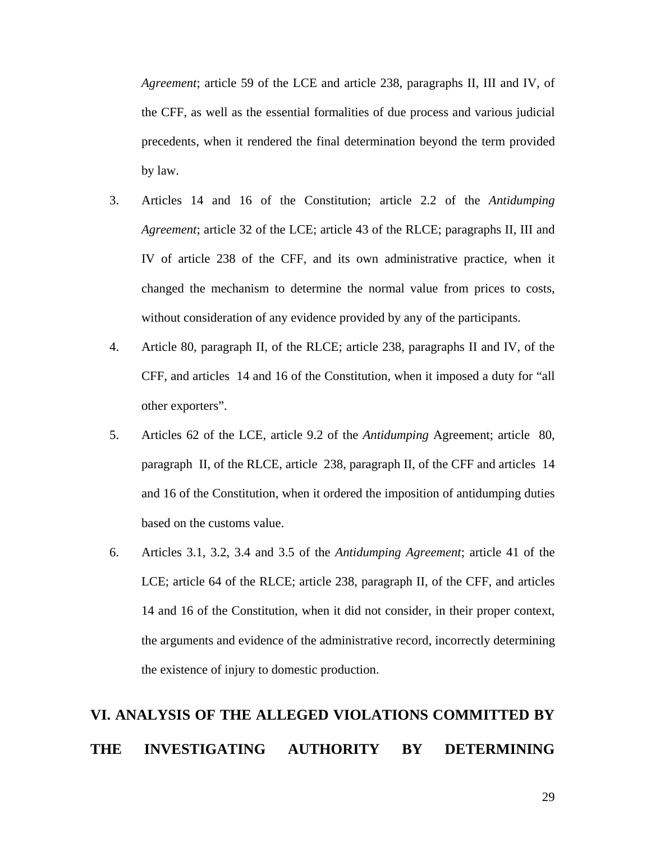*Agreement*; article 59 of the LCE and article 238, paragraphs II, III and IV, of the CFF, as well as the essential formalities of due process and various judicial precedents, when it rendered the final determination beyond the term provided by law.

- 3. Articles 14 and 16 of the Constitution; article 2.2 of the *Antidumping Agreement*; article 32 of the LCE; article 43 of the RLCE; paragraphs II, III and IV of article 238 of the CFF*,* and its own administrative practice, when it changed the mechanism to determine the normal value from prices to costs, without consideration of any evidence provided by any of the participants.
- 4. Article 80, paragraph II, of the RLCE; article 238, paragraphs II and IV, of the CFF*,* and articles 14 and 16 of the Constitution*,* when it imposed a duty for "all other exporters".
- 5. Articles 62 of the LCE, article 9.2 of the *Antidumping* Agreement; article 80, paragraph II, of the RLCE, article 238, paragraph II, of the CFF and articles 14 and 16 of the Constitution, when it ordered the imposition of antidumping duties based on the customs value.
- 6. Articles 3.1, 3.2, 3.4 and 3.5 of the *Antidumping Agreement*; article 41 of the LCE; article 64 of the RLCE; article 238, paragraph II, of the CFF, and articles 14 and 16 of the Constitution, when it did not consider, in their proper context, the arguments and evidence of the administrative record, incorrectly determining the existence of injury to domestic production.

# **VI. ANALYSIS OF THE ALLEGED VIOLATIONS COMMITTED BY THE INVESTIGATING AUTHORITY BY DETERMINING**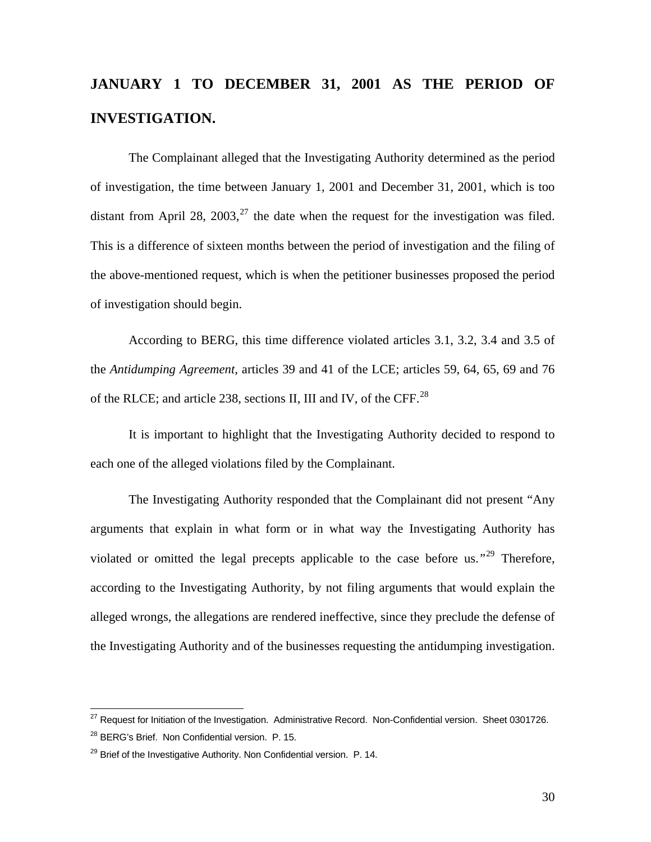# **JANUARY 1 TO DECEMBER 31, 2001 AS THE PERIOD OF INVESTIGATION.**

The Complainant alleged that the Investigating Authority determined as the period of investigation, the time between January 1, 2001 and December 31, 2001, which is too distant from April 28,  $2003$ <sup>[27](#page-29-0)</sup>, the date when the request for the investigation was filed. This is a difference of sixteen months between the period of investigation and the filing of the above-mentioned request, which is when the petitioner businesses proposed the period of investigation should begin.

According to BERG, this time difference violated articles 3.1, 3.2, 3.4 and 3.5 of the *Antidumping Agreement*, articles 39 and 41 of the LCE; articles 59, 64, 65, 69 and 76 of the RLCE; and article 238, sections II, III and IV, of the CFF.<sup>[28](#page-29-1)</sup>

It is important to highlight that the Investigating Authority decided to respond to each one of the alleged violations filed by the Complainant.

The Investigating Authority responded that the Complainant did not present "Any arguments that explain in what form or in what way the Investigating Authority has violated or omitted the legal precepts applicable to the case before us.*"*[29](#page-29-2) Therefore, according to the Investigating Authority, by not filing arguments that would explain the alleged wrongs, the allegations are rendered ineffective, since they preclude the defense of the Investigating Authority and of the businesses requesting the antidumping investigation.

<span id="page-29-0"></span> $^{27}$  Request for Initiation of the Investigation. Administrative Record. Non-Confidential version. Sheet 0301726.

<span id="page-29-1"></span><sup>&</sup>lt;sup>28</sup> BERG's Brief. Non Confidential version. P. 15.

<span id="page-29-2"></span> $29$  Brief of the Investigative Authority. Non Confidential version. P. 14.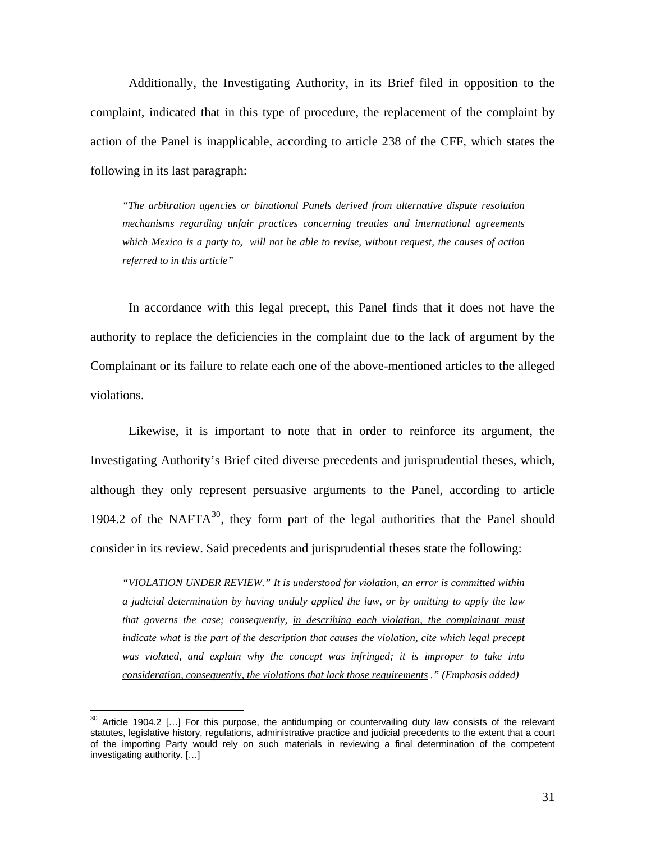Additionally, the Investigating Authority, in its Brief filed in opposition to the complaint, indicated that in this type of procedure, the replacement of the complaint by action of the Panel is inapplicable, according to article 238 of the CFF, which states the following in its last paragraph:

*"The arbitration agencies or binational Panels derived from alternative dispute resolution mechanisms regarding unfair practices concerning treaties and international agreements which Mexico is a party to, will not be able to revise, without request, the causes of action referred to in this article"* 

In accordance with this legal precept, this Panel finds that it does not have the authority to replace the deficiencies in the complaint due to the lack of argument by the Complainant or its failure to relate each one of the above-mentioned articles to the alleged violations.

Likewise, it is important to note that in order to reinforce its argument, the Investigating Authority's Brief cited diverse precedents and jurisprudential theses, which, although they only represent persuasive arguments to the Panel, according to article 1904.2 of the NAFTA<sup>[30](#page-30-0)</sup>, they form part of the legal authorities that the Panel should consider in its review. Said precedents and jurisprudential theses state the following:

*"VIOLATION UNDER REVIEW." It is understood for violation, an error is committed within a judicial determination by having unduly applied the law, or by omitting to apply the law that governs the case; consequently, in describing each violation, the complainant must indicate what is the part of the description that causes the violation, cite which legal precept was violated, and explain why the concept was infringed; it is improper to take into consideration, consequently, the violations that lack those requirements ." (Emphasis added)* 

<span id="page-30-0"></span> $30$  Article 1904.2 [...] For this purpose, the antidumping or countervailing duty law consists of the relevant statutes, legislative history, regulations, administrative practice and judicial precedents to the extent that a court of the importing Party would rely on such materials in reviewing a final determination of the competent investigating authority. […]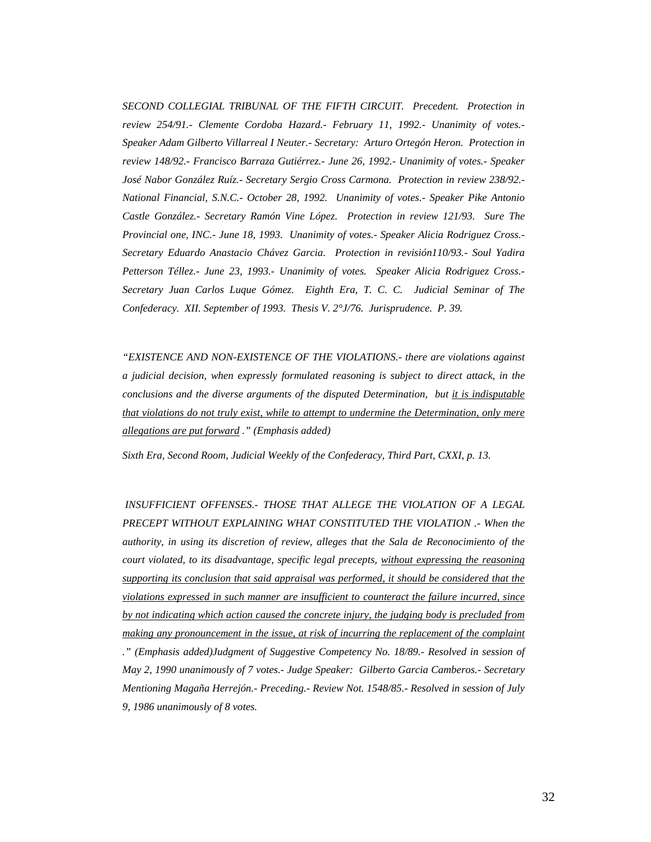*SECOND COLLEGIAL TRIBUNAL OF THE FIFTH CIRCUIT. Precedent. Protection in review 254/91.- Clemente Cordoba Hazard.- February 11, 1992.- Unanimity of votes.- Speaker Adam Gilberto Villarreal I Neuter.- Secretary: Arturo Ortegón Heron. Protection in review 148/92.- Francisco Barraza Gutiérrez.- June 26, 1992.- Unanimity of votes.- Speaker José Nabor González Ruíz.- Secretary Sergio Cross Carmona. Protection in review 238/92.- National Financial, S.N.C.- October 28, 1992. Unanimity of votes.- Speaker Pike Antonio Castle González.- Secretary Ramón Vine López. Protection in review 121/93. Sure The Provincial one, INC.- June 18, 1993. Unanimity of votes.- Speaker Alicia Rodriguez Cross.- Secretary Eduardo Anastacio Chávez Garcia. Protection in revisión110/93.- Soul Yadira Petterson Téllez.- June 23, 1993.- Unanimity of votes. Speaker Alicia Rodriguez Cross.- Secretary Juan Carlos Luque Gómez. Eighth Era, T. C. C. Judicial Seminar of The Confederacy. XII. September of 1993. Thesis V. 2°J/76. Jurisprudence. P. 39.* 

*"EXISTENCE AND NON-EXISTENCE OF THE VIOLATIONS.- there are violations against a judicial decision, when expressly formulated reasoning is subject to direct attack, in the conclusions and the diverse arguments of the disputed Determination, but it is indisputable that violations do not truly exist, while to attempt to undermine the Determination, only mere allegations are put forward ." (Emphasis added)* 

*Sixth Era, Second Room, Judicial Weekly of the Confederacy, Third Part, CXXI, p. 13.* 

 *INSUFFICIENT OFFENSES.- THOSE THAT ALLEGE THE VIOLATION OF A LEGAL PRECEPT WITHOUT EXPLAINING WHAT CONSTITUTED THE VIOLATION .- When the authority, in using its discretion of review, alleges that the Sala de Reconocimiento of the court violated, to its disadvantage, specific legal precepts, without expressing the reasoning supporting its conclusion that said appraisal was performed, it should be considered that the violations expressed in such manner are insufficient to counteract the failure incurred, since by not indicating which action caused the concrete injury, the judging body is precluded from making any pronouncement in the issue, at risk of incurring the replacement of the complaint ." (Emphasis added)Judgment of Suggestive Competency No. 18/89.- Resolved in session of May 2, 1990 unanimously of 7 votes.- Judge Speaker: Gilberto Garcia Camberos.- Secretary Mentioning Magaña Herrejón.- Preceding.- Review Not. 1548/85.- Resolved in session of July 9, 1986 unanimously of 8 votes.*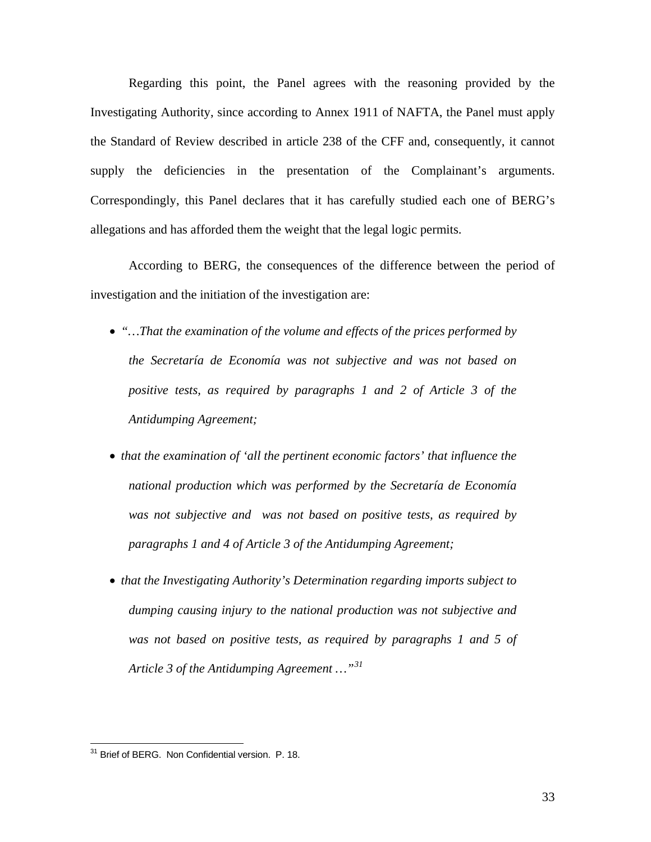Regarding this point, the Panel agrees with the reasoning provided by the Investigating Authority, since according to Annex 1911 of NAFTA, the Panel must apply the Standard of Review described in article 238 of the CFF and, consequently, it cannot supply the deficiencies in the presentation of the Complainant's arguments. Correspondingly, this Panel declares that it has carefully studied each one of BERG's allegations and has afforded them the weight that the legal logic permits.

According to BERG, the consequences of the difference between the period of investigation and the initiation of the investigation are:

- *"…That the examination of the volume and effects of the prices performed by the Secretaría de Economía was not subjective and was not based on positive tests, as required by paragraphs 1 and 2 of Article 3 of the Antidumping Agreement;*
- *that the examination of 'all the pertinent economic factors' that influence the national production which was performed by the Secretaría de Economía was not subjective and was not based on positive tests, as required by paragraphs 1 and 4 of Article 3 of the Antidumping Agreement;*
- *that the Investigating Authority's Determination regarding imports subject to dumping causing injury to the national production was not subjective and was not based on positive tests, as required by paragraphs 1 and 5 of Article 3 of the Antidumping Agreement …"[31](#page-32-0)*

<span id="page-32-0"></span><sup>&</sup>lt;sup>31</sup> Brief of BERG. Non Confidential version. P. 18.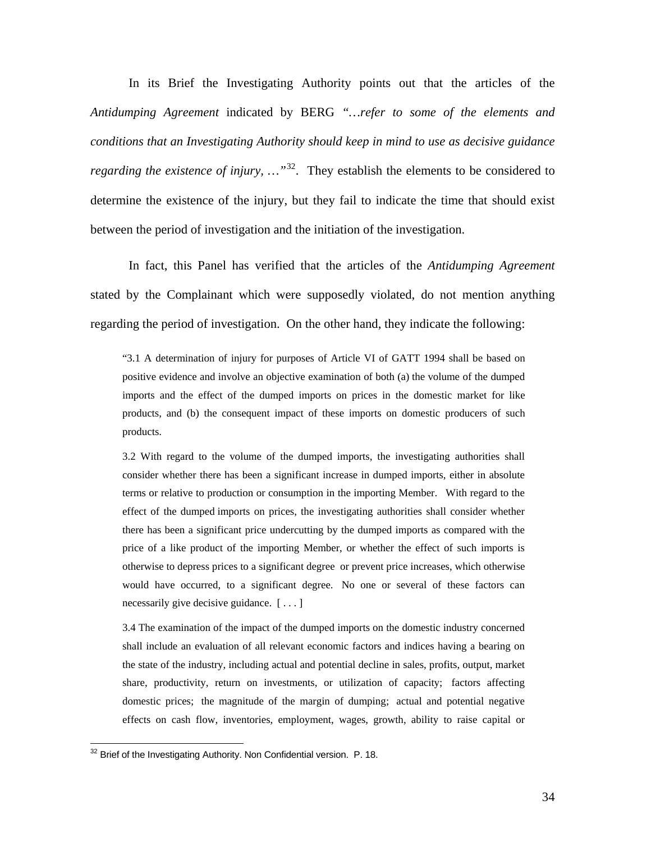In its Brief the Investigating Authority points out that the articles of the *Antidumping Agreement* indicated by BERG *"…refer to some of the elements and conditions that an Investigating Authority should keep in mind to use as decisive guidance regarding the existence of injury, …"*[32](#page-33-0)*.* They establish the elements to be considered to determine the existence of the injury, but they fail to indicate the time that should exist between the period of investigation and the initiation of the investigation.

In fact, this Panel has verified that the articles of the *Antidumping Agreement* stated by the Complainant which were supposedly violated, do not mention anything regarding the period of investigation. On the other hand, they indicate the following:

"3.1 A determination of injury for purposes of Article VI of GATT 1994 shall be based on positive evidence and involve an objective examination of both (a) the volume of the dumped imports and the effect of the dumped imports on prices in the domestic market for like products, and (b) the consequent impact of these imports on domestic producers of such products.

3.2 With regard to the volume of the dumped imports, the investigating authorities shall consider whether there has been a significant increase in dumped imports, either in absolute terms or relative to production or consumption in the importing Member. With regard to the effect of the dumped imports on prices, the investigating authorities shall consider whether there has been a significant price undercutting by the dumped imports as compared with the price of a like product of the importing Member, or whether the effect of such imports is otherwise to depress prices to a significant degree or prevent price increases, which otherwise would have occurred, to a significant degree. No one or several of these factors can necessarily give decisive guidance. [ . . . ]

3.4 The examination of the impact of the dumped imports on the domestic industry concerned shall include an evaluation of all relevant economic factors and indices having a bearing on the state of the industry, including actual and potential decline in sales, profits, output, market share, productivity, return on investments, or utilization of capacity; factors affecting domestic prices; the magnitude of the margin of dumping; actual and potential negative effects on cash flow, inventories, employment, wages, growth, ability to raise capital or

<span id="page-33-0"></span> $32$  Brief of the Investigating Authority. Non Confidential version. P. 18.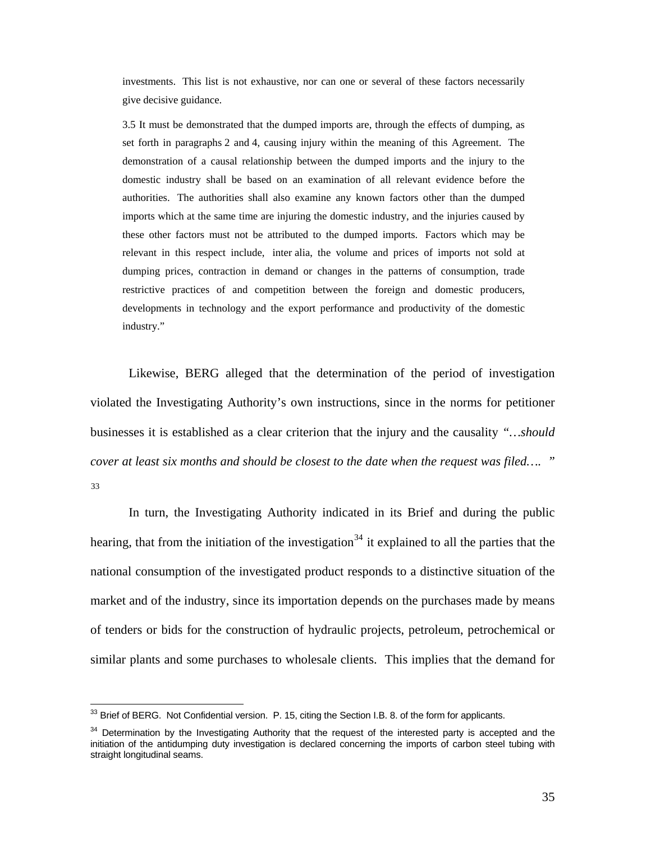investments. This list is not exhaustive, nor can one or several of these factors necessarily give decisive guidance.

3.5 It must be demonstrated that the dumped imports are, through the effects of dumping, as set forth in paragraphs 2 and 4, causing injury within the meaning of this Agreement. The demonstration of a causal relationship between the dumped imports and the injury to the domestic industry shall be based on an examination of all relevant evidence before the authorities. The authorities shall also examine any known factors other than the dumped imports which at the same time are injuring the domestic industry, and the injuries caused by these other factors must not be attributed to the dumped imports. Factors which may be relevant in this respect include, inter alia, the volume and prices of imports not sold at dumping prices, contraction in demand or changes in the patterns of consumption, trade restrictive practices of and competition between the foreign and domestic producers, developments in technology and the export performance and productivity of the domestic industry."

Likewise, BERG alleged that the determination of the period of investigation violated the Investigating Authority's own instructions, since in the norms for petitioner businesses it is established as a clear criterion that the injury and the causality *"…should cover at least six months and should be closest to the date when the request was filed…. "*  [33](#page-34-0)

In turn, the Investigating Authority indicated in its Brief and during the public hearing, that from the initiation of the investigation<sup>[34](#page-34-1)</sup> it explained to all the parties that the national consumption of the investigated product responds to a distinctive situation of the market and of the industry, since its importation depends on the purchases made by means of tenders or bids for the construction of hydraulic projects, petroleum, petrochemical or similar plants and some purchases to wholesale clients. This implies that the demand for

<span id="page-34-0"></span> $33$  Brief of BERG. Not Confidential version. P. 15, citing the Section I.B. 8. of the form for applicants.

<span id="page-34-1"></span><sup>&</sup>lt;sup>34</sup> Determination by the Investigating Authority that the request of the interested party is accepted and the initiation of the antidumping duty investigation is declared concerning the imports of carbon steel tubing with straight longitudinal seams.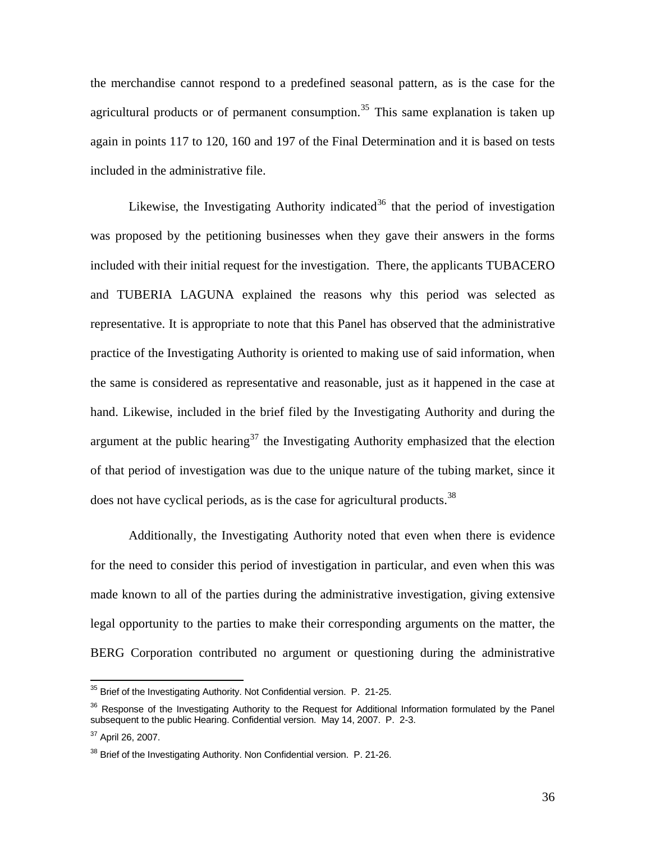the merchandise cannot respond to a predefined seasonal pattern, as is the case for the agricultural products or of permanent consumption.<sup>[35](#page-35-0)</sup> This same explanation is taken up again in points 117 to 120, 160 and 197 of the Final Determination and it is based on tests included in the administrative file.

Likewise, the Investigating Authority indicated<sup>[36](#page-35-1)</sup> that the period of investigation was proposed by the petitioning businesses when they gave their answers in the forms included with their initial request for the investigation. There, the applicants TUBACERO and TUBERIA LAGUNA explained the reasons why this period was selected as representative. It is appropriate to note that this Panel has observed that the administrative practice of the Investigating Authority is oriented to making use of said information, when the same is considered as representative and reasonable, just as it happened in the case at hand. Likewise, included in the brief filed by the Investigating Authority and during the argument at the public hearing<sup>[37](#page-35-2)</sup> the Investigating Authority emphasized that the election of that period of investigation was due to the unique nature of the tubing market, since it does not have cyclical periods, as is the case for agricultural products.<sup>[38](#page-35-3)</sup>

Additionally, the Investigating Authority noted that even when there is evidence for the need to consider this period of investigation in particular, and even when this was made known to all of the parties during the administrative investigation, giving extensive legal opportunity to the parties to make their corresponding arguments on the matter, the BERG Corporation contributed no argument or questioning during the administrative

<u>.</u>

 $35$  Brief of the Investigating Authority. Not Confidential version. P. 21-25.

<span id="page-35-1"></span><span id="page-35-0"></span><sup>&</sup>lt;sup>36</sup> Response of the Investigating Authority to the Request for Additional Information formulated by the Panel subsequent to the public Hearing. Confidential version. May 14, 2007. P. 2-3.

<span id="page-35-2"></span><sup>37</sup> April 26, 2007.

<span id="page-35-3"></span><sup>&</sup>lt;sup>38</sup> Brief of the Investigating Authority. Non Confidential version. P. 21-26.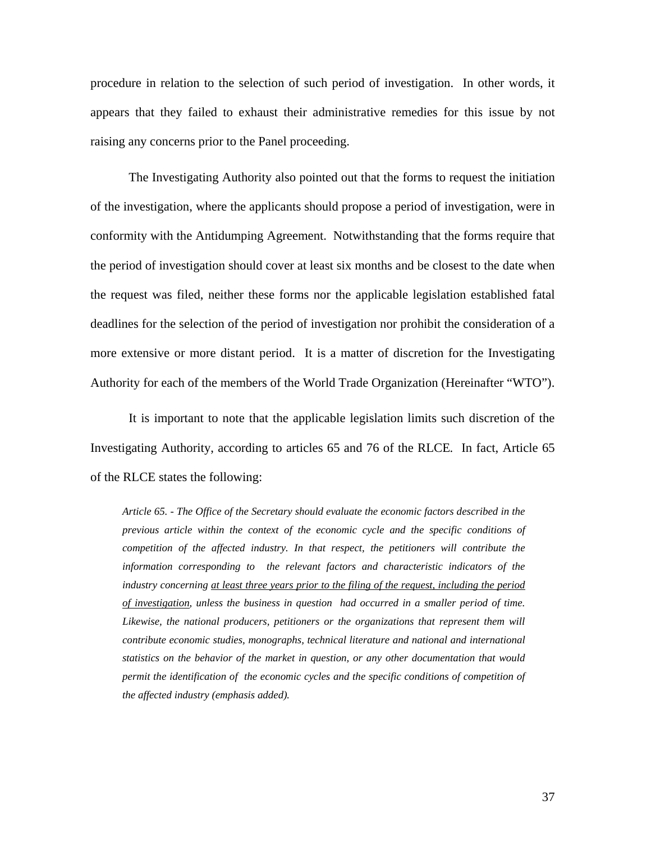procedure in relation to the selection of such period of investigation. In other words, it appears that they failed to exhaust their administrative remedies for this issue by not raising any concerns prior to the Panel proceeding.

The Investigating Authority also pointed out that the forms to request the initiation of the investigation, where the applicants should propose a period of investigation, were in conformity with the Antidumping Agreement. Notwithstanding that the forms require that the period of investigation should cover at least six months and be closest to the date when the request was filed, neither these forms nor the applicable legislation established fatal deadlines for the selection of the period of investigation nor prohibit the consideration of a more extensive or more distant period. It is a matter of discretion for the Investigating Authority for each of the members of the World Trade Organization (Hereinafter "WTO").

It is important to note that the applicable legislation limits such discretion of the Investigating Authority, according to articles 65 and 76 of the RLCE*.* In fact, Article 65 of the RLCE states the following:

*Article 65. - The Office of the Secretary should evaluate the economic factors described in the previous article within the context of the economic cycle and the specific conditions of competition of the affected industry. In that respect, the petitioners will contribute the information corresponding to the relevant factors and characteristic indicators of the industry concerning at least three years prior to the filing of the request, including the period of investigation, unless the business in question had occurred in a smaller period of time. Likewise, the national producers, petitioners or the organizations that represent them will contribute economic studies, monographs, technical literature and national and international statistics on the behavior of the market in question, or any other documentation that would permit the identification of the economic cycles and the specific conditions of competition of the affected industry (emphasis added).*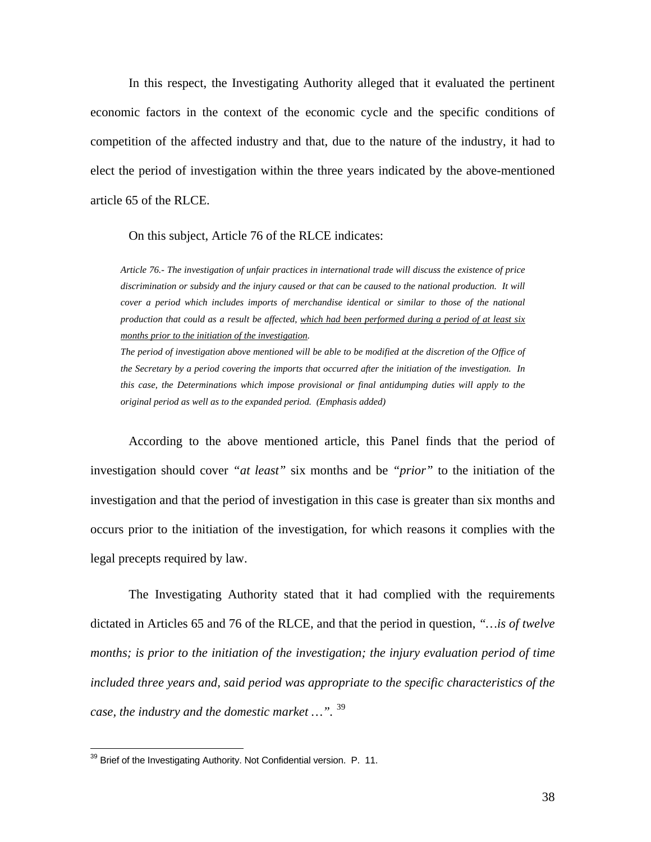In this respect, the Investigating Authority alleged that it evaluated the pertinent economic factors in the context of the economic cycle and the specific conditions of competition of the affected industry and that, due to the nature of the industry, it had to elect the period of investigation within the three years indicated by the above-mentioned article 65 of the RLCE.

On this subject, Article 76 of the RLCE indicates:

*Article 76.- The investigation of unfair practices in international trade will discuss the existence of price discrimination or subsidy and the injury caused or that can be caused to the national production. It will cover a period which includes imports of merchandise identical or similar to those of the national production that could as a result be affected, which had been performed during a period of at least six months prior to the initiation of the investigation*.

*The period of investigation above mentioned will be able to be modified at the discretion of the Office of the Secretary by a period covering the imports that occurred after the initiation of the investigation. In this case, the Determinations which impose provisional or final antidumping duties will apply to the original period as well as to the expanded period. (Emphasis added)* 

According to the above mentioned article, this Panel finds that the period of investigation should cover *"at least"* six months and be *"prior"* to the initiation of the investigation and that the period of investigation in this case is greater than six months and occurs prior to the initiation of the investigation, for which reasons it complies with the legal precepts required by law.

The Investigating Authority stated that it had complied with the requirements dictated in Articles 65 and 76 of the RLCE, and that the period in question, *"…is of twelve months; is prior to the initiation of the investigation; the injury evaluation period of time included three years and, said period was appropriate to the specific characteristics of the case, the industry and the domestic market …".* [39](#page-37-0)

<span id="page-37-0"></span> $39$  Brief of the Investigating Authority. Not Confidential version. P. 11.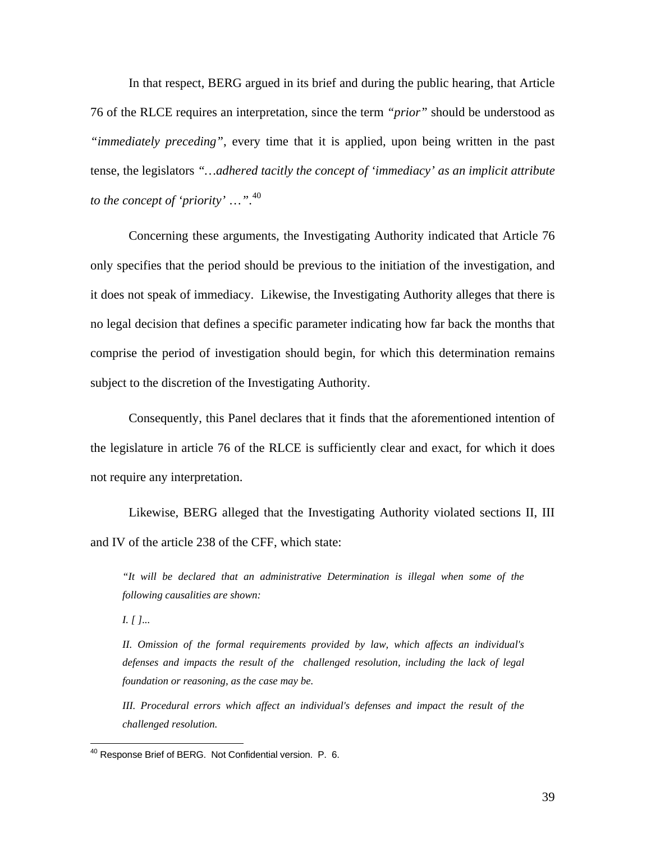In that respect, BERG argued in its brief and during the public hearing, that Article 76 of the RLCE requires an interpretation, since the term *"prior"* should be understood as *"immediately preceding"*, every time that it is applied, upon being written in the past tense, the legislators *"…adhered tacitly the concept of 'immediacy' as an implicit attribute to the concept of 'priority'* …*"*. [40](#page-38-0)

Concerning these arguments, the Investigating Authority indicated that Article 76 only specifies that the period should be previous to the initiation of the investigation, and it does not speak of immediacy. Likewise, the Investigating Authority alleges that there is no legal decision that defines a specific parameter indicating how far back the months that comprise the period of investigation should begin, for which this determination remains subject to the discretion of the Investigating Authority.

Consequently, this Panel declares that it finds that the aforementioned intention of the legislature in article 76 of the RLCE is sufficiently clear and exact, for which it does not require any interpretation.

Likewise, BERG alleged that the Investigating Authority violated sections II, III and IV of the article 238 of the CFF, which state:

*"It will be declared that an administrative Determination is illegal when some of the following causalities are shown:* 

*I. [ ]...* 

1

*II. Omission of the formal requirements provided by law, which affects an individual's defenses and impacts the result of the challenged resolution, including the lack of legal foundation or reasoning, as the case may be.* 

*III. Procedural errors which affect an individual's defenses and impact the result of the challenged resolution.* 

<span id="page-38-0"></span><sup>&</sup>lt;sup>40</sup> Response Brief of BERG. Not Confidential version. P. 6.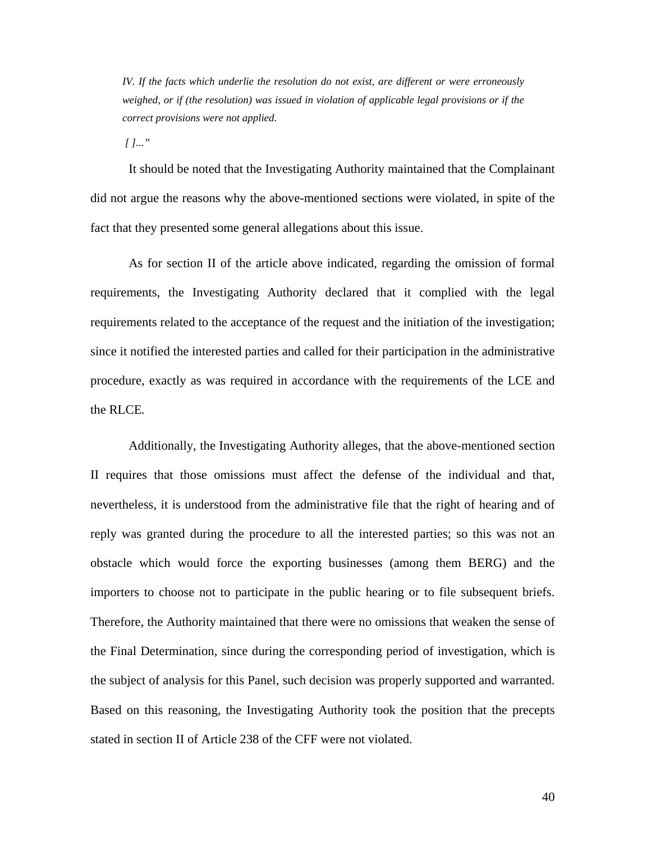*IV. If the facts which underlie the resolution do not exist, are different or were erroneously weighed, or if (the resolution) was issued in violation of applicable legal provisions or if the correct provisions were not applied*.

 *[ ]..."*

It should be noted that the Investigating Authority maintained that the Complainant did not argue the reasons why the above-mentioned sections were violated, in spite of the fact that they presented some general allegations about this issue.

As for section II of the article above indicated, regarding the omission of formal requirements, the Investigating Authority declared that it complied with the legal requirements related to the acceptance of the request and the initiation of the investigation; since it notified the interested parties and called for their participation in the administrative procedure, exactly as was required in accordance with the requirements of the LCE and the RLCE*.* 

Additionally, the Investigating Authority alleges, that the above-mentioned section II requires that those omissions must affect the defense of the individual and that, nevertheless, it is understood from the administrative file that the right of hearing and of reply was granted during the procedure to all the interested parties; so this was not an obstacle which would force the exporting businesses (among them BERG) and the importers to choose not to participate in the public hearing or to file subsequent briefs. Therefore, the Authority maintained that there were no omissions that weaken the sense of the Final Determination, since during the corresponding period of investigation, which is the subject of analysis for this Panel, such decision was properly supported and warranted. Based on this reasoning, the Investigating Authority took the position that the precepts stated in section II of Article 238 of the CFF were not violated.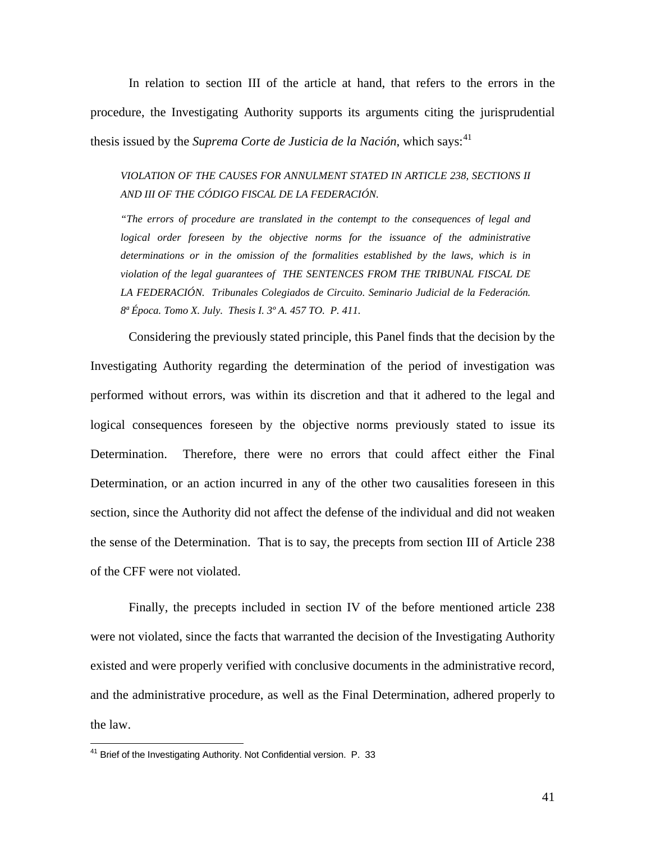In relation to section III of the article at hand, that refers to the errors in the procedure, the Investigating Authority supports its arguments citing the jurisprudential thesis issued by the *Suprema Corte de Justicia de la Nación*, which says:<sup>[41](#page-40-0)</sup>

*VIOLATION OF THE CAUSES FOR ANNULMENT STATED IN ARTICLE 238, SECTIONS II AND III OF THE CÓDIGO FISCAL DE LA FEDERACIÓN.* 

*"The errors of procedure are translated in the contempt to the consequences of legal and logical order foreseen by the objective norms for the issuance of the administrative determinations or in the omission of the formalities established by the laws, which is in violation of the legal guarantees of THE SENTENCES FROM THE TRIBUNAL FISCAL DE LA FEDERACIÓN. Tribunales Colegiados de Circuito. Seminario Judicial de la Federación. 8ª Época. Tomo X. July. Thesis I. 3º A. 457 TO. P. 411.*

Considering the previously stated principle, this Panel finds that the decision by the Investigating Authority regarding the determination of the period of investigation was performed without errors, was within its discretion and that it adhered to the legal and logical consequences foreseen by the objective norms previously stated to issue its Determination. Therefore, there were no errors that could affect either the Final Determination, or an action incurred in any of the other two causalities foreseen in this section, since the Authority did not affect the defense of the individual and did not weaken the sense of the Determination. That is to say, the precepts from section III of Article 238 of the CFF were not violated.

Finally, the precepts included in section IV of the before mentioned article 238 were not violated, since the facts that warranted the decision of the Investigating Authority existed and were properly verified with conclusive documents in the administrative record, and the administrative procedure, as well as the Final Determination, adhered properly to the law.

<span id="page-40-0"></span><sup>&</sup>lt;sup>41</sup> Brief of the Investigating Authority. Not Confidential version. P. 33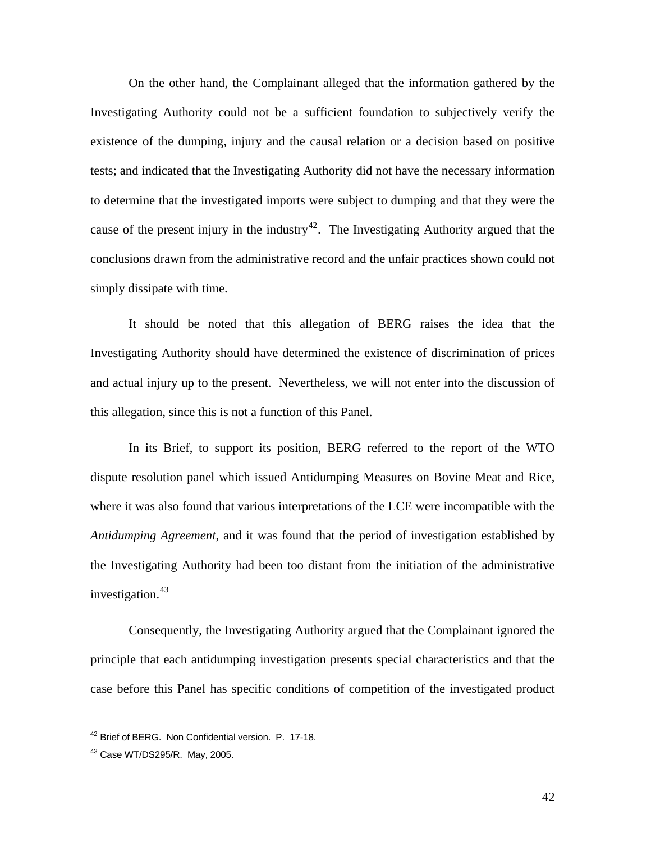On the other hand, the Complainant alleged that the information gathered by the Investigating Authority could not be a sufficient foundation to subjectively verify the existence of the dumping, injury and the causal relation or a decision based on positive tests; and indicated that the Investigating Authority did not have the necessary information to determine that the investigated imports were subject to dumping and that they were the cause of the present injury in the industry<sup>[42](#page-41-0)</sup>. The Investigating Authority argued that the conclusions drawn from the administrative record and the unfair practices shown could not simply dissipate with time.

It should be noted that this allegation of BERG raises the idea that the Investigating Authority should have determined the existence of discrimination of prices and actual injury up to the present. Nevertheless, we will not enter into the discussion of this allegation, since this is not a function of this Panel.

In its Brief, to support its position, BERG referred to the report of the WTO dispute resolution panel which issued Antidumping Measures on Bovine Meat and Rice, where it was also found that various interpretations of the LCE were incompatible with the *Antidumping Agreement*, and it was found that the period of investigation established by the Investigating Authority had been too distant from the initiation of the administrative investigation.<sup>[43](#page-41-1)</sup>

Consequently, the Investigating Authority argued that the Complainant ignored the principle that each antidumping investigation presents special characteristics and that the case before this Panel has specific conditions of competition of the investigated product

 $\overline{a}$ 

<sup>&</sup>lt;sup>42</sup> Brief of BERG. Non Confidential version. P. 17-18.

<span id="page-41-1"></span><span id="page-41-0"></span><sup>43</sup> Case WT/DS295/R. May, 2005.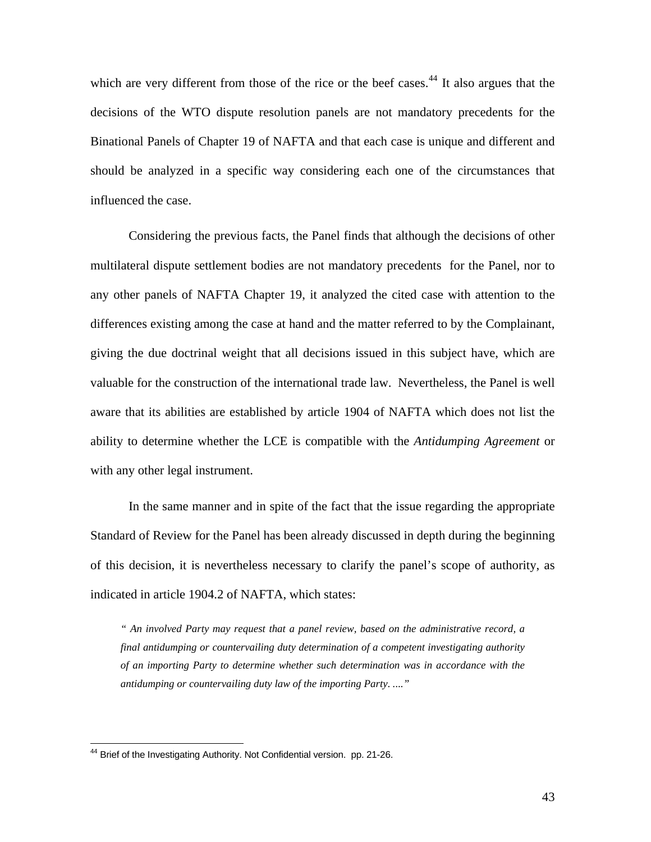which are very different from those of the rice or the beef cases.<sup>[44](#page-42-0)</sup> It also argues that the decisions of the WTO dispute resolution panels are not mandatory precedents for the Binational Panels of Chapter 19 of NAFTA and that each case is unique and different and should be analyzed in a specific way considering each one of the circumstances that influenced the case.

Considering the previous facts, the Panel finds that although the decisions of other multilateral dispute settlement bodies are not mandatory precedents for the Panel, nor to any other panels of NAFTA Chapter 19, it analyzed the cited case with attention to the differences existing among the case at hand and the matter referred to by the Complainant, giving the due doctrinal weight that all decisions issued in this subject have, which are valuable for the construction of the international trade law. Nevertheless, the Panel is well aware that its abilities are established by article 1904 of NAFTA which does not list the ability to determine whether the LCE is compatible with the *Antidumping Agreement* or with any other legal instrument.

In the same manner and in spite of the fact that the issue regarding the appropriate Standard of Review for the Panel has been already discussed in depth during the beginning of this decision, it is nevertheless necessary to clarify the panel's scope of authority, as indicated in article 1904.2 of NAFTA, which states:

*" An involved Party may request that a panel review, based on the administrative record, a final antidumping or countervailing duty determination of a competent investigating authority of an importing Party to determine whether such determination was in accordance with the antidumping or countervailing duty law of the importing Party*. *...."* 

<span id="page-42-0"></span><sup>&</sup>lt;sup>44</sup> Brief of the Investigating Authority. Not Confidential version. pp. 21-26.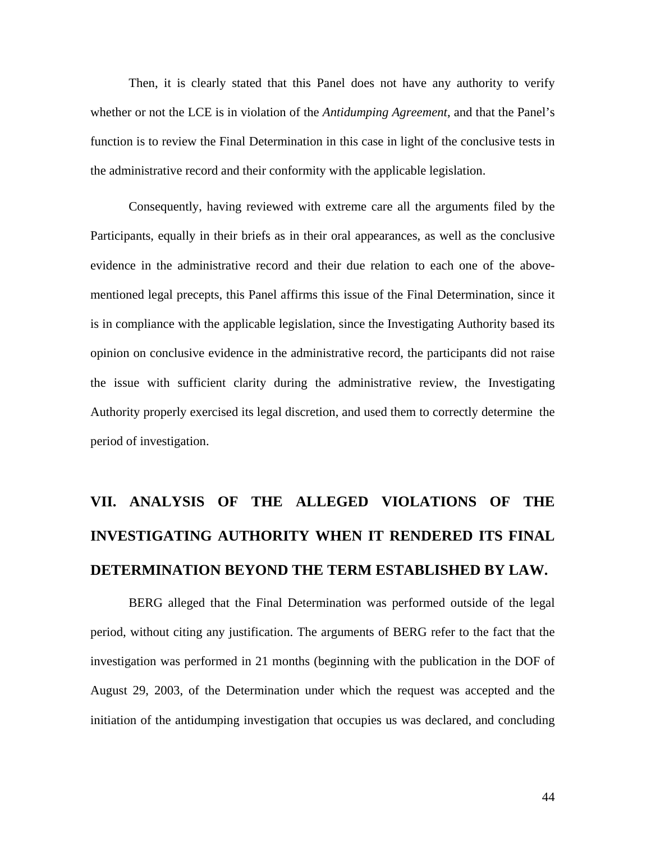Then, it is clearly stated that this Panel does not have any authority to verify whether or not the LCE is in violation of the *Antidumping Agreement*, and that the Panel's function is to review the Final Determination in this case in light of the conclusive tests in the administrative record and their conformity with the applicable legislation.

Consequently, having reviewed with extreme care all the arguments filed by the Participants, equally in their briefs as in their oral appearances, as well as the conclusive evidence in the administrative record and their due relation to each one of the abovementioned legal precepts, this Panel affirms this issue of the Final Determination, since it is in compliance with the applicable legislation, since the Investigating Authority based its opinion on conclusive evidence in the administrative record, the participants did not raise the issue with sufficient clarity during the administrative review, the Investigating Authority properly exercised its legal discretion, and used them to correctly determine the period of investigation.

## **VII. ANALYSIS OF THE ALLEGED VIOLATIONS OF THE INVESTIGATING AUTHORITY WHEN IT RENDERED ITS FINAL DETERMINATION BEYOND THE TERM ESTABLISHED BY LAW.**

BERG alleged that the Final Determination was performed outside of the legal period, without citing any justification. The arguments of BERG refer to the fact that the investigation was performed in 21 months (beginning with the publication in the DOF of August 29, 2003, of the Determination under which the request was accepted and the initiation of the antidumping investigation that occupies us was declared, and concluding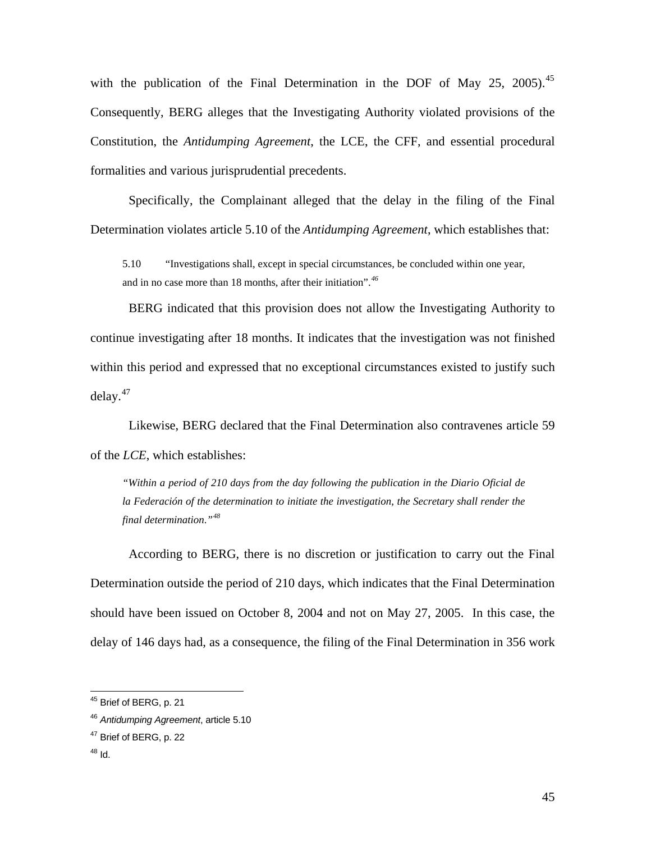with the publication of the Final Determination in the DOF of May 25, 2005).<sup>[45](#page-44-0)</sup> Consequently, BERG alleges that the Investigating Authority violated provisions of the Constitution, the *Antidumping Agreement*, the LCE, the CFF, and essential procedural formalities and various jurisprudential precedents.

Specifically, the Complainant alleged that the delay in the filing of the Final Determination violates article 5.10 of the *Antidumping Agreement*, which establishes that:

5.10 "Investigations shall, except in special circumstances, be concluded within one year, and in no case more than 18 months, after their initiation".*[46](#page-44-1)*

BERG indicated that this provision does not allow the Investigating Authority to continue investigating after 18 months. It indicates that the investigation was not finished within this period and expressed that no exceptional circumstances existed to justify such delay.[47](#page-44-2)

Likewise, BERG declared that the Final Determination also contravenes article 59 of the *LCE*, which establishes:

*"Within a period of 210 days from the day following the publication in the Diario Oficial de la Federación of the determination to initiate the investigation, the Secretary shall render the final determination*.*"[48](#page-44-3)*

According to BERG, there is no discretion or justification to carry out the Final Determination outside the period of 210 days, which indicates that the Final Determination should have been issued on October 8, 2004 and not on May 27, 2005. In this case, the delay of 146 days had, as a consequence, the filing of the Final Determination in 356 work

<sup>&</sup>lt;sup>45</sup> Brief of BERG, p. 21

<span id="page-44-1"></span><span id="page-44-0"></span><sup>46</sup> *Antidumping Agreement*, article 5.10

<span id="page-44-2"></span><sup>&</sup>lt;sup>47</sup> Brief of BERG, p. 22

<span id="page-44-3"></span> $48$  Id.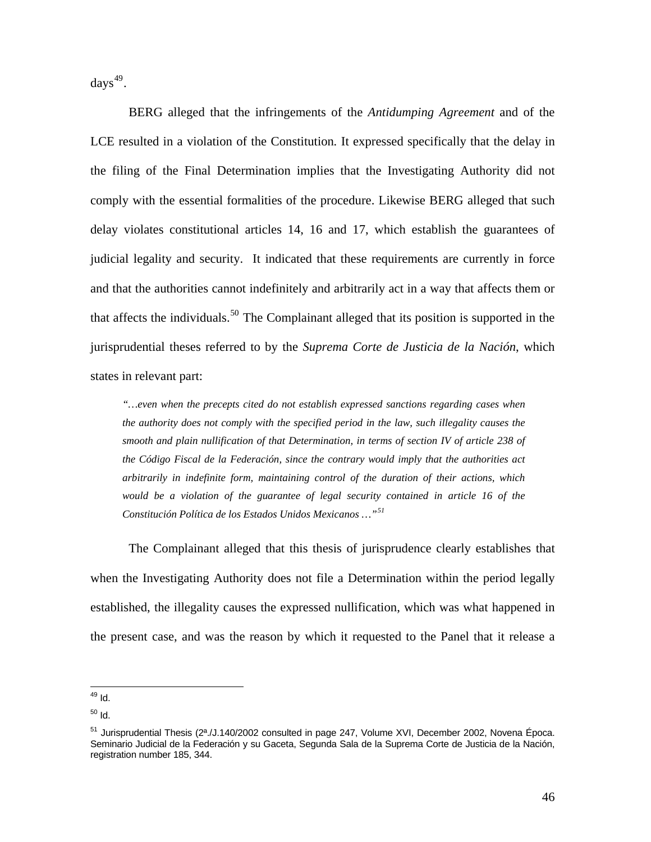days<sup>[49](#page-45-0)</sup>.

BERG alleged that the infringements of the *Antidumping Agreement* and of the LCE resulted in a violation of the Constitution*.* It expressed specifically that the delay in the filing of the Final Determination implies that the Investigating Authority did not comply with the essential formalities of the procedure. Likewise BERG alleged that such delay violates constitutional articles 14, 16 and 17, which establish the guarantees of judicial legality and security. It indicated that these requirements are currently in force and that the authorities cannot indefinitely and arbitrarily act in a way that affects them or that affects the individuals.<sup>[50](#page-45-1)</sup> The Complainant alleged that its position is supported in the jurisprudential theses referred to by the *Suprema Corte de Justicia de la Nación*, which states in relevant part:

*"…even when the precepts cited do not establish expressed sanctions regarding cases when the authority does not comply with the specified period in the law, such illegality causes the smooth and plain nullification of that Determination, in terms of section IV of article 238 of the Código Fiscal de la Federación, since the contrary would imply that the authorities act arbitrarily in indefinite form, maintaining control of the duration of their actions, which would be a violation of the guarantee of legal security contained in article 16 of the Constitución Política de los Estados Unidos Mexicanos …"[51](#page-45-2)*

The Complainant alleged that this thesis of jurisprudence clearly establishes that when the Investigating Authority does not file a Determination within the period legally established, the illegality causes the expressed nullification, which was what happened in the present case, and was the reason by which it requested to the Panel that it release a

<sup>&</sup>lt;u>.</u>  $49$  Id.

<span id="page-45-0"></span> $50$  Id.

<span id="page-45-2"></span><span id="page-45-1"></span><sup>&</sup>lt;sup>51</sup> Jurisprudential Thesis (2<sup>a</sup>./J.140/2002 consulted in page 247, Volume XVI, December 2002, Novena Época. Seminario Judicial de la Federación y su Gaceta, Segunda Sala de la Suprema Corte de Justicia de la Nación, registration number 185, 344.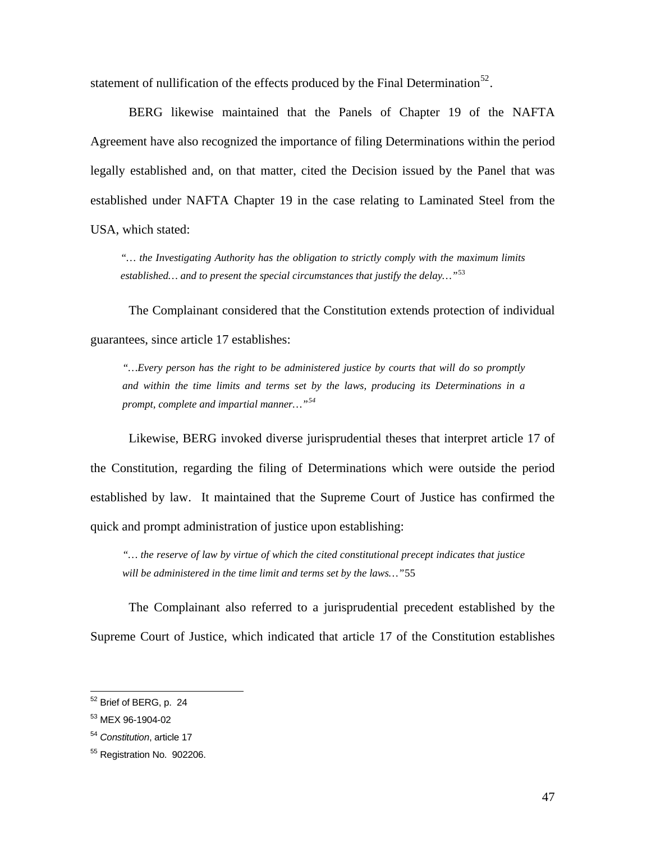statement of nullification of the effects produced by the Final Determination<sup>[52](#page-46-0)</sup>.

BERG likewise maintained that the Panels of Chapter 19 of the NAFTA Agreement have also recognized the importance of filing Determinations within the period legally established and, on that matter, cited the Decision issued by the Panel that was established under NAFTA Chapter 19 in the case relating to Laminated Steel from the USA, which stated:

*"… the Investigating Authority has the obligation to strictly comply with the maximum limits established… and to present the special circumstances that justify the delay…"*[53](#page-46-1)

The Complainant considered that the Constitution extends protection of individual guarantees, since article 17 establishes:

*"…Every person has the right to be administered justice by courts that will do so promptly and within the time limits and terms set by the laws, producing its Determinations in a prompt, complete and impartial manner…"[54](#page-46-2)*

Likewise, BERG invoked diverse jurisprudential theses that interpret article 17 of the Constitution, regarding the filing of Determinations which were outside the period established by law. It maintained that the Supreme Court of Justice has confirmed the quick and prompt administration of justice upon establishing:

*"… the reserve of law by virtue of which the cited constitutional precept indicates that justice will be administered in the time limit and terms set by the laws…"*[55](#page-46-3)

The Complainant also referred to a jurisprudential precedent established by the Supreme Court of Justice, which indicated that article 17 of the Constitution establishes

 $52$  Brief of BERG, p. 24

<span id="page-46-1"></span><span id="page-46-0"></span><sup>53</sup> MEX 96-1904-02

<span id="page-46-2"></span><sup>54</sup> *Constitution*, article 17

<span id="page-46-3"></span><sup>&</sup>lt;sup>55</sup> Registration No. 902206.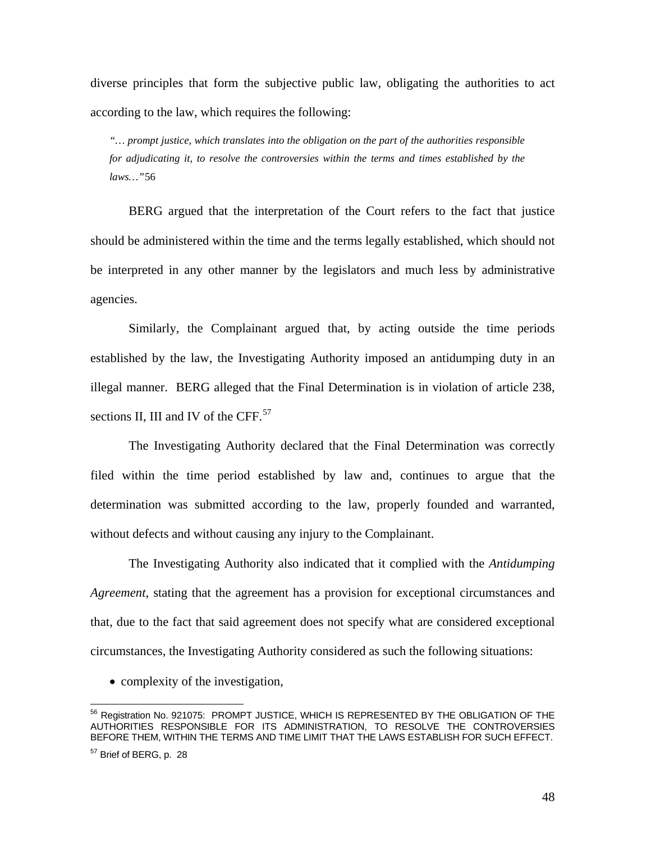diverse principles that form the subjective public law, obligating the authorities to act according to the law, which requires the following:

*"… prompt justice, which translates into the obligation on the part of the authorities responsible for adjudicating it, to resolve the controversies within the terms and times established by the laws…"*[56](#page-47-0)

BERG argued that the interpretation of the Court refers to the fact that justice should be administered within the time and the terms legally established, which should not be interpreted in any other manner by the legislators and much less by administrative agencies.

Similarly, the Complainant argued that, by acting outside the time periods established by the law, the Investigating Authority imposed an antidumping duty in an illegal manner. BERG alleged that the Final Determination is in violation of article 238, sections II, III and IV of the CFF. $57$ 

The Investigating Authority declared that the Final Determination was correctly filed within the time period established by law and, continues to argue that the determination was submitted according to the law, properly founded and warranted, without defects and without causing any injury to the Complainant.

The Investigating Authority also indicated that it complied with the *Antidumping Agreement*, stating that the agreement has a provision for exceptional circumstances and that, due to the fact that said agreement does not specify what are considered exceptional circumstances, the Investigating Authority considered as such the following situations:

• complexity of the investigation,

1

<span id="page-47-0"></span><sup>&</sup>lt;sup>56</sup> Registration No. 921075: PROMPT JUSTICE, WHICH IS REPRESENTED BY THE OBLIGATION OF THE AUTHORITIES RESPONSIBLE FOR ITS ADMINISTRATION, TO RESOLVE THE CONTROVERSIES BEFORE THEM, WITHIN THE TERMS AND TIME LIMIT THAT THE LAWS ESTABLISH FOR SUCH EFFECT.

<span id="page-47-1"></span><sup>57</sup> Brief of BERG, p. 28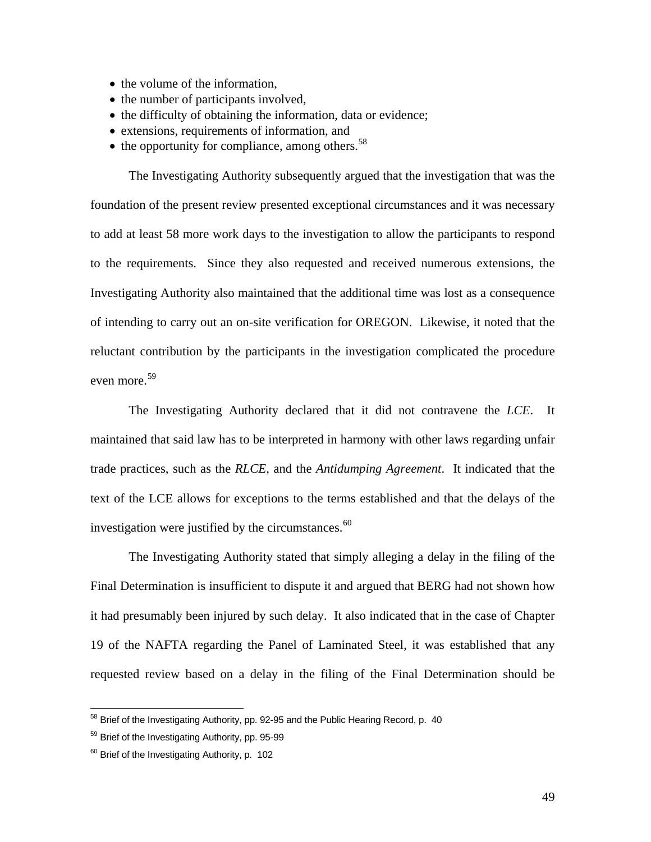- the volume of the information.
- the number of participants involved,
- the difficulty of obtaining the information, data or evidence;
- extensions, requirements of information, and
- $\bullet$  the opportunity for compliance, among others.<sup>[58](#page-48-0)</sup>

The Investigating Authority subsequently argued that the investigation that was the foundation of the present review presented exceptional circumstances and it was necessary to add at least 58 more work days to the investigation to allow the participants to respond to the requirements. Since they also requested and received numerous extensions, the Investigating Authority also maintained that the additional time was lost as a consequence of intending to carry out an on-site verification for OREGON. Likewise, it noted that the reluctant contribution by the participants in the investigation complicated the procedure even more.[59](#page-48-1)

The Investigating Authority declared that it did not contravene the *LCE*. It maintained that said law has to be interpreted in harmony with other laws regarding unfair trade practices, such as the *RLCE*, and the *Antidumping Agreement*. It indicated that the text of the LCE allows for exceptions to the terms established and that the delays of the investigation were justified by the circumstances. $60$ 

The Investigating Authority stated that simply alleging a delay in the filing of the Final Determination is insufficient to dispute it and argued that BERG had not shown how it had presumably been injured by such delay. It also indicated that in the case of Chapter 19 of the NAFTA regarding the Panel of Laminated Steel, it was established that any requested review based on a delay in the filing of the Final Determination should be

 $58$  Brief of the Investigating Authority, pp. 92-95 and the Public Hearing Record, p. 40

<span id="page-48-0"></span><sup>&</sup>lt;sup>59</sup> Brief of the Investigating Authority, pp. 95-99

<span id="page-48-2"></span><span id="page-48-1"></span> $60$  Brief of the Investigating Authority, p. 102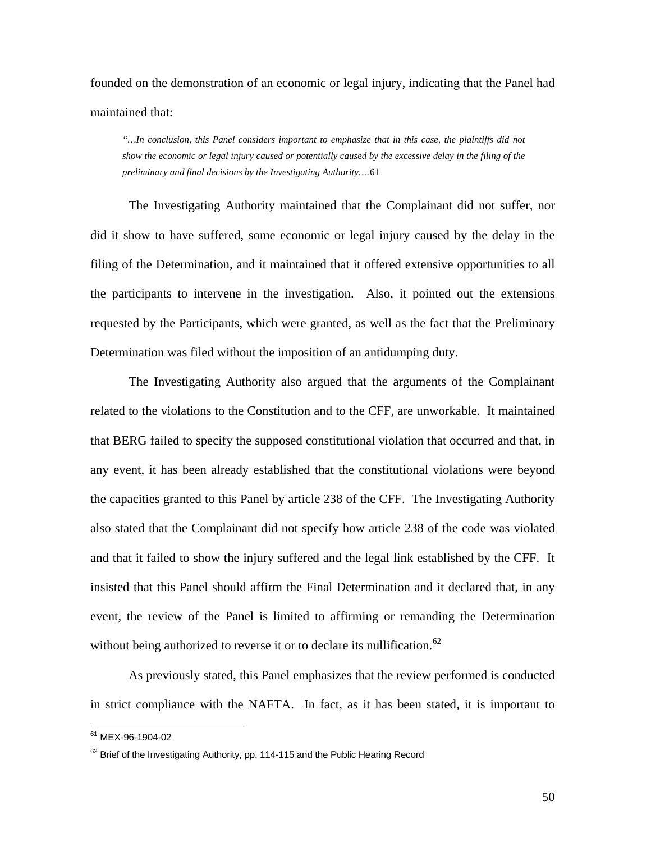founded on the demonstration of an economic or legal injury, indicating that the Panel had maintained that:

*"…In conclusion, this Panel considers important to emphasize that in this case, the plaintiffs did not show the economic or legal injury caused or potentially caused by the excessive delay in the filing of the preliminary and final decisions by the Investigating Authority….*[61](#page-49-0)

The Investigating Authority maintained that the Complainant did not suffer, nor did it show to have suffered, some economic or legal injury caused by the delay in the filing of the Determination, and it maintained that it offered extensive opportunities to all the participants to intervene in the investigation. Also, it pointed out the extensions requested by the Participants, which were granted, as well as the fact that the Preliminary Determination was filed without the imposition of an antidumping duty.

The Investigating Authority also argued that the arguments of the Complainant related to the violations to the Constitution and to the CFF, are unworkable. It maintained that BERG failed to specify the supposed constitutional violation that occurred and that, in any event, it has been already established that the constitutional violations were beyond the capacities granted to this Panel by article 238 of the CFF. The Investigating Authority also stated that the Complainant did not specify how article 238 of the code was violated and that it failed to show the injury suffered and the legal link established by the CFF. It insisted that this Panel should affirm the Final Determination and it declared that, in any event, the review of the Panel is limited to affirming or remanding the Determination without being authorized to reverse it or to declare its nullification.<sup>[62](#page-49-1)</sup>

As previously stated, this Panel emphasizes that the review performed is conducted in strict compliance with the NAFTA. In fact, as it has been stated, it is important to

 $\overline{a}$ 

<span id="page-49-0"></span><sup>&</sup>lt;sup>61</sup> MEX-96-1904-02

<span id="page-49-1"></span> $62$  Brief of the Investigating Authority, pp. 114-115 and the Public Hearing Record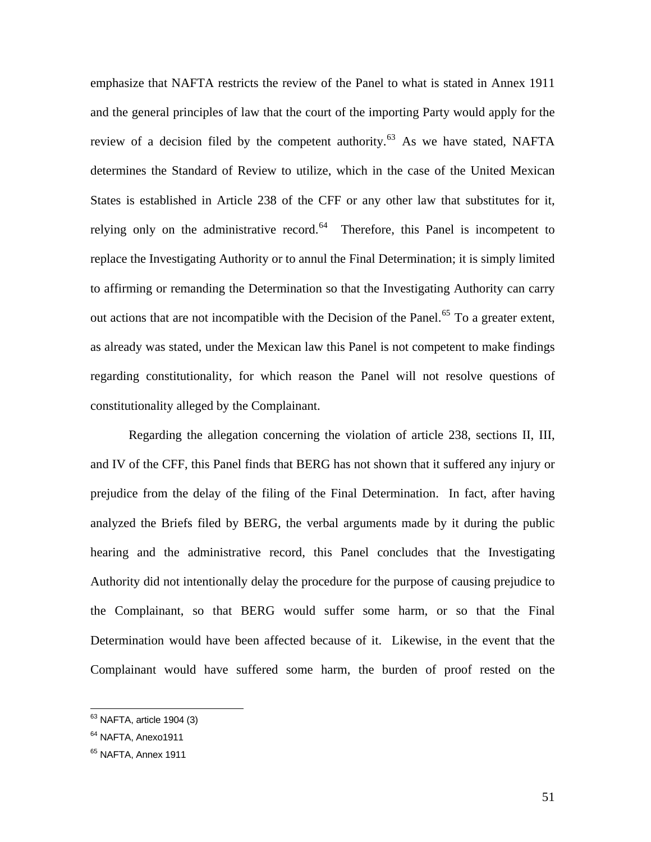emphasize that NAFTA restricts the review of the Panel to what is stated in Annex 1911 and the general principles of law that the court of the importing Party would apply for the review of a decision filed by the competent authority.<sup>[63](#page-50-0)</sup> As we have stated, NAFTA determines the Standard of Review to utilize, which in the case of the United Mexican States is established in Article 238 of the CFF or any other law that substitutes for it, relying only on the administrative record.<sup>[64](#page-50-1)</sup> Therefore, this Panel is incompetent to replace the Investigating Authority or to annul the Final Determination; it is simply limited to affirming or remanding the Determination so that the Investigating Authority can carry out actions that are not incompatible with the Decision of the Panel.<sup>[65](#page-50-2)</sup> To a greater extent, as already was stated, under the Mexican law this Panel is not competent to make findings regarding constitutionality, for which reason the Panel will not resolve questions of constitutionality alleged by the Complainant.

Regarding the allegation concerning the violation of article 238, sections II, III, and IV of the CFF, this Panel finds that BERG has not shown that it suffered any injury or prejudice from the delay of the filing of the Final Determination. In fact, after having analyzed the Briefs filed by BERG, the verbal arguments made by it during the public hearing and the administrative record, this Panel concludes that the Investigating Authority did not intentionally delay the procedure for the purpose of causing prejudice to the Complainant, so that BERG would suffer some harm, or so that the Final Determination would have been affected because of it. Likewise, in the event that the Complainant would have suffered some harm, the burden of proof rested on the

 $63$  NAFTA, article 1904 (3)

<span id="page-50-1"></span><span id="page-50-0"></span><sup>&</sup>lt;sup>64</sup> NAFTA, Anexo1911

<span id="page-50-2"></span><sup>&</sup>lt;sup>65</sup> NAFTA, Annex 1911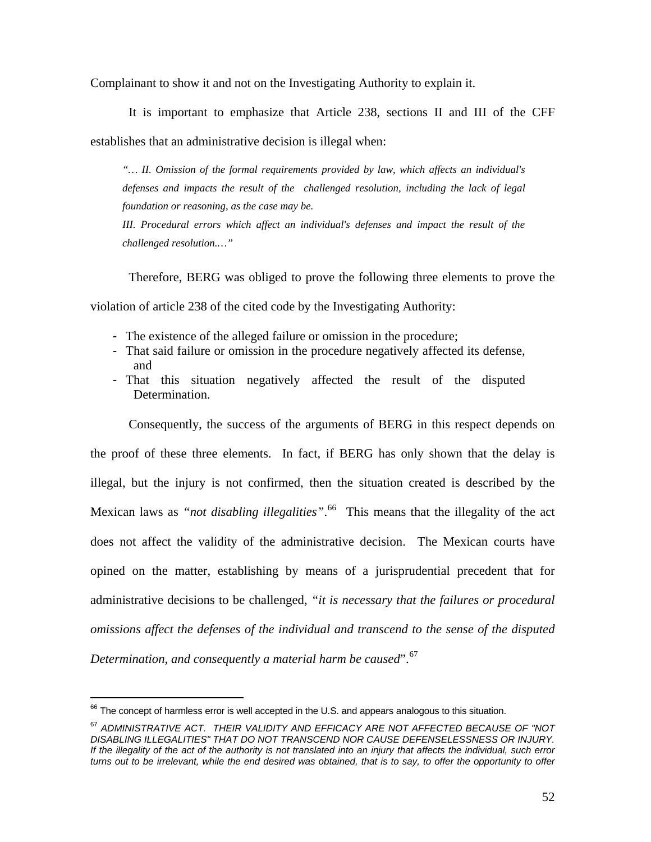Complainant to show it and not on the Investigating Authority to explain it.

It is important to emphasize that Article 238, sections II and III of the CFF

establishes that an administrative decision is illegal when:

*"… II. Omission of the formal requirements provided by law, which affects an individual's defenses and impacts the result of the challenged resolution, including the lack of legal foundation or reasoning, as the case may be.* 

*III. Procedural errors which affect an individual's defenses and impact the result of the challenged resolution.…"* 

Therefore, BERG was obliged to prove the following three elements to prove the violation of article 238 of the cited code by the Investigating Authority:

- The existence of the alleged failure or omission in the procedure;
- That said failure or omission in the procedure negatively affected its defense, and
- That this situation negatively affected the result of the disputed Determination.

Consequently, the success of the arguments of BERG in this respect depends on the proof of these three elements. In fact, if BERG has only shown that the delay is illegal, but the injury is not confirmed, then the situation created is described by the Mexican laws as *"not disabling illegalities"*. [66](#page-51-0) This means that the illegality of the act does not affect the validity of the administrative decision. The Mexican courts have opined on the matter, establishing by means of a jurisprudential precedent that for administrative decisions to be challenged, *"it is necessary that the failures or procedural omissions affect the defenses of the individual and transcend to the sense of the disputed Determination, and consequently a material harm be caused*".<sup>[67](#page-51-1)</sup>

<span id="page-51-0"></span> $66$  The concept of harmless error is well accepted in the U.S. and appears analogous to this situation.

<span id="page-51-1"></span><sup>67</sup> *ADMINISTRATIVE ACT. THEIR VALIDITY AND EFFICACY ARE NOT AFFECTED BECAUSE OF "NOT DISABLING ILLEGALITIES" THAT DO NOT TRANSCEND NOR CAUSE DEFENSELESSNESS OR INJURY. If the illegality of the act of the authority is not translated into an injury that affects the individual, such error turns out to be irrelevant, while the end desired was obtained, that is to say, to offer the opportunity to offer*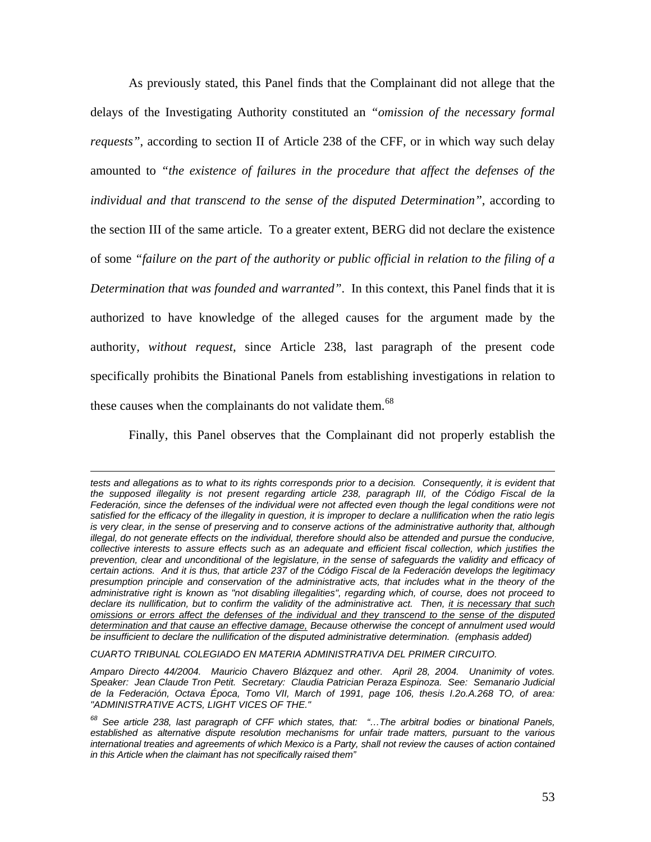As previously stated, this Panel finds that the Complainant did not allege that the delays of the Investigating Authority constituted an *"omission of the necessary formal requests"*, according to section II of Article 238 of the CFF, or in which way such delay amounted to *"the existence of failures in the procedure that affect the defenses of the individual and that transcend to the sense of the disputed Determination"*, according to the section III of the same article. To a greater extent, BERG did not declare the existence of some *"failure on the part of the authority or public official in relation to the filing of a Determination that was founded and warranted"*. In this context, this Panel finds that it is authorized to have knowledge of the alleged causes for the argument made by the authority*, without request,* since Article 238, last paragraph of the present code specifically prohibits the Binational Panels from establishing investigations in relation to these causes when the complainants do not validate them.<sup>[68](#page-52-0)</sup>

Finally, this Panel observes that the Complainant did not properly establish the

*CUARTO TRIBUNAL COLEGIADO EN MATERIA ADMINISTRATIVA DEL PRIMER CIRCUITO.* 

tests and allegations as to what to its rights corresponds prior to a decision. Consequently, it is evident that *the supposed illegality is not present regarding article 238, paragraph III, of the Código Fiscal de la*  Federación, since the defenses of the individual were not affected even though the legal conditions were not *satisfied for the efficacy of the illegality in question, it is improper to declare a nullification when the ratio legis is very clear, in the sense of preserving and to conserve actions of the administrative authority that, although illegal, do not generate effects on the individual, therefore should also be attended and pursue the conducive, collective interests to assure effects such as an adequate and efficient fiscal collection, which justifies the*  prevention, clear and unconditional of the legislature, in the sense of safeguards the validity and efficacy of *certain actions. And it is thus, that article 237 of the Código Fiscal de la Federación develops the legitimacy presumption principle and conservation of the administrative acts, that includes what in the theory of the administrative right is known as "not disabling illegalities", regarding which, of course, does not proceed to declare its nullification, but to confirm the validity of the administrative act. Then, it is necessary that such omissions or errors affect the defenses of the individual and they transcend to the sense of the disputed determination and that cause an effective damage, Because otherwise the concept of annulment used would*  be insufficient to declare the nullification of the disputed administrative determination. (emphasis added)

*Amparo Directo 44/2004. Mauricio Chavero Blázquez and other. April 28, 2004. Unanimity of votes. Speaker: Jean Claude Tron Petit. Secretary: Claudia Patrician Peraza Espinoza. See: Semanario Judicial de la Federación, Octava Época, Tomo VII, March of 1991, page 106, thesis I.2o.A.268 TO, of area: "ADMINISTRATIVE ACTS, LIGHT VICES OF THE."*

<span id="page-52-0"></span>*<sup>68</sup> See article 238, last paragraph of CFF which states, that: "…The arbitral bodies or binational Panels, established as alternative dispute resolution mechanisms for unfair trade matters, pursuant to the various*  international treaties and agreements of which Mexico is a Party, shall not review the causes of action contained *in this Article when the claimant has not specifically raised them"*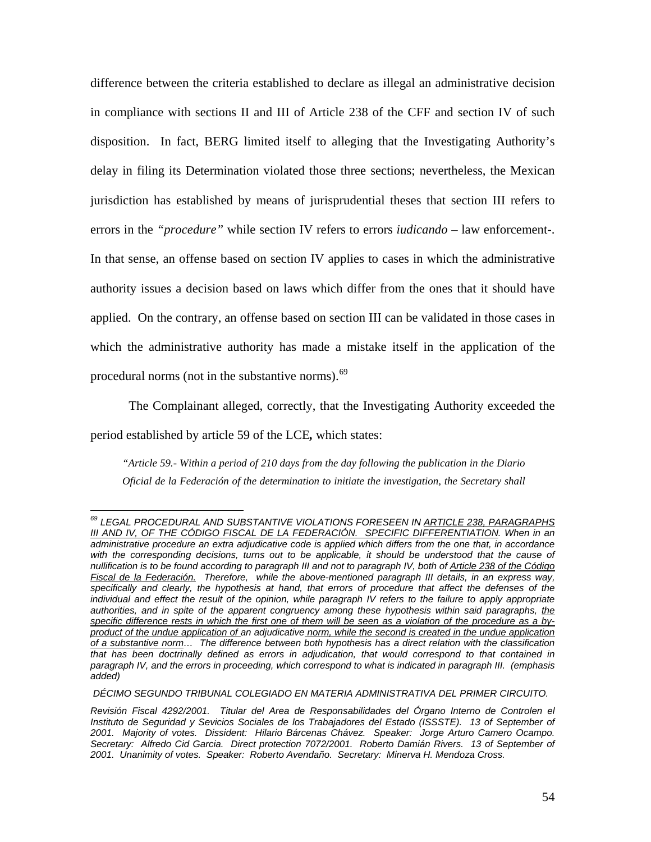difference between the criteria established to declare as illegal an administrative decision in compliance with sections II and III of Article 238 of the CFF and section IV of such disposition. In fact, BERG limited itself to alleging that the Investigating Authority's delay in filing its Determination violated those three sections; nevertheless, the Mexican jurisdiction has established by means of jurisprudential theses that section III refers to errors in the *"procedure"* while section IV refers to errors *iudicando* – law enforcement-. In that sense, an offense based on section IV applies to cases in which the administrative authority issues a decision based on laws which differ from the ones that it should have applied. On the contrary, an offense based on section III can be validated in those cases in which the administrative authority has made a mistake itself in the application of the procedural norms (not in the substantive norms).<sup>[69](#page-53-0)</sup>

The Complainant alleged, correctly, that the Investigating Authority exceeded the period established by article 59 of the LCE*,* which states:

*"Article 59.- Within a period of 210 days from the day following the publication in the Diario Oficial de la Federación of the determination to initiate the investigation, the Secretary shall* 

1

 *DÉCIMO SEGUNDO TRIBUNAL COLEGIADO EN MATERIA ADMINISTRATIVA DEL PRIMER CIRCUITO.* 

<span id="page-53-0"></span>*<sup>69</sup> LEGAL PROCEDURAL AND SUBSTANTIVE VIOLATIONS FORESEEN IN ARTICLE 238, PARAGRAPHS*  III AND IV, OF THE CÓDIGO FISCAL DE LA FEDERACIÓN. SPECIFIC DIFFERENTIATION. When in an *administrative procedure an extra adjudicative code is applied which differs from the one that, in accordance*  with the corresponding decisions, turns out to be applicable, it should be understood that the cause of *nullification is to be found according to paragraph III and not to paragraph IV, both of Article 238 of the Código Fiscal de la Federación. Therefore, while the above-mentioned paragraph III details, in an express way, specifically and clearly, the hypothesis at hand, that errors of procedure that affect the defenses of the individual and effect the result of the opinion, while paragraph IV refers to the failure to apply appropriate authorities, and in spite of the apparent congruency among these hypothesis within said paragraphs, the specific difference rests in which the first one of them will be seen as a violation of the procedure as a byproduct of the undue application of an adjudicative norm, while the second is created in the undue application of a substantive norm… The difference between both hypothesis has a direct relation with the classification that has been doctrinally defined as errors in adjudication, that would correspond to that contained in paragraph IV, and the errors in proceeding, which correspond to what is indicated in paragraph III. (emphasis added)* 

*Revisión Fiscal 4292/2001. Titular del Area de Responsabilidades del Órgano Interno de Controlen el Instituto de Seguridad y Sevicios Sociales de los Trabajadores del Estado (ISSSTE). 13 of September of 2001. Majority of votes. Dissident: Hilario Bárcenas Chávez. Speaker: Jorge Arturo Camero Ocampo. Secretary: Alfredo Cid Garcia. Direct protection 7072/2001. Roberto Damián Rivers. 13 of September of 2001. Unanimity of votes. Speaker: Roberto Avendaño. Secretary: Minerva H. Mendoza Cross.*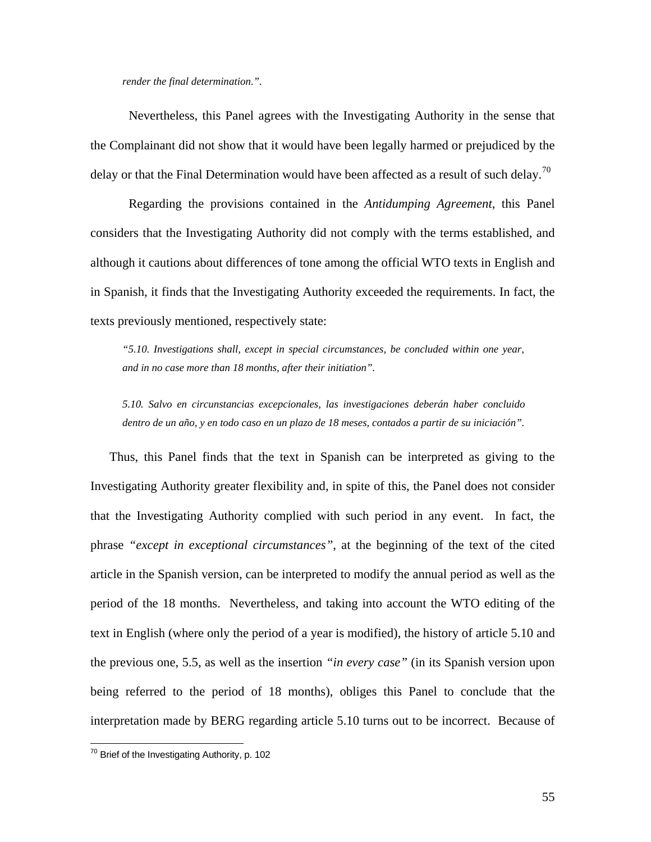## *render the final determination*.*".*

Nevertheless, this Panel agrees with the Investigating Authority in the sense that the Complainant did not show that it would have been legally harmed or prejudiced by the delay or that the Final Determination would have been affected as a result of such delay.<sup>[70](#page-54-0)</sup>

Regarding the provisions contained in the *Antidumping Agreement*, this Panel considers that the Investigating Authority did not comply with the terms established, and although it cautions about differences of tone among the official WTO texts in English and in Spanish, it finds that the Investigating Authority exceeded the requirements. In fact, the texts previously mentioned, respectively state:

*"5.10. Investigations shall, except in special circumstances, be concluded within one year, and in no case more than 18 months, after their initiation".* 

*5.10. Salvo en circunstancias excepcionales, las investigaciones deberán haber concluido dentro de un año, y en todo caso en un plazo de 18 meses, contados a partir de su iniciación".* 

Thus, this Panel finds that the text in Spanish can be interpreted as giving to the Investigating Authority greater flexibility and, in spite of this, the Panel does not consider that the Investigating Authority complied with such period in any event. In fact, the phrase *"except in exceptional circumstances"*, at the beginning of the text of the cited article in the Spanish version, can be interpreted to modify the annual period as well as the period of the 18 months. Nevertheless, and taking into account the WTO editing of the text in English (where only the period of a year is modified), the history of article 5.10 and the previous one, 5.5, as well as the insertion *"in every case"* (in its Spanish version upon being referred to the period of 18 months), obliges this Panel to conclude that the interpretation made by BERG regarding article 5.10 turns out to be incorrect. Because of

<span id="page-54-0"></span> $70$  Brief of the Investigating Authority, p. 102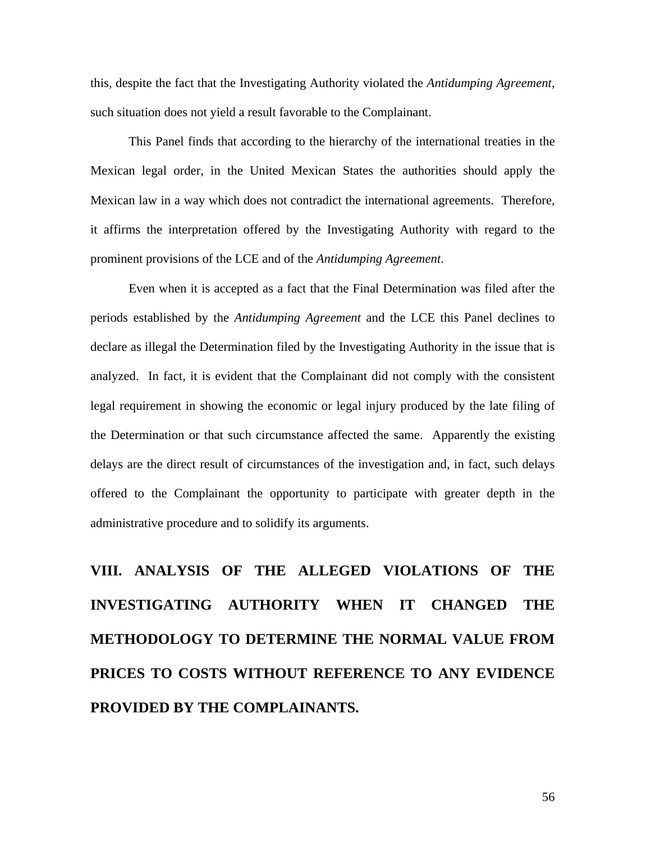this, despite the fact that the Investigating Authority violated the *Antidumping Agreement*, such situation does not yield a result favorable to the Complainant.

This Panel finds that according to the hierarchy of the international treaties in the Mexican legal order, in the United Mexican States the authorities should apply the Mexican law in a way which does not contradict the international agreements. Therefore, it affirms the interpretation offered by the Investigating Authority with regard to the prominent provisions of the LCE and of the *Antidumping Agreement*.

Even when it is accepted as a fact that the Final Determination was filed after the periods established by the *Antidumping Agreement* and the LCE this Panel declines to declare as illegal the Determination filed by the Investigating Authority in the issue that is analyzed. In fact, it is evident that the Complainant did not comply with the consistent legal requirement in showing the economic or legal injury produced by the late filing of the Determination or that such circumstance affected the same. Apparently the existing delays are the direct result of circumstances of the investigation and, in fact, such delays offered to the Complainant the opportunity to participate with greater depth in the administrative procedure and to solidify its arguments.

**VIII. ANALYSIS OF THE ALLEGED VIOLATIONS OF THE INVESTIGATING AUTHORITY WHEN IT CHANGED THE METHODOLOGY TO DETERMINE THE NORMAL VALUE FROM PRICES TO COSTS WITHOUT REFERENCE TO ANY EVIDENCE PROVIDED BY THE COMPLAINANTS.**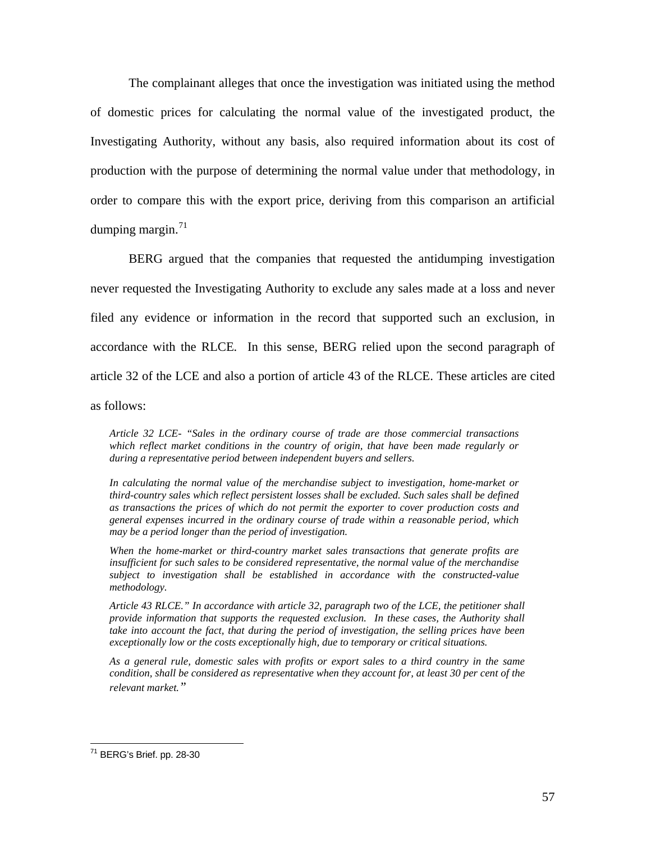The complainant alleges that once the investigation was initiated using the method of domestic prices for calculating the normal value of the investigated product, the Investigating Authority, without any basis, also required information about its cost of production with the purpose of determining the normal value under that methodology, in order to compare this with the export price, deriving from this comparison an artificial dumping margin. $71$ 

BERG argued that the companies that requested the antidumping investigation never requested the Investigating Authority to exclude any sales made at a loss and never filed any evidence or information in the record that supported such an exclusion, in accordance with the RLCE*.* In this sense, BERG relied upon the second paragraph of article 32 of the LCE and also a portion of article 43 of the RLCE. These articles are cited as follows:

*Article 32 LCE- "Sales in the ordinary course of trade are those commercial transactions which reflect market conditions in the country of origin, that have been made regularly or during a representative period between independent buyers and sellers.* 

*In calculating the normal value of the merchandise subject to investigation, home-market or third-country sales which reflect persistent losses shall be excluded. Such sales shall be defined as transactions the prices of which do not permit the exporter to cover production costs and general expenses incurred in the ordinary course of trade within a reasonable period, which may be a period longer than the period of investigation.* 

*When the home-market or third-country market sales transactions that generate profits are insufficient for such sales to be considered representative, the normal value of the merchandise subject to investigation shall be established in accordance with the constructed-value methodology.* 

*Article 43 RLCE." In accordance with article 32, paragraph two of the LCE, the petitioner shall provide information that supports the requested exclusion. In these cases, the Authority shall take into account the fact, that during the period of investigation, the selling prices have been exceptionally low or the costs exceptionally high, due to temporary or critical situations.* 

*As a general rule, domestic sales with profits or export sales to a third country in the same condition, shall be considered as representative when they account for, at least 30 per cent of the relevant market."* 

<span id="page-56-0"></span> $71$  BERG's Brief. pp. 28-30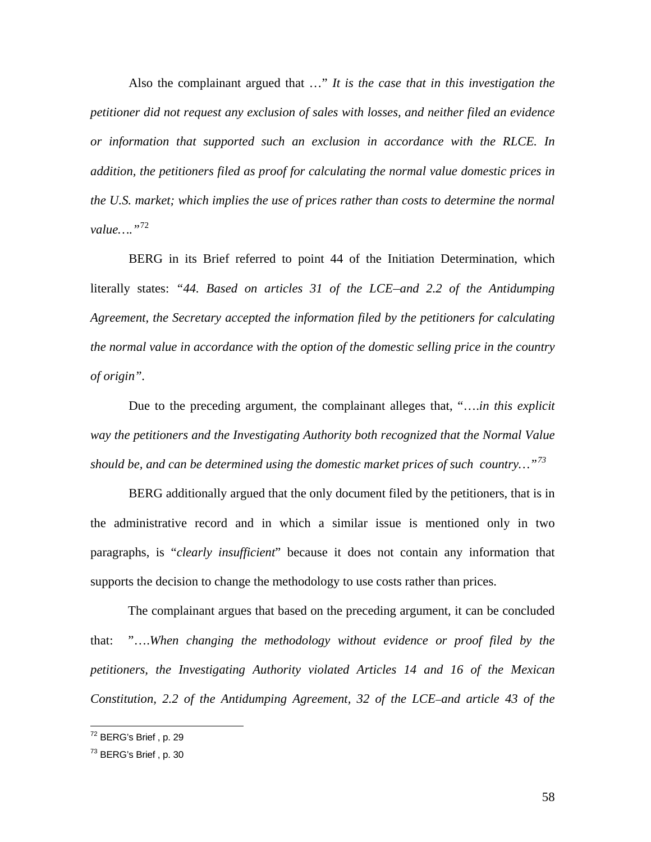Also the complainant argued that …" *It is the case that in this investigation the petitioner did not request any exclusion of sales with losses, and neither filed an evidence or information that supported such an exclusion in accordance with the RLCE. In addition, the petitioners filed as proof for calculating the normal value domestic prices in the U.S. market; which implies the use of prices rather than costs to determine the normal value…."*[72](#page-57-0)

BERG in its Brief referred to point 44 of the Initiation Determination, which literally states: *"44. Based on articles 31 of the LCE and 2.2 of the Antidumping Agreement, the Secretary accepted the information filed by the petitioners for calculating the normal value in accordance with the option of the domestic selling price in the country of origin".* 

Due to the preceding argument, the complainant alleges that, "….*in this explicit way the petitioners and the Investigating Authority both recognized that the Normal Value should be, and can be determined using the domestic market prices of such country…"[73](#page-57-1)*

BERG additionally argued that the only document filed by the petitioners, that is in the administrative record and in which a similar issue is mentioned only in two paragraphs, is "*clearly insufficient*" because it does not contain any information that supports the decision to change the methodology to use costs rather than prices.

The complainant argues that based on the preceding argument, it can be concluded that: "….*When changing the methodology without evidence or proof filed by the petitioners, the Investigating Authority violated Articles 14 and 16 of the Mexican Constitution, 2.2 of the Antidumping Agreement, 32 of the LCE and article 43 of the* 

 $\overline{\phantom{a}}$ 

 $72$  BERG's Brief, p. 29

<span id="page-57-1"></span><span id="page-57-0"></span><sup>73</sup> BERG's Brief , p. 30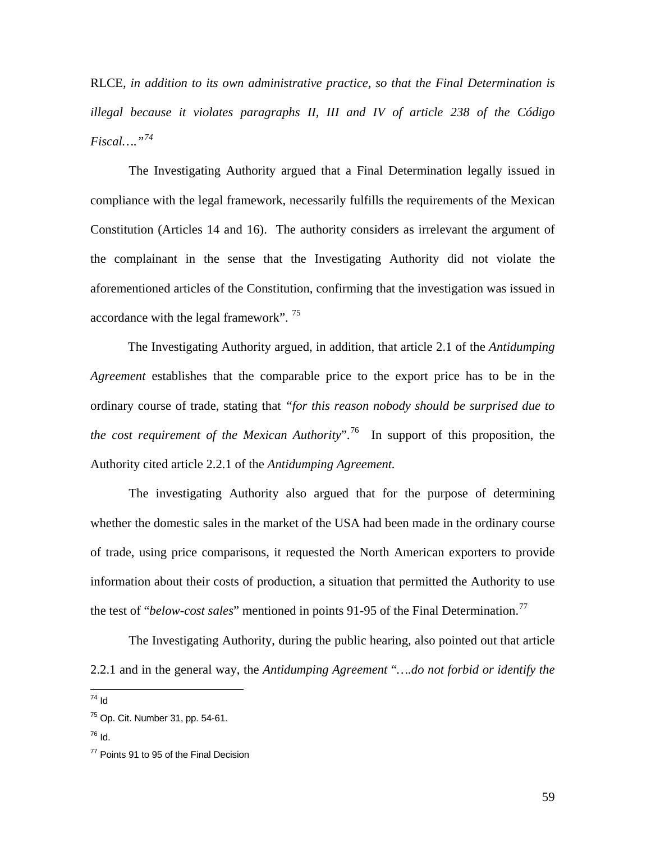RLCE*, in addition to its own administrative practice, so that the Final Determination is illegal because it violates paragraphs II, III and IV of article 238 of the Código Fiscal…."[74](#page-58-0)*

The Investigating Authority argued that a Final Determination legally issued in compliance with the legal framework, necessarily fulfills the requirements of the Mexican Constitution (Articles 14 and 16). The authority considers as irrelevant the argument of the complainant in the sense that the Investigating Authority did not violate the aforementioned articles of the Constitution, confirming that the investigation was issued in accordance with the legal framework".  $^{75}$  $^{75}$  $^{75}$ 

 The Investigating Authority argued, in addition, that article 2.1 of the *Antidumping Agreement* establishes that the comparable price to the export price has to be in the ordinary course of trade, stating that *"for this reason nobody should be surprised due to the cost requirement of the Mexican Authority*".[76](#page-58-2) In support of this proposition, the Authority cited article 2.2.1 of the *Antidumping Agreement.* 

The investigating Authority also argued that for the purpose of determining whether the domestic sales in the market of the USA had been made in the ordinary course of trade, using price comparisons, it requested the North American exporters to provide information about their costs of production, a situation that permitted the Authority to use the test of "*below-cost sales*" mentioned in points 91-95 of the Final Determination.[77](#page-58-3)

The Investigating Authority, during the public hearing, also pointed out that article 2.2.1 and in the general way, the *Antidumping Agreement* "*….do not forbid or identify the* 

<sup>1</sup>  $^{74}$  Id

<span id="page-58-1"></span><span id="page-58-0"></span><sup>75</sup> Op. Cit. Number 31, pp. 54-61.

<span id="page-58-2"></span><sup>76</sup> Id.

<span id="page-58-3"></span><sup>77</sup> Points 91 to 95 of the Final Decision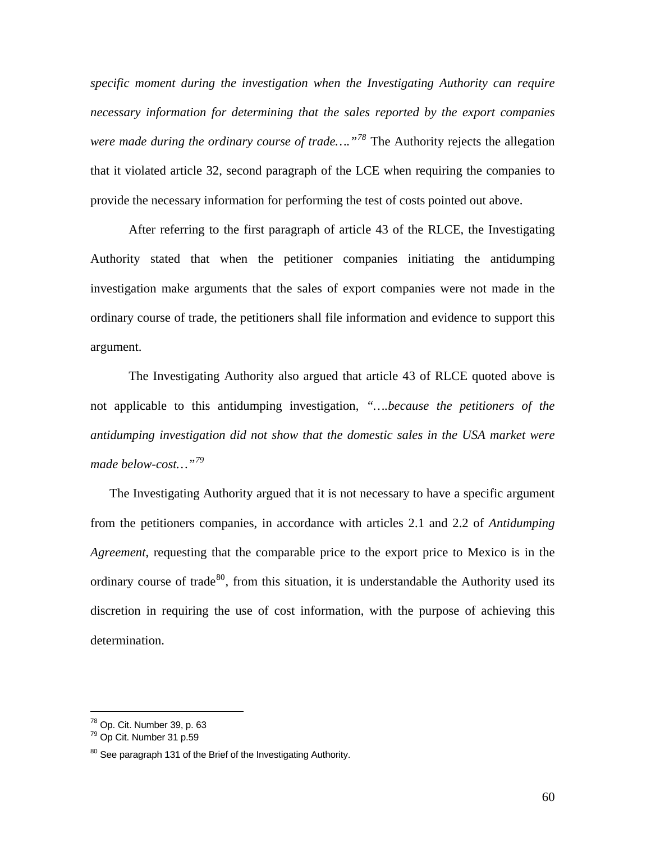*specific moment during the investigation when the Investigating Authority can require necessary information for determining that the sales reported by the export companies were made during the ordinary course of trade…."[78](#page-59-0)* The Authority rejects the allegation that it violated article 32, second paragraph of the LCE when requiring the companies to provide the necessary information for performing the test of costs pointed out above.

After referring to the first paragraph of article 43 of the RLCE, the Investigating Authority stated that when the petitioner companies initiating the antidumping investigation make arguments that the sales of export companies were not made in the ordinary course of trade, the petitioners shall file information and evidence to support this argument.

The Investigating Authority also argued that article 43 of RLCE quoted above is not applicable to this antidumping investigation, *"….because the petitioners of the antidumping investigation did not show that the domestic sales in the USA market were made below-cost…"[79](#page-59-1)*

The Investigating Authority argued that it is not necessary to have a specific argument from the petitioners companies, in accordance with articles 2.1 and 2.2 of *Antidumping Agreement*, requesting that the comparable price to the export price to Mexico is in the ordinary course of trade<sup>[80](#page-59-2)</sup>, from this situation, it is understandable the Authority used its discretion in requiring the use of cost information, with the purpose of achieving this determination.

<span id="page-59-0"></span><sup>78</sup> Op. Cit. Number 39, p. 63

<span id="page-59-1"></span> $79$  Op Cit. Number 31 p.59

<span id="page-59-2"></span> $80$  See paragraph 131 of the Brief of the Investigating Authority.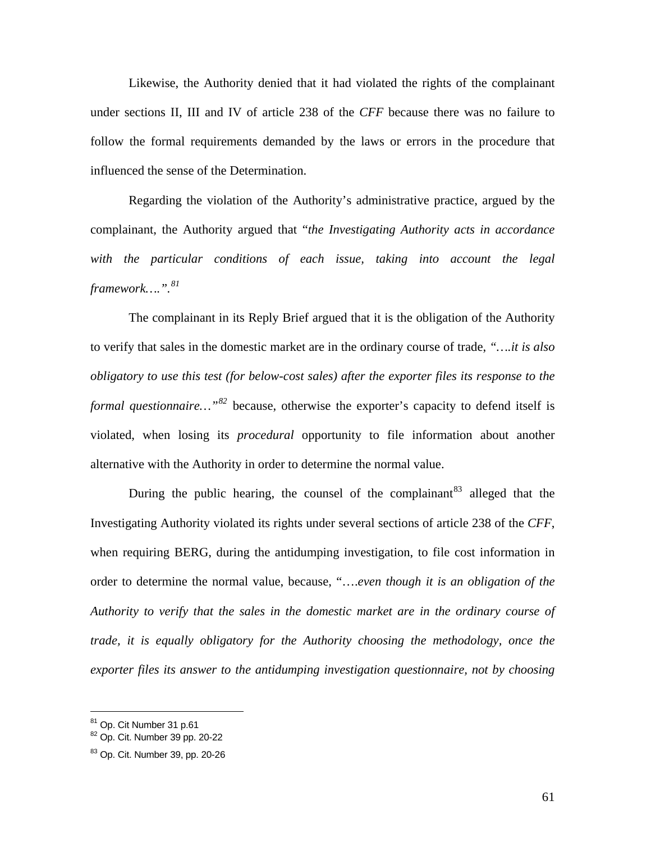Likewise, the Authority denied that it had violated the rights of the complainant under sections II, III and IV of article 238 of the *CFF* because there was no failure to follow the formal requirements demanded by the laws or errors in the procedure that influenced the sense of the Determination.

Regarding the violation of the Authority's administrative practice, argued by the complainant, the Authority argued that "*the Investigating Authority acts in accordance*  with the particular conditions of each issue, taking into account the legal *framework….".[81](#page-60-0)*

The complainant in its Reply Brief argued that it is the obligation of the Authority to verify that sales in the domestic market are in the ordinary course of trade, *"….it is also obligatory to use this test (for below-cost sales) after the exporter files its response to the formal questionnaire...*<sup>[82](#page-60-1)</sup> because, otherwise the exporter's capacity to defend itself is violated, when losing its *procedural* opportunity to file information about another alternative with the Authority in order to determine the normal value.

During the public hearing, the counsel of the complainant  $83$  alleged that the Investigating Authority violated its rights under several sections of article 238 of the *CFF*, when requiring BERG, during the antidumping investigation, to file cost information in order to determine the normal value, because, "….*even though it is an obligation of the Authority to verify that the sales in the domestic market are in the ordinary course of trade, it is equally obligatory for the Authority choosing the methodology, once the exporter files its answer to the antidumping investigation questionnaire, not by choosing* 

<span id="page-60-1"></span>

<span id="page-60-0"></span> $81^{81}$  Op. Cit Number 31 p.61<br> $82$  Op. Cit. Number 39 pp. 20-22

<span id="page-60-2"></span><sup>83</sup> Op. Cit. Number 39, pp. 20-26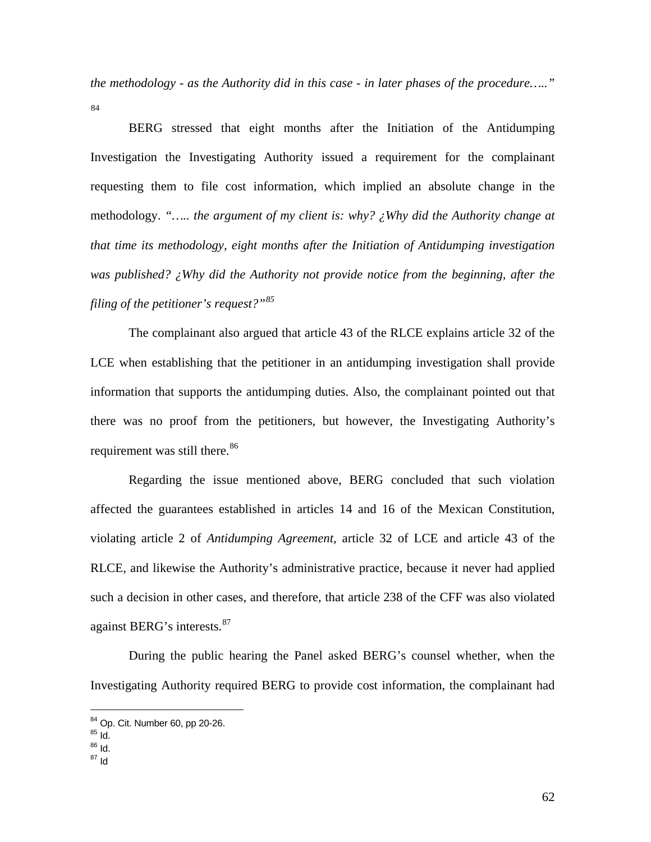*the methodology - as the Authority did in this case - in later phases of the procedure….."* [84](#page-61-0)

BERG stressed that eight months after the Initiation of the Antidumping Investigation the Investigating Authority issued a requirement for the complainant requesting them to file cost information, which implied an absolute change in the methodology. *"….. the argument of my client is: why? ¿Why did the Authority change at that time its methodology, eight months after the Initiation of Antidumping investigation was published? ¿Why did the Authority not provide notice from the beginning, after the filing of the petitioner's request?"[85](#page-61-1)* 

The complainant also argued that article 43 of the RLCE explains article 32 of the LCE when establishing that the petitioner in an antidumping investigation shall provide information that supports the antidumping duties. Also, the complainant pointed out that there was no proof from the petitioners, but however, the Investigating Authority's requirement was still there.<sup>[86](#page-61-2)</sup>

Regarding the issue mentioned above, BERG concluded that such violation affected the guarantees established in articles 14 and 16 of the Mexican Constitution, violating article 2 of *Antidumping Agreement*, article 32 of LCE and article 43 of the RLCE, and likewise the Authority's administrative practice, because it never had applied such a decision in other cases, and therefore, that article 238 of the CFF was also violated against BERG's interests.<sup>[87](#page-61-3)</sup>

During the public hearing the Panel asked BERG's counsel whether, when the Investigating Authority required BERG to provide cost information, the complainant had

<u>.</u>

 $84$  Op. Cit. Number 60, pp 20-26.<br> $85$  Id.

<span id="page-61-1"></span><span id="page-61-0"></span>

<span id="page-61-2"></span><sup>86</sup> Id.

<span id="page-61-3"></span><sup>87</sup> Id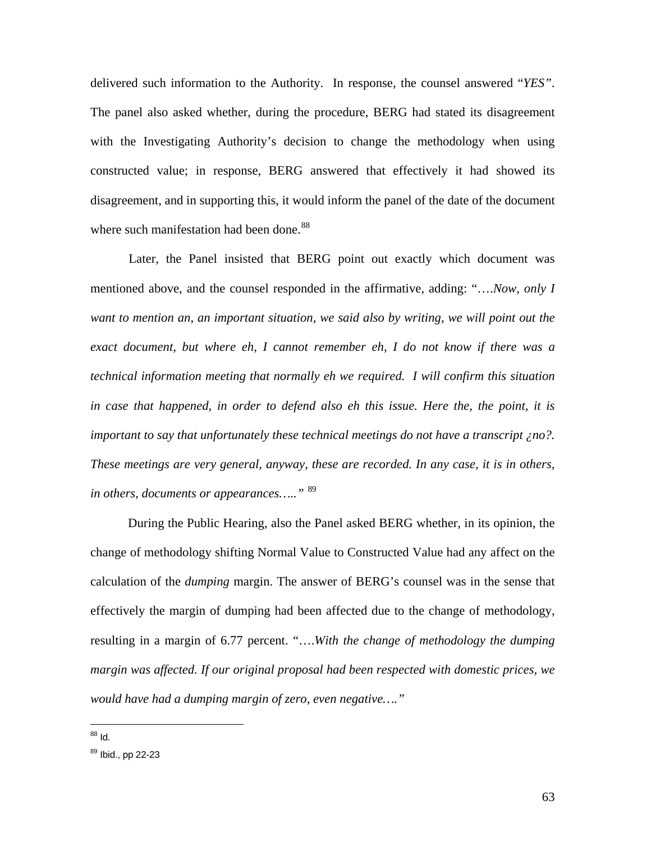delivered such information to the Authority. In response, the counsel answered "*YES"*. The panel also asked whether, during the procedure, BERG had stated its disagreement with the Investigating Authority's decision to change the methodology when using constructed value; in response, BERG answered that effectively it had showed its disagreement, and in supporting this, it would inform the panel of the date of the document where such manifestation had been done.<sup>[88](#page-62-0)</sup>

Later, the Panel insisted that BERG point out exactly which document was mentioned above, and the counsel responded in the affirmative, adding: "….*Now, only I want to mention an, an important situation, we said also by writing, we will point out the exact document, but where eh, I cannot remember eh, I do not know if there was a technical information meeting that normally eh we required. I will confirm this situation in case that happened, in order to defend also eh this issue. Here the, the point, it is important to say that unfortunately these technical meetings do not have a transcript ¿no?. These meetings are very general, anyway, these are recorded. In any case, it is in others, in others, documents or appearances….."* [89](#page-62-1)

During the Public Hearing, also the Panel asked BERG whether, in its opinion, the change of methodology shifting Normal Value to Constructed Value had any affect on the calculation of the *dumping* margin. The answer of BERG's counsel was in the sense that effectively the margin of dumping had been affected due to the change of methodology, resulting in a margin of 6.77 percent. "….*With the change of methodology the dumping margin was affected. If our original proposal had been respected with domestic prices, we would have had a dumping margin of zero, even negative…."*

<sup>1</sup>  $^{88}$  Id.

<span id="page-62-1"></span><span id="page-62-0"></span><sup>89</sup> Ibid., pp 22-23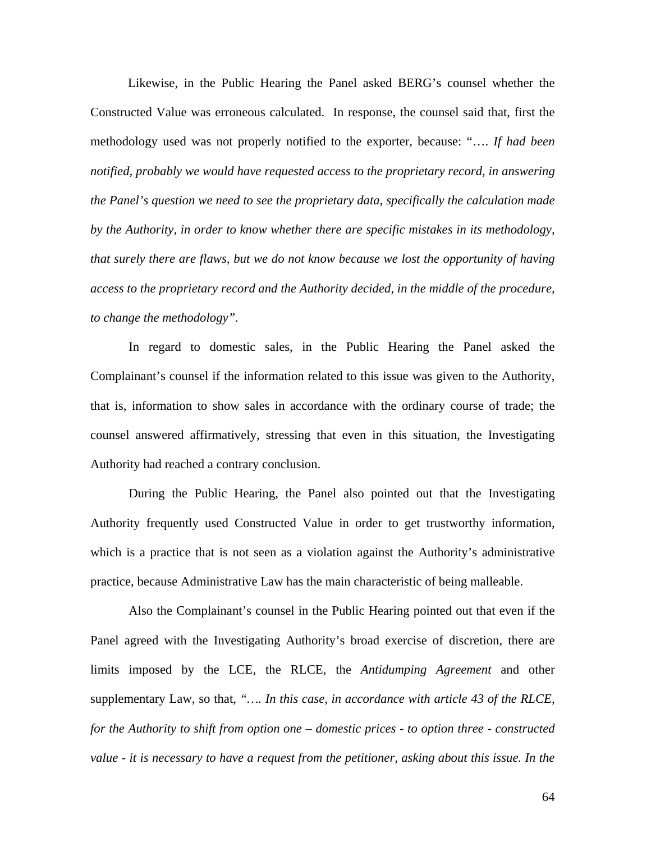Likewise, in the Public Hearing the Panel asked BERG's counsel whether the Constructed Value was erroneous calculated. In response, the counsel said that, first the methodology used was not properly notified to the exporter, because: "…. *If had been notified, probably we would have requested access to the proprietary record, in answering the Panel's question we need to see the proprietary data, specifically the calculation made by the Authority, in order to know whether there are specific mistakes in its methodology, that surely there are flaws, but we do not know because we lost the opportunity of having access to the proprietary record and the Authority decided, in the middle of the procedure, to change the methodology".* 

In regard to domestic sales, in the Public Hearing the Panel asked the Complainant's counsel if the information related to this issue was given to the Authority, that is, information to show sales in accordance with the ordinary course of trade; the counsel answered affirmatively, stressing that even in this situation, the Investigating Authority had reached a contrary conclusion.

During the Public Hearing, the Panel also pointed out that the Investigating Authority frequently used Constructed Value in order to get trustworthy information, which is a practice that is not seen as a violation against the Authority's administrative practice, because Administrative Law has the main characteristic of being malleable.

Also the Complainant's counsel in the Public Hearing pointed out that even if the Panel agreed with the Investigating Authority's broad exercise of discretion, there are limits imposed by the LCE, the RLCE, the *Antidumping Agreement* and other supplementary Law, so that, *"…. In this case, in accordance with article 43 of the RLCE, for the Authority to shift from option one – domestic prices - to option three - constructed value - it is necessary to have a request from the petitioner, asking about this issue. In the*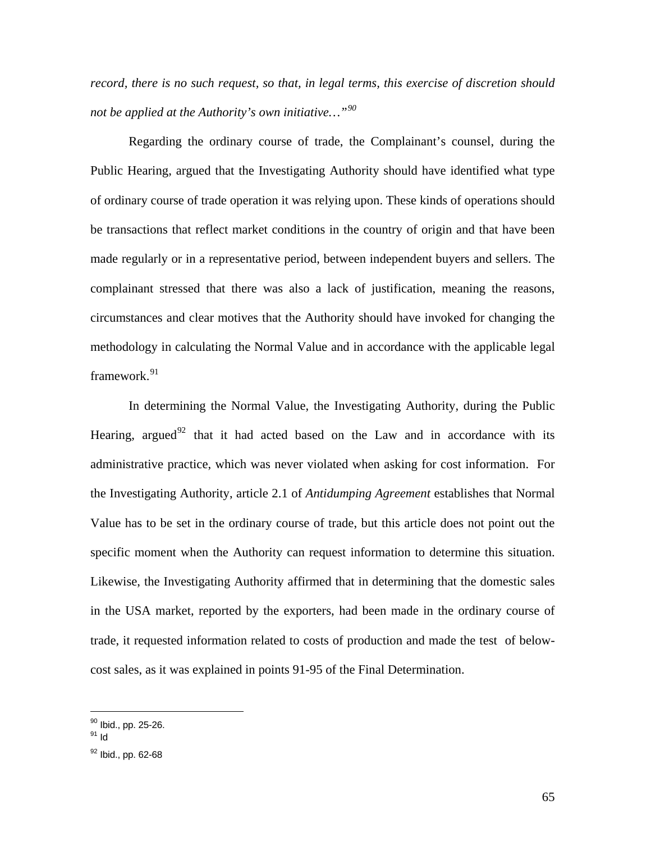*record, there is no such request, so that, in legal terms, this exercise of discretion should not be applied at the Authority's own initiative…"[90](#page-64-0)*

Regarding the ordinary course of trade, the Complainant's counsel, during the Public Hearing, argued that the Investigating Authority should have identified what type of ordinary course of trade operation it was relying upon. These kinds of operations should be transactions that reflect market conditions in the country of origin and that have been made regularly or in a representative period, between independent buyers and sellers. The complainant stressed that there was also a lack of justification, meaning the reasons, circumstances and clear motives that the Authority should have invoked for changing the methodology in calculating the Normal Value and in accordance with the applicable legal framework.[91](#page-64-1)

In determining the Normal Value, the Investigating Authority, during the Public Hearing, argued<sup>[92](#page-64-2)</sup> that it had acted based on the Law and in accordance with its administrative practice, which was never violated when asking for cost information. For the Investigating Authority, article 2.1 of *Antidumping Agreement* establishes that Normal Value has to be set in the ordinary course of trade, but this article does not point out the specific moment when the Authority can request information to determine this situation. Likewise, the Investigating Authority affirmed that in determining that the domestic sales in the USA market, reported by the exporters, had been made in the ordinary course of trade, it requested information related to costs of production and made the test of belowcost sales, as it was explained in points 91-95 of the Final Determination.

<span id="page-64-0"></span><sup>90</sup> Ibid., pp. 25-26.

<span id="page-64-1"></span> $91$  Id

<span id="page-64-2"></span><sup>92</sup> Ibid., pp. 62-68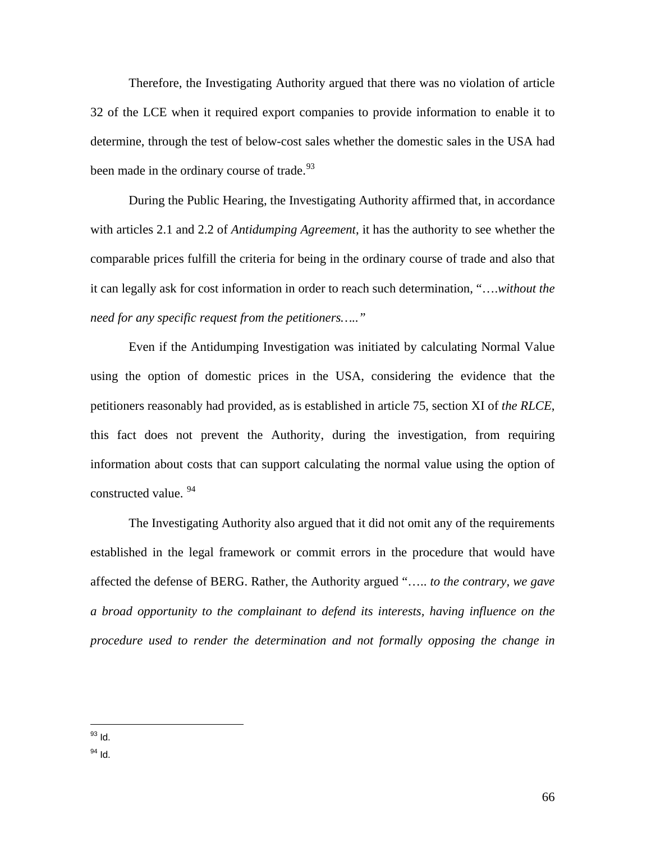Therefore, the Investigating Authority argued that there was no violation of article 32 of the LCE when it required export companies to provide information to enable it to determine, through the test of below-cost sales whether the domestic sales in the USA had been made in the ordinary course of trade. $93$ 

During the Public Hearing, the Investigating Authority affirmed that, in accordance with articles 2.1 and 2.2 of *Antidumping Agreement*, it has the authority to see whether the comparable prices fulfill the criteria for being in the ordinary course of trade and also that it can legally ask for cost information in order to reach such determination, "….*without the need for any specific request from the petitioners….."*

Even if the Antidumping Investigation was initiated by calculating Normal Value using the option of domestic prices in the USA, considering the evidence that the petitioners reasonably had provided, as is established in article 75, section XI of *the RLCE*, this fact does not prevent the Authority, during the investigation, from requiring information about costs that can support calculating the normal value using the option of constructed value. [94](#page-65-1)

The Investigating Authority also argued that it did not omit any of the requirements established in the legal framework or commit errors in the procedure that would have affected the defense of BERG. Rather, the Authority argued "….. *to the contrary, we gave a broad opportunity to the complainant to defend its interests, having influence on the procedure used to render the determination and not formally opposing the change in* 

<span id="page-65-0"></span><sup>1</sup>  $^{93}$  Id.

<span id="page-65-1"></span> $94$  Id.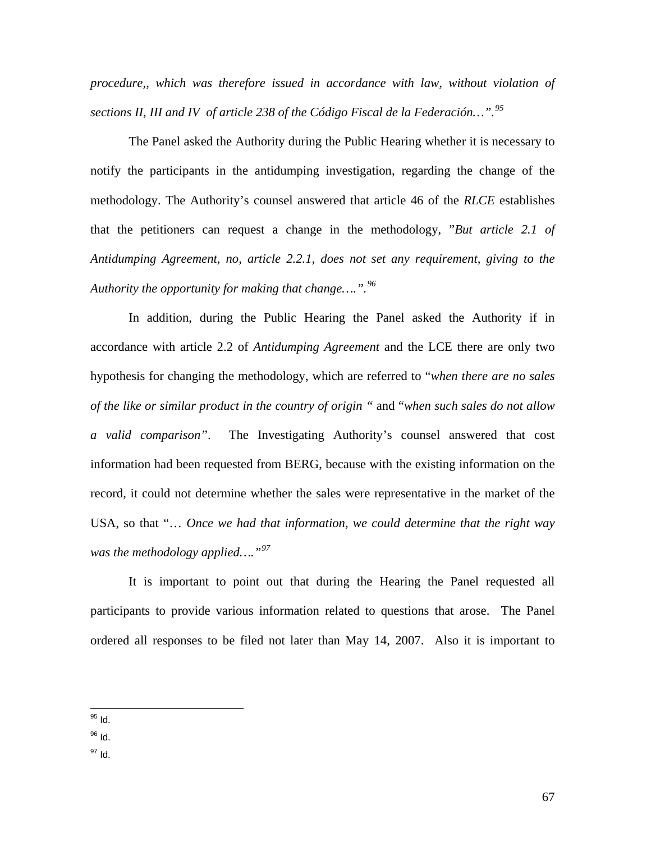*procedure,, which was therefore issued in accordance with law, without violation of sections II, III and IV of article 238 of the Código Fiscal de la Federación…".[95](#page-66-0)*

The Panel asked the Authority during the Public Hearing whether it is necessary to notify the participants in the antidumping investigation, regarding the change of the methodology. The Authority's counsel answered that article 46 of the *RLCE* establishes that the petitioners can request a change in the methodology, "*But article 2.1 of Antidumping Agreement, no, article 2.2.1, does not set any requirement, giving to the Authority the opportunity for making that change….".[96](#page-66-1)* 

In addition, during the Public Hearing the Panel asked the Authority if in accordance with article 2.2 of *Antidumping Agreement* and the LCE there are only two hypothesis for changing the methodology, which are referred to "*when there are no sales of the like or similar product in the country of origin "* and "*when such sales do not allow a valid comparison"*. The Investigating Authority's counsel answered that cost information had been requested from BERG, because with the existing information on the record, it could not determine whether the sales were representative in the market of the USA, so that "… *Once we had that information, we could determine that the right way was the methodology applied…."[97](#page-66-2)* 

It is important to point out that during the Hearing the Panel requested all participants to provide various information related to questions that arose. The Panel ordered all responses to be filed not later than May 14, 2007. Also it is important to

- <span id="page-66-1"></span>
- <span id="page-66-2"></span> $97$  Id.

<sup>1</sup>  $^{95}$  Id.

<span id="page-66-0"></span><sup>96</sup> Id.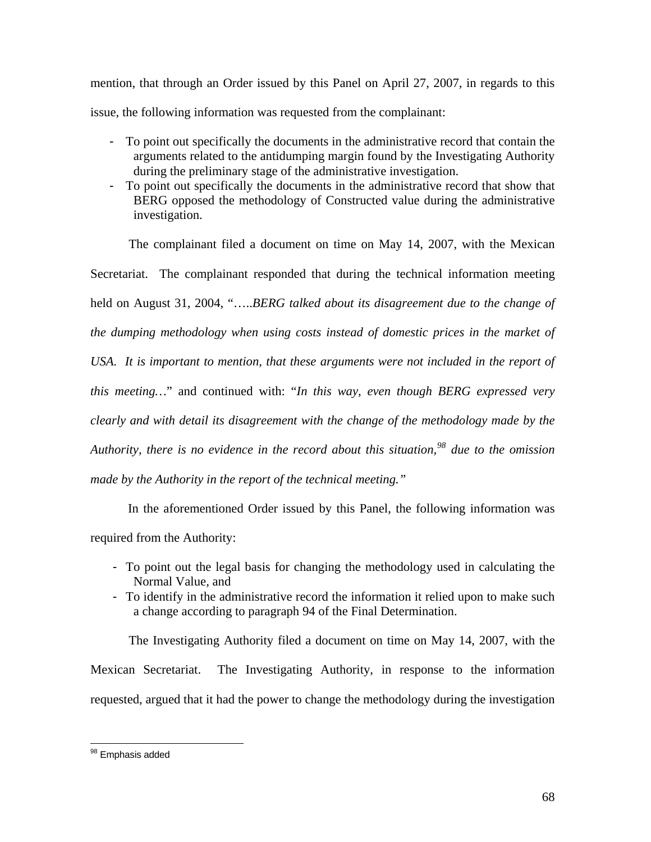mention, that through an Order issued by this Panel on April 27, 2007, in regards to this issue, the following information was requested from the complainant:

- To point out specifically the documents in the administrative record that contain the arguments related to the antidumping margin found by the Investigating Authority during the preliminary stage of the administrative investigation.
- To point out specifically the documents in the administrative record that show that BERG opposed the methodology of Constructed value during the administrative investigation.

The complainant filed a document on time on May 14, 2007, with the Mexican Secretariat. The complainant responded that during the technical information meeting held on August 31, 2004, "…..*BERG talked about its disagreement due to the change of the dumping methodology when using costs instead of domestic prices in the market of*  USA. It is important to mention, that these arguments were not included in the report of *this meeting…*" and continued with: "*In this way, even though BERG expressed very clearly and with detail its disagreement with the change of the methodology made by the Authority, there is no evidence in the record about this situation,[98](#page-67-0) due to the omission made by the Authority in the report of the technical meeting."* 

In the aforementioned Order issued by this Panel, the following information was required from the Authority:

- To point out the legal basis for changing the methodology used in calculating the Normal Value, and
- To identify in the administrative record the information it relied upon to make such a change according to paragraph 94 of the Final Determination.

The Investigating Authority filed a document on time on May 14, 2007, with the Mexican Secretariat. The Investigating Authority, in response to the information requested, argued that it had the power to change the methodology during the investigation

<span id="page-67-0"></span><sup>1</sup> <sup>98</sup> Emphasis added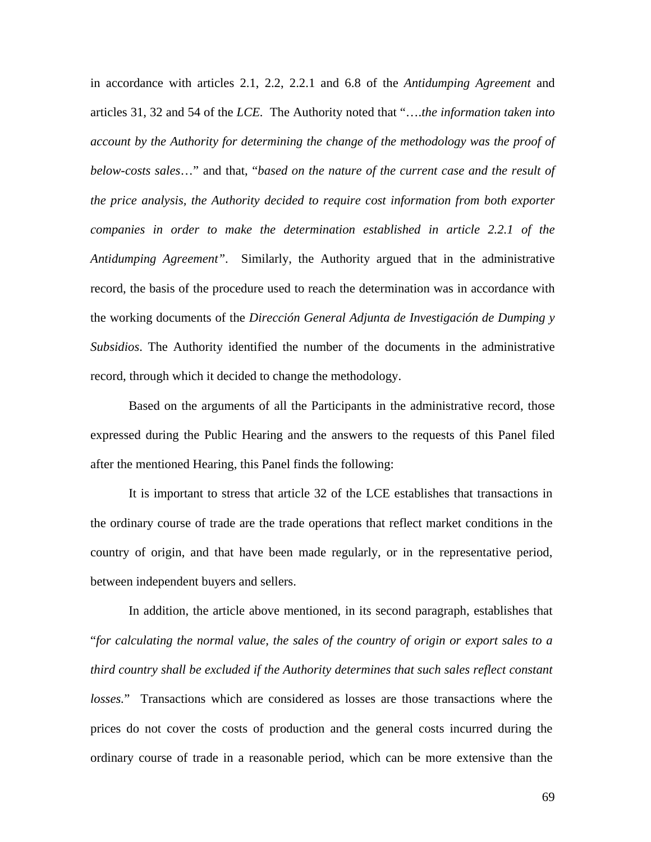in accordance with articles 2.1, 2.2, 2.2.1 and 6.8 of the *Antidumping Agreement* and articles 31, 32 and 54 of the *LCE.* The Authority noted that "….*the information taken into account by the Authority for determining the change of the methodology was the proof of below-costs sales*…" and that, "*based on the nature of the current case and the result of the price analysis, the Authority decided to require cost information from both exporter companies in order to make the determination established in article 2.2.1 of the Antidumping Agreement"*. Similarly, the Authority argued that in the administrative record, the basis of the procedure used to reach the determination was in accordance with the working documents of the *Dirección General Adjunta de Investigación de Dumping y Subsidios*. The Authority identified the number of the documents in the administrative record, through which it decided to change the methodology.

Based on the arguments of all the Participants in the administrative record, those expressed during the Public Hearing and the answers to the requests of this Panel filed after the mentioned Hearing, this Panel finds the following:

It is important to stress that article 32 of the LCE establishes that transactions in the ordinary course of trade are the trade operations that reflect market conditions in the country of origin, and that have been made regularly, or in the representative period, between independent buyers and sellers.

In addition, the article above mentioned, in its second paragraph, establishes that "*for calculating the normal value, the sales of the country of origin or export sales to a third country shall be excluded if the Authority determines that such sales reflect constant losses.*" Transactions which are considered as losses are those transactions where the prices do not cover the costs of production and the general costs incurred during the ordinary course of trade in a reasonable period, which can be more extensive than the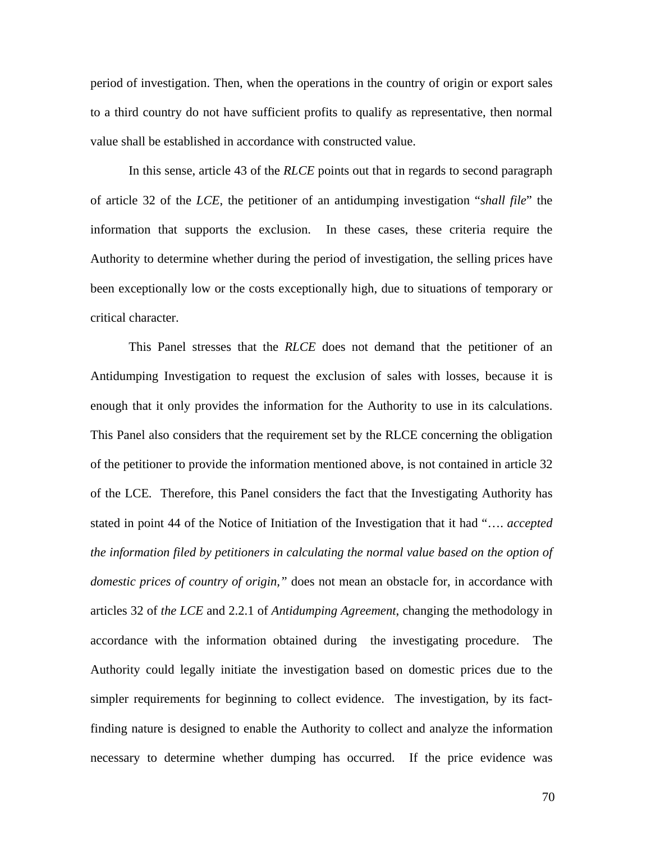period of investigation. Then, when the operations in the country of origin or export sales to a third country do not have sufficient profits to qualify as representative, then normal value shall be established in accordance with constructed value.

In this sense, article 43 of the *RLCE* points out that in regards to second paragraph of article 32 of the *LCE*, the petitioner of an antidumping investigation "*shall file*" the information that supports the exclusion. In these cases, these criteria require the Authority to determine whether during the period of investigation, the selling prices have been exceptionally low or the costs exceptionally high, due to situations of temporary or critical character.

This Panel stresses that the *RLCE* does not demand that the petitioner of an Antidumping Investigation to request the exclusion of sales with losses, because it is enough that it only provides the information for the Authority to use in its calculations. This Panel also considers that the requirement set by the RLCE concerning the obligation of the petitioner to provide the information mentioned above, is not contained in article 32 of the LCE*.* Therefore, this Panel considers the fact that the Investigating Authority has stated in point 44 of the Notice of Initiation of the Investigation that it had "…. *accepted the information filed by petitioners in calculating the normal value based on the option of domestic prices of country of origin,"* does not mean an obstacle for, in accordance with articles 32 of *the LCE* and 2.2.1 of *Antidumping Agreement*, changing the methodology in accordance with the information obtained during the investigating procedure. The Authority could legally initiate the investigation based on domestic prices due to the simpler requirements for beginning to collect evidence. The investigation, by its factfinding nature is designed to enable the Authority to collect and analyze the information necessary to determine whether dumping has occurred. If the price evidence was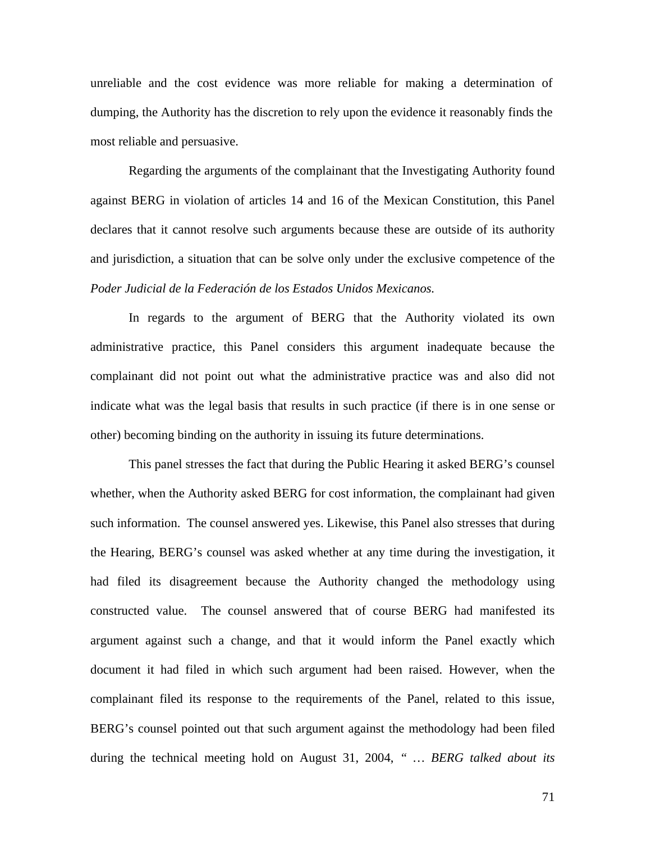unreliable and the cost evidence was more reliable for making a determination of dumping, the Authority has the discretion to rely upon the evidence it reasonably finds the most reliable and persuasive.

Regarding the arguments of the complainant that the Investigating Authority found against BERG in violation of articles 14 and 16 of the Mexican Constitution, this Panel declares that it cannot resolve such arguments because these are outside of its authority and jurisdiction, a situation that can be solve only under the exclusive competence of the *Poder Judicial de la Federación de los Estados Unidos Mexicanos.* 

In regards to the argument of BERG that the Authority violated its own administrative practice, this Panel considers this argument inadequate because the complainant did not point out what the administrative practice was and also did not indicate what was the legal basis that results in such practice (if there is in one sense or other) becoming binding on the authority in issuing its future determinations.

This panel stresses the fact that during the Public Hearing it asked BERG's counsel whether, when the Authority asked BERG for cost information, the complainant had given such information. The counsel answered yes. Likewise, this Panel also stresses that during the Hearing, BERG's counsel was asked whether at any time during the investigation, it had filed its disagreement because the Authority changed the methodology using constructed value. The counsel answered that of course BERG had manifested its argument against such a change, and that it would inform the Panel exactly which document it had filed in which such argument had been raised. However, when the complainant filed its response to the requirements of the Panel, related to this issue, BERG's counsel pointed out that such argument against the methodology had been filed during the technical meeting hold on August 31, 2004, *" … BERG talked about its*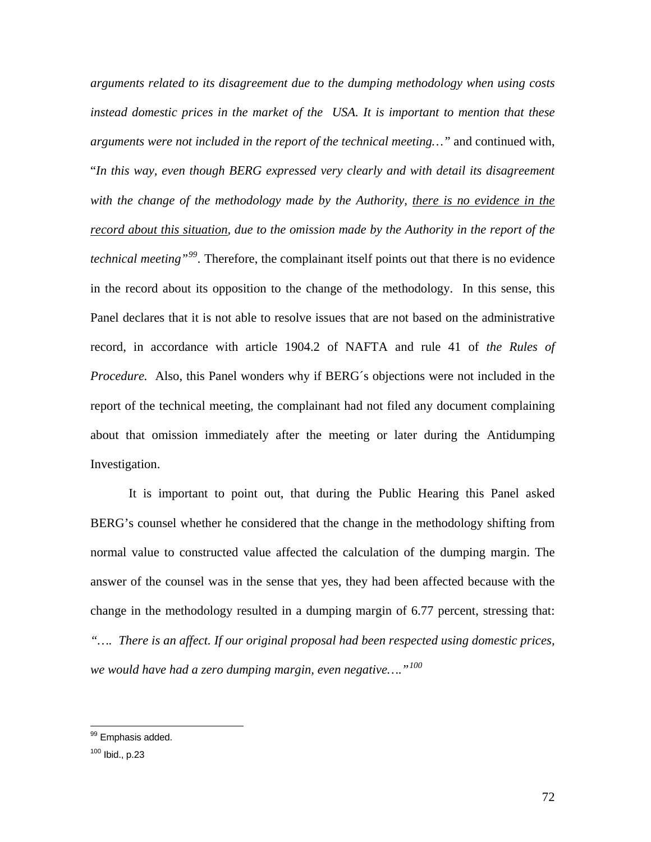*arguments related to its disagreement due to the dumping methodology when using costs instead domestic prices in the market of the USA. It is important to mention that these arguments were not included in the report of the technical meeting…"* and continued with, "*In this way, even though BERG expressed very clearly and with detail its disagreement with the change of the methodology made by the Authority, there is no evidence in the record about this situation, due to the omission made by the Authority in the report of the technical meeting"[99](#page-71-0).* Therefore, the complainant itself points out that there is no evidence in the record about its opposition to the change of the methodology. In this sense, this Panel declares that it is not able to resolve issues that are not based on the administrative record, in accordance with article 1904.2 of NAFTA and rule 41 of *the Rules of Procedure.* Also, this Panel wonders why if BERG´s objections were not included in the report of the technical meeting, the complainant had not filed any document complaining about that omission immediately after the meeting or later during the Antidumping Investigation.

It is important to point out, that during the Public Hearing this Panel asked BERG's counsel whether he considered that the change in the methodology shifting from normal value to constructed value affected the calculation of the dumping margin. The answer of the counsel was in the sense that yes, they had been affected because with the change in the methodology resulted in a dumping margin of 6.77 percent, stressing that: *"…. There is an affect. If our original proposal had been respected using domestic prices, we would have had a zero dumping margin, even negative…."[100](#page-71-1)*

 $\overline{a}$ 

<span id="page-71-0"></span><sup>&</sup>lt;sup>99</sup> Emphasis added.

<span id="page-71-1"></span><sup>100</sup> Ibid., p.23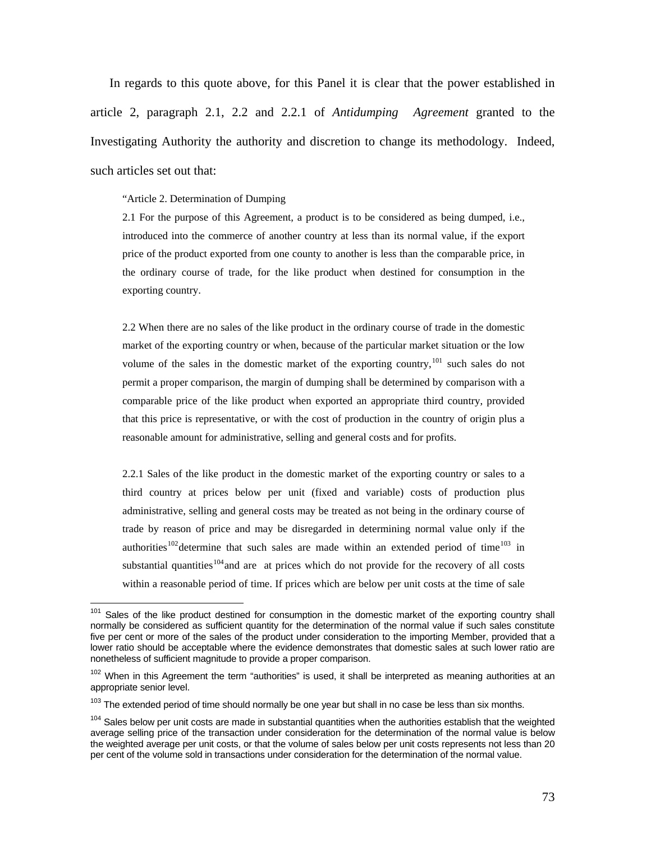In regards to this quote above, for this Panel it is clear that the power established in article 2, paragraph 2.1, 2.2 and 2.2.1 of *Antidumping Agreement* granted to the Investigating Authority the authority and discretion to change its methodology. Indeed, such articles set out that:

"Article 2. Determination of Dumping

 $\overline{a}$ 

2.1 For the purpose of this Agreement, a product is to be considered as being dumped, i.e., introduced into the commerce of another country at less than its normal value, if the export price of the product exported from one county to another is less than the comparable price, in the ordinary course of trade, for the like product when destined for consumption in the exporting country.

2.2 When there are no sales of the like product in the ordinary course of trade in the domestic market of the exporting country or when, because of the particular market situation or the low volume of the sales in the domestic market of the exporting country,<sup>[101](#page-72-0)</sup> such sales do not permit a proper comparison, the margin of dumping shall be determined by comparison with a comparable price of the like product when exported an appropriate third country, provided that this price is representative, or with the cost of production in the country of origin plus a reasonable amount for administrative, selling and general costs and for profits.

2.2.1 Sales of the like product in the domestic market of the exporting country or sales to a third country at prices below per unit (fixed and variable) costs of production plus administrative, selling and general costs may be treated as not being in the ordinary course of trade by reason of price and may be disregarded in determining normal value only if the authorities<sup>[102](#page-72-1)</sup> determine that such sales are made within an extended period of time<sup>[103](#page-72-2)</sup> in substantial quantities<sup>[104](#page-72-3)</sup> and are at prices which do not provide for the recovery of all costs within a reasonable period of time. If prices which are below per unit costs at the time of sale

<span id="page-72-0"></span><sup>&</sup>lt;sup>101</sup> Sales of the like product destined for consumption in the domestic market of the exporting country shall normally be considered as sufficient quantity for the determination of the normal value if such sales constitute five per cent or more of the sales of the product under consideration to the importing Member, provided that a lower ratio should be acceptable where the evidence demonstrates that domestic sales at such lower ratio are nonetheless of sufficient magnitude to provide a proper comparison.

<span id="page-72-1"></span><sup>&</sup>lt;sup>102</sup> When in this Agreement the term "authorities" is used, it shall be interpreted as meaning authorities at an appropriate senior level.

<span id="page-72-2"></span> $103$  The extended period of time should normally be one year but shall in no case be less than six months.

<span id="page-72-3"></span><sup>&</sup>lt;sup>104</sup> Sales below per unit costs are made in substantial quantities when the authorities establish that the weighted average selling price of the transaction under consideration for the determination of the normal value is below the weighted average per unit costs, or that the volume of sales below per unit costs represents not less than 20 per cent of the volume sold in transactions under consideration for the determination of the normal value.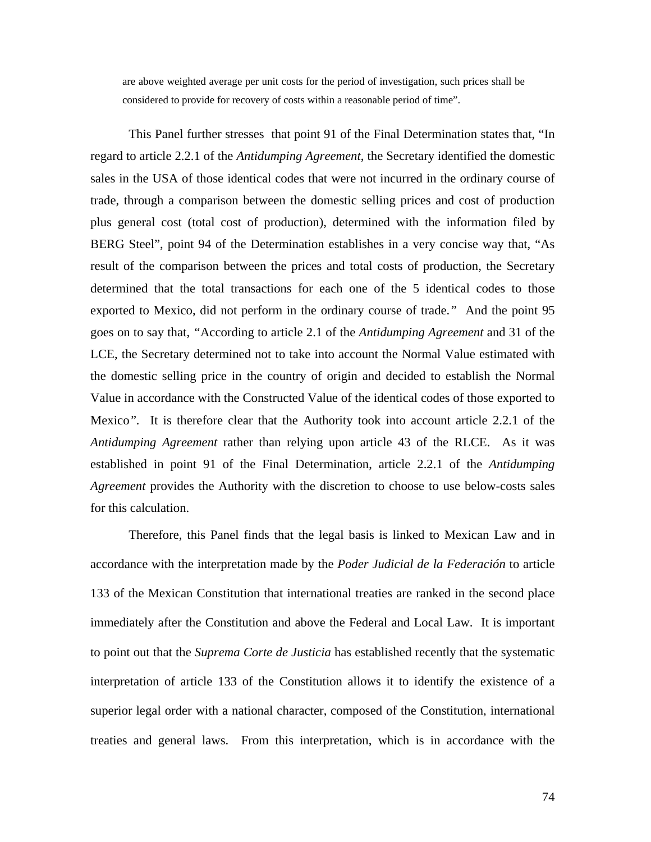are above weighted average per unit costs for the period of investigation, such prices shall be considered to provide for recovery of costs within a reasonable period of time".

This Panel further stresses that point 91 of the Final Determination states that, "In regard to article 2.2.1 of the *Antidumping Agreement*, the Secretary identified the domestic sales in the USA of those identical codes that were not incurred in the ordinary course of trade, through a comparison between the domestic selling prices and cost of production plus general cost (total cost of production), determined with the information filed by BERG Steel", point 94 of the Determination establishes in a very concise way that, "As result of the comparison between the prices and total costs of production, the Secretary determined that the total transactions for each one of the 5 identical codes to those exported to Mexico, did not perform in the ordinary course of trade.*"* And the point 95 goes on to say that, *"*According to article 2.1 of the *Antidumping Agreement* and 31 of the LCE, the Secretary determined not to take into account the Normal Value estimated with the domestic selling price in the country of origin and decided to establish the Normal Value in accordance with the Constructed Value of the identical codes of those exported to Mexico*".* It is therefore clear that the Authority took into account article 2.2.1 of the *Antidumping Agreement* rather than relying upon article 43 of the RLCE. As it was established in point 91 of the Final Determination, article 2.2.1 of the *Antidumping Agreement* provides the Authority with the discretion to choose to use below-costs sales for this calculation.

Therefore, this Panel finds that the legal basis is linked to Mexican Law and in accordance with the interpretation made by the *Poder Judicial de la Federación* to article 133 of the Mexican Constitution that international treaties are ranked in the second place immediately after the Constitution and above the Federal and Local Law. It is important to point out that the *Suprema Corte de Justicia* has established recently that the systematic interpretation of article 133 of the Constitution allows it to identify the existence of a superior legal order with a national character, composed of the Constitution, international treaties and general laws. From this interpretation, which is in accordance with the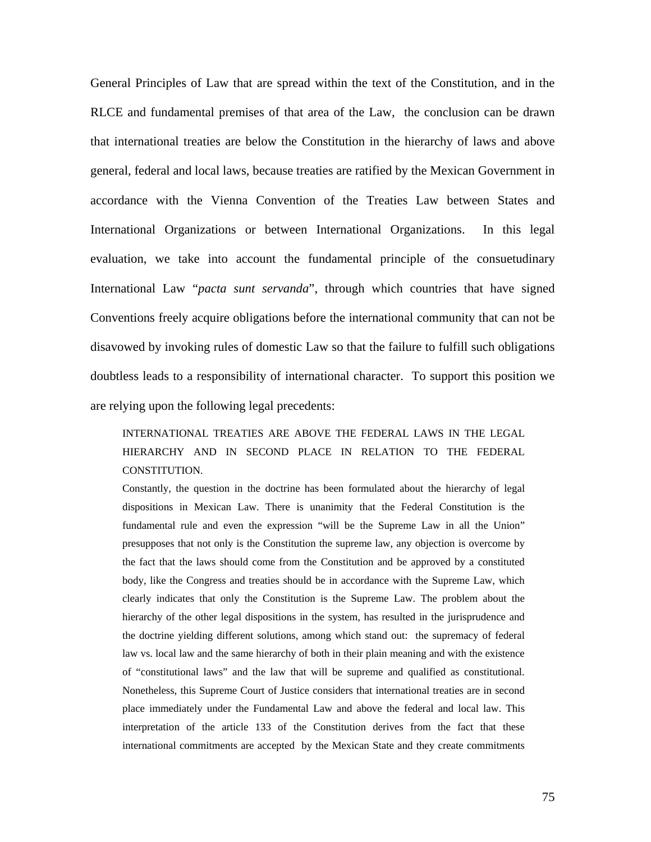General Principles of Law that are spread within the text of the Constitution, and in the RLCE and fundamental premises of that area of the Law, the conclusion can be drawn that international treaties are below the Constitution in the hierarchy of laws and above general, federal and local laws, because treaties are ratified by the Mexican Government in accordance with the Vienna Convention of the Treaties Law between States and International Organizations or between International Organizations. In this legal evaluation, we take into account the fundamental principle of the consuetudinary International Law "*pacta sunt servanda*", through which countries that have signed Conventions freely acquire obligations before the international community that can not be disavowed by invoking rules of domestic Law so that the failure to fulfill such obligations doubtless leads to a responsibility of international character. To support this position we are relying upon the following legal precedents:

#### INTERNATIONAL TREATIES ARE ABOVE THE FEDERAL LAWS IN THE LEGAL HIERARCHY AND IN SECOND PLACE IN RELATION TO THE FEDERAL CONSTITUTION.

Constantly, the question in the doctrine has been formulated about the hierarchy of legal dispositions in Mexican Law. There is unanimity that the Federal Constitution is the fundamental rule and even the expression "will be the Supreme Law in all the Union" presupposes that not only is the Constitution the supreme law, any objection is overcome by the fact that the laws should come from the Constitution and be approved by a constituted body, like the Congress and treaties should be in accordance with the Supreme Law, which clearly indicates that only the Constitution is the Supreme Law. The problem about the hierarchy of the other legal dispositions in the system, has resulted in the jurisprudence and the doctrine yielding different solutions, among which stand out: the supremacy of federal law vs. local law and the same hierarchy of both in their plain meaning and with the existence of "constitutional laws" and the law that will be supreme and qualified as constitutional. Nonetheless, this Supreme Court of Justice considers that international treaties are in second place immediately under the Fundamental Law and above the federal and local law. This interpretation of the article 133 of the Constitution derives from the fact that these international commitments are accepted by the Mexican State and they create commitments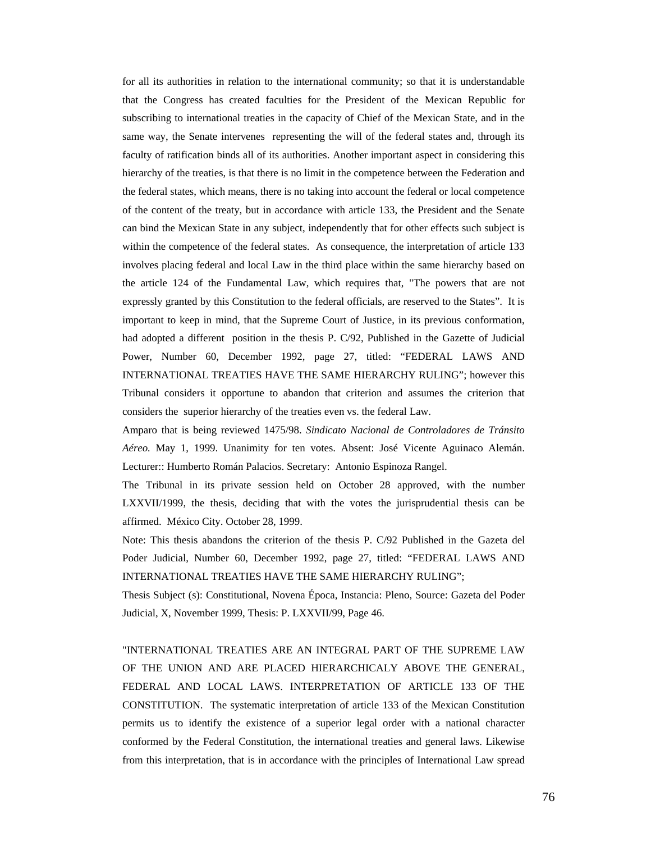for all its authorities in relation to the international community; so that it is understandable that the Congress has created faculties for the President of the Mexican Republic for subscribing to international treaties in the capacity of Chief of the Mexican State, and in the same way, the Senate intervenes representing the will of the federal states and, through its faculty of ratification binds all of its authorities. Another important aspect in considering this hierarchy of the treaties, is that there is no limit in the competence between the Federation and the federal states, which means, there is no taking into account the federal or local competence of the content of the treaty, but in accordance with article 133, the President and the Senate can bind the Mexican State in any subject, independently that for other effects such subject is within the competence of the federal states. As consequence, the interpretation of article 133 involves placing federal and local Law in the third place within the same hierarchy based on the article 124 of the Fundamental Law, which requires that, "The powers that are not expressly granted by this Constitution to the federal officials, are reserved to the States". It is important to keep in mind, that the Supreme Court of Justice, in its previous conformation, had adopted a different position in the thesis P. C/92, Published in the Gazette of Judicial Power, Number 60, December 1992, page 27, titled: "FEDERAL LAWS AND INTERNATIONAL TREATIES HAVE THE SAME HIERARCHY RULING"; however this Tribunal considers it opportune to abandon that criterion and assumes the criterion that considers the superior hierarchy of the treaties even vs. the federal Law.

Amparo that is being reviewed 1475/98. *Sindicato Nacional de Controladores de Tránsito Aéreo.* May 1, 1999. Unanimity for ten votes. Absent: José Vicente Aguinaco Alemán. Lecturer:: Humberto Román Palacios. Secretary: Antonio Espinoza Rangel.

The Tribunal in its private session held on October 28 approved, with the number LXXVII/1999, the thesis, deciding that with the votes the jurisprudential thesis can be affirmed. México City. October 28, 1999.

Note: This thesis abandons the criterion of the thesis P. C/92 Published in the Gazeta del Poder Judicial, Number 60, December 1992, page 27, titled: "FEDERAL LAWS AND INTERNATIONAL TREATIES HAVE THE SAME HIERARCHY RULING";

Thesis Subject (s): Constitutional, Novena Época, Instancia: Pleno, Source: Gazeta del Poder Judicial, X, November 1999, Thesis: P. LXXVII/99, Page 46.

"INTERNATIONAL TREATIES ARE AN INTEGRAL PART OF THE SUPREME LAW OF THE UNION AND ARE PLACED HIERARCHICALY ABOVE THE GENERAL, FEDERAL AND LOCAL LAWS. INTERPRETATION OF ARTICLE 133 OF THE CONSTITUTION. The systematic interpretation of article 133 of the Mexican Constitution permits us to identify the existence of a superior legal order with a national character conformed by the Federal Constitution, the international treaties and general laws. Likewise from this interpretation, that is in accordance with the principles of International Law spread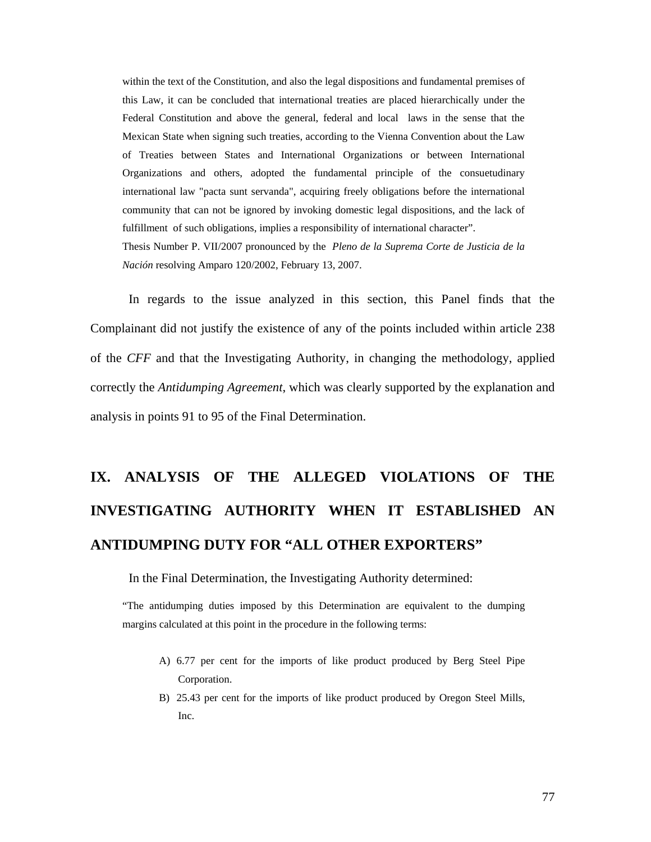within the text of the Constitution, and also the legal dispositions and fundamental premises of this Law, it can be concluded that international treaties are placed hierarchically under the Federal Constitution and above the general, federal and local laws in the sense that the Mexican State when signing such treaties, according to the Vienna Convention about the Law of Treaties between States and International Organizations or between International Organizations and others, adopted the fundamental principle of the consuetudinary international law "pacta sunt servanda", acquiring freely obligations before the international community that can not be ignored by invoking domestic legal dispositions, and the lack of fulfillment of such obligations, implies a responsibility of international character". Thesis Number P. VII/2007 pronounced by the *Pleno de la Suprema Corte de Justicia de la Nación* resolving Amparo 120/2002, February 13, 2007.

In regards to the issue analyzed in this section, this Panel finds that the Complainant did not justify the existence of any of the points included within article 238 of the *CFF* and that the Investigating Authority, in changing the methodology, applied correctly the *Antidumping Agreement*, which was clearly supported by the explanation and analysis in points 91 to 95 of the Final Determination.

## **IX. ANALYSIS OF THE ALLEGED VIOLATIONS OF THE INVESTIGATING AUTHORITY WHEN IT ESTABLISHED AN ANTIDUMPING DUTY FOR "ALL OTHER EXPORTERS"**

In the Final Determination, the Investigating Authority determined:

"The antidumping duties imposed by this Determination are equivalent to the dumping margins calculated at this point in the procedure in the following terms:

- A) 6.77 per cent for the imports of like product produced by Berg Steel Pipe Corporation.
- B) 25.43 per cent for the imports of like product produced by Oregon Steel Mills, Inc.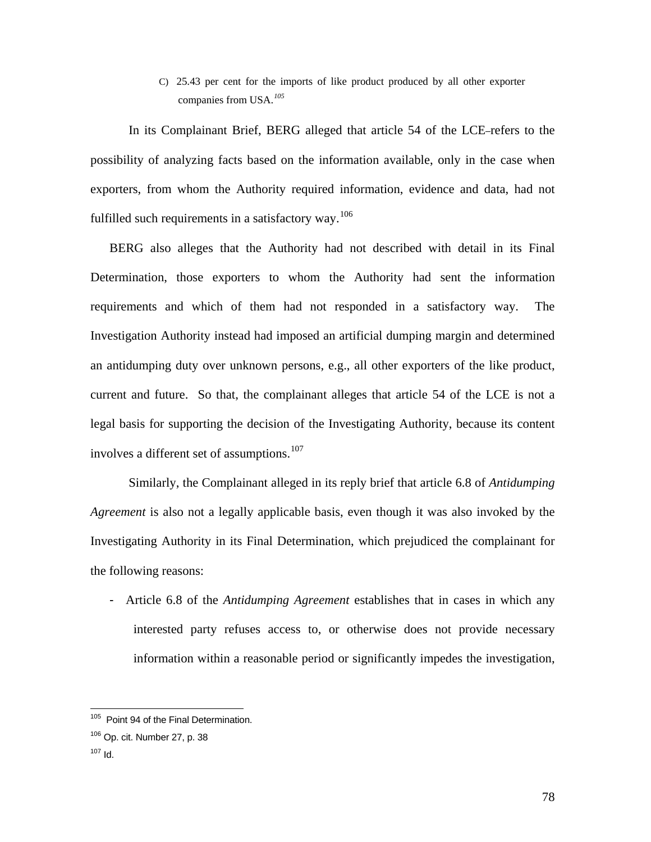C) 25.43 per cent for the imports of like product produced by all other exporter companies from USA.*[105](#page-77-0)*

In its Complainant Brief, BERG alleged that article 54 of the LCE refers to the possibility of analyzing facts based on the information available, only in the case when exporters, from whom the Authority required information, evidence and data, had not fulfilled such requirements in a satisfactory way.<sup>[106](#page-77-1)</sup>

BERG also alleges that the Authority had not described with detail in its Final Determination, those exporters to whom the Authority had sent the information requirements and which of them had not responded in a satisfactory way. The Investigation Authority instead had imposed an artificial dumping margin and determined an antidumping duty over unknown persons, e.g., all other exporters of the like product, current and future. So that, the complainant alleges that article 54 of the LCE is not a legal basis for supporting the decision of the Investigating Authority, because its content involves a different set of assumptions.<sup>[107](#page-77-2)</sup>

Similarly, the Complainant alleged in its reply brief that article 6.8 of *Antidumping Agreement* is also not a legally applicable basis, even though it was also invoked by the Investigating Authority in its Final Determination, which prejudiced the complainant for the following reasons:

- Article 6.8 of the *Antidumping Agreement* establishes that in cases in which any interested party refuses access to, or otherwise does not provide necessary information within a reasonable period or significantly impedes the investigation,

<sup>1</sup> <sup>105</sup> Point 94 of the Final Determination.

<span id="page-77-1"></span><span id="page-77-0"></span><sup>106</sup> Op. cit. Number 27, p. 38

<span id="page-77-2"></span> $107$  Id.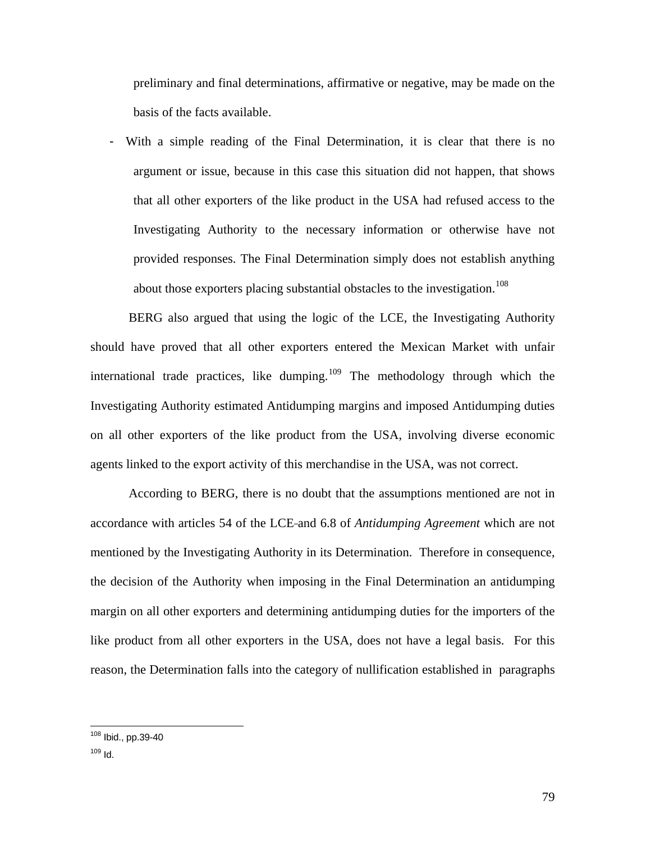preliminary and final determinations, affirmative or negative, may be made on the basis of the facts available.

With a simple reading of the Final Determination, it is clear that there is no argument or issue, because in this case this situation did not happen, that shows that all other exporters of the like product in the USA had refused access to the Investigating Authority to the necessary information or otherwise have not provided responses. The Final Determination simply does not establish anything about those exporters placing substantial obstacles to the investigation.<sup>[108](#page-78-0)</sup>

BERG also argued that using the logic of the LCE, the Investigating Authority should have proved that all other exporters entered the Mexican Market with unfair international trade practices, like dumping.<sup>[109](#page-78-1)</sup> The methodology through which the Investigating Authority estimated Antidumping margins and imposed Antidumping duties on all other exporters of the like product from the USA, involving diverse economic agents linked to the export activity of this merchandise in the USA, was not correct.

According to BERG, there is no doubt that the assumptions mentioned are not in accordance with articles 54 of the LCE and 6.8 of *Antidumping Agreement* which are not mentioned by the Investigating Authority in its Determination. Therefore in consequence, the decision of the Authority when imposing in the Final Determination an antidumping margin on all other exporters and determining antidumping duties for the importers of the like product from all other exporters in the USA, does not have a legal basis. For this reason, the Determination falls into the category of nullification established in paragraphs

 $\overline{a}$ 

<sup>108</sup> Ibid., pp.39-40

<span id="page-78-1"></span><span id="page-78-0"></span> $109$  Id.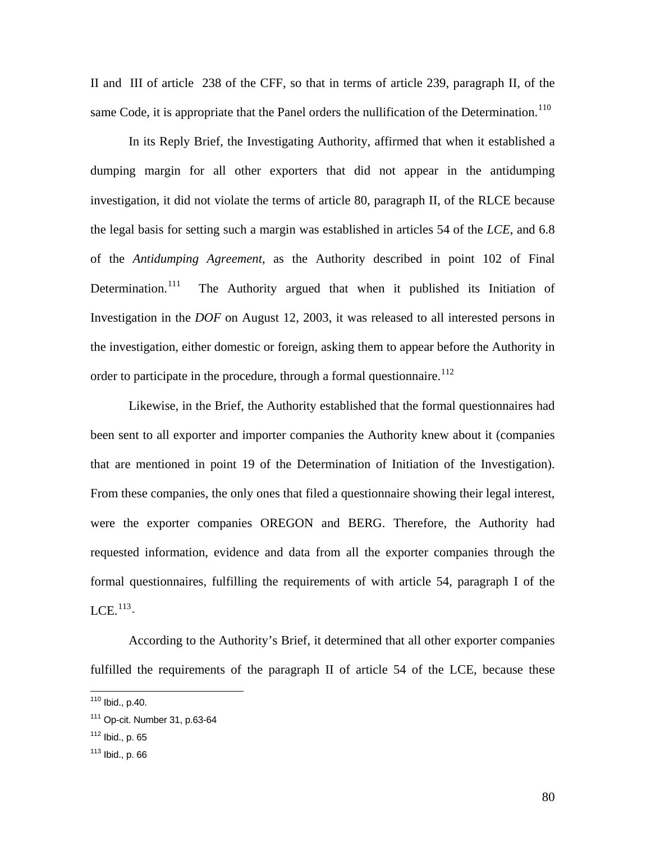II and III of article 238 of the CFF, so that in terms of article 239, paragraph II, of the same Code, it is appropriate that the Panel orders the nullification of the Determination.<sup>110</sup>

In its Reply Brief, the Investigating Authority, affirmed that when it established a dumping margin for all other exporters that did not appear in the antidumping investigation, it did not violate the terms of article 80, paragraph II, of the RLCE because the legal basis for setting such a margin was established in articles 54 of the *LCE*, and 6.8 of the *Antidumping Agreement,* as the Authority described in point 102 of Final Determination.<sup>[111](#page-79-1)</sup> The Authority argued that when it published its Initiation of Investigation in the *DOF* on August 12, 2003, it was released to all interested persons in the investigation, either domestic or foreign, asking them to appear before the Authority in order to participate in the procedure, through a formal questionnaire.<sup>[112](#page-79-2)</sup>

Likewise, in the Brief, the Authority established that the formal questionnaires had been sent to all exporter and importer companies the Authority knew about it (companies that are mentioned in point 19 of the Determination of Initiation of the Investigation). From these companies, the only ones that filed a questionnaire showing their legal interest, were the exporter companies OREGON and BERG. Therefore, the Authority had requested information, evidence and data from all the exporter companies through the formal questionnaires, fulfilling the requirements of with article 54, paragraph I of the  $LCE.<sup>113</sup>$  $LCE.<sup>113</sup>$  $LCE.<sup>113</sup>$ 

According to the Authority's Brief, it determined that all other exporter companies fulfilled the requirements of the paragraph II of article 54 of the LCE, because these

 $110$  Ibid., p.40.

<span id="page-79-1"></span><span id="page-79-0"></span><sup>111</sup> Op-cit. Number 31, p.63-64

<span id="page-79-2"></span> $112$  Ibid., p. 65

<span id="page-79-3"></span> $113$  Ibid., p. 66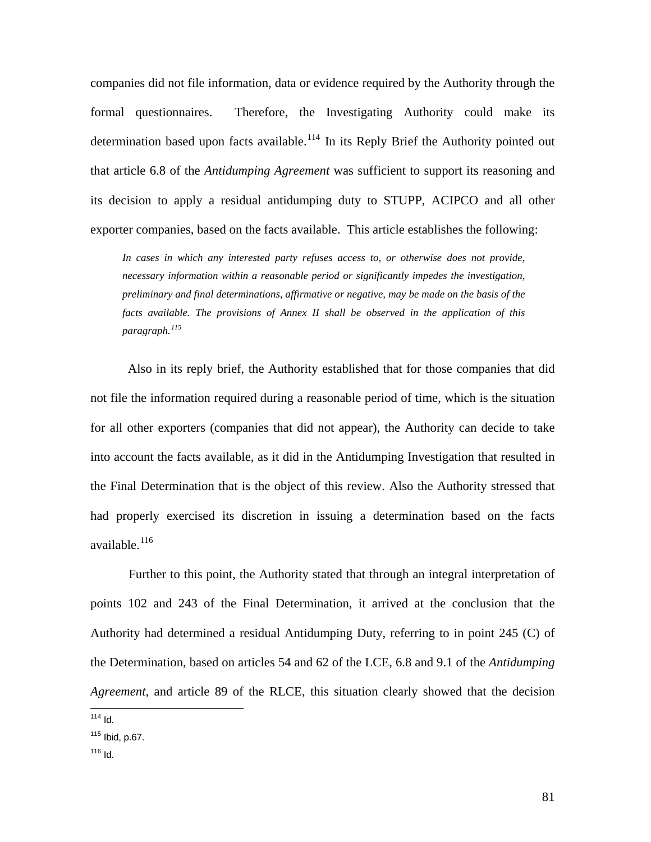companies did not file information, data or evidence required by the Authority through the formal questionnaires. Therefore, the Investigating Authority could make its determination based upon facts available.<sup>[114](#page-80-0)</sup> In its Reply Brief the Authority pointed out that article 6.8 of the *Antidumping Agreement* was sufficient to support its reasoning and its decision to apply a residual antidumping duty to STUPP, ACIPCO and all other exporter companies, based on the facts available. This article establishes the following:

*In cases in which any interested party refuses access to, or otherwise does not provide, necessary information within a reasonable period or significantly impedes the investigation, preliminary and final determinations, affirmative or negative, may be made on the basis of the facts available. The provisions of Annex II shall be observed in the application of this paragraph.[115](#page-80-1)*

 Also in its reply brief, the Authority established that for those companies that did not file the information required during a reasonable period of time, which is the situation for all other exporters (companies that did not appear), the Authority can decide to take into account the facts available, as it did in the Antidumping Investigation that resulted in the Final Determination that is the object of this review. Also the Authority stressed that had properly exercised its discretion in issuing a determination based on the facts available. $116$ 

Further to this point, the Authority stated that through an integral interpretation of points 102 and 243 of the Final Determination, it arrived at the conclusion that the Authority had determined a residual Antidumping Duty, referring to in point 245 (C) of the Determination, based on articles 54 and 62 of the LCE, 6.8 and 9.1 of the *Antidumping Agreement*, and article 89 of the RLCE, this situation clearly showed that the decision

<sup>1</sup>  $114$  Id.

<span id="page-80-1"></span><span id="page-80-0"></span><sup>115</sup> Ibid, p.67.

<span id="page-80-2"></span> $116$  Id.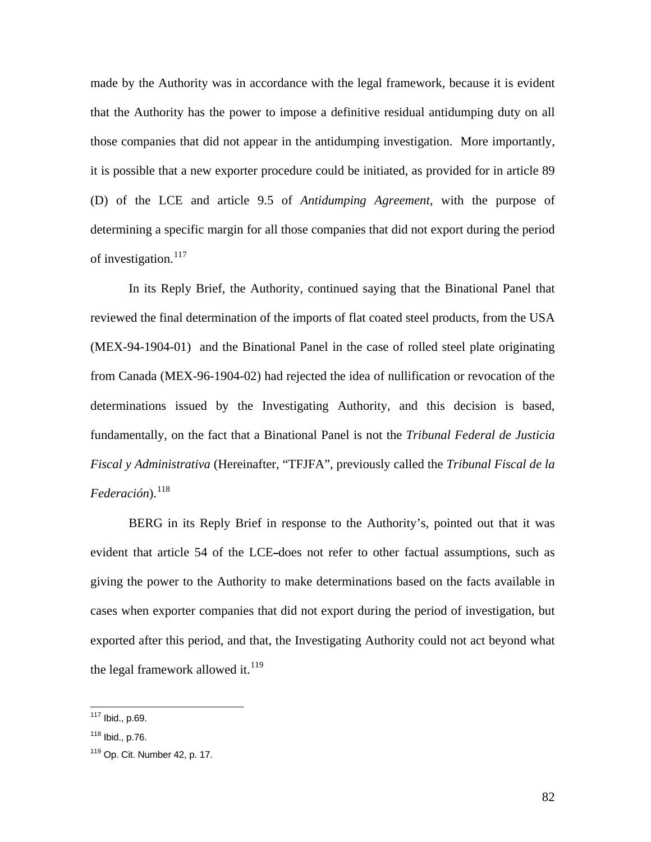made by the Authority was in accordance with the legal framework, because it is evident that the Authority has the power to impose a definitive residual antidumping duty on all those companies that did not appear in the antidumping investigation. More importantly, it is possible that a new exporter procedure could be initiated, as provided for in article 89 (D) of the LCE and article 9.5 of *Antidumping Agreement*, with the purpose of determining a specific margin for all those companies that did not export during the period of investigation.<sup>[117](#page-81-0)</sup>

In its Reply Brief, the Authority, continued saying that the Binational Panel that reviewed the final determination of the imports of flat coated steel products, from the USA (MEX-94-1904-01) and the Binational Panel in the case of rolled steel plate originating from Canada (MEX-96-1904-02) had rejected the idea of nullification or revocation of the determinations issued by the Investigating Authority, and this decision is based, fundamentally, on the fact that a Binational Panel is not the *Tribunal Federal de Justicia Fiscal y Administrativa* (Hereinafter, "TFJFA", previously called the *Tribunal Fiscal de la Federación*).<sup>[118](#page-81-1)</sup>

BERG in its Reply Brief in response to the Authority's, pointed out that it was evident that article 54 of the LCE-does not refer to other factual assumptions, such as giving the power to the Authority to make determinations based on the facts available in cases when exporter companies that did not export during the period of investigation, but exported after this period, and that, the Investigating Authority could not act beyond what the legal framework allowed it. $^{119}$  $^{119}$  $^{119}$ 

 $\overline{a}$ 

<sup>&</sup>lt;sup>117</sup> Ibid., p.69.

<span id="page-81-1"></span><span id="page-81-0"></span><sup>118</sup> Ibid., p.76.

<span id="page-81-2"></span><sup>119</sup> Op. Cit. Number 42, p. 17.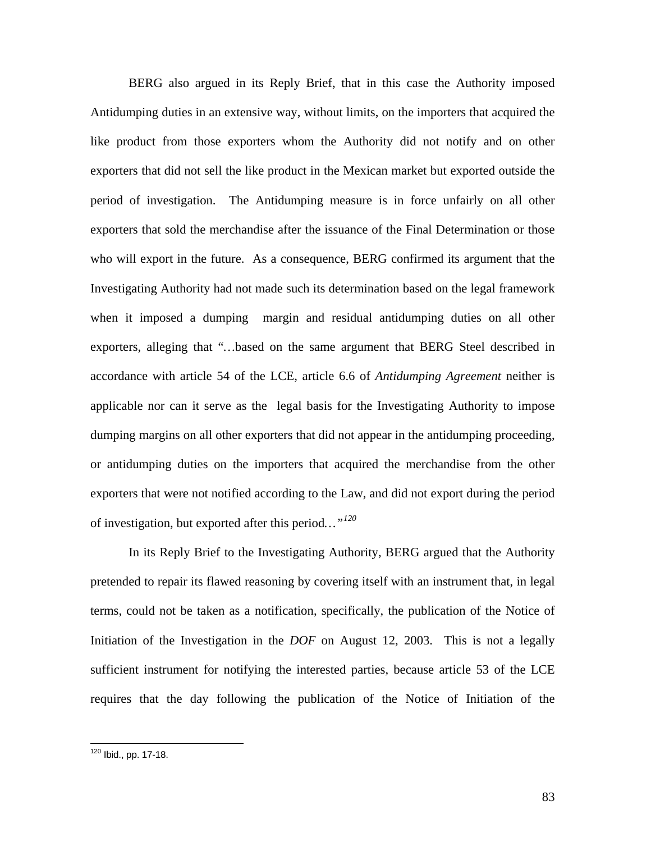BERG also argued in its Reply Brief, that in this case the Authority imposed Antidumping duties in an extensive way, without limits, on the importers that acquired the like product from those exporters whom the Authority did not notify and on other exporters that did not sell the like product in the Mexican market but exported outside the period of investigation. The Antidumping measure is in force unfairly on all other exporters that sold the merchandise after the issuance of the Final Determination or those who will export in the future. As a consequence, BERG confirmed its argument that the Investigating Authority had not made such its determination based on the legal framework when it imposed a dumping margin and residual antidumping duties on all other exporters, alleging that "*…*based on the same argument that BERG Steel described in accordance with article 54 of the LCE, article 6.6 of *Antidumping Agreement* neither is applicable nor can it serve as the legal basis for the Investigating Authority to impose dumping margins on all other exporters that did not appear in the antidumping proceeding, or antidumping duties on the importers that acquired the merchandise from the other exporters that were not notified according to the Law, and did not export during the period of investigation, but exported after this period*…"[120](#page-82-0)*

In its Reply Brief to the Investigating Authority, BERG argued that the Authority pretended to repair its flawed reasoning by covering itself with an instrument that, in legal terms, could not be taken as a notification, specifically, the publication of the Notice of Initiation of the Investigation in the *DOF* on August 12, 2003. This is not a legally sufficient instrument for notifying the interested parties, because article 53 of the LCE requires that the day following the publication of the Notice of Initiation of the

<span id="page-82-0"></span> $120$  Ibid., pp. 17-18.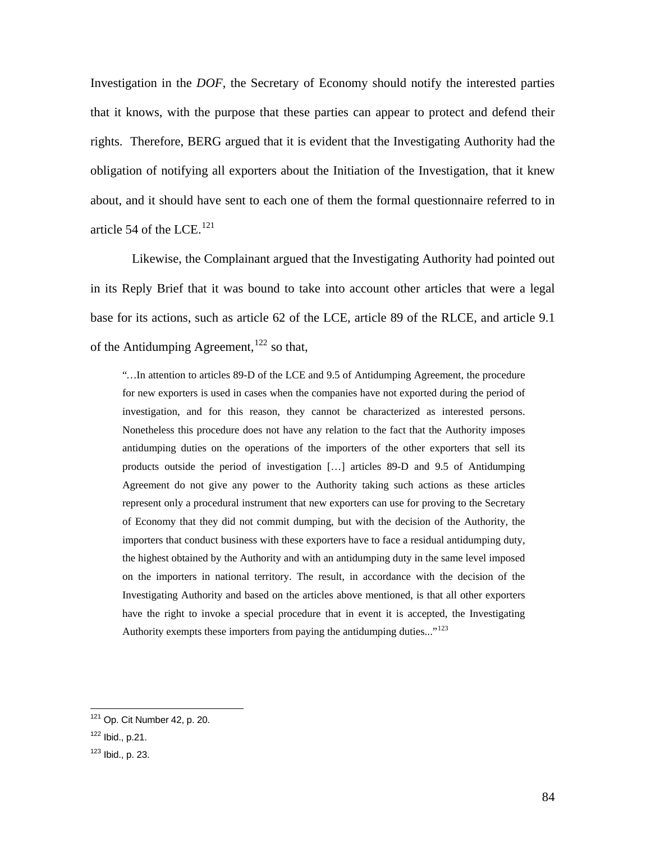Investigation in the *DOF*, the Secretary of Economy should notify the interested parties that it knows, with the purpose that these parties can appear to protect and defend their rights. Therefore, BERG argued that it is evident that the Investigating Authority had the obligation of notifying all exporters about the Initiation of the Investigation, that it knew about, and it should have sent to each one of them the formal questionnaire referred to in article 54 of the LCE.<sup>[121](#page-83-0)</sup>

Likewise, the Complainant argued that the Investigating Authority had pointed out in its Reply Brief that it was bound to take into account other articles that were a legal base for its actions, such as article 62 of the LCE, article 89 of the RLCE, and article 9.1 of the Antidumping Agreement*,* [122](#page-83-1) so that,

"*…*In attention to articles 89-D of the LCE and 9.5 of Antidumping Agreement, the procedure for new exporters is used in cases when the companies have not exported during the period of investigation, and for this reason, they cannot be characterized as interested persons. Nonetheless this procedure does not have any relation to the fact that the Authority imposes antidumping duties on the operations of the importers of the other exporters that sell its products outside the period of investigation […] articles 89-D and 9.5 of Antidumping Agreement do not give any power to the Authority taking such actions as these articles represent only a procedural instrument that new exporters can use for proving to the Secretary of Economy that they did not commit dumping, but with the decision of the Authority, the importers that conduct business with these exporters have to face a residual antidumping duty, the highest obtained by the Authority and with an antidumping duty in the same level imposed on the importers in national territory. The result, in accordance with the decision of the Investigating Authority and based on the articles above mentioned, is that all other exporters have the right to invoke a special procedure that in event it is accepted, the Investigating Authority exempts these importers from paying the antidumping duties..."<sup>[123](#page-83-2)</sup>

 $121$  Op. Cit Number 42, p. 20.

<span id="page-83-0"></span><sup>122</sup> Ibid., p.21.

<span id="page-83-2"></span><span id="page-83-1"></span><sup>123</sup> Ibid., p. 23.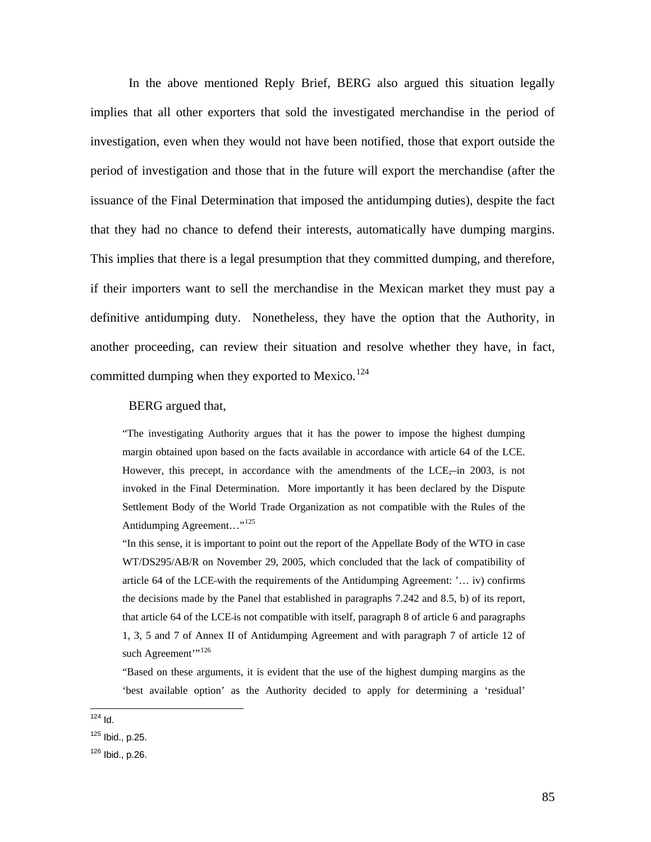In the above mentioned Reply Brief, BERG also argued this situation legally implies that all other exporters that sold the investigated merchandise in the period of investigation, even when they would not have been notified, those that export outside the period of investigation and those that in the future will export the merchandise (after the issuance of the Final Determination that imposed the antidumping duties), despite the fact that they had no chance to defend their interests, automatically have dumping margins. This implies that there is a legal presumption that they committed dumping, and therefore, if their importers want to sell the merchandise in the Mexican market they must pay a definitive antidumping duty. Nonetheless, they have the option that the Authority, in another proceeding, can review their situation and resolve whether they have, in fact, committed dumping when they exported to Mexico.<sup>[124](#page-84-0)</sup>

#### BERG argued that,

"The investigating Authority argues that it has the power to impose the highest dumping margin obtained upon based on the facts available in accordance with article 64 of the LCE. However, this precept, in accordance with the amendments of the LCE—in 2003, is not invoked in the Final Determination. More importantly it has been declared by the Dispute Settlement Body of the World Trade Organization as not compatible with the Rules of the Antidumping Agreement..."<sup>[125](#page-84-1)</sup>

"In this sense, it is important to point out the report of the Appellate Body of the WTO in case WT/DS295/AB/R on November 29, 2005, which concluded that the lack of compatibility of article 64 of the LCE with the requirements of the Antidumping Agreement: '… iv) confirms the decisions made by the Panel that established in paragraphs 7.242 and 8.5, b) of its report, that article 64 of the LCE is not compatible with itself, paragraph 8 of article 6 and paragraphs 1, 3, 5 and 7 of Annex II of Antidumping Agreement and with paragraph 7 of article 12 of such Agreement"<sup>[126](#page-84-2)</sup>

"Based on these arguments, it is evident that the use of the highest dumping margins as the 'best available option' as the Authority decided to apply for determining a 'residual'

<sup>1</sup>  $124$  Id.

<span id="page-84-0"></span><sup>125</sup> Ibid., p.25.

<span id="page-84-2"></span><span id="page-84-1"></span><sup>126</sup> Ibid., p.26.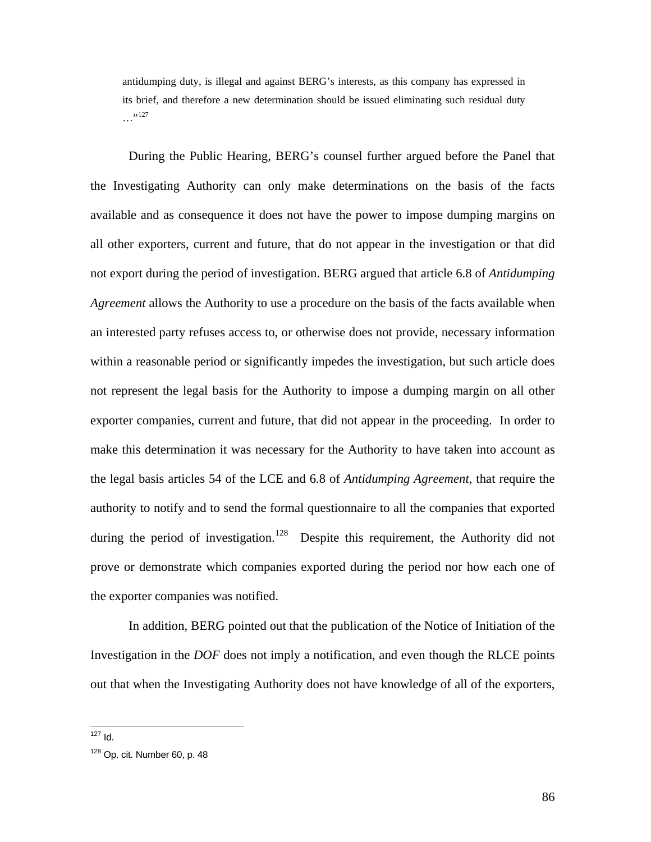antidumping duty, is illegal and against BERG's interests, as this company has expressed in its brief, and therefore a new determination should be issued eliminating such residual duty  $\dots$ <sup>[127](#page-85-0)</sup>

During the Public Hearing, BERG's counsel further argued before the Panel that the Investigating Authority can only make determinations on the basis of the facts available and as consequence it does not have the power to impose dumping margins on all other exporters, current and future, that do not appear in the investigation or that did not export during the period of investigation. BERG argued that article 6.8 of *Antidumping Agreement* allows the Authority to use a procedure on the basis of the facts available when an interested party refuses access to, or otherwise does not provide, necessary information within a reasonable period or significantly impedes the investigation, but such article does not represent the legal basis for the Authority to impose a dumping margin on all other exporter companies, current and future, that did not appear in the proceeding. In order to make this determination it was necessary for the Authority to have taken into account as the legal basis articles 54 of the LCE and 6.8 of *Antidumping Agreement*, that require the authority to notify and to send the formal questionnaire to all the companies that exported during the period of investigation.<sup>[128](#page-85-1)</sup> Despite this requirement, the Authority did not prove or demonstrate which companies exported during the period nor how each one of the exporter companies was notified.

In addition, BERG pointed out that the publication of the Notice of Initiation of the Investigation in the *DOF* does not imply a notification, and even though the RLCE points out that when the Investigating Authority does not have knowledge of all of the exporters,

 $\overline{a}$  $127$  Id.

<span id="page-85-1"></span><span id="page-85-0"></span><sup>128</sup> Op. cit. Number 60, p. 48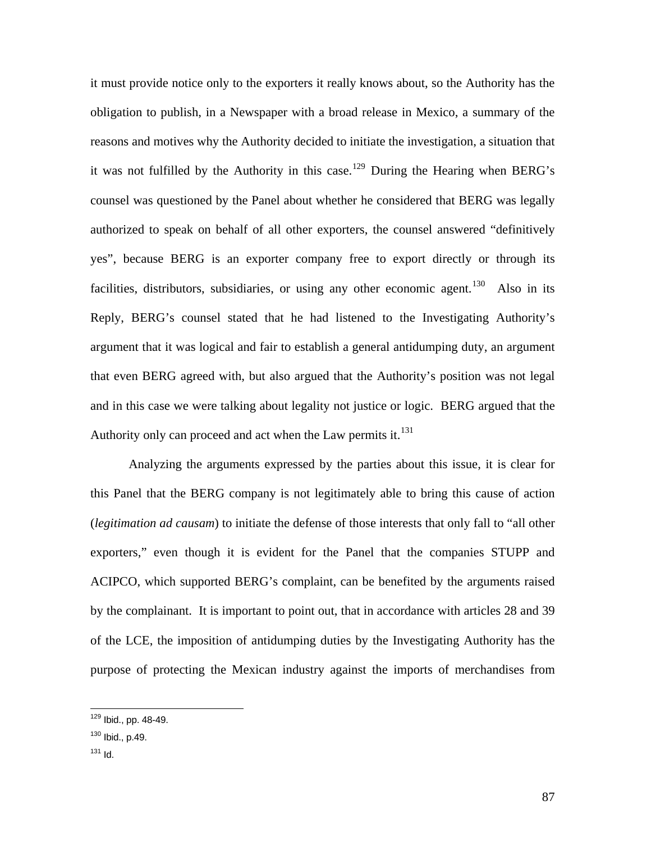it must provide notice only to the exporters it really knows about, so the Authority has the obligation to publish, in a Newspaper with a broad release in Mexico, a summary of the reasons and motives why the Authority decided to initiate the investigation, a situation that it was not fulfilled by the Authority in this case.<sup>[129](#page-86-0)</sup> During the Hearing when BERG's counsel was questioned by the Panel about whether he considered that BERG was legally authorized to speak on behalf of all other exporters, the counsel answered "definitively yes", because BERG is an exporter company free to export directly or through its facilities, distributors, subsidiaries, or using any other economic agent.<sup>[130](#page-86-1)</sup> Also in its Reply, BERG's counsel stated that he had listened to the Investigating Authority's argument that it was logical and fair to establish a general antidumping duty, an argument that even BERG agreed with, but also argued that the Authority's position was not legal and in this case we were talking about legality not justice or logic. BERG argued that the Authority only can proceed and act when the Law permits it.<sup>[131](#page-86-2)</sup>

Analyzing the arguments expressed by the parties about this issue, it is clear for this Panel that the BERG company is not legitimately able to bring this cause of action (*legitimation ad causam*) to initiate the defense of those interests that only fall to "all other exporters," even though it is evident for the Panel that the companies STUPP and ACIPCO, which supported BERG's complaint, can be benefited by the arguments raised by the complainant. It is important to point out, that in accordance with articles 28 and 39 of the LCE, the imposition of antidumping duties by the Investigating Authority has the purpose of protecting the Mexican industry against the imports of merchandises from

<sup>129</sup> Ibid., pp. 48-49.

<span id="page-86-1"></span><span id="page-86-0"></span><sup>130</sup> Ibid., p.49.

<span id="page-86-2"></span> $131$  Id.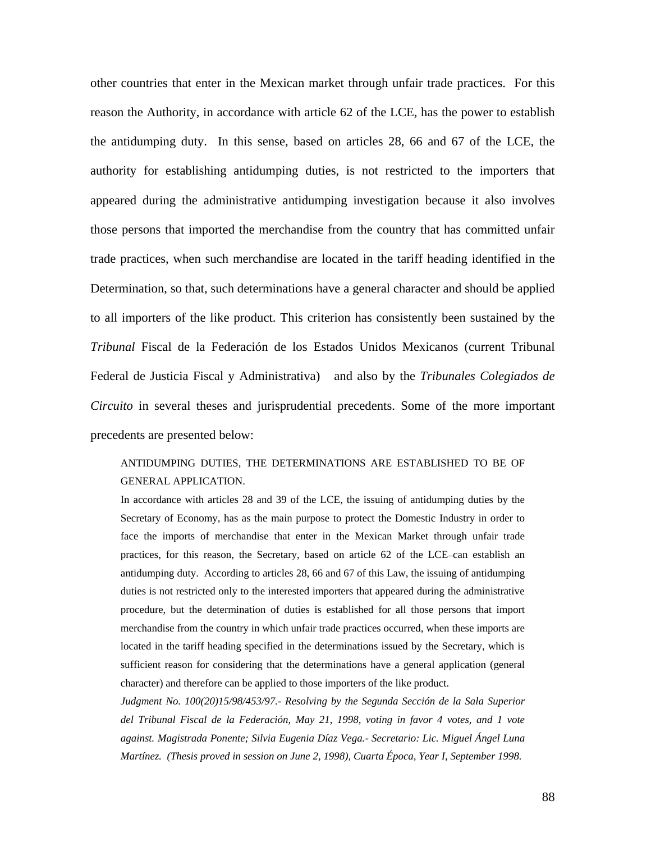other countries that enter in the Mexican market through unfair trade practices. For this reason the Authority, in accordance with article 62 of the LCE*,* has the power to establish the antidumping duty. In this sense, based on articles 28, 66 and 67 of the LCE*,* the authority for establishing antidumping duties, is not restricted to the importers that appeared during the administrative antidumping investigation because it also involves those persons that imported the merchandise from the country that has committed unfair trade practices, when such merchandise are located in the tariff heading identified in the Determination, so that, such determinations have a general character and should be applied to all importers of the like product. This criterion has consistently been sustained by the *Tribunal* Fiscal de la Federación de los Estados Unidos Mexicanos (current Tribunal Federal de Justicia Fiscal y Administrativa) and also by the *Tribunales Colegiados de Circuito* in several theses and jurisprudential precedents. Some of the more important precedents are presented below:

#### ANTIDUMPING DUTIES, THE DETERMINATIONS ARE ESTABLISHED TO BE OF GENERAL APPLICATION.

In accordance with articles 28 and 39 of the LCE, the issuing of antidumping duties by the Secretary of Economy, has as the main purpose to protect the Domestic Industry in order to face the imports of merchandise that enter in the Mexican Market through unfair trade practices, for this reason, the Secretary, based on article 62 of the LCE can establish an antidumping duty. According to articles 28, 66 and 67 of this Law, the issuing of antidumping duties is not restricted only to the interested importers that appeared during the administrative procedure, but the determination of duties is established for all those persons that import merchandise from the country in which unfair trade practices occurred, when these imports are located in the tariff heading specified in the determinations issued by the Secretary, which is sufficient reason for considering that the determinations have a general application (general character) and therefore can be applied to those importers of the like product.

*Judgment No. 100(20)15/98/453/97.- Resolving by the Segunda Sección de la Sala Superior del Tribunal Fiscal de la Federación, May 21, 1998, voting in favor 4 votes, and 1 vote against. Magistrada Ponente; Silvia Eugenia Díaz Vega.- Secretario: Lic. Miguel Ángel Luna Martínez. (Thesis proved in session on June 2, 1998), Cuarta Época, Year I, September 1998.*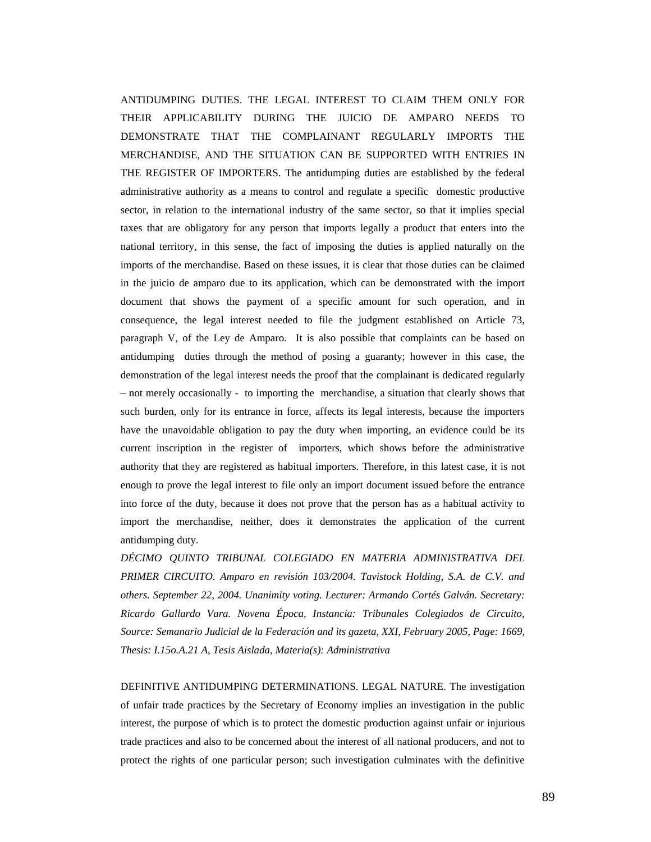ANTIDUMPING DUTIES. THE LEGAL INTEREST TO CLAIM THEM ONLY FOR THEIR APPLICABILITY DURING THE JUICIO DE AMPARO NEEDS TO DEMONSTRATE THAT THE COMPLAINANT REGULARLY IMPORTS THE MERCHANDISE, AND THE SITUATION CAN BE SUPPORTED WITH ENTRIES IN THE REGISTER OF IMPORTERS. The antidumping duties are established by the federal administrative authority as a means to control and regulate a specific domestic productive sector, in relation to the international industry of the same sector, so that it implies special taxes that are obligatory for any person that imports legally a product that enters into the national territory, in this sense, the fact of imposing the duties is applied naturally on the imports of the merchandise. Based on these issues, it is clear that those duties can be claimed in the juicio de amparo due to its application, which can be demonstrated with the import document that shows the payment of a specific amount for such operation, and in consequence, the legal interest needed to file the judgment established on Article 73, paragraph V, of the Ley de Amparo. It is also possible that complaints can be based on antidumping duties through the method of posing a guaranty; however in this case, the demonstration of the legal interest needs the proof that the complainant is dedicated regularly – not merely occasionally - to importing the merchandise, a situation that clearly shows that such burden, only for its entrance in force, affects its legal interests, because the importers have the unavoidable obligation to pay the duty when importing, an evidence could be its current inscription in the register of importers, which shows before the administrative authority that they are registered as habitual importers. Therefore, in this latest case, it is not enough to prove the legal interest to file only an import document issued before the entrance into force of the duty, because it does not prove that the person has as a habitual activity to import the merchandise, neither, does it demonstrates the application of the current antidumping duty.

*DÉCIMO QUINTO TRIBUNAL COLEGIADO EN MATERIA ADMINISTRATIVA DEL PRIMER CIRCUITO. Amparo en revisión 103/2004. Tavistock Holding, S.A. de C.V. and others. September 22, 2004. Unanimity voting. Lecturer: Armando Cortés Galván. Secretary: Ricardo Gallardo Vara. Novena Época, Instancia: Tribunales Colegiados de Circuito, Source: Semanario Judicial de la Federación and its gazeta, XXI, February 2005, Page: 1669, Thesis: I.15o.A.21 A, Tesis Aislada, Materia(s): Administrativa* 

DEFINITIVE ANTIDUMPING DETERMINATIONS. LEGAL NATURE. The investigation of unfair trade practices by the Secretary of Economy implies an investigation in the public interest, the purpose of which is to protect the domestic production against unfair or injurious trade practices and also to be concerned about the interest of all national producers, and not to protect the rights of one particular person; such investigation culminates with the definitive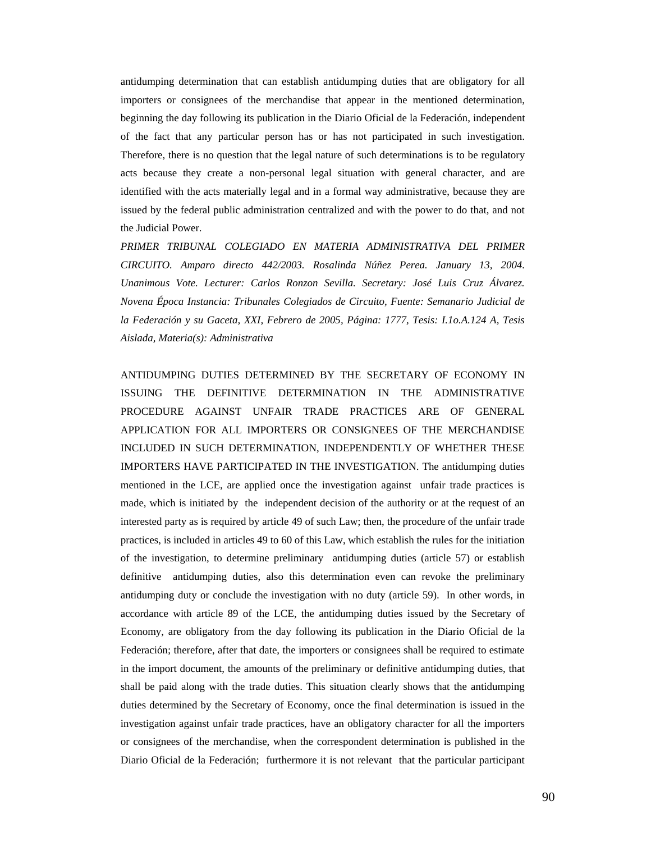antidumping determination that can establish antidumping duties that are obligatory for all importers or consignees of the merchandise that appear in the mentioned determination, beginning the day following its publication in the Diario Oficial de la Federación, independent of the fact that any particular person has or has not participated in such investigation. Therefore, there is no question that the legal nature of such determinations is to be regulatory acts because they create a non-personal legal situation with general character, and are identified with the acts materially legal and in a formal way administrative, because they are issued by the federal public administration centralized and with the power to do that, and not the Judicial Power.

*PRIMER TRIBUNAL COLEGIADO EN MATERIA ADMINISTRATIVA DEL PRIMER CIRCUITO. Amparo directo 442/2003. Rosalinda Núñez Perea. January 13, 2004. Unanimous Vote. Lecturer: Carlos Ronzon Sevilla. Secretary: José Luis Cruz Álvarez. Novena Época Instancia: Tribunales Colegiados de Circuito, Fuente: Semanario Judicial de la Federación y su Gaceta, XXI, Febrero de 2005, Página: 1777, Tesis: I.1o.A.124 A, Tesis Aislada, Materia(s): Administrativa* 

ANTIDUMPING DUTIES DETERMINED BY THE SECRETARY OF ECONOMY IN ISSUING THE DEFINITIVE DETERMINATION IN THE ADMINISTRATIVE PROCEDURE AGAINST UNFAIR TRADE PRACTICES ARE OF GENERAL APPLICATION FOR ALL IMPORTERS OR CONSIGNEES OF THE MERCHANDISE INCLUDED IN SUCH DETERMINATION, INDEPENDENTLY OF WHETHER THESE IMPORTERS HAVE PARTICIPATED IN THE INVESTIGATION. The antidumping duties mentioned in the LCE, are applied once the investigation against unfair trade practices is made, which is initiated by the independent decision of the authority or at the request of an interested party as is required by article 49 of such Law; then, the procedure of the unfair trade practices, is included in articles 49 to 60 of this Law, which establish the rules for the initiation of the investigation, to determine preliminary antidumping duties (article 57) or establish definitive antidumping duties, also this determination even can revoke the preliminary antidumping duty or conclude the investigation with no duty (article 59). In other words, in accordance with article 89 of the LCE, the antidumping duties issued by the Secretary of Economy, are obligatory from the day following its publication in the Diario Oficial de la Federación; therefore, after that date, the importers or consignees shall be required to estimate in the import document, the amounts of the preliminary or definitive antidumping duties, that shall be paid along with the trade duties. This situation clearly shows that the antidumping duties determined by the Secretary of Economy, once the final determination is issued in the investigation against unfair trade practices, have an obligatory character for all the importers or consignees of the merchandise, when the correspondent determination is published in the Diario Oficial de la Federación; furthermore it is not relevant that the particular participant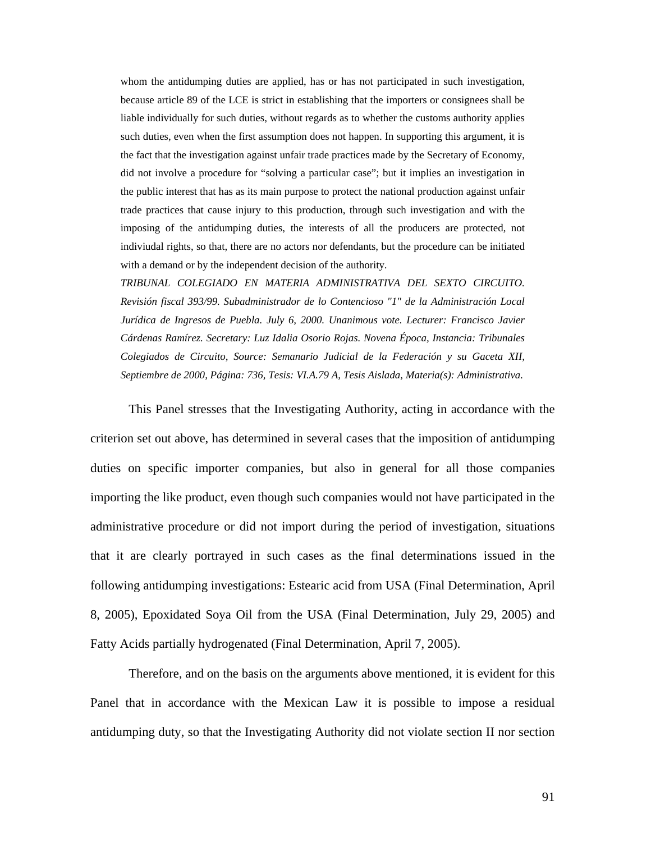whom the antidumping duties are applied, has or has not participated in such investigation, because article 89 of the LCE is strict in establishing that the importers or consignees shall be liable individually for such duties, without regards as to whether the customs authority applies such duties, even when the first assumption does not happen. In supporting this argument, it is the fact that the investigation against unfair trade practices made by the Secretary of Economy, did not involve a procedure for "solving a particular case"; but it implies an investigation in the public interest that has as its main purpose to protect the national production against unfair trade practices that cause injury to this production, through such investigation and with the imposing of the antidumping duties, the interests of all the producers are protected, not indiviudal rights, so that, there are no actors nor defendants, but the procedure can be initiated with a demand or by the independent decision of the authority.

*TRIBUNAL COLEGIADO EN MATERIA ADMINISTRATIVA DEL SEXTO CIRCUITO. Revisión fiscal 393/99. Subadministrador de lo Contencioso "1" de la Administración Local Jurídica de Ingresos de Puebla. July 6, 2000. Unanimous vote. Lecturer: Francisco Javier Cárdenas Ramírez. Secretary: Luz Idalia Osorio Rojas. Novena Época, Instancia: Tribunales Colegiados de Circuito, Source: Semanario Judicial de la Federación y su Gaceta XII, Septiembre de 2000, Página: 736, Tesis: VI.A.79 A, Tesis Aislada, Materia(s): Administrativa.* 

This Panel stresses that the Investigating Authority, acting in accordance with the criterion set out above, has determined in several cases that the imposition of antidumping duties on specific importer companies, but also in general for all those companies importing the like product, even though such companies would not have participated in the administrative procedure or did not import during the period of investigation, situations that it are clearly portrayed in such cases as the final determinations issued in the following antidumping investigations: Estearic acid from USA (Final Determination, April 8, 2005), Epoxidated Soya Oil from the USA (Final Determination, July 29, 2005) and Fatty Acids partially hydrogenated (Final Determination, April 7, 2005).

Therefore, and on the basis on the arguments above mentioned, it is evident for this Panel that in accordance with the Mexican Law it is possible to impose a residual antidumping duty, so that the Investigating Authority did not violate section II nor section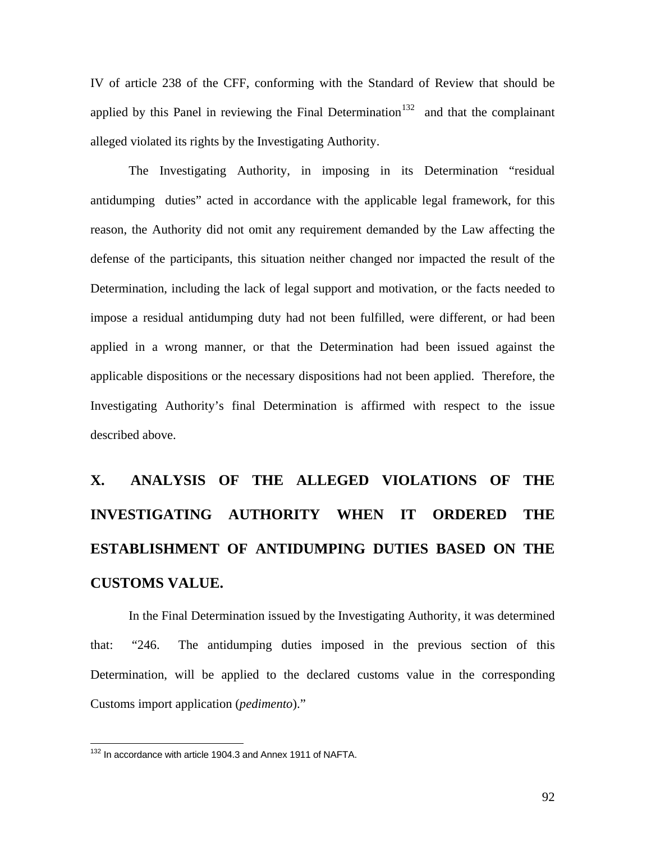IV of article 238 of the CFF, conforming with the Standard of Review that should be applied by this Panel in reviewing the Final Determination<sup>[132](#page-91-0)</sup> and that the complainant alleged violated its rights by the Investigating Authority.

The Investigating Authority, in imposing in its Determination "residual antidumping duties" acted in accordance with the applicable legal framework, for this reason, the Authority did not omit any requirement demanded by the Law affecting the defense of the participants, this situation neither changed nor impacted the result of the Determination, including the lack of legal support and motivation, or the facts needed to impose a residual antidumping duty had not been fulfilled, were different, or had been applied in a wrong manner, or that the Determination had been issued against the applicable dispositions or the necessary dispositions had not been applied. Therefore, the Investigating Authority's final Determination is affirmed with respect to the issue described above.

# **X. ANALYSIS OF THE ALLEGED VIOLATIONS OF THE INVESTIGATING AUTHORITY WHEN IT ORDERED THE ESTABLISHMENT OF ANTIDUMPING DUTIES BASED ON THE CUSTOMS VALUE.**

In the Final Determination issued by the Investigating Authority, it was determined that: "246. The antidumping duties imposed in the previous section of this Determination, will be applied to the declared customs value in the corresponding Customs import application (*pedimento*)."

<span id="page-91-0"></span><sup>&</sup>lt;sup>132</sup> In accordance with article 1904.3 and Annex 1911 of NAFTA.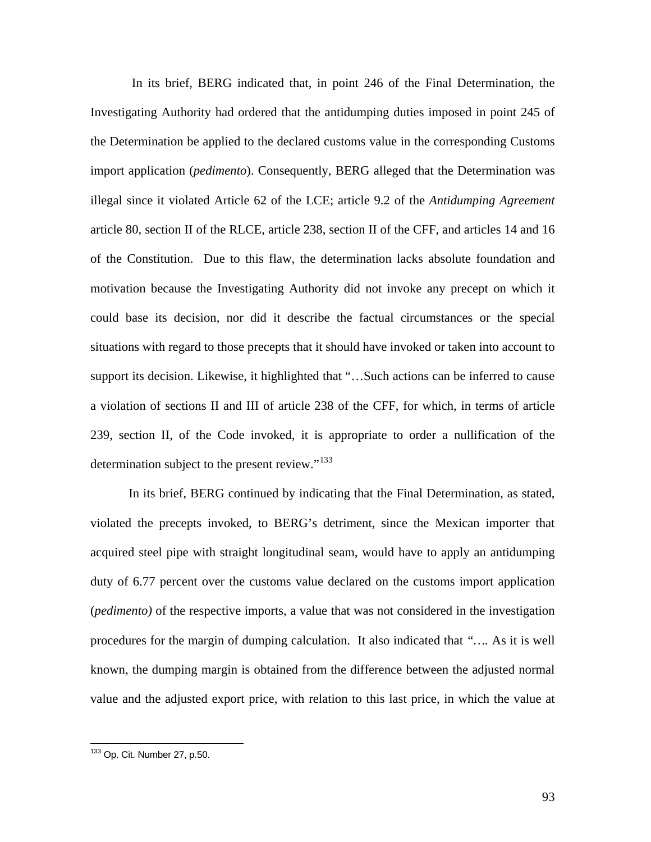In its brief, BERG indicated that, in point 246 of the Final Determination, the Investigating Authority had ordered that the antidumping duties imposed in point 245 of the Determination be applied to the declared customs value in the corresponding Customs import application (*pedimento*). Consequently, BERG alleged that the Determination was illegal since it violated Article 62 of the LCE; article 9.2 of the *Antidumping Agreement* article 80, section II of the RLCE, article 238, section II of the CFF, and articles 14 and 16 of the Constitution. Due to this flaw, the determination lacks absolute foundation and motivation because the Investigating Authority did not invoke any precept on which it could base its decision, nor did it describe the factual circumstances or the special situations with regard to those precepts that it should have invoked or taken into account to support its decision. Likewise, it highlighted that "…Such actions can be inferred to cause a violation of sections II and III of article 238 of the CFF, for which, in terms of article 239, section II, of the Code invoked, it is appropriate to order a nullification of the determination subject to the present review."<sup>[133](#page-92-0)</sup>

In its brief, BERG continued by indicating that the Final Determination, as stated, violated the precepts invoked, to BERG's detriment, since the Mexican importer that acquired steel pipe with straight longitudinal seam, would have to apply an antidumping duty of 6.77 percent over the customs value declared on the customs import application (*pedimento)* of the respective imports, a value that was not considered in the investigation procedures for the margin of dumping calculation. It also indicated that *"….* As it is well known, the dumping margin is obtained from the difference between the adjusted normal value and the adjusted export price, with relation to this last price, in which the value at

<span id="page-92-0"></span> $133$  Op. Cit. Number 27, p.50.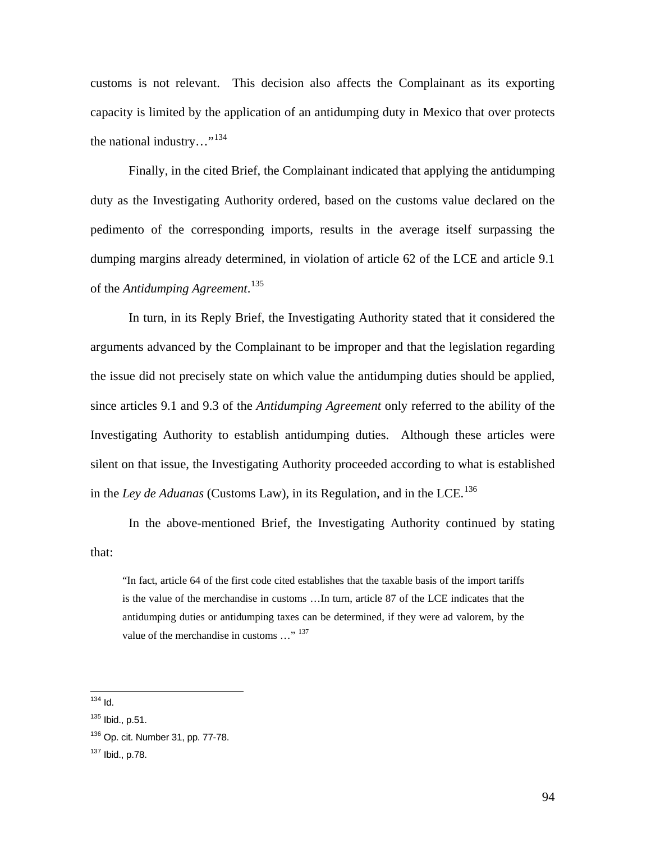customs is not relevant. This decision also affects the Complainant as its exporting capacity is limited by the application of an antidumping duty in Mexico that over protects the national industry..." $134$ 

Finally, in the cited Brief, the Complainant indicated that applying the antidumping duty as the Investigating Authority ordered, based on the customs value declared on the pedimento of the corresponding imports, results in the average itself surpassing the dumping margins already determined, in violation of article 62 of the LCE and article 9.1 of the *Antidumping Agreement*. [135](#page-93-1)

In turn, in its Reply Brief, the Investigating Authority stated that it considered the arguments advanced by the Complainant to be improper and that the legislation regarding the issue did not precisely state on which value the antidumping duties should be applied, since articles 9.1 and 9.3 of the *Antidumping Agreement* only referred to the ability of the Investigating Authority to establish antidumping duties. Although these articles were silent on that issue, the Investigating Authority proceeded according to what is established in the *Ley de Aduanas* (Customs Law), in its Regulation, and in the LCE.<sup>[136](#page-93-2)</sup>

In the above-mentioned Brief, the Investigating Authority continued by stating that:

"In fact, article 64 of the first code cited establishes that the taxable basis of the import tariffs is the value of the merchandise in customs …In turn, article 87 of the LCE indicates that the antidumping duties or antidumping taxes can be determined, if they were ad valorem, by the value of the merchandise in customs ..."<sup>[137](#page-93-3)</sup>

<sup>1</sup>  $134$  Id.

<span id="page-93-1"></span><span id="page-93-0"></span> $135$  Ibid., p.51.

<span id="page-93-2"></span><sup>136</sup> Op. cit. Number 31, pp. 77-78.

<span id="page-93-3"></span><sup>137</sup> Ibid., p.78.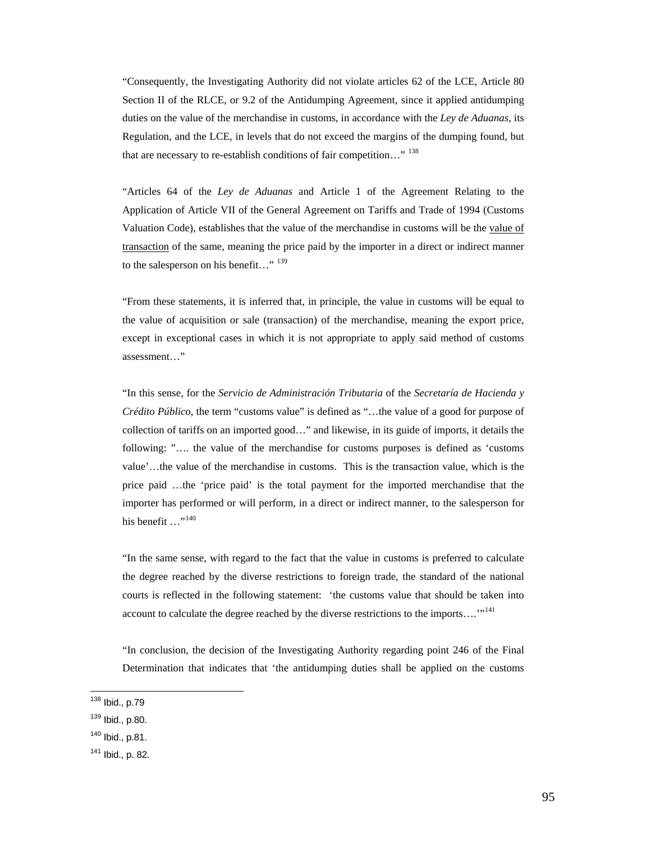"Consequently, the Investigating Authority did not violate articles 62 of the LCE, Article 80 Section II of the RLCE, or 9.2 of the Antidumping Agreement, since it applied antidumping duties on the value of the merchandise in customs, in accordance with the *Ley de Aduanas*, its Regulation, and the LCE, in levels that do not exceed the margins of the dumping found, but that are necessary to re-establish conditions of fair competition…" [138](#page-94-0)

"Articles 64 of the *Ley de Aduanas* and Article 1 of the Agreement Relating to the Application of Article VII of the General Agreement on Tariffs and Trade of 1994 (Customs Valuation Code), establishes that the value of the merchandise in customs will be the value of transaction of the same, meaning the price paid by the importer in a direct or indirect manner to the salesperson on his benefit..."<sup>[139](#page-94-1)</sup>

"From these statements, it is inferred that, in principle, the value in customs will be equal to the value of acquisition or sale (transaction) of the merchandise, meaning the export price, except in exceptional cases in which it is not appropriate to apply said method of customs assessment…"

"In this sense, for the *Servicio de Administración Tributaria* of the *Secretaría de Hacienda y Crédito Público*, the term "customs value" is defined as "…the value of a good for purpose of collection of tariffs on an imported good…" and likewise, in its guide of imports, it details the following: "…. the value of the merchandise for customs purposes is defined as 'customs value'…the value of the merchandise in customs. This is the transaction value, which is the price paid …the 'price paid' is the total payment for the imported merchandise that the importer has performed or will perform, in a direct or indirect manner, to the salesperson for his benefit ..."<sup>[140](#page-94-2)</sup>

"In the same sense, with regard to the fact that the value in customs is preferred to calculate the degree reached by the diverse restrictions to foreign trade, the standard of the national courts is reflected in the following statement: 'the customs value that should be taken into account to calculate the degree reached by the diverse restrictions to the imports...."<sup>[141](#page-94-3)</sup>

"In conclusion, the decision of the Investigating Authority regarding point 246 of the Final Determination that indicates that 'the antidumping duties shall be applied on the customs

<sup>&</sup>lt;sup>138</sup> Ibid., p.79

<span id="page-94-1"></span><span id="page-94-0"></span><sup>139</sup> Ibid., p.80.

<span id="page-94-2"></span><sup>140</sup> Ibid., p.81.

<span id="page-94-3"></span> $141$  Ibid., p. 82.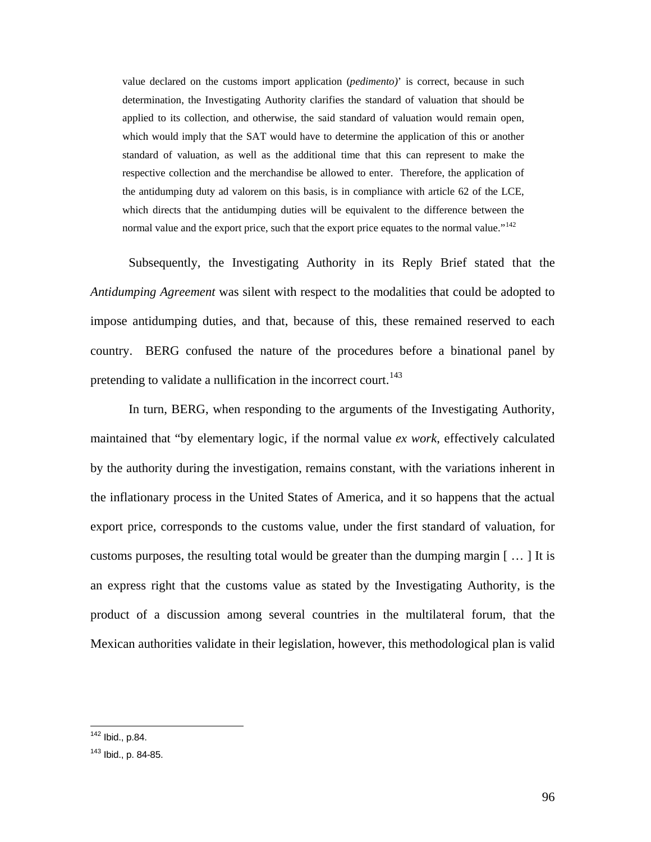value declared on the customs import application (*pedimento)*' is correct, because in such determination, the Investigating Authority clarifies the standard of valuation that should be applied to its collection, and otherwise, the said standard of valuation would remain open, which would imply that the SAT would have to determine the application of this or another standard of valuation, as well as the additional time that this can represent to make the respective collection and the merchandise be allowed to enter. Therefore, the application of the antidumping duty ad valorem on this basis, is in compliance with article 62 of the LCE, which directs that the antidumping duties will be equivalent to the difference between the normal value and the export price, such that the export price equates to the normal value."<sup>[142](#page-95-0)</sup>

Subsequently, the Investigating Authority in its Reply Brief stated that the *Antidumping Agreement* was silent with respect to the modalities that could be adopted to impose antidumping duties, and that, because of this, these remained reserved to each country. BERG confused the nature of the procedures before a binational panel by pretending to validate a nullification in the incorrect court.<sup>[143](#page-95-1)</sup>

In turn, BERG, when responding to the arguments of the Investigating Authority, maintained that "by elementary logic, if the normal value *ex work*, effectively calculated by the authority during the investigation, remains constant, with the variations inherent in the inflationary process in the United States of America, and it so happens that the actual export price, corresponds to the customs value, under the first standard of valuation, for customs purposes, the resulting total would be greater than the dumping margin [ … ] It is an express right that the customs value as stated by the Investigating Authority, is the product of a discussion among several countries in the multilateral forum, that the Mexican authorities validate in their legislation, however, this methodological plan is valid

 $\overline{a}$  $142$  Ibid., p.84.

<span id="page-95-1"></span><span id="page-95-0"></span><sup>143</sup> Ibid., p. 84-85.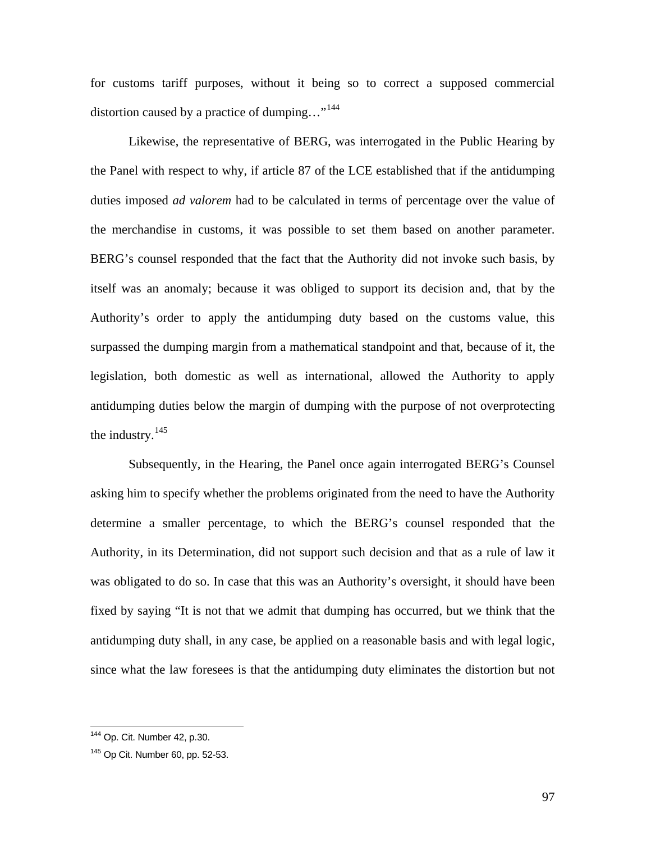for customs tariff purposes, without it being so to correct a supposed commercial distortion caused by a practice of dumping..."<sup>[144](#page-96-0)</sup>

Likewise, the representative of BERG, was interrogated in the Public Hearing by the Panel with respect to why, if article 87 of the LCE established that if the antidumping duties imposed *ad valorem* had to be calculated in terms of percentage over the value of the merchandise in customs, it was possible to set them based on another parameter. BERG's counsel responded that the fact that the Authority did not invoke such basis, by itself was an anomaly; because it was obliged to support its decision and, that by the Authority's order to apply the antidumping duty based on the customs value, this surpassed the dumping margin from a mathematical standpoint and that, because of it, the legislation, both domestic as well as international, allowed the Authority to apply antidumping duties below the margin of dumping with the purpose of not overprotecting the industry.  $145$ 

Subsequently, in the Hearing, the Panel once again interrogated BERG's Counsel asking him to specify whether the problems originated from the need to have the Authority determine a smaller percentage, to which the BERG's counsel responded that the Authority, in its Determination, did not support such decision and that as a rule of law it was obligated to do so. In case that this was an Authority's oversight, it should have been fixed by saying "It is not that we admit that dumping has occurred, but we think that the antidumping duty shall, in any case, be applied on a reasonable basis and with legal logic, since what the law foresees is that the antidumping duty eliminates the distortion but not

 $\overline{a}$ 

<sup>&</sup>lt;sup>144</sup> Op. Cit. Number 42, p.30.

<span id="page-96-1"></span><span id="page-96-0"></span><sup>145</sup> Op Cit. Number 60, pp. 52-53.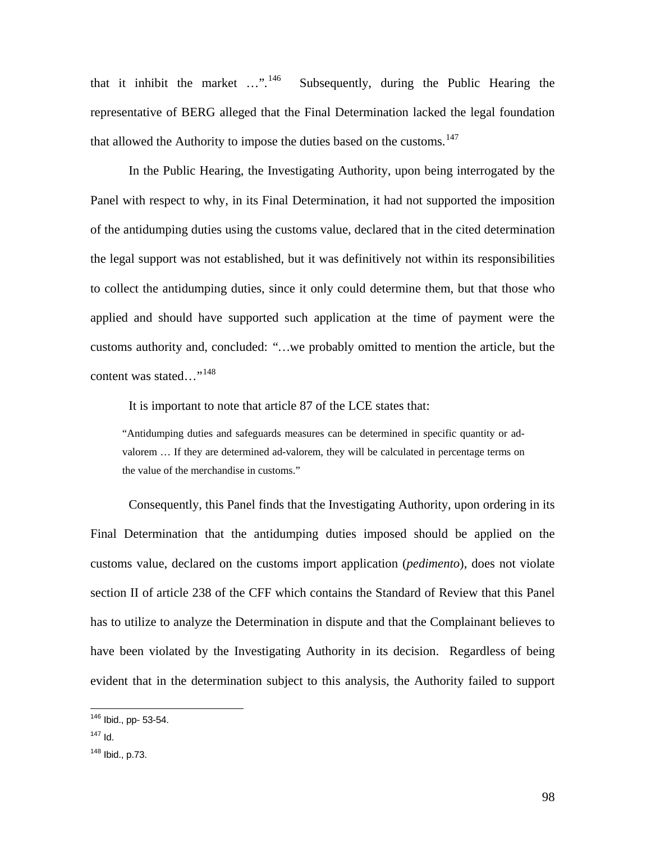that it inhibit the market …"*.* [146](#page-97-0)Subsequently, during the Public Hearing the representative of BERG alleged that the Final Determination lacked the legal foundation that allowed the Authority to impose the duties based on the customs.<sup>[147](#page-97-1)</sup>

In the Public Hearing, the Investigating Authority, upon being interrogated by the Panel with respect to why, in its Final Determination, it had not supported the imposition of the antidumping duties using the customs value, declared that in the cited determination the legal support was not established, but it was definitively not within its responsibilities to collect the antidumping duties, since it only could determine them, but that those who applied and should have supported such application at the time of payment were the customs authority and, concluded: *"…*we probably omitted to mention the article, but the content was stated..."<sup>[148](#page-97-2)</sup>

It is important to note that article 87 of the LCE states that:

"Antidumping duties and safeguards measures can be determined in specific quantity or advalorem … If they are determined ad-valorem, they will be calculated in percentage terms on the value of the merchandise in customs."

Consequently, this Panel finds that the Investigating Authority, upon ordering in its Final Determination that the antidumping duties imposed should be applied on the customs value, declared on the customs import application (*pedimento*), does not violate section II of article 238 of the CFF which contains the Standard of Review that this Panel has to utilize to analyze the Determination in dispute and that the Complainant believes to have been violated by the Investigating Authority in its decision. Regardless of being evident that in the determination subject to this analysis, the Authority failed to support

<sup>146</sup> Ibid., pp- 53-54.

<span id="page-97-0"></span> $147$   $\text{Id}$ .

<span id="page-97-2"></span><span id="page-97-1"></span><sup>148</sup> Ibid., p.73.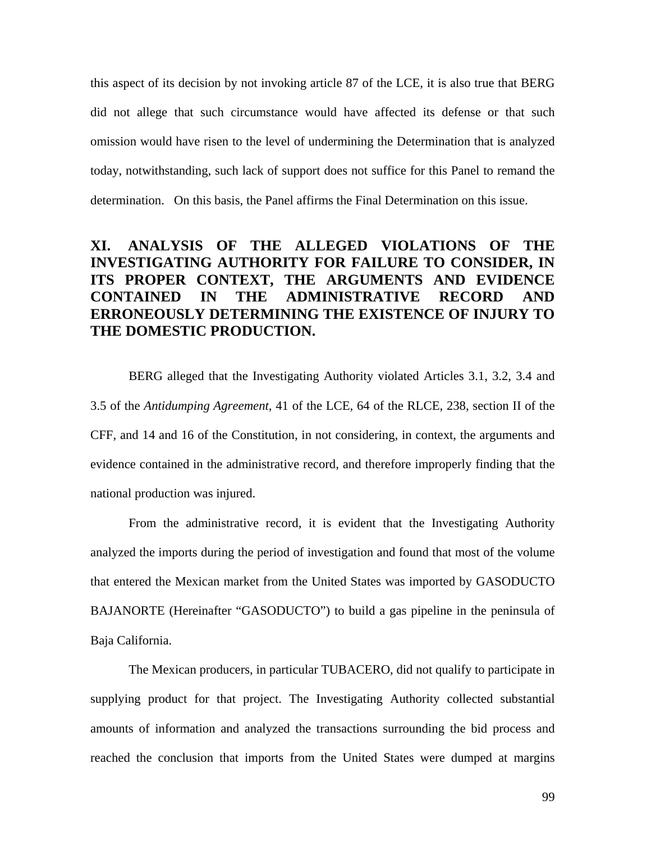this aspect of its decision by not invoking article 87 of the LCE, it is also true that BERG did not allege that such circumstance would have affected its defense or that such omission would have risen to the level of undermining the Determination that is analyzed today, notwithstanding, such lack of support does not suffice for this Panel to remand the determination. On this basis, the Panel affirms the Final Determination on this issue.

#### **XI. ANALYSIS OF THE ALLEGED VIOLATIONS OF THE INVESTIGATING AUTHORITY FOR FAILURE TO CONSIDER, IN ITS PROPER CONTEXT, THE ARGUMENTS AND EVIDENCE CONTAINED IN THE ADMINISTRATIVE RECORD AND ERRONEOUSLY DETERMINING THE EXISTENCE OF INJURY TO THE DOMESTIC PRODUCTION.**

BERG alleged that the Investigating Authority violated Articles 3.1, 3.2, 3.4 and 3.5 of the *Antidumping Agreement*, 41 of the LCE, 64 of the RLCE, 238, section II of the CFF, and 14 and 16 of the Constitution, in not considering, in context, the arguments and evidence contained in the administrative record, and therefore improperly finding that the national production was injured.

From the administrative record, it is evident that the Investigating Authority analyzed the imports during the period of investigation and found that most of the volume that entered the Mexican market from the United States was imported by GASODUCTO BAJANORTE (Hereinafter "GASODUCTO") to build a gas pipeline in the peninsula of Baja California.

The Mexican producers, in particular TUBACERO, did not qualify to participate in supplying product for that project. The Investigating Authority collected substantial amounts of information and analyzed the transactions surrounding the bid process and reached the conclusion that imports from the United States were dumped at margins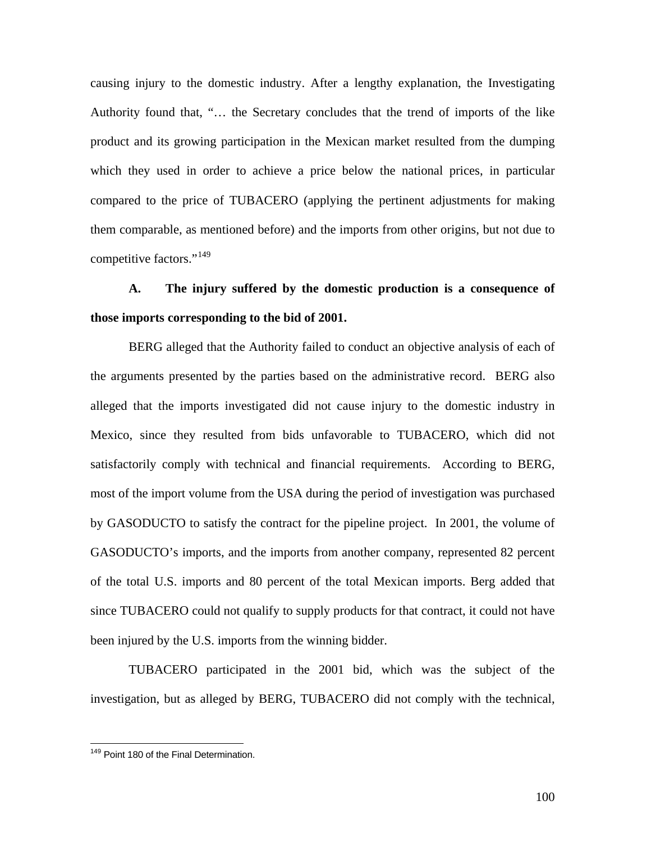causing injury to the domestic industry. After a lengthy explanation, the Investigating Authority found that, "… the Secretary concludes that the trend of imports of the like product and its growing participation in the Mexican market resulted from the dumping which they used in order to achieve a price below the national prices, in particular compared to the price of TUBACERO (applying the pertinent adjustments for making them comparable, as mentioned before) and the imports from other origins, but not due to competitive factors."<sup>[149](#page-99-0)</sup>

### **A. The injury suffered by the domestic production is a consequence of those imports corresponding to the bid of 2001.**

BERG alleged that the Authority failed to conduct an objective analysis of each of the arguments presented by the parties based on the administrative record. BERG also alleged that the imports investigated did not cause injury to the domestic industry in Mexico, since they resulted from bids unfavorable to TUBACERO, which did not satisfactorily comply with technical and financial requirements. According to BERG, most of the import volume from the USA during the period of investigation was purchased by GASODUCTO to satisfy the contract for the pipeline project. In 2001, the volume of GASODUCTO's imports, and the imports from another company, represented 82 percent of the total U.S. imports and 80 percent of the total Mexican imports. Berg added that since TUBACERO could not qualify to supply products for that contract, it could not have been injured by the U.S. imports from the winning bidder.

TUBACERO participated in the 2001 bid, which was the subject of the investigation, but as alleged by BERG, TUBACERO did not comply with the technical,

<span id="page-99-0"></span><sup>&</sup>lt;sup>149</sup> Point 180 of the Final Determination.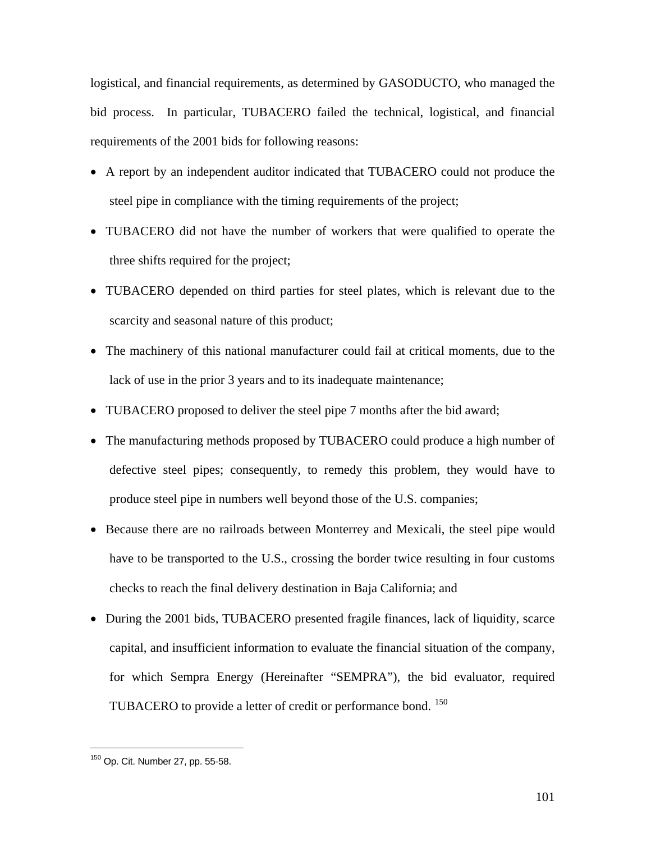logistical, and financial requirements, as determined by GASODUCTO, who managed the bid process. In particular, TUBACERO failed the technical, logistical, and financial requirements of the 2001 bids for following reasons:

- A report by an independent auditor indicated that TUBACERO could not produce the steel pipe in compliance with the timing requirements of the project;
- TUBACERO did not have the number of workers that were qualified to operate the three shifts required for the project;
- TUBACERO depended on third parties for steel plates, which is relevant due to the scarcity and seasonal nature of this product;
- The machinery of this national manufacturer could fail at critical moments, due to the lack of use in the prior 3 years and to its inadequate maintenance;
- TUBACERO proposed to deliver the steel pipe 7 months after the bid award;
- The manufacturing methods proposed by TUBACERO could produce a high number of defective steel pipes; consequently, to remedy this problem, they would have to produce steel pipe in numbers well beyond those of the U.S. companies;
- Because there are no railroads between Monterrey and Mexicali, the steel pipe would have to be transported to the U.S., crossing the border twice resulting in four customs checks to reach the final delivery destination in Baja California; and
- During the 2001 bids, TUBACERO presented fragile finances, lack of liquidity, scarce capital, and insufficient information to evaluate the financial situation of the company, for which Sempra Energy (Hereinafter "SEMPRA"), the bid evaluator, required TUBACERO to provide a letter of credit or performance bond. <sup>[150](#page-100-0)</sup>

<u>.</u>

<span id="page-100-0"></span><sup>150</sup> Op. Cit. Number 27, pp. 55-58.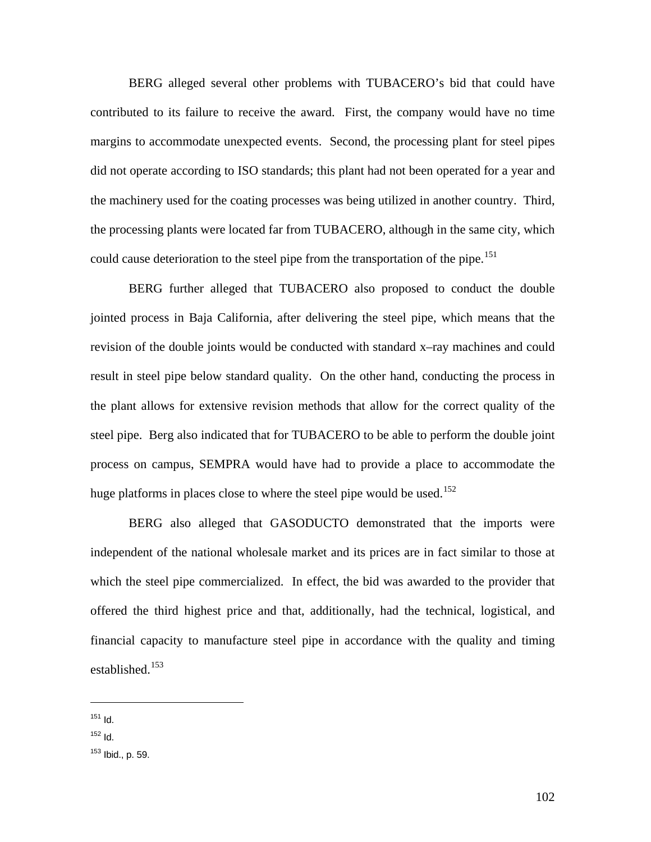BERG alleged several other problems with TUBACERO's bid that could have contributed to its failure to receive the award. First, the company would have no time margins to accommodate unexpected events. Second, the processing plant for steel pipes did not operate according to ISO standards; this plant had not been operated for a year and the machinery used for the coating processes was being utilized in another country. Third, the processing plants were located far from TUBACERO, although in the same city, which could cause deterioration to the steel pipe from the transportation of the pipe.<sup>[151](#page-101-0)</sup>

BERG further alleged that TUBACERO also proposed to conduct the double jointed process in Baja California, after delivering the steel pipe, which means that the revision of the double joints would be conducted with standard x–ray machines and could result in steel pipe below standard quality. On the other hand, conducting the process in the plant allows for extensive revision methods that allow for the correct quality of the steel pipe. Berg also indicated that for TUBACERO to be able to perform the double joint process on campus, SEMPRA would have had to provide a place to accommodate the huge platforms in places close to where the steel pipe would be used.<sup>[152](#page-101-1)</sup>

BERG also alleged that GASODUCTO demonstrated that the imports were independent of the national wholesale market and its prices are in fact similar to those at which the steel pipe commercialized. In effect, the bid was awarded to the provider that offered the third highest price and that, additionally, had the technical, logistical, and financial capacity to manufacture steel pipe in accordance with the quality and timing established.<sup>[153](#page-101-2)</sup>

 $151$  Id.

<span id="page-101-1"></span><span id="page-101-0"></span> $152$  Id.

<span id="page-101-2"></span><sup>153</sup> Ibid., p. 59.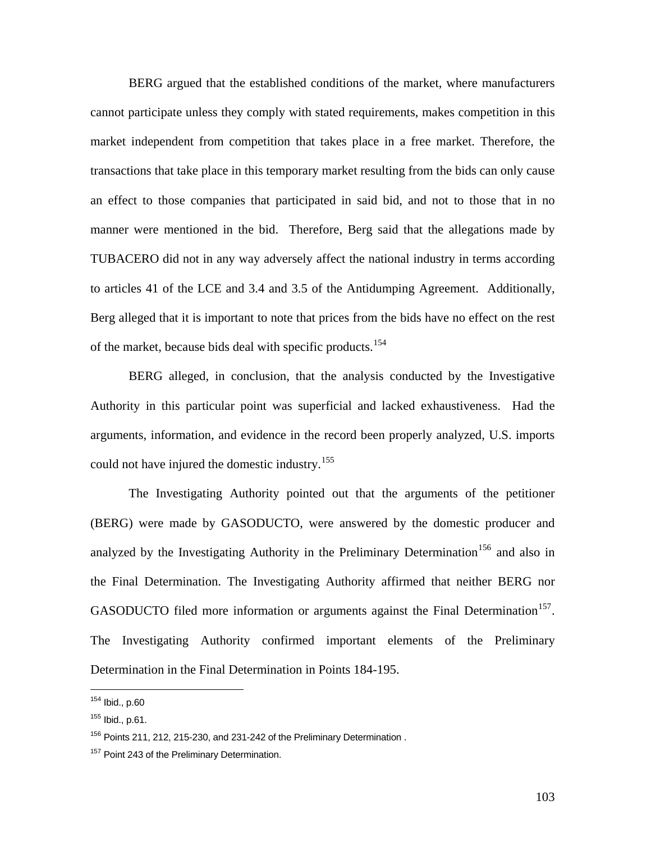BERG argued that the established conditions of the market, where manufacturers cannot participate unless they comply with stated requirements, makes competition in this market independent from competition that takes place in a free market. Therefore, the transactions that take place in this temporary market resulting from the bids can only cause an effect to those companies that participated in said bid, and not to those that in no manner were mentioned in the bid. Therefore, Berg said that the allegations made by TUBACERO did not in any way adversely affect the national industry in terms according to articles 41 of the LCE and 3.4 and 3.5 of the Antidumping Agreement. Additionally, Berg alleged that it is important to note that prices from the bids have no effect on the rest of the market, because bids deal with specific products.<sup>[154](#page-102-0)</sup>

BERG alleged, in conclusion, that the analysis conducted by the Investigative Authority in this particular point was superficial and lacked exhaustiveness. Had the arguments, information, and evidence in the record been properly analyzed, U.S. imports could not have injured the domestic industry.<sup>[155](#page-102-1)</sup>

The Investigating Authority pointed out that the arguments of the petitioner (BERG) were made by GASODUCTO, were answered by the domestic producer and analyzed by the Investigating Authority in the Preliminary Determination<sup>[156](#page-102-2)</sup> and also in the Final Determination. The Investigating Authority affirmed that neither BERG nor GASODUCTO filed more information or arguments against the Final Determination<sup>[157](#page-102-3)</sup>. The Investigating Authority confirmed important elements of the Preliminary Determination in the Final Determination in Points 184-195.

<span id="page-102-0"></span><sup>154</sup> Ibid., p.60

<span id="page-102-1"></span> $155$  Ibid., p.61.

<sup>&</sup>lt;sup>156</sup> Points 211, 212, 215-230, and 231-242 of the Preliminary Determination.

<span id="page-102-3"></span><span id="page-102-2"></span><sup>&</sup>lt;sup>157</sup> Point 243 of the Preliminary Determination.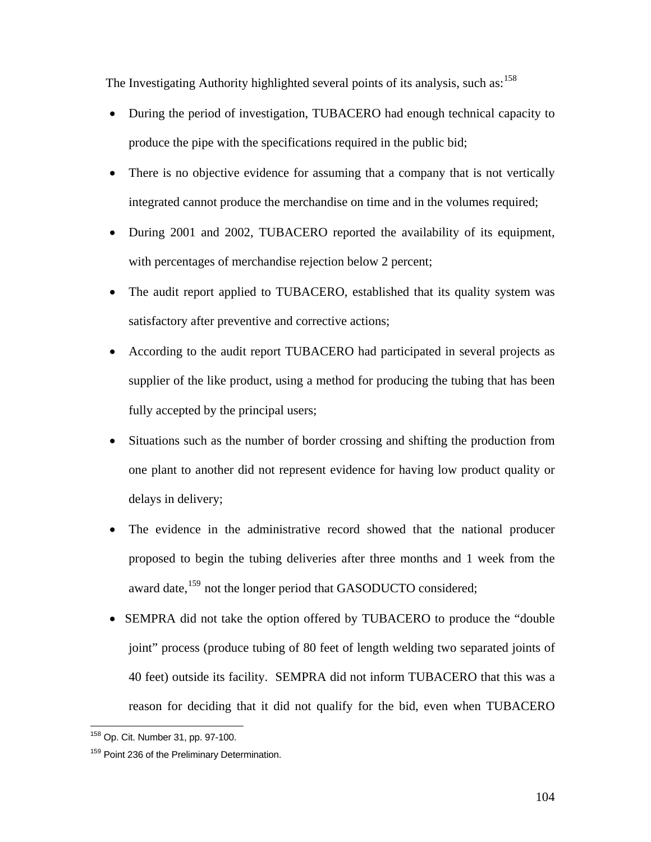The Investigating Authority highlighted several points of its analysis, such as:  $158$ 

- During the period of investigation, TUBACERO had enough technical capacity to produce the pipe with the specifications required in the public bid;
- There is no objective evidence for assuming that a company that is not vertically integrated cannot produce the merchandise on time and in the volumes required;
- During 2001 and 2002, TUBACERO reported the availability of its equipment, with percentages of merchandise rejection below 2 percent;
- The audit report applied to TUBACERO, established that its quality system was satisfactory after preventive and corrective actions;
- According to the audit report TUBACERO had participated in several projects as supplier of the like product, using a method for producing the tubing that has been fully accepted by the principal users;
- Situations such as the number of border crossing and shifting the production from one plant to another did not represent evidence for having low product quality or delays in delivery;
- The evidence in the administrative record showed that the national producer proposed to begin the tubing deliveries after three months and 1 week from the award date,<sup>[159](#page-103-1)</sup> not the longer period that GASODUCTO considered;
- SEMPRA did not take the option offered by TUBACERO to produce the "double joint" process (produce tubing of 80 feet of length welding two separated joints of 40 feet) outside its facility. SEMPRA did not inform TUBACERO that this was a reason for deciding that it did not qualify for the bid, even when TUBACERO

 $\overline{a}$ 

<sup>&</sup>lt;sup>158</sup> Op. Cit. Number 31, pp. 97-100.

<span id="page-103-1"></span><span id="page-103-0"></span><sup>&</sup>lt;sup>159</sup> Point 236 of the Preliminary Determination.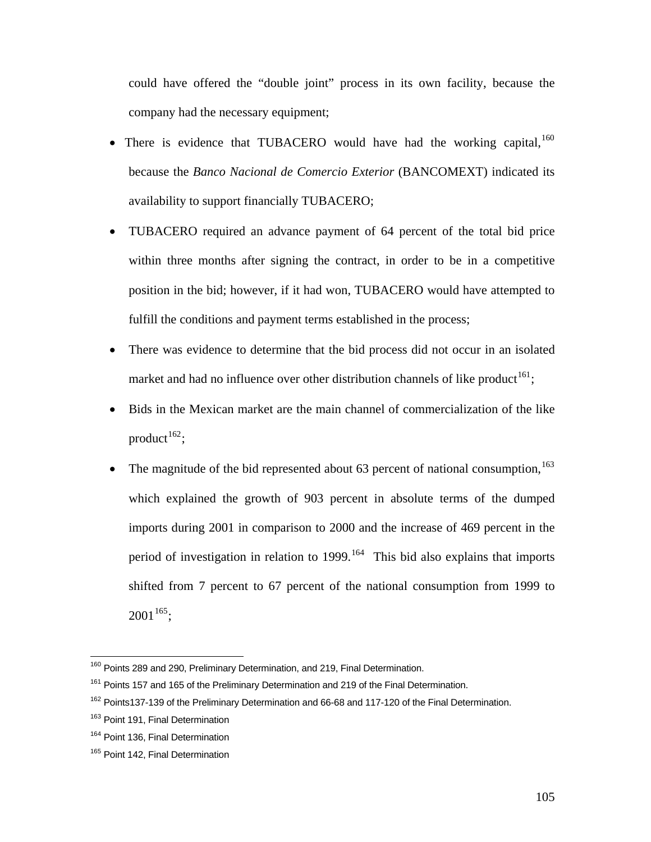could have offered the "double joint" process in its own facility, because the company had the necessary equipment;

- There is evidence that TUBACERO would have had the working capital,  $160$ because the *Banco Nacional de Comercio Exterior* (BANCOMEXT) indicated its availability to support financially TUBACERO;
- TUBACERO required an advance payment of 64 percent of the total bid price within three months after signing the contract, in order to be in a competitive position in the bid; however, if it had won, TUBACERO would have attempted to fulfill the conditions and payment terms established in the process;
- There was evidence to determine that the bid process did not occur in an isolated market and had no influence over other distribution channels of like product<sup>[161](#page-104-1)</sup>;
- Bids in the Mexican market are the main channel of commercialization of the like product<sup>[162](#page-104-2)</sup>;
- The magnitude of the bid represented about 63 percent of national consumption,  $^{163}$  $^{163}$  $^{163}$ which explained the growth of 903 percent in absolute terms of the dumped imports during 2001 in comparison to 2000 and the increase of 469 percent in the period of investigation in relation to 1999.<sup>[164](#page-104-4)</sup> This bid also explains that imports shifted from 7 percent to 67 percent of the national consumption from 1999 to  $2001^{165}$  $2001^{165}$  $2001^{165}$ :

<sup>&</sup>lt;sup>160</sup> Points 289 and 290, Preliminary Determination, and 219, Final Determination.

<span id="page-104-1"></span><span id="page-104-0"></span><sup>&</sup>lt;sup>161</sup> Points 157 and 165 of the Preliminary Determination and 219 of the Final Determination.

<span id="page-104-2"></span><sup>&</sup>lt;sup>162</sup> Points137-139 of the Preliminary Determination and 66-68 and 117-120 of the Final Determination.

<span id="page-104-3"></span><sup>&</sup>lt;sup>163</sup> Point 191, Final Determination

<span id="page-104-4"></span><sup>&</sup>lt;sup>164</sup> Point 136, Final Determination

<span id="page-104-5"></span><sup>&</sup>lt;sup>165</sup> Point 142, Final Determination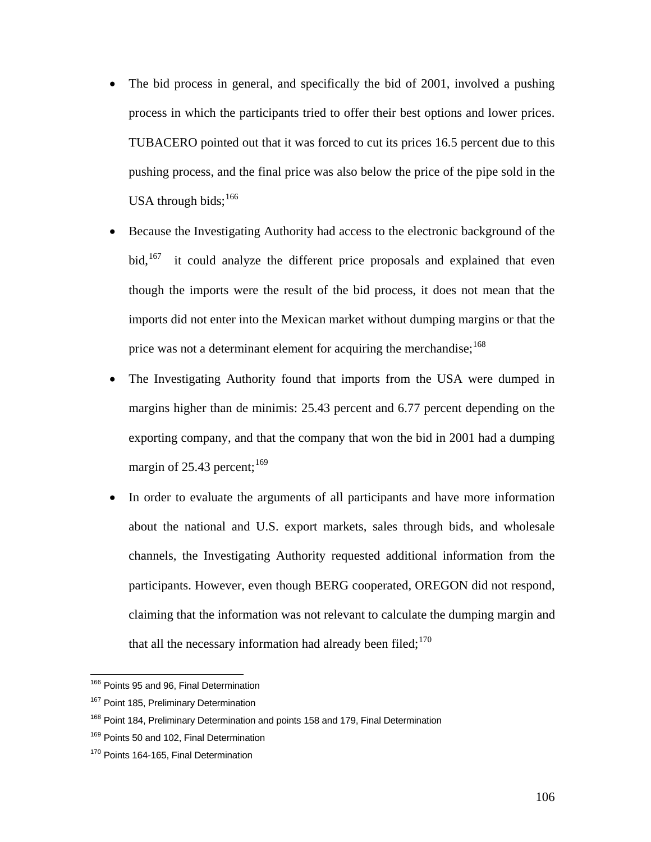- The bid process in general, and specifically the bid of 2001, involved a pushing process in which the participants tried to offer their best options and lower prices. TUBACERO pointed out that it was forced to cut its prices 16.5 percent due to this pushing process, and the final price was also below the price of the pipe sold in the USA through bids; $^{166}$  $^{166}$  $^{166}$
- Because the Investigating Authority had access to the electronic background of the bid,<sup>[167](#page-105-1)</sup> it could analyze the different price proposals and explained that even though the imports were the result of the bid process, it does not mean that the imports did not enter into the Mexican market without dumping margins or that the price was not a determinant element for acquiring the merchandise;<sup>[168](#page-105-2)</sup>
- The Investigating Authority found that imports from the USA were dumped in margins higher than de minimis: 25.43 percent and 6.77 percent depending on the exporting company, and that the company that won the bid in 2001 had a dumping margin of 25.43 percent;  $169$
- In order to evaluate the arguments of all participants and have more information about the national and U.S. export markets, sales through bids, and wholesale channels, the Investigating Authority requested additional information from the participants. However, even though BERG cooperated, OREGON did not respond, claiming that the information was not relevant to calculate the dumping margin and that all the necessary information had already been filed;  $170$

<sup>&</sup>lt;sup>166</sup> Points 95 and 96, Final Determination

<span id="page-105-0"></span><sup>&</sup>lt;sup>167</sup> Point 185, Preliminary Determination

<span id="page-105-2"></span><span id="page-105-1"></span><sup>&</sup>lt;sup>168</sup> Point 184, Preliminary Determination and points 158 and 179, Final Determination

<span id="page-105-3"></span><sup>&</sup>lt;sup>169</sup> Points 50 and 102, Final Determination

<span id="page-105-4"></span><sup>&</sup>lt;sup>170</sup> Points 164-165, Final Determination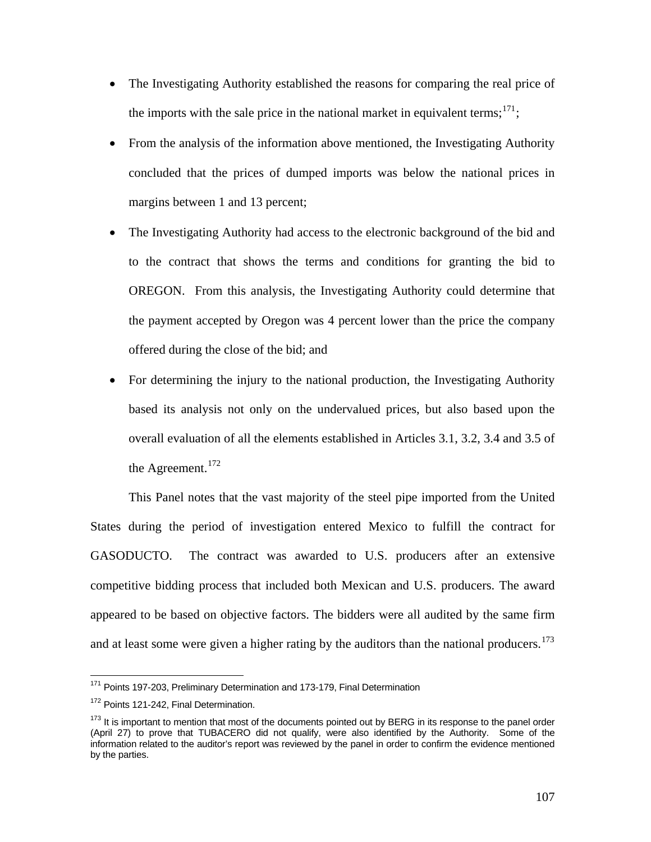- The Investigating Authority established the reasons for comparing the real price of the imports with the sale price in the national market in equivalent terms; $171$ ;
- From the analysis of the information above mentioned, the Investigating Authority concluded that the prices of dumped imports was below the national prices in margins between 1 and 13 percent;
- The Investigating Authority had access to the electronic background of the bid and to the contract that shows the terms and conditions for granting the bid to OREGON. From this analysis, the Investigating Authority could determine that the payment accepted by Oregon was 4 percent lower than the price the company offered during the close of the bid; and
- For determining the injury to the national production, the Investigating Authority based its analysis not only on the undervalued prices, but also based upon the overall evaluation of all the elements established in Articles 3.1, 3.2, 3.4 and 3.5 of the Agreement.<sup>[172](#page-106-1)</sup>

This Panel notes that the vast majority of the steel pipe imported from the United States during the period of investigation entered Mexico to fulfill the contract for GASODUCTO. The contract was awarded to U.S. producers after an extensive competitive bidding process that included both Mexican and U.S. producers. The award appeared to be based on objective factors. The bidders were all audited by the same firm and at least some were given a higher rating by the auditors than the national producers.<sup>173</sup>

<span id="page-106-0"></span><sup>&</sup>lt;sup>171</sup> Points 197-203, Preliminary Determination and 173-179, Final Determination

<span id="page-106-1"></span><sup>&</sup>lt;sup>172</sup> Points 121-242, Final Determination.

<span id="page-106-2"></span><sup>&</sup>lt;sup>173</sup> It is important to mention that most of the documents pointed out by BERG in its response to the panel order (April 27) to prove that TUBACERO did not qualify, were also identified by the Authority. Some of the information related to the auditor's report was reviewed by the panel in order to confirm the evidence mentioned by the parties.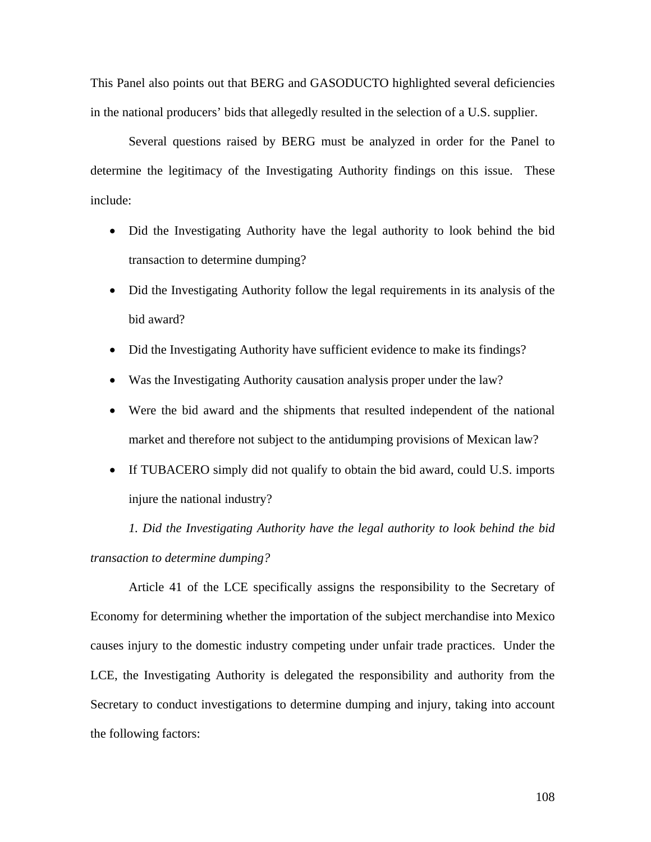This Panel also points out that BERG and GASODUCTO highlighted several deficiencies in the national producers' bids that allegedly resulted in the selection of a U.S. supplier.

Several questions raised by BERG must be analyzed in order for the Panel to determine the legitimacy of the Investigating Authority findings on this issue. These include:

- Did the Investigating Authority have the legal authority to look behind the bid transaction to determine dumping?
- Did the Investigating Authority follow the legal requirements in its analysis of the bid award?
- Did the Investigating Authority have sufficient evidence to make its findings?
- Was the Investigating Authority causation analysis proper under the law?
- Were the bid award and the shipments that resulted independent of the national market and therefore not subject to the antidumping provisions of Mexican law?
- If TUBACERO simply did not qualify to obtain the bid award, could U.S. imports injure the national industry?

*1. Did the Investigating Authority have the legal authority to look behind the bid transaction to determine dumping?* 

Article 41 of the LCE specifically assigns the responsibility to the Secretary of Economy for determining whether the importation of the subject merchandise into Mexico causes injury to the domestic industry competing under unfair trade practices. Under the LCE, the Investigating Authority is delegated the responsibility and authority from the Secretary to conduct investigations to determine dumping and injury, taking into account the following factors: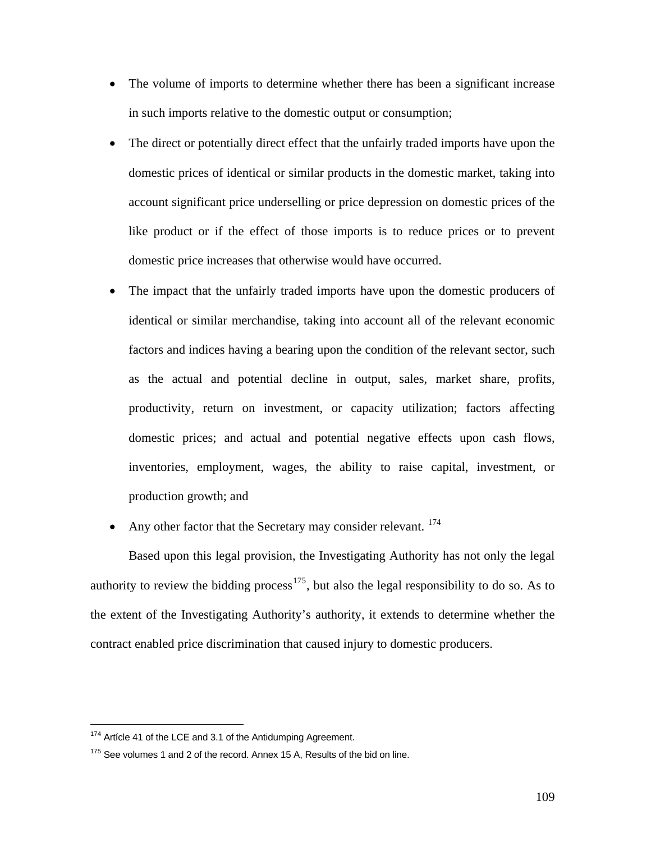- The volume of imports to determine whether there has been a significant increase in such imports relative to the domestic output or consumption;
- The direct or potentially direct effect that the unfairly traded imports have upon the domestic prices of identical or similar products in the domestic market, taking into account significant price underselling or price depression on domestic prices of the like product or if the effect of those imports is to reduce prices or to prevent domestic price increases that otherwise would have occurred.
- The impact that the unfairly traded imports have upon the domestic producers of identical or similar merchandise, taking into account all of the relevant economic factors and indices having a bearing upon the condition of the relevant sector, such as the actual and potential decline in output, sales, market share, profits, productivity, return on investment, or capacity utilization; factors affecting domestic prices; and actual and potential negative effects upon cash flows, inventories, employment, wages, the ability to raise capital, investment, or production growth; and
- Any other factor that the Secretary may consider relevant. <sup>[174](#page-108-0)</sup>

Based upon this legal provision, the Investigating Authority has not only the legal authority to review the bidding process<sup>[175](#page-108-1)</sup>, but also the legal responsibility to do so. As to the extent of the Investigating Authority's authority, it extends to determine whether the contract enabled price discrimination that caused injury to domestic producers.

<span id="page-108-0"></span><sup>&</sup>lt;sup>174</sup> Artícle 41 of the LCE and 3.1 of the Antidumping Agreement.

<span id="page-108-1"></span><sup>&</sup>lt;sup>175</sup> See volumes 1 and 2 of the record. Annex 15 A, Results of the bid on line.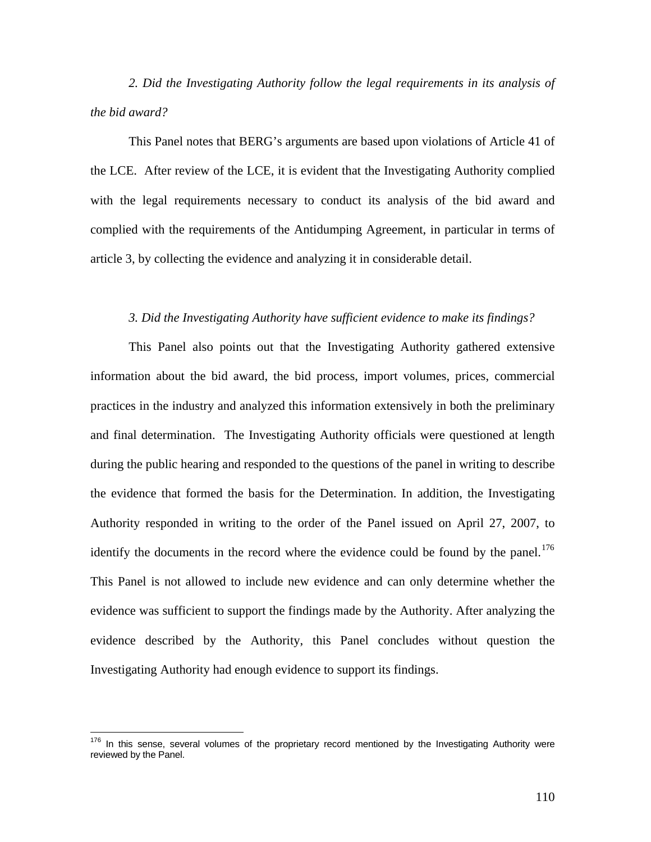*2. Did the Investigating Authority follow the legal requirements in its analysis of the bid award?* 

This Panel notes that BERG's arguments are based upon violations of Article 41 of the LCE. After review of the LCE, it is evident that the Investigating Authority complied with the legal requirements necessary to conduct its analysis of the bid award and complied with the requirements of the Antidumping Agreement, in particular in terms of article 3, by collecting the evidence and analyzing it in considerable detail.

### *3. Did the Investigating Authority have sufficient evidence to make its findings?*

This Panel also points out that the Investigating Authority gathered extensive information about the bid award, the bid process, import volumes, prices, commercial practices in the industry and analyzed this information extensively in both the preliminary and final determination. The Investigating Authority officials were questioned at length during the public hearing and responded to the questions of the panel in writing to describe the evidence that formed the basis for the Determination. In addition, the Investigating Authority responded in writing to the order of the Panel issued on April 27, 2007, to identify the documents in the record where the evidence could be found by the panel.<sup>176</sup> This Panel is not allowed to include new evidence and can only determine whether the evidence was sufficient to support the findings made by the Authority. After analyzing the evidence described by the Authority, this Panel concludes without question the Investigating Authority had enough evidence to support its findings.

 $\overline{a}$ 

<span id="page-109-0"></span> $176$  In this sense, several volumes of the proprietary record mentioned by the Investigating Authority were reviewed by the Panel.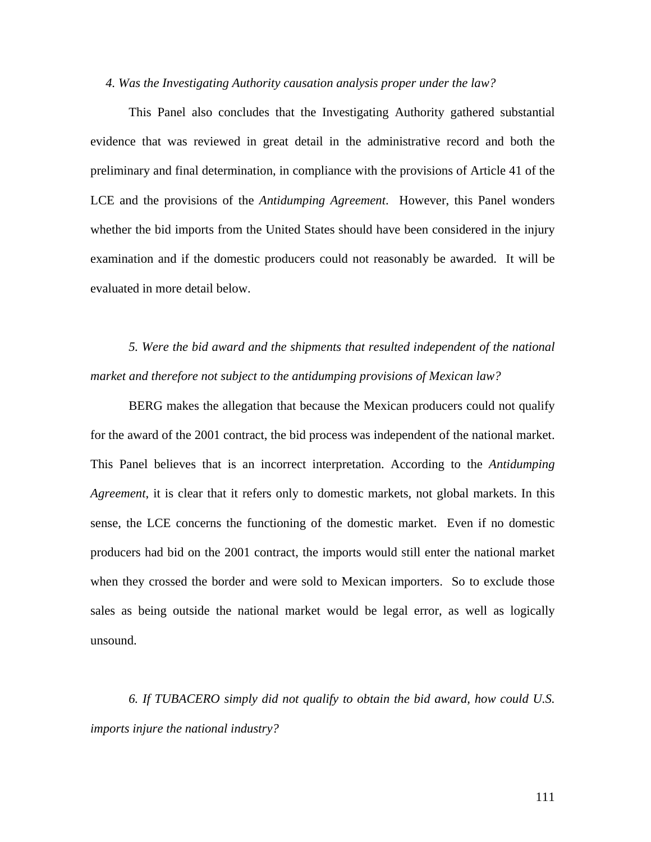### *4. Was the Investigating Authority causation analysis proper under the law?*

This Panel also concludes that the Investigating Authority gathered substantial evidence that was reviewed in great detail in the administrative record and both the preliminary and final determination, in compliance with the provisions of Article 41 of the LCE and the provisions of the *Antidumping Agreement*. However, this Panel wonders whether the bid imports from the United States should have been considered in the injury examination and if the domestic producers could not reasonably be awarded. It will be evaluated in more detail below.

*5. Were the bid award and the shipments that resulted independent of the national market and therefore not subject to the antidumping provisions of Mexican law?* 

BERG makes the allegation that because the Mexican producers could not qualify for the award of the 2001 contract, the bid process was independent of the national market. This Panel believes that is an incorrect interpretation. According to the *Antidumping Agreement*, it is clear that it refers only to domestic markets, not global markets. In this sense, the LCE concerns the functioning of the domestic market. Even if no domestic producers had bid on the 2001 contract, the imports would still enter the national market when they crossed the border and were sold to Mexican importers. So to exclude those sales as being outside the national market would be legal error, as well as logically unsound.

*6. If TUBACERO simply did not qualify to obtain the bid award, how could U.S. imports injure the national industry?*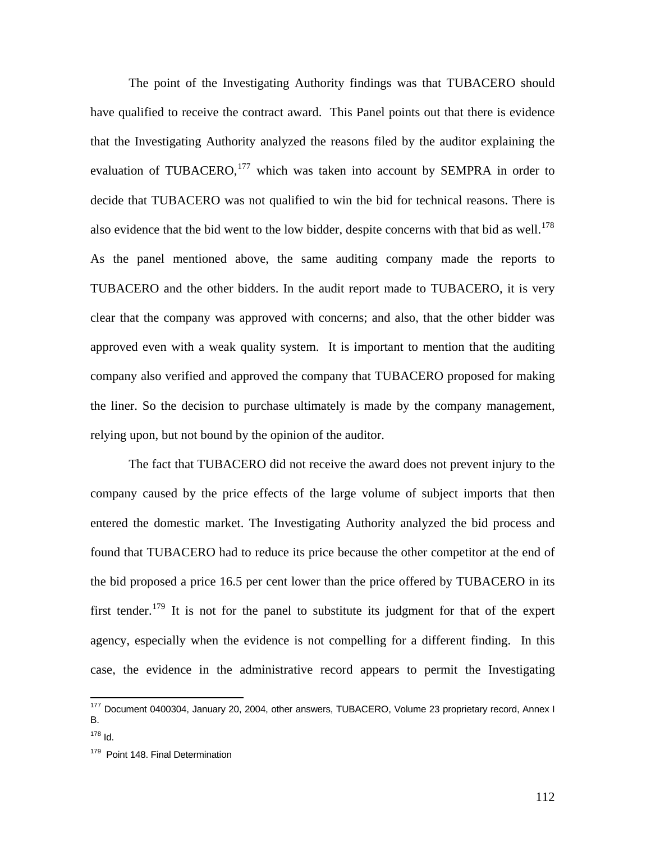The point of the Investigating Authority findings was that TUBACERO should have qualified to receive the contract award. This Panel points out that there is evidence that the Investigating Authority analyzed the reasons filed by the auditor explaining the evaluation of TUBACERO, $177$  which was taken into account by SEMPRA in order to decide that TUBACERO was not qualified to win the bid for technical reasons. There is also evidence that the bid went to the low bidder, despite concerns with that bid as well.<sup>[178](#page-111-1)</sup> As the panel mentioned above, the same auditing company made the reports to TUBACERO and the other bidders. In the audit report made to TUBACERO, it is very clear that the company was approved with concerns; and also, that the other bidder was approved even with a weak quality system. It is important to mention that the auditing company also verified and approved the company that TUBACERO proposed for making the liner. So the decision to purchase ultimately is made by the company management, relying upon, but not bound by the opinion of the auditor.

The fact that TUBACERO did not receive the award does not prevent injury to the company caused by the price effects of the large volume of subject imports that then entered the domestic market. The Investigating Authority analyzed the bid process and found that TUBACERO had to reduce its price because the other competitor at the end of the bid proposed a price 16.5 per cent lower than the price offered by TUBACERO in its first tender.<sup>[179](#page-111-2)</sup> It is not for the panel to substitute its judgment for that of the expert agency, especially when the evidence is not compelling for a different finding. In this case, the evidence in the administrative record appears to permit the Investigating

<span id="page-111-0"></span><sup>&</sup>lt;sup>177</sup> Document 0400304, January 20, 2004, other answers, TUBACERO, Volume 23 proprietary record, Annex I B.

<span id="page-111-1"></span> $178$  Id.

<span id="page-111-2"></span><sup>&</sup>lt;sup>179</sup> Point 148. Final Determination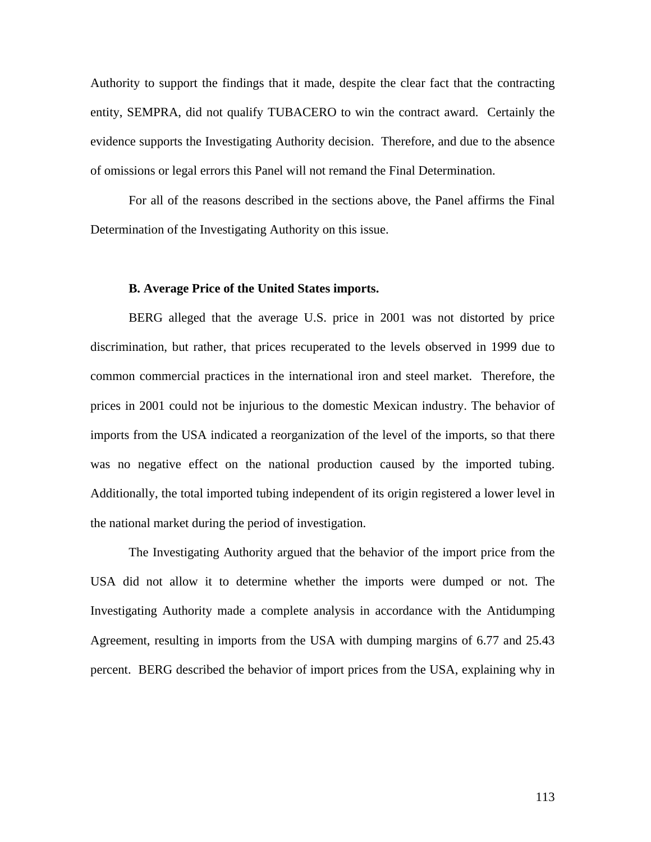Authority to support the findings that it made, despite the clear fact that the contracting entity, SEMPRA, did not qualify TUBACERO to win the contract award. Certainly the evidence supports the Investigating Authority decision. Therefore, and due to the absence of omissions or legal errors this Panel will not remand the Final Determination.

For all of the reasons described in the sections above, the Panel affirms the Final Determination of the Investigating Authority on this issue.

### **B. Average Price of the United States imports.**

BERG alleged that the average U.S. price in 2001 was not distorted by price discrimination, but rather, that prices recuperated to the levels observed in 1999 due to common commercial practices in the international iron and steel market. Therefore, the prices in 2001 could not be injurious to the domestic Mexican industry. The behavior of imports from the USA indicated a reorganization of the level of the imports, so that there was no negative effect on the national production caused by the imported tubing. Additionally, the total imported tubing independent of its origin registered a lower level in the national market during the period of investigation.

The Investigating Authority argued that the behavior of the import price from the USA did not allow it to determine whether the imports were dumped or not. The Investigating Authority made a complete analysis in accordance with the Antidumping Agreement, resulting in imports from the USA with dumping margins of 6.77 and 25.43 percent. BERG described the behavior of import prices from the USA, explaining why in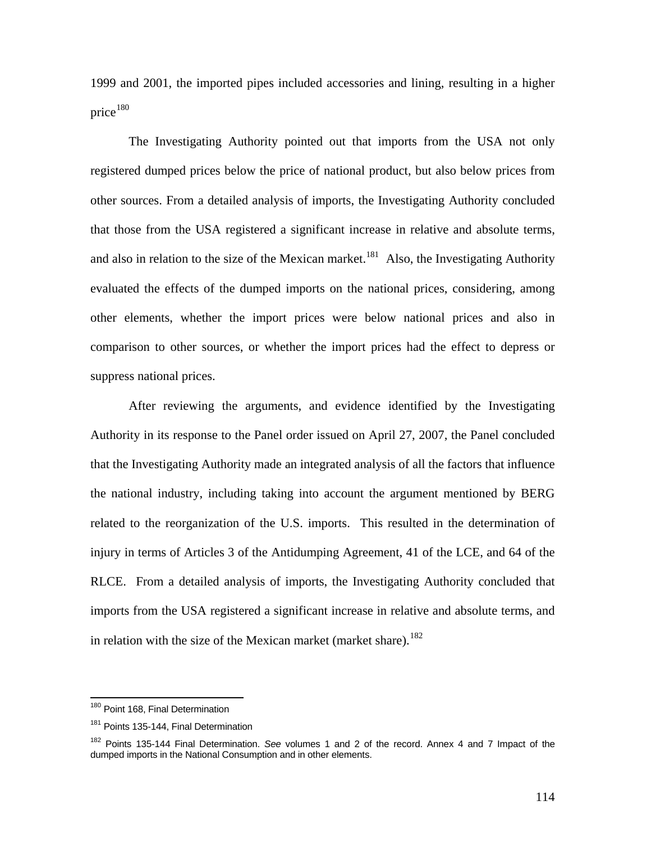1999 and 2001, the imported pipes included accessories and lining, resulting in a higher price $180$ 

The Investigating Authority pointed out that imports from the USA not only registered dumped prices below the price of national product, but also below prices from other sources. From a detailed analysis of imports, the Investigating Authority concluded that those from the USA registered a significant increase in relative and absolute terms, and also in relation to the size of the Mexican market.<sup>[181](#page-113-1)</sup> Also, the Investigating Authority evaluated the effects of the dumped imports on the national prices, considering, among other elements, whether the import prices were below national prices and also in comparison to other sources, or whether the import prices had the effect to depress or suppress national prices.

After reviewing the arguments, and evidence identified by the Investigating Authority in its response to the Panel order issued on April 27, 2007, the Panel concluded that the Investigating Authority made an integrated analysis of all the factors that influence the national industry, including taking into account the argument mentioned by BERG related to the reorganization of the U.S. imports. This resulted in the determination of injury in terms of Articles 3 of the Antidumping Agreement, 41 of the LCE, and 64 of the RLCE. From a detailed analysis of imports, the Investigating Authority concluded that imports from the USA registered a significant increase in relative and absolute terms, and in relation with the size of the Mexican market (market share).<sup>[182](#page-113-2)</sup>

<span id="page-113-0"></span><sup>&</sup>lt;sup>180</sup> Point 168, Final Determination

<sup>&</sup>lt;sup>181</sup> Points 135-144, Final Determination

<span id="page-113-2"></span><span id="page-113-1"></span><sup>182</sup> Points 135-144 Final Determination. *See* volumes 1 and 2 of the record. Annex 4 and 7 Impact of the dumped imports in the National Consumption and in other elements.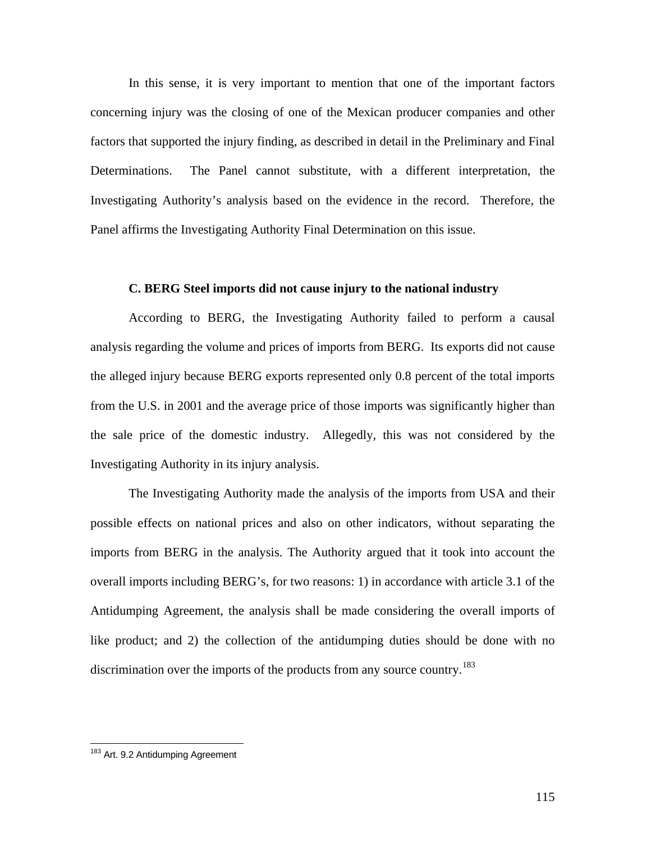In this sense, it is very important to mention that one of the important factors concerning injury was the closing of one of the Mexican producer companies and other factors that supported the injury finding, as described in detail in the Preliminary and Final Determinations. The Panel cannot substitute, with a different interpretation, the Investigating Authority's analysis based on the evidence in the record. Therefore, the Panel affirms the Investigating Authority Final Determination on this issue.

### **C. BERG Steel imports did not cause injury to the national industry**

According to BERG, the Investigating Authority failed to perform a causal analysis regarding the volume and prices of imports from BERG. Its exports did not cause the alleged injury because BERG exports represented only 0.8 percent of the total imports from the U.S. in 2001 and the average price of those imports was significantly higher than the sale price of the domestic industry. Allegedly, this was not considered by the Investigating Authority in its injury analysis.

The Investigating Authority made the analysis of the imports from USA and their possible effects on national prices and also on other indicators, without separating the imports from BERG in the analysis. The Authority argued that it took into account the overall imports including BERG's, for two reasons: 1) in accordance with article 3.1 of the Antidumping Agreement, the analysis shall be made considering the overall imports of like product; and 2) the collection of the antidumping duties should be done with no discrimination over the imports of the products from any source country.<sup>[183](#page-114-0)</sup>

<span id="page-114-0"></span><sup>&</sup>lt;sup>183</sup> Art. 9.2 Antidumping Agreement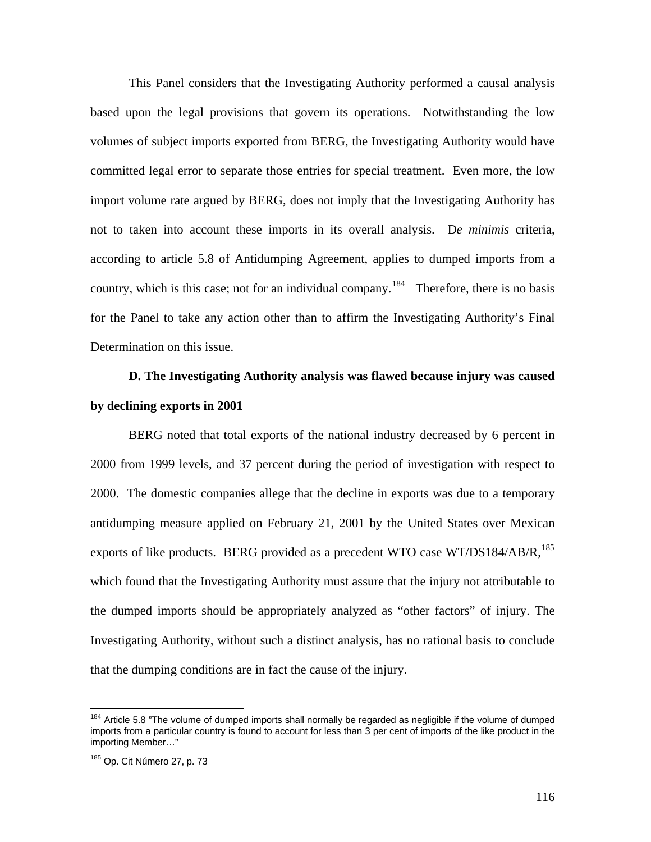This Panel considers that the Investigating Authority performed a causal analysis based upon the legal provisions that govern its operations. Notwithstanding the low volumes of subject imports exported from BERG, the Investigating Authority would have committed legal error to separate those entries for special treatment. Even more, the low import volume rate argued by BERG, does not imply that the Investigating Authority has not to taken into account these imports in its overall analysis. D*e minimis* criteria, according to article 5.8 of Antidumping Agreement, applies to dumped imports from a country, which is this case; not for an individual company.<sup>[184](#page-115-0)</sup> Therefore, there is no basis for the Panel to take any action other than to affirm the Investigating Authority's Final Determination on this issue.

# **D. The Investigating Authority analysis was flawed because injury was caused by declining exports in 2001**

BERG noted that total exports of the national industry decreased by 6 percent in 2000 from 1999 levels, and 37 percent during the period of investigation with respect to 2000. The domestic companies allege that the decline in exports was due to a temporary antidumping measure applied on February 21, 2001 by the United States over Mexican exports of like products. BERG provided as a precedent WTO case WT/DS184/AB/R,<sup>[185](#page-115-1)</sup> which found that the Investigating Authority must assure that the injury not attributable to the dumped imports should be appropriately analyzed as "other factors" of injury. The Investigating Authority, without such a distinct analysis, has no rational basis to conclude that the dumping conditions are in fact the cause of the injury.

<span id="page-115-0"></span><sup>&</sup>lt;sup>184</sup> Article 5.8 "The volume of dumped imports shall normally be regarded as negligible if the volume of dumped imports from a particular country is found to account for less than 3 per cent of imports of the like product in the importing Member…"

<span id="page-115-1"></span><sup>&</sup>lt;sup>185</sup> Op. Cit Número 27, p. 73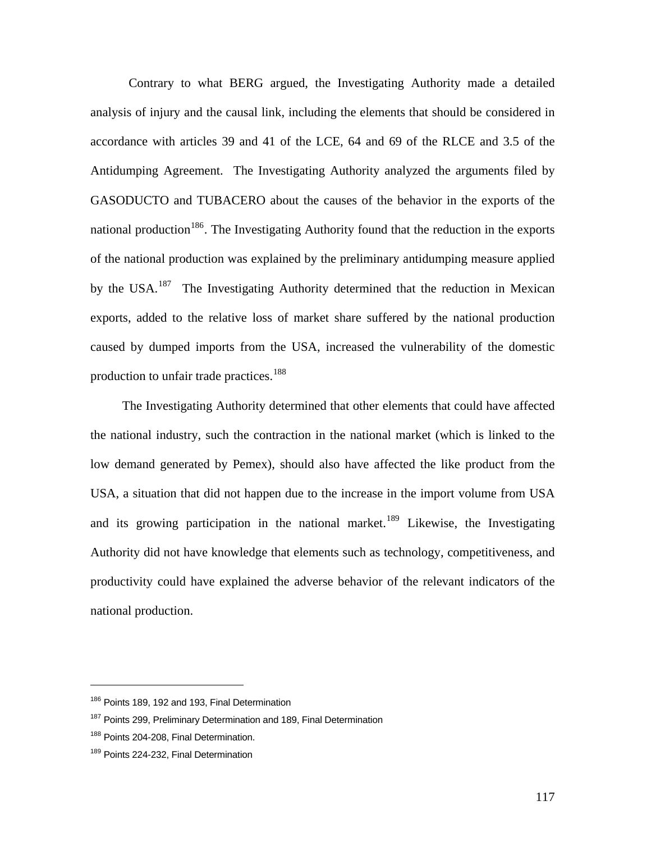Contrary to what BERG argued, the Investigating Authority made a detailed analysis of injury and the causal link, including the elements that should be considered in accordance with articles 39 and 41 of the LCE, 64 and 69 of the RLCE and 3.5 of the Antidumping Agreement. The Investigating Authority analyzed the arguments filed by GASODUCTO and TUBACERO about the causes of the behavior in the exports of the national production<sup>[186](#page-116-0)</sup>. The Investigating Authority found that the reduction in the exports of the national production was explained by the preliminary antidumping measure applied by the USA.<sup>[187](#page-116-1)</sup> The Investigating Authority determined that the reduction in Mexican exports, added to the relative loss of market share suffered by the national production caused by dumped imports from the USA, increased the vulnerability of the domestic production to unfair trade practices.<sup>[188](#page-116-2)</sup>

The Investigating Authority determined that other elements that could have affected the national industry, such the contraction in the national market (which is linked to the low demand generated by Pemex), should also have affected the like product from the USA, a situation that did not happen due to the increase in the import volume from USA and its growing participation in the national market.<sup>[189](#page-116-3)</sup> Likewise, the Investigating Authority did not have knowledge that elements such as technology, competitiveness, and productivity could have explained the adverse behavior of the relevant indicators of the national production.

<span id="page-116-0"></span><sup>&</sup>lt;sup>186</sup> Points 189, 192 and 193, Final Determination

<span id="page-116-1"></span><sup>&</sup>lt;sup>187</sup> Points 299, Preliminary Determination and 189, Final Determination

<sup>&</sup>lt;sup>188</sup> Points 204-208, Final Determination.

<span id="page-116-3"></span><span id="page-116-2"></span><sup>&</sup>lt;sup>189</sup> Points 224-232, Final Determination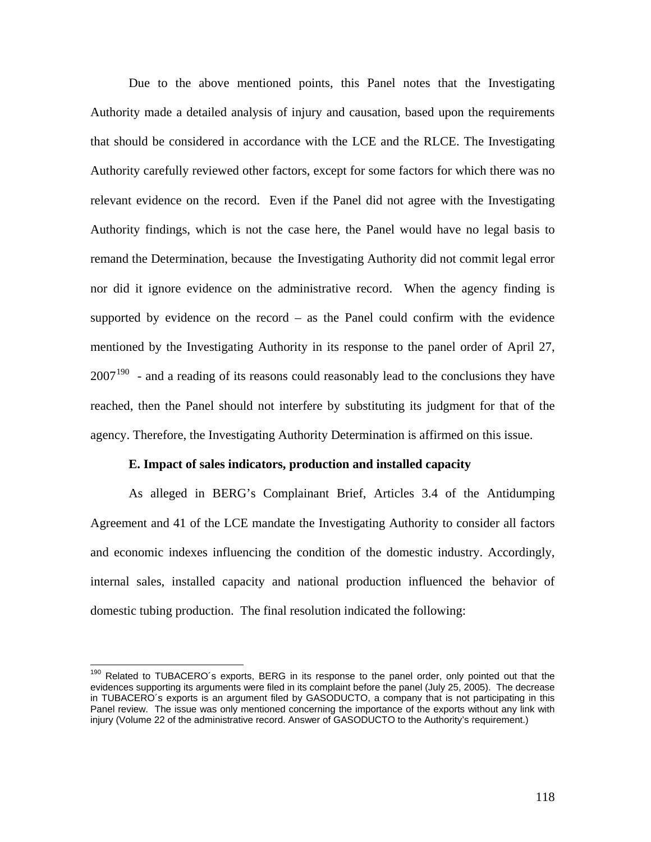Due to the above mentioned points, this Panel notes that the Investigating Authority made a detailed analysis of injury and causation, based upon the requirements that should be considered in accordance with the LCE and the RLCE. The Investigating Authority carefully reviewed other factors, except for some factors for which there was no relevant evidence on the record. Even if the Panel did not agree with the Investigating Authority findings, which is not the case here, the Panel would have no legal basis to remand the Determination, because the Investigating Authority did not commit legal error nor did it ignore evidence on the administrative record. When the agency finding is supported by evidence on the record – as the Panel could confirm with the evidence mentioned by the Investigating Authority in its response to the panel order of April 27,  $2007<sup>190</sup>$  $2007<sup>190</sup>$  $2007<sup>190</sup>$  - and a reading of its reasons could reasonably lead to the conclusions they have reached, then the Panel should not interfere by substituting its judgment for that of the agency. Therefore, the Investigating Authority Determination is affirmed on this issue.

### **E. Impact of sales indicators, production and installed capacity**

As alleged in BERG's Complainant Brief, Articles 3.4 of the Antidumping Agreement and 41 of the LCE mandate the Investigating Authority to consider all factors and economic indexes influencing the condition of the domestic industry. Accordingly, internal sales, installed capacity and national production influenced the behavior of domestic tubing production. The final resolution indicated the following:

<span id="page-117-0"></span><sup>&</sup>lt;sup>190</sup> Related to TUBACERO's exports, BERG in its response to the panel order, only pointed out that the evidences supporting its arguments were filed in its complaint before the panel (July 25, 2005). The decrease in TUBACERO´s exports is an argument filed by GASODUCTO, a company that is not participating in this Panel review. The issue was only mentioned concerning the importance of the exports without any link with injury (Volume 22 of the administrative record. Answer of GASODUCTO to the Authority's requirement.)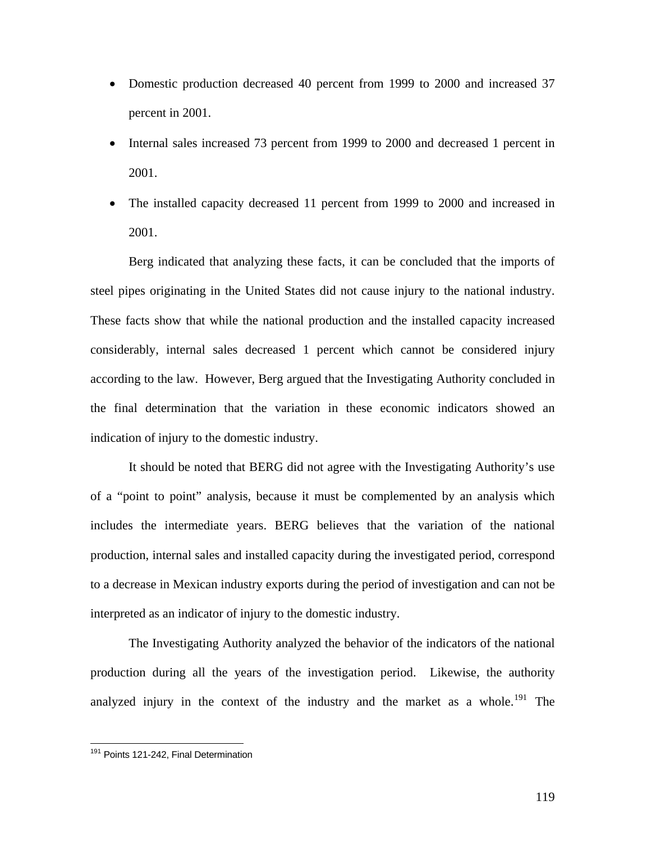- Domestic production decreased 40 percent from 1999 to 2000 and increased 37 percent in 2001.
- Internal sales increased 73 percent from 1999 to 2000 and decreased 1 percent in 2001.
- The installed capacity decreased 11 percent from 1999 to 2000 and increased in 2001.

Berg indicated that analyzing these facts, it can be concluded that the imports of steel pipes originating in the United States did not cause injury to the national industry. These facts show that while the national production and the installed capacity increased considerably, internal sales decreased 1 percent which cannot be considered injury according to the law. However, Berg argued that the Investigating Authority concluded in the final determination that the variation in these economic indicators showed an indication of injury to the domestic industry.

It should be noted that BERG did not agree with the Investigating Authority's use of a "point to point" analysis, because it must be complemented by an analysis which includes the intermediate years. BERG believes that the variation of the national production, internal sales and installed capacity during the investigated period, correspond to a decrease in Mexican industry exports during the period of investigation and can not be interpreted as an indicator of injury to the domestic industry.

The Investigating Authority analyzed the behavior of the indicators of the national production during all the years of the investigation period. Likewise, the authority analyzed injury in the context of the industry and the market as a whole.<sup>[191](#page-118-0)</sup> The

<span id="page-118-0"></span><sup>&</sup>lt;sup>191</sup> Points 121-242, Final Determination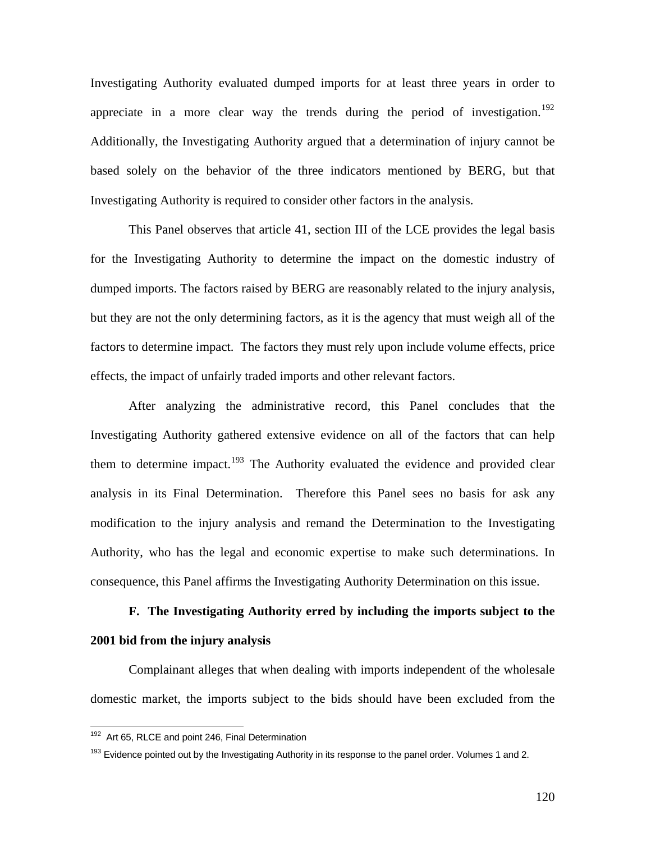Investigating Authority evaluated dumped imports for at least three years in order to appreciate in a more clear way the trends during the period of investigation.<sup>[192](#page-119-0)</sup> Additionally, the Investigating Authority argued that a determination of injury cannot be based solely on the behavior of the three indicators mentioned by BERG, but that Investigating Authority is required to consider other factors in the analysis.

This Panel observes that article 41, section III of the LCE provides the legal basis for the Investigating Authority to determine the impact on the domestic industry of dumped imports. The factors raised by BERG are reasonably related to the injury analysis, but they are not the only determining factors, as it is the agency that must weigh all of the factors to determine impact. The factors they must rely upon include volume effects, price effects, the impact of unfairly traded imports and other relevant factors.

After analyzing the administrative record, this Panel concludes that the Investigating Authority gathered extensive evidence on all of the factors that can help them to determine impact.<sup>[193](#page-119-1)</sup> The Authority evaluated the evidence and provided clear analysis in its Final Determination. Therefore this Panel sees no basis for ask any modification to the injury analysis and remand the Determination to the Investigating Authority, who has the legal and economic expertise to make such determinations. In consequence, this Panel affirms the Investigating Authority Determination on this issue.

# **F. The Investigating Authority erred by including the imports subject to the 2001 bid from the injury analysis**

Complainant alleges that when dealing with imports independent of the wholesale domestic market, the imports subject to the bids should have been excluded from the

 $\overline{a}$ 

<sup>&</sup>lt;sup>192</sup> Art 65, RLCE and point 246, Final Determination

<span id="page-119-1"></span><span id="page-119-0"></span><sup>&</sup>lt;sup>193</sup> Evidence pointed out by the Investigating Authority in its response to the panel order. Volumes 1 and 2.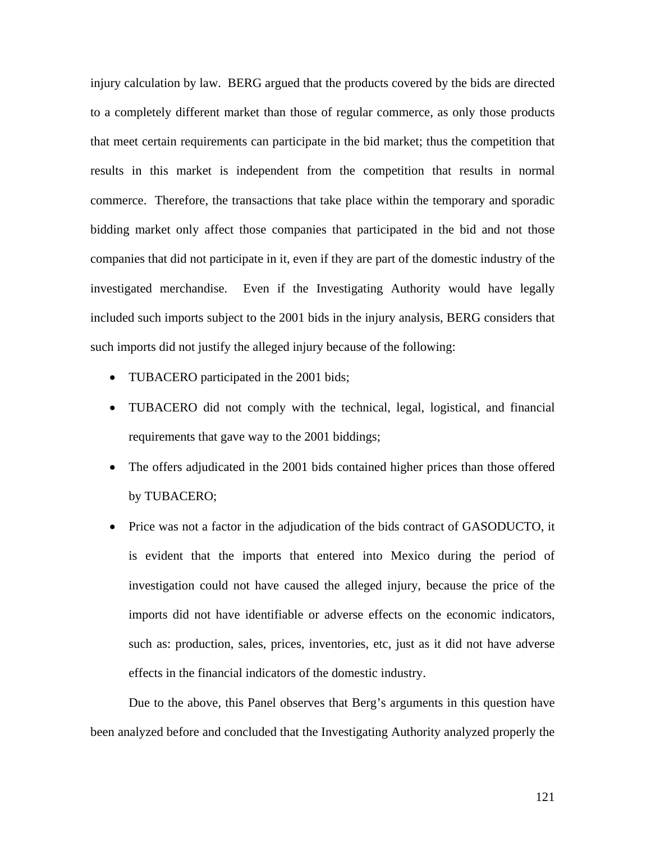injury calculation by law. BERG argued that the products covered by the bids are directed to a completely different market than those of regular commerce, as only those products that meet certain requirements can participate in the bid market; thus the competition that results in this market is independent from the competition that results in normal commerce. Therefore, the transactions that take place within the temporary and sporadic bidding market only affect those companies that participated in the bid and not those companies that did not participate in it, even if they are part of the domestic industry of the investigated merchandise. Even if the Investigating Authority would have legally included such imports subject to the 2001 bids in the injury analysis, BERG considers that such imports did not justify the alleged injury because of the following:

- TUBACERO participated in the 2001 bids;
- TUBACERO did not comply with the technical, legal, logistical, and financial requirements that gave way to the 2001 biddings;
- The offers adjudicated in the 2001 bids contained higher prices than those offered by TUBACERO;
- Price was not a factor in the adjudication of the bids contract of GASODUCTO, it is evident that the imports that entered into Mexico during the period of investigation could not have caused the alleged injury, because the price of the imports did not have identifiable or adverse effects on the economic indicators, such as: production, sales, prices, inventories, etc, just as it did not have adverse effects in the financial indicators of the domestic industry.

Due to the above, this Panel observes that Berg's arguments in this question have been analyzed before and concluded that the Investigating Authority analyzed properly the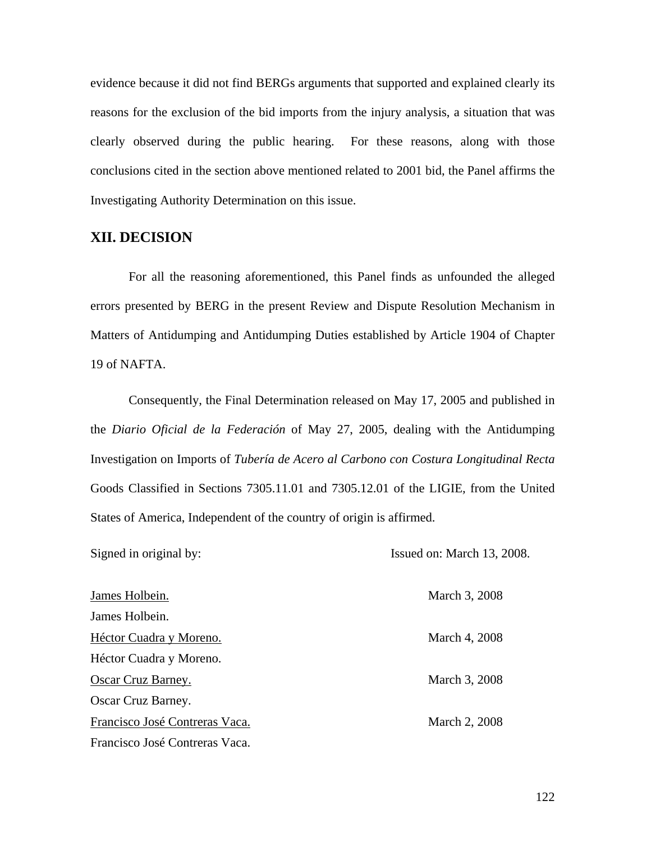evidence because it did not find BERGs arguments that supported and explained clearly its reasons for the exclusion of the bid imports from the injury analysis, a situation that was clearly observed during the public hearing. For these reasons, along with those conclusions cited in the section above mentioned related to 2001 bid, the Panel affirms the Investigating Authority Determination on this issue.

# **XII. DECISION**

For all the reasoning aforementioned, this Panel finds as unfounded the alleged errors presented by BERG in the present Review and Dispute Resolution Mechanism in Matters of Antidumping and Antidumping Duties established by Article 1904 of Chapter 19 of NAFTA.

Consequently, the Final Determination released on May 17, 2005 and published in the *Diario Oficial de la Federación* of May 27, 2005, dealing with the Antidumping Investigation on Imports of *Tubería de Acero al Carbono con Costura Longitudinal Recta*  Goods Classified in Sections 7305.11.01 and 7305.12.01 of the LIGIE*,* from the United States of America, Independent of the country of origin is affirmed.

| James Holbein.                 | March 3, 2008 |
|--------------------------------|---------------|
| James Holbein.                 |               |
| Héctor Cuadra y Moreno.        | March 4, 2008 |
| Héctor Cuadra y Moreno.        |               |
| Oscar Cruz Barney.             | March 3, 2008 |
| Oscar Cruz Barney.             |               |
| Francisco José Contreras Vaca. | March 2, 2008 |
| Francisco José Contreras Vaca. |               |

Signed in original by: Issued on: March 13, 2008.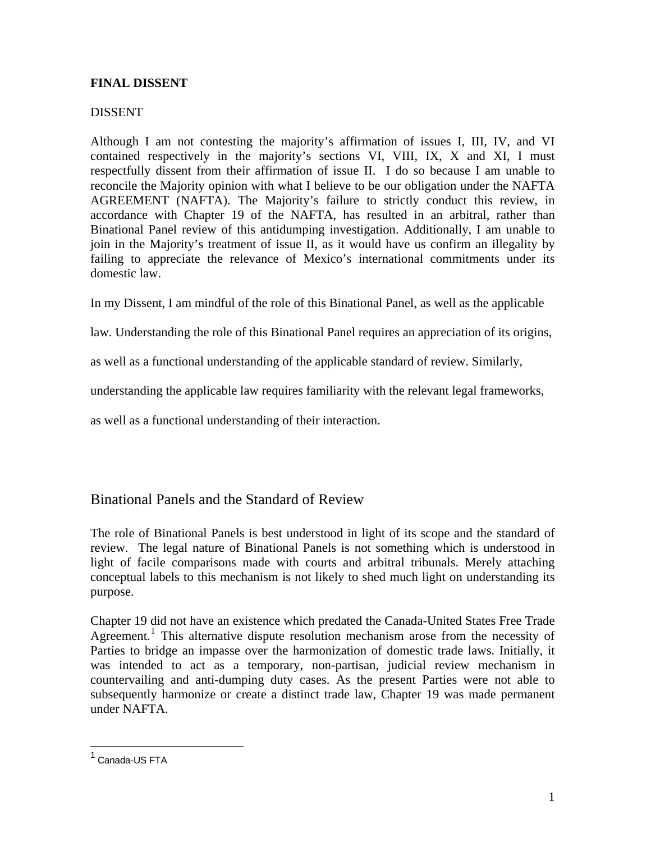# **FINAL DISSENT**

## DISSENT

Although I am not contesting the majority's affirmation of issues I, III, IV, and VI contained respectively in the majority's sections VI, VIII, IX, X and XI, I must respectfully dissent from their affirmation of issue II. I do so because I am unable to reconcile the Majority opinion with what I believe to be our obligation under the NAFTA AGREEMENT (NAFTA). The Majority's failure to strictly conduct this review, in accordance with Chapter 19 of the NAFTA, has resulted in an arbitral, rather than Binational Panel review of this antidumping investigation. Additionally, I am unable to join in the Majority's treatment of issue II, as it would have us confirm an illegality by failing to appreciate the relevance of Mexico's international commitments under its domestic law.

In my Dissent, I am mindful of the role of this Binational Panel, as well as the applicable

law. Understanding the role of this Binational Panel requires an appreciation of its origins,

as well as a functional understanding of the applicable standard of review. Similarly,

understanding the applicable law requires familiarity with the relevant legal frameworks,

as well as a functional understanding of their interaction.

# Binational Panels and the Standard of Review

The role of Binational Panels is best understood in light of its scope and the standard of review. The legal nature of Binational Panels is not something which is understood in light of facile comparisons made with courts and arbitral tribunals. Merely attaching conceptual labels to this mechanism is not likely to shed much light on understanding its purpose.

Chapter 19 did not have an existence which predated the Canada-United States Free Trade Agreement.<sup>[1](#page-122-0)</sup> This alternative dispute resolution mechanism arose from the necessity of Parties to bridge an impasse over the harmonization of domestic trade laws. Initially, it was intended to act as a temporary, non-partisan, judicial review mechanism in countervailing and anti-dumping duty cases. As the present Parties were not able to subsequently harmonize or create a distinct trade law, Chapter 19 was made permanent under NAFTA.

<span id="page-122-0"></span><sup>&</sup>lt;sup>1</sup> Canada-US FTA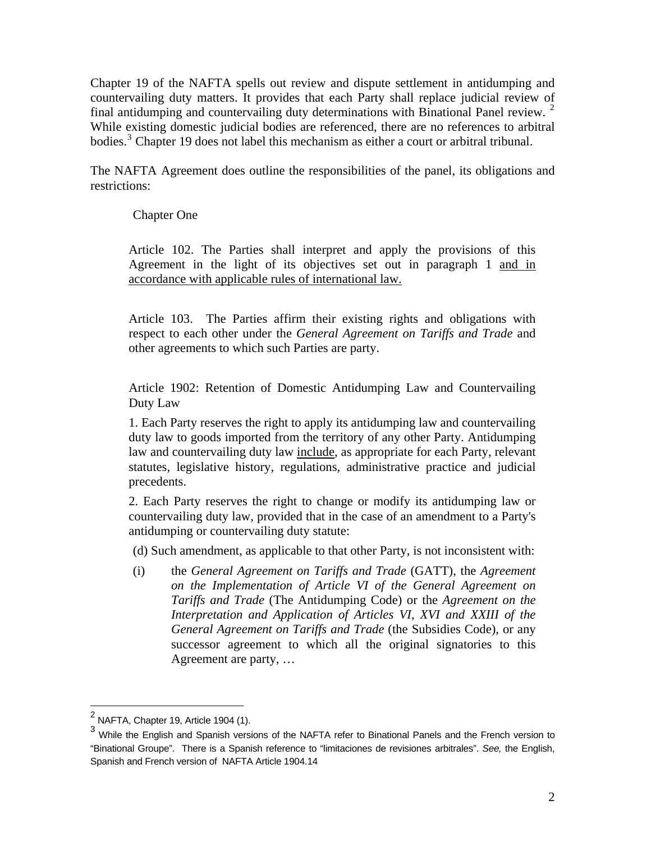Chapter 19 of the NAFTA spells out review and dispute settlement in antidumping and countervailing duty matters. It provides that each Party shall replace judicial review of final antidumping and countervailing duty determinations with Binational Panel review.  $2\overline{ }$  $2\overline{ }$ While existing domestic judicial bodies are referenced, there are no references to arbitral bodies.<sup>[3](#page-123-1)</sup> Chapter 19 does not label this mechanism as either a court or arbitral tribunal.

The NAFTA Agreement does outline the responsibilities of the panel, its obligations and restrictions:

Chapter One

Article 102. The Parties shall interpret and apply the provisions of this Agreement in the light of its objectives set out in paragraph 1 and in accordance with applicable rules of international law.

Article 103. The Parties affirm their existing rights and obligations with respect to each other under the *General Agreement on Tariffs and Trade* and other agreements to which such Parties are party.

Article 1902: Retention of Domestic Antidumping Law and Countervailing Duty Law

1. Each Party reserves the right to apply its antidumping law and countervailing duty law to goods imported from the territory of any other Party. Antidumping law and countervailing duty law include, as appropriate for each Party, relevant statutes, legislative history, regulations, administrative practice and judicial precedents.

2. Each Party reserves the right to change or modify its antidumping law or countervailing duty law, provided that in the case of an amendment to a Party's antidumping or countervailing duty statute:

(d) Such amendment, as applicable to that other Party, is not inconsistent with:

(i) the *General Agreement on Tariffs and Trade* (GATT), the *Agreement on the Implementation of Article VI of the General Agreement on Tariffs and Trade* (The Antidumping Code) or the *Agreement on the Interpretation and Application of Articles VI, XVI and XXIII of the General Agreement on Tariffs and Trade* (the Subsidies Code), or any successor agreement to which all the original signatories to this Agreement are party, …

 2 NAFTA, Chapter 19, Article 1904 (1).

<span id="page-123-1"></span><span id="page-123-0"></span><sup>&</sup>lt;sup>3</sup> While the English and Spanish versions of the NAFTA refer to Binational Panels and the French version to "Binational Groupe". There is a Spanish reference to "limitaciones de revisiones arbitrales". *See,* the English, Spanish and French version of NAFTA Article 1904.14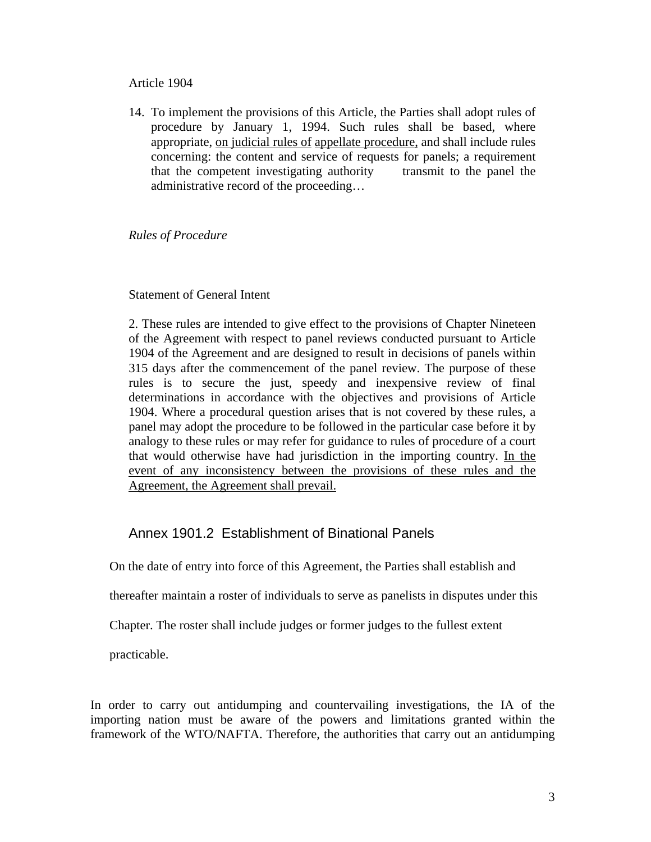### Article 1904

14. To implement the provisions of this Article, the Parties shall adopt rules of procedure by January 1, 1994. Such rules shall be based, where appropriate, on judicial rules of appellate procedure, and shall include rules concerning: the content and service of requests for panels; a requirement that the competent investigating authority transmit to the panel the administrative record of the proceeding…

### *Rules of Procedure*

### Statement of General Intent

2. These rules are intended to give effect to the provisions of Chapter Nineteen of the Agreement with respect to panel reviews conducted pursuant to Article 1904 of the Agreement and are designed to result in decisions of panels within 315 days after the commencement of the panel review. The purpose of these rules is to secure the just, speedy and inexpensive review of final determinations in accordance with the objectives and provisions of Article 1904. Where a procedural question arises that is not covered by these rules, a panel may adopt the procedure to be followed in the particular case before it by analogy to these rules or may refer for guidance to rules of procedure of a court that would otherwise have had jurisdiction in the importing country. In the event of any inconsistency between the provisions of these rules and the Agreement, the Agreement shall prevail.

# Annex 1901.2 Establishment of Binational Panels

On the date of entry into force of this Agreement, the Parties shall establish and

thereafter maintain a roster of individuals to serve as panelists in disputes under this

Chapter. The roster shall include judges or former judges to the fullest extent

practicable.

In order to carry out antidumping and countervailing investigations, the IA of the importing nation must be aware of the powers and limitations granted within the framework of the WTO/NAFTA. Therefore, the authorities that carry out an antidumping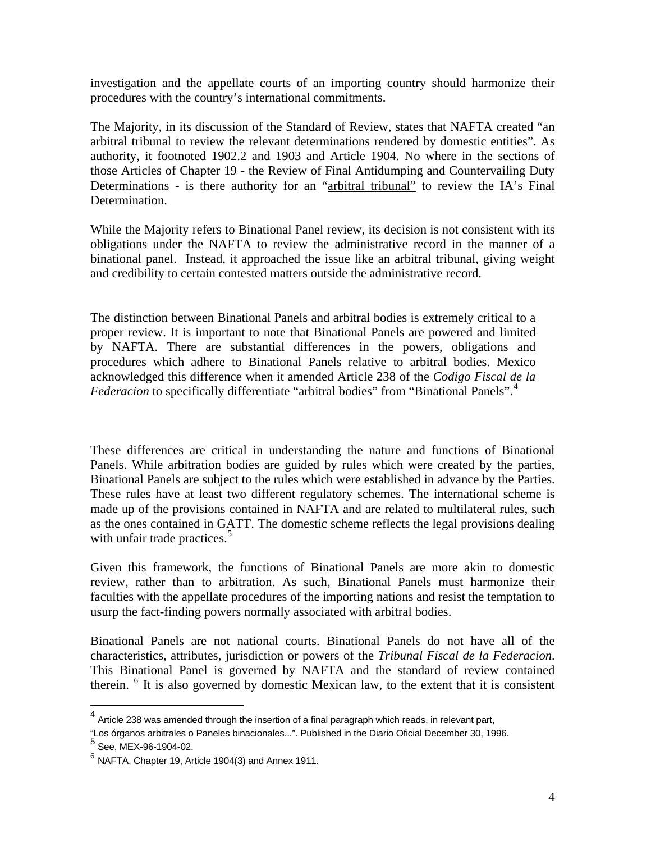investigation and the appellate courts of an importing country should harmonize their procedures with the country's international commitments.

The Majority, in its discussion of the Standard of Review, states that NAFTA created "an arbitral tribunal to review the relevant determinations rendered by domestic entities". As authority, it footnoted 1902.2 and 1903 and Article 1904. No where in the sections of those Articles of Chapter 19 - the Review of Final Antidumping and Countervailing Duty Determinations - is there authority for an "arbitral tribunal" to review the IA's Final Determination.

While the Majority refers to Binational Panel review, its decision is not consistent with its obligations under the NAFTA to review the administrative record in the manner of a binational panel. Instead, it approached the issue like an arbitral tribunal, giving weight and credibility to certain contested matters outside the administrative record.

The distinction between Binational Panels and arbitral bodies is extremely critical to a proper review. It is important to note that Binational Panels are powered and limited by NAFTA. There are substantial differences in the powers, obligations and procedures which adhere to Binational Panels relative to arbitral bodies. Mexico acknowledged this difference when it amended Article 238 of the *Codigo Fiscal de la Federacion* to specifically differentiate "arbitral bodies" from "Binational Panels".<sup>[4](#page-125-0)</sup>

These differences are critical in understanding the nature and functions of Binational Panels. While arbitration bodies are guided by rules which were created by the parties, Binational Panels are subject to the rules which were established in advance by the Parties. These rules have at least two different regulatory schemes. The international scheme is made up of the provisions contained in NAFTA and are related to multilateral rules, such as the ones contained in GATT. The domestic scheme reflects the legal provisions dealing with unfair trade practices.<sup>[5](#page-125-1)</sup>

Given this framework, the functions of Binational Panels are more akin to domestic review, rather than to arbitration. As such, Binational Panels must harmonize their faculties with the appellate procedures of the importing nations and resist the temptation to usurp the fact-finding powers normally associated with arbitral bodies.

Binational Panels are not national courts. Binational Panels do not have all of the characteristics, attributes, jurisdiction or powers of the *Tribunal Fiscal de la Federacion*. This Binational Panel is governed by NAFTA and the standard of review contained therein. <sup>[6](#page-125-2)</sup> It is also governed by domestic Mexican law, to the extent that it is consistent

<span id="page-125-0"></span> $4$  Article 238 was amended through the insertion of a final paragraph which reads, in relevant part,

<sup>&</sup>quot;Los órganos arbitrales o Paneles binacionales...". Published in the Diario Oficial December 30, 1996.

<span id="page-125-1"></span><sup>5</sup> See, MEX-96-1904-02.

<span id="page-125-2"></span> $6$  NAFTA, Chapter 19, Article 1904(3) and Annex 1911.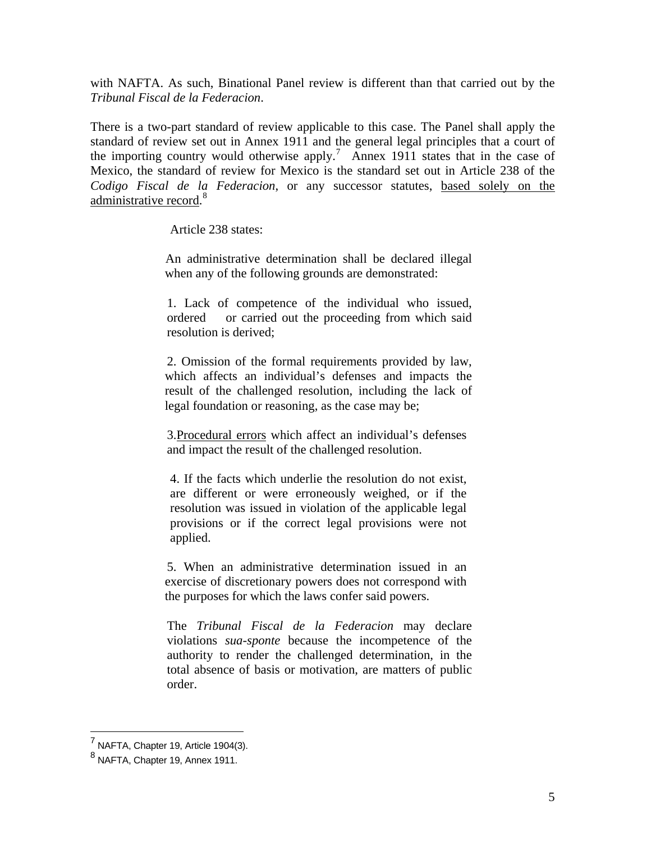with NAFTA. As such, Binational Panel review is different than that carried out by the *Tribunal Fiscal de la Federacion*.

There is a two-part standard of review applicable to this case. The Panel shall apply the standard of review set out in Annex 1911 and the general legal principles that a court of the importing country would otherwise apply.<sup>[7](#page-126-0)</sup> Annex 1911 states that in the case of Mexico, the standard of review for Mexico is the standard set out in Article 238 of the *Codigo Fiscal de la Federacion*, or any successor statutes, based solely on the administrative record.<sup>[8](#page-126-1)</sup>

Article 238 states:

 An administrative determination shall be declared illegal when any of the following grounds are demonstrated:

1. Lack of competence of the individual who issued, ordered or carried out the proceeding from which said resolution is derived;

2. Omission of the formal requirements provided by law, which affects an individual's defenses and impacts the result of the challenged resolution, including the lack of legal foundation or reasoning, as the case may be;

3.Procedural errors which affect an individual's defenses and impact the result of the challenged resolution.

4. If the facts which underlie the resolution do not exist, are different or were erroneously weighed, or if the resolution was issued in violation of the applicable legal provisions or if the correct legal provisions were not applied.

5. When an administrative determination issued in an exercise of discretionary powers does not correspond with the purposes for which the laws confer said powers.

The *Tribunal Fiscal de la Federacion* may declare violations *sua-sponte* because the incompetence of the authority to render the challenged determination, in the total absence of basis or motivation, are matters of public order.

<span id="page-126-0"></span><sup>7</sup> NAFTA, Chapter 19, Article 1904(3).

<span id="page-126-1"></span><sup>&</sup>lt;sup>8</sup> NAFTA, Chapter 19, Annex 1911.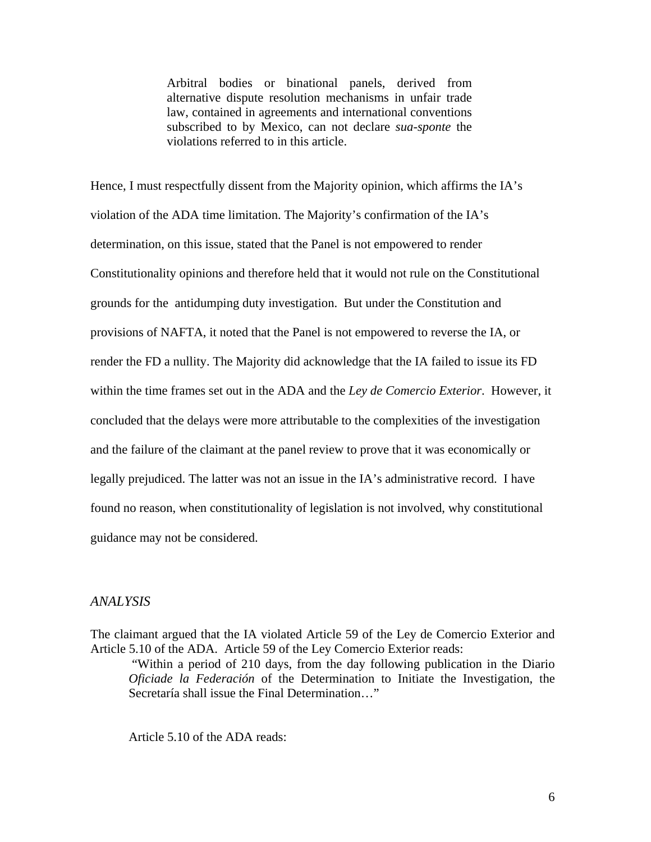Arbitral bodies or binational panels, derived from alternative dispute resolution mechanisms in unfair trade law, contained in agreements and international conventions subscribed to by Mexico, can not declare *sua-sponte* the violations referred to in this article.

Hence, I must respectfully dissent from the Majority opinion, which affirms the IA's violation of the ADA time limitation. The Majority's confirmation of the IA's determination, on this issue, stated that the Panel is not empowered to render Constitutionality opinions and therefore held that it would not rule on the Constitutional grounds for the antidumping duty investigation. But under the Constitution and provisions of NAFTA, it noted that the Panel is not empowered to reverse the IA, or render the FD a nullity. The Majority did acknowledge that the IA failed to issue its FD within the time frames set out in the ADA and the *Ley de Comercio Exterior*. However, it concluded that the delays were more attributable to the complexities of the investigation and the failure of the claimant at the panel review to prove that it was economically or legally prejudiced. The latter was not an issue in the IA's administrative record. I have found no reason, when constitutionality of legislation is not involved, why constitutional guidance may not be considered.

### *ANALYSIS*

The claimant argued that the IA violated Article 59 of the Ley de Comercio Exterior and Article 5.10 of the ADA. Article 59 of the Ley Comercio Exterior reads:

"Within a period of 210 days, from the day following publication in the Diario *Oficiade la Federación* of the Determination to Initiate the Investigation, the Secretaría shall issue the Final Determination…"

Article 5.10 of the ADA reads: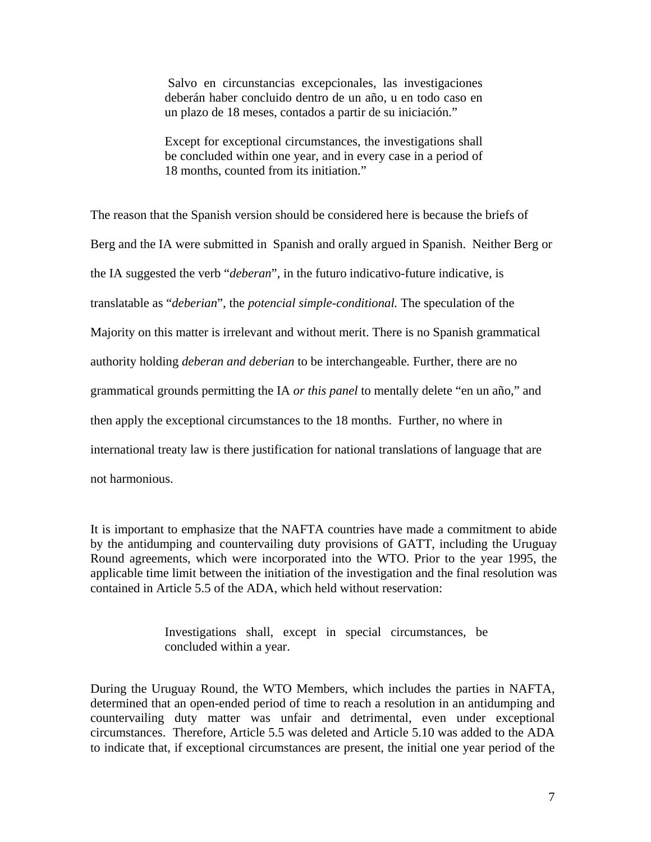Salvo en circunstancias excepcionales, las investigaciones deberán haber concluido dentro de un año, u en todo caso en un plazo de 18 meses, contados a partir de su iniciación."

Except for exceptional circumstances, the investigations shall be concluded within one year, and in every case in a period of 18 months, counted from its initiation."

The reason that the Spanish version should be considered here is because the briefs of Berg and the IA were submitted in Spanish and orally argued in Spanish. Neither Berg or the IA suggested the verb "*deberan*", in the futuro indicativo*-*future indicative*,* is translatable as "*deberian*", the *potencial simple-conditional.* The speculation of the Majority on this matter is irrelevant and without merit. There is no Spanish grammatical authority holding *deberan and deberian* to be interchangeable*.* Further, there are no grammatical grounds permitting the IA *or this panel* to mentally delete "en un año," and then apply the exceptional circumstances to the 18 months. Further, no where in international treaty law is there justification for national translations of language that are not harmonious.

It is important to emphasize that the NAFTA countries have made a commitment to abide by the antidumping and countervailing duty provisions of GATT, including the Uruguay Round agreements, which were incorporated into the WTO. Prior to the year 1995, the applicable time limit between the initiation of the investigation and the final resolution was contained in Article 5.5 of the ADA, which held without reservation:

> Investigations shall, except in special circumstances, be concluded within a year.

During the Uruguay Round, the WTO Members, which includes the parties in NAFTA, determined that an open-ended period of time to reach a resolution in an antidumping and countervailing duty matter was unfair and detrimental, even under exceptional circumstances. Therefore, Article 5.5 was deleted and Article 5.10 was added to the ADA to indicate that, if exceptional circumstances are present, the initial one year period of the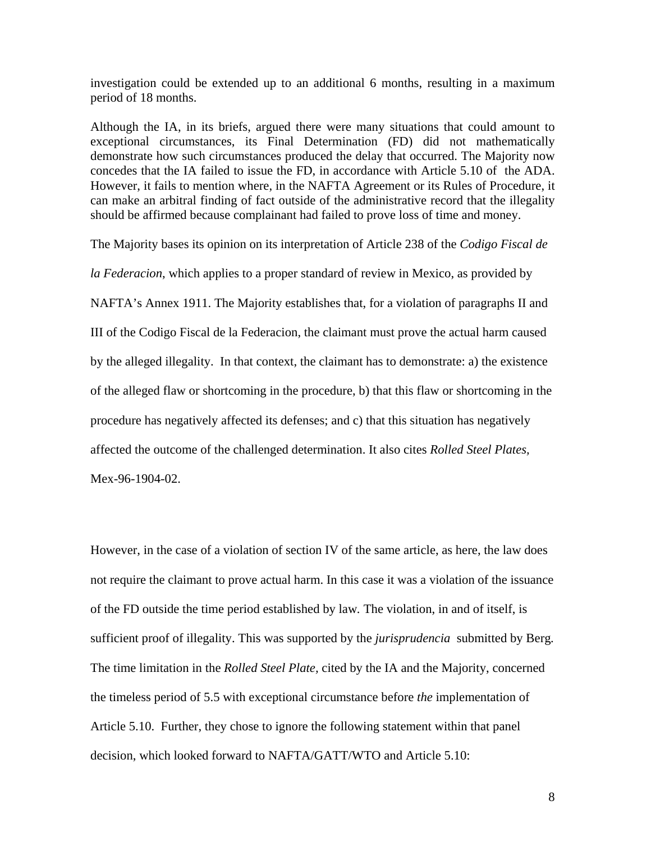investigation could be extended up to an additional 6 months, resulting in a maximum period of 18 months.

Although the IA, in its briefs, argued there were many situations that could amount to exceptional circumstances, its Final Determination (FD) did not mathematically demonstrate how such circumstances produced the delay that occurred. The Majority now concedes that the IA failed to issue the FD, in accordance with Article 5.10 of the ADA. However, it fails to mention where, in the NAFTA Agreement or its Rules of Procedure, it can make an arbitral finding of fact outside of the administrative record that the illegality should be affirmed because complainant had failed to prove loss of time and money.

The Majority bases its opinion on its interpretation of Article 238 of the *Codigo Fiscal de la Federacion*, which applies to a proper standard of review in Mexico, as provided by NAFTA's Annex 1911. The Majority establishes that, for a violation of paragraphs II and III of the Codigo Fiscal de la Federacion, the claimant must prove the actual harm caused by the alleged illegality. In that context, the claimant has to demonstrate: a) the existence of the alleged flaw or shortcoming in the procedure, b) that this flaw or shortcoming in the procedure has negatively affected its defenses; and c) that this situation has negatively affected the outcome of the challenged determination. It also cites *Rolled Steel Plates,* Mex-96-1904-02.

However, in the case of a violation of section IV of the same article, as here, the law does not require the claimant to prove actual harm. In this case it was a violation of the issuance of the FD outside the time period established by law*.* The violation, in and of itself, is sufficient proof of illegality. This was supported by the *jurisprudencia* submitted by Berg*.*  The time limitation in the *Rolled Steel Plate,* cited by the IA and the Majority, concerned the timeless period of 5.5 with exceptional circumstance before *the* implementation of Article 5.10. Further, they chose to ignore the following statement within that panel decision, which looked forward to NAFTA/GATT/WTO and Article 5.10: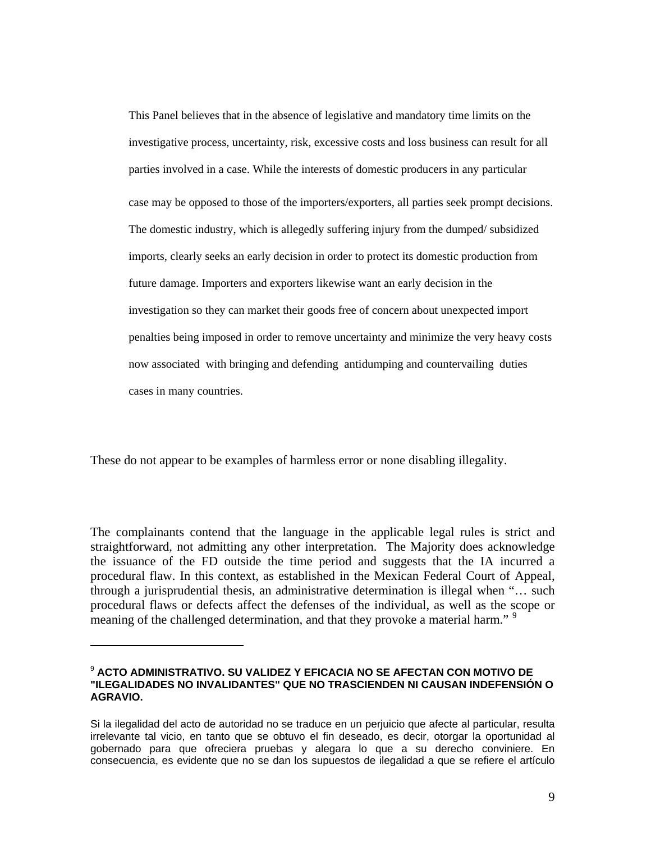This Panel believes that in the absence of legislative and mandatory time limits on the investigative process, uncertainty, risk, excessive costs and loss business can result for all parties involved in a case. While the interests of domestic producers in any particular case may be opposed to those of the importers/exporters, all parties seek prompt decisions. The domestic industry, which is allegedly suffering injury from the dumped/ subsidized imports, clearly seeks an early decision in order to protect its domestic production from future damage. Importers and exporters likewise want an early decision in the investigation so they can market their goods free of concern about unexpected import penalties being imposed in order to remove uncertainty and minimize the very heavy costs now associated with bringing and defending antidumping and countervailing duties cases in many countries.

These do not appear to be examples of harmless error or none disabling illegality.

The complainants contend that the language in the applicable legal rules is strict and straightforward, not admitting any other interpretation. The Majority does acknowledge the issuance of the FD outside the time period and suggests that the IA incurred a procedural flaw. In this context, as established in the Mexican Federal Court of Appeal, through a jurisprudential thesis, an administrative determination is illegal when "… such procedural flaws or defects affect the defenses of the individual, as well as the scope or meaning of the challenged determination, and that they provoke a material harm."<sup>[9](#page-130-0)</sup>

<span id="page-130-0"></span><sup>9</sup> **ACTO ADMINISTRATIVO. SU VALIDEZ Y EFICACIA NO SE AFECTAN CON MOTIVO DE "ILEGALIDADES NO INVALIDANTES" QUE NO TRASCIENDEN NI CAUSAN INDEFENSIÓN O AGRAVIO.**

Si la ilegalidad del acto de autoridad no se traduce en un perjuicio que afecte al particular, resulta irrelevante tal vicio, en tanto que se obtuvo el fin deseado, es decir, otorgar la oportunidad al gobernado para que ofreciera pruebas y alegara lo que a su derecho conviniere. En consecuencia, es evidente que no se dan los supuestos de ilegalidad a que se refiere el artículo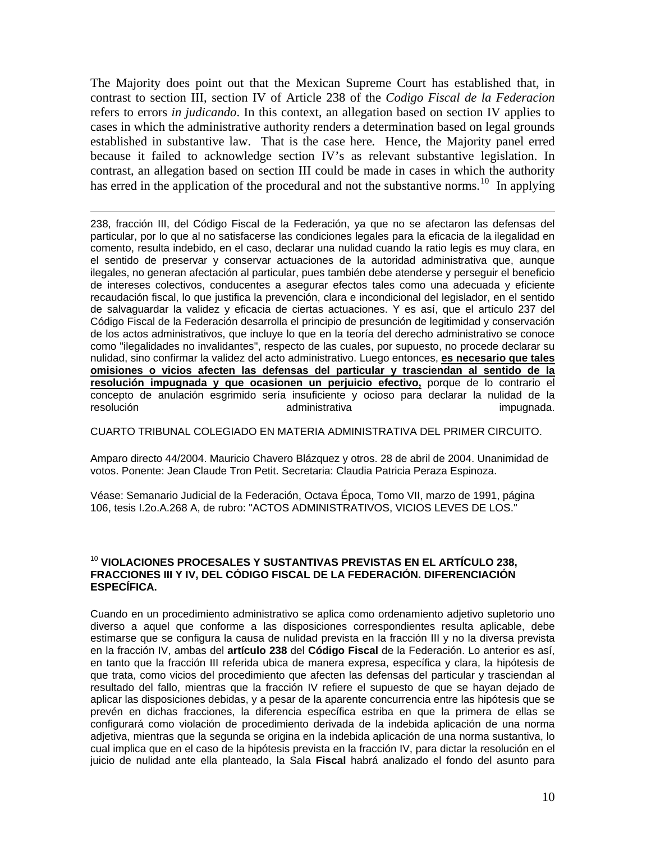The Majority does point out that the Mexican Supreme Court has established that, in contrast to section III, section IV of Article 238 of the *Codigo Fiscal de la Federacion* refers to errors *in judicando*. In this context, an allegation based on section IV applies to cases in which the administrative authority renders a determination based on legal grounds established in substantive law. That is the case here*.* Hence, the Majority panel erred because it failed to acknowledge section IV's as relevant substantive legislation. In contrast, an allegation based on section III could be made in cases in which the authority has erred in the application of the procedural and not the substantive norms.<sup>[10](#page-131-0)</sup> In applying

1

238, fracción III, del Código Fiscal de la Federación, ya que no se afectaron las defensas del particular, por lo que al no satisfacerse las condiciones legales para la eficacia de la ilegalidad en comento, resulta indebido, en el caso, declarar una nulidad cuando la ratio legis es muy clara, en el sentido de preservar y conservar actuaciones de la autoridad administrativa que, aunque ilegales, no generan afectación al particular, pues también debe atenderse y perseguir el beneficio de intereses colectivos, conducentes a asegurar efectos tales como una adecuada y eficiente recaudación fiscal, lo que justifica la prevención, clara e incondicional del legislador, en el sentido de salvaguardar la validez y eficacia de ciertas actuaciones. Y es así, que el artículo 237 del Código Fiscal de la Federación desarrolla el principio de presunción de legitimidad y conservación de los actos administrativos, que incluye lo que en la teoría del derecho administrativo se conoce como "ilegalidades no invalidantes", respecto de las cuales, por supuesto, no procede declarar su nulidad, sino confirmar la validez del acto administrativo. Luego entonces, **es necesario que tales omisiones o vicios afecten las defensas del particular y trasciendan al sentido de la resolución impugnada y que ocasionen un perjuicio efectivo,** porque de lo contrario el concepto de anulación esgrimido sería insuficiente y ocioso para declarar la nulidad de la resolución **impugnada.** Como administrativa impugnada. A la contrativa en el escritor en el escritor en el escri

CUARTO TRIBUNAL COLEGIADO EN MATERIA ADMINISTRATIVA DEL PRIMER CIRCUITO.

Amparo directo 44/2004. Mauricio Chavero Blázquez y otros. 28 de abril de 2004. Unanimidad de votos. Ponente: Jean Claude Tron Petit. Secretaria: Claudia Patricia Peraza Espinoza.

Véase: Semanario Judicial de la Federación, Octava Época, Tomo VII, marzo de 1991, página 106, tesis I.2o.A.268 A, de rubro: "ACTOS ADMINISTRATIVOS, VICIOS LEVES DE LOS."

### <span id="page-131-0"></span><sup>10</sup> **VIOLACIONES PROCESALES Y SUSTANTIVAS PREVISTAS EN EL ARTÍCULO 238, FRACCIONES III Y IV, DEL CÓDIGO FISCAL DE LA FEDERACIÓN. DIFERENCIACIÓN ESPECÍFICA.**

Cuando en un procedimiento administrativo se aplica como ordenamiento adjetivo supletorio uno diverso a aquel que conforme a las disposiciones correspondientes resulta aplicable, debe estimarse que se configura la causa de nulidad prevista en la fracción III y no la diversa prevista en la fracción IV, ambas del **artículo 238** del **Código Fiscal** de la Federación. Lo anterior es así, en tanto que la fracción III referida ubica de manera expresa, específica y clara, la hipótesis de que trata, como vicios del procedimiento que afecten las defensas del particular y trasciendan al resultado del fallo, mientras que la fracción IV refiere el supuesto de que se hayan dejado de aplicar las disposiciones debidas, y a pesar de la aparente concurrencia entre las hipótesis que se prevén en dichas fracciones, la diferencia específica estriba en que la primera de ellas se configurará como violación de procedimiento derivada de la indebida aplicación de una norma adjetiva, mientras que la segunda se origina en la indebida aplicación de una norma sustantiva, lo cual implica que en el caso de la hipótesis prevista en la fracción IV, para dictar la resolución en el juicio de nulidad ante ella planteado, la Sala **Fiscal** habrá analizado el fondo del asunto para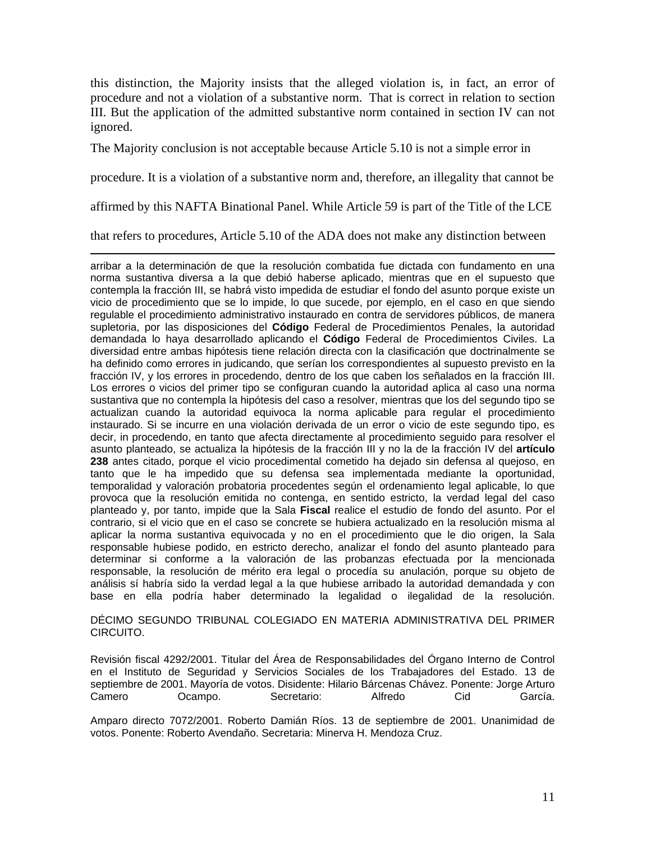this distinction, the Majority insists that the alleged violation is, in fact, an error of procedure and not a violation of a substantive norm. That is correct in relation to section III. But the application of the admitted substantive norm contained in section IV can not ignored.

The Majority conclusion is not acceptable because Article 5.10 is not a simple error in

procedure. It is a violation of a substantive norm and, therefore, an illegality that cannot be

affirmed by this NAFTA Binational Panel. While Article 59 is part of the Title of the LCE

that refers to procedures, Article 5.10 of the ADA does not make any distinction between

<u>.</u> arribar a la determinación de que la resolución combatida fue dictada con fundamento en una norma sustantiva diversa a la que debió haberse aplicado, mientras que en el supuesto que contempla la fracción III, se habrá visto impedida de estudiar el fondo del asunto porque existe un vicio de procedimiento que se lo impide, lo que sucede, por ejemplo, en el caso en que siendo regulable el procedimiento administrativo instaurado en contra de servidores públicos, de manera supletoria, por las disposiciones del **Código** Federal de Procedimientos Penales, la autoridad demandada lo haya desarrollado aplicando el **Código** Federal de Procedimientos Civiles. La diversidad entre ambas hipótesis tiene relación directa con la clasificación que doctrinalmente se ha definido como errores in judicando, que serían los correspondientes al supuesto previsto en la fracción IV, y los errores in procedendo, dentro de los que caben los señalados en la fracción III. Los errores o vicios del primer tipo se configuran cuando la autoridad aplica al caso una norma sustantiva que no contempla la hipótesis del caso a resolver, mientras que los del segundo tipo se actualizan cuando la autoridad equivoca la norma aplicable para regular el procedimiento instaurado. Si se incurre en una violación derivada de un error o vicio de este segundo tipo, es decir, in procedendo, en tanto que afecta directamente al procedimiento seguido para resolver el asunto planteado, se actualiza la hipótesis de la fracción III y no la de la fracción IV del **artículo 238** antes citado, porque el vicio procedimental cometido ha dejado sin defensa al quejoso, en tanto que le ha impedido que su defensa sea implementada mediante la oportunidad, temporalidad y valoración probatoria procedentes según el ordenamiento legal aplicable, lo que provoca que la resolución emitida no contenga, en sentido estricto, la verdad legal del caso planteado y, por tanto, impide que la Sala **Fiscal** realice el estudio de fondo del asunto. Por el contrario, si el vicio que en el caso se concrete se hubiera actualizado en la resolución misma al aplicar la norma sustantiva equivocada y no en el procedimiento que le dio origen, la Sala responsable hubiese podido, en estricto derecho, analizar el fondo del asunto planteado para determinar si conforme a la valoración de las probanzas efectuada por la mencionada responsable, la resolución de mérito era legal o procedía su anulación, porque su objeto de análisis sí habría sido la verdad legal a la que hubiese arribado la autoridad demandada y con base en ella podría haber determinado la legalidad o ilegalidad de la resolución.

DÉCIMO SEGUNDO TRIBUNAL COLEGIADO EN MATERIA ADMINISTRATIVA DEL PRIMER CIRCUITO.

Revisión fiscal 4292/2001. Titular del Área de Responsabilidades del Órgano Interno de Control en el Instituto de Seguridad y Servicios Sociales de los Trabajadores del Estado. 13 de septiembre de 2001. Mayoría de votos. Disidente: Hilario Bárcenas Chávez. Ponente: Jorge Arturo Camero Ocampo. Secretario: Alfredo Cid García.

Amparo directo 7072/2001. Roberto Damián Ríos. 13 de septiembre de 2001. Unanimidad de votos. Ponente: Roberto Avendaño. Secretaria: Minerva H. Mendoza Cruz.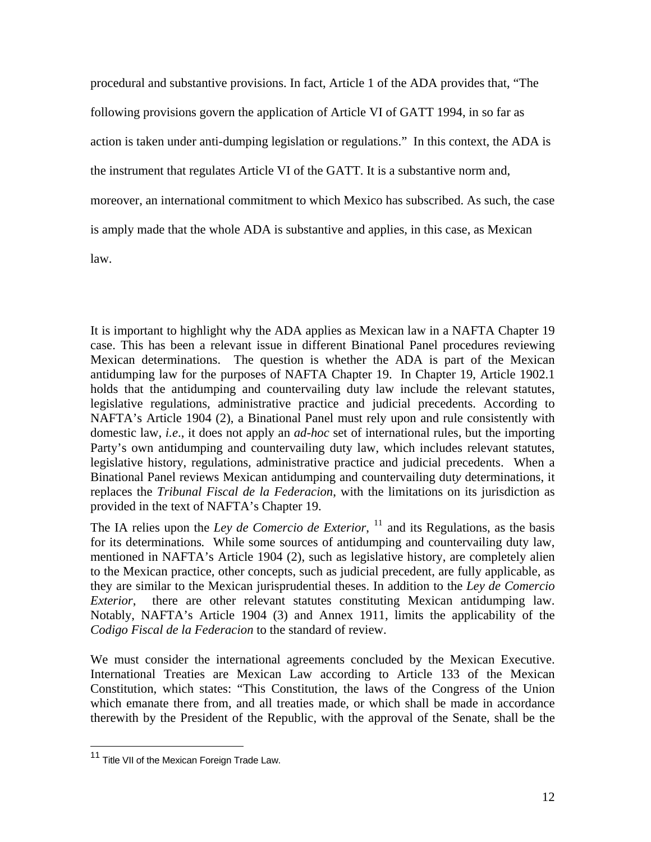procedural and substantive provisions. In fact, Article 1 of the ADA provides that, "The following provisions govern the application of Article VI of GATT 1994, in so far as action is taken under anti-dumping legislation or regulations." In this context, the ADA is the instrument that regulates Article VI of the GATT. It is a substantive norm and, moreover, an international commitment to which Mexico has subscribed. As such, the case is amply made that the whole ADA is substantive and applies, in this case, as Mexican law.

It is important to highlight why the ADA applies as Mexican law in a NAFTA Chapter 19 case. This has been a relevant issue in different Binational Panel procedures reviewing Mexican determinations. The question is whether the ADA is part of the Mexican antidumping law for the purposes of NAFTA Chapter 19. In Chapter 19, Article 1902.1 holds that the antidumping and countervailing duty law include the relevant statutes, legislative regulations, administrative practice and judicial precedents. According to NAFTA's Article 1904 (2), a Binational Panel must rely upon and rule consistently with domestic law, *i.e*., it does not apply an *ad-hoc* set of international rules, but the importing Party's own antidumping and countervailing duty law, which includes relevant statutes, legislative history, regulations, administrative practice and judicial precedents. When a Binational Panel reviews Mexican antidumping and countervailing dut*y* determinations, it replaces the *Tribunal Fiscal de la Federacion*, with the limitations on its jurisdiction as provided in the text of NAFTA's Chapter 19.

The IA relies upon the *Ley de Comercio de Exterior*,  $11$  and its Regulations, as the basis for its determinations*.* While some sources of antidumping and countervailing duty law, mentioned in NAFTA's Article 1904 (2), such as legislative history, are completely alien to the Mexican practice, other concepts, such as judicial precedent, are fully applicable, as they are similar to the Mexican jurisprudential theses. In addition to the *Ley de Comercio Exterior*, there are other relevant statutes constituting Mexican antidumping law. Notably, NAFTA's Article 1904 (3) and Annex 1911, limits the applicability of the *Codigo Fiscal de la Federacion* to the standard of review.

We must consider the international agreements concluded by the Mexican Executive. International Treaties are Mexican Law according to Article 133 of the Mexican Constitution, which states: "This Constitution, the laws of the Congress of the Union which emanate there from, and all treaties made, or which shall be made in accordance therewith by the President of the Republic, with the approval of the Senate, shall be the

<span id="page-133-0"></span><sup>&</sup>lt;sup>11</sup> Title VII of the Mexican Foreign Trade Law.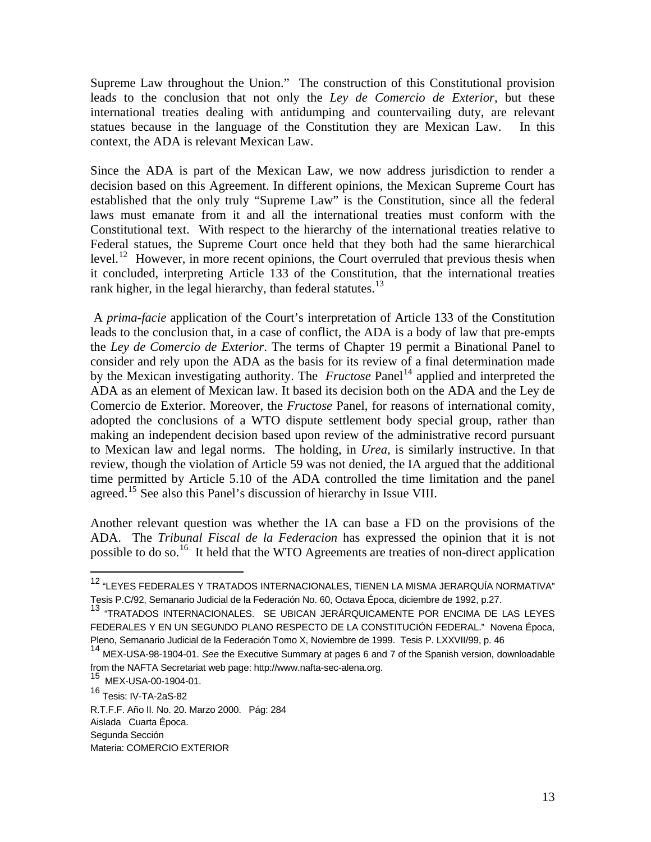Supreme Law throughout the Union." The construction of this Constitutional provision lead*s* to the conclusion that not only the *Ley de Comercio de Exterior*, but these international treaties dealing with antidumping and countervailing duty, are relevant statues because in the language of the Constitution they are Mexican Law. In this context, the ADA is relevant Mexican Law.

Since the ADA is part of the Mexican Law, we now address jurisdiction to render a decision based on this Agreement. In different opinions, the Mexican Supreme Court has established that the only truly "Supreme Law" is the Constitution, since all the federal laws must emanate from it and all the international treaties must conform with the Constitutional text. With respect to the hierarchy of the international treaties relative to Federal statues, the Supreme Court once held that they both had the same hierarchical level.<sup>[12](#page-134-0)</sup> However, in more recent opinions, the Court overruled that previous thesis when it concluded, interpreting Article 133 of the Constitution, that the international treaties rank higher, in the legal hierarchy, than federal statutes.<sup>[13](#page-134-1)</sup>

 A *prima-facie* application of the Court's interpretation of Article 133 of the Constitution leads to the conclusion that, in a case of conflict, the ADA is a body of law that pre-empts the *Ley de Comercio de Exterior*. The terms of Chapter 19 permit a Binational Panel to consider and rely upon the ADA as the basis for its review of a final determination made by the Mexican investigating authority. The *Fructose* Panel<sup>[14](#page-134-2)</sup> applied and interpreted the ADA as an element of Mexican law. It based its decision both on the ADA and the Ley de Comercio de Exterior. Moreover, the *Fructose* Panel, for reasons of international comity, adopted the conclusions of a WTO dispute settlement body special group, rather than making an independent decision based upon review of the administrative record pursuant to Mexican law and legal norms. The holding, in *Urea,* is similarly instructive. In that review, though the violation of Article 59 was not denied, the IA argued that the additional time permitted by Article 5.10 of the ADA controlled the time limitation and the panel agreed.<sup>[15](#page-134-3)</sup> See also this Panel's discussion of hierarchy in Issue VIII.

Another relevant question was whether the IA can base a FD on the provisions of the ADA. The *Tribunal Fiscal de la Federacion* has expressed the opinion that it is not possible to do so.<sup>[16](#page-134-4)</sup> It held that the WTO Agreements are treaties of non-direct application

<span id="page-134-0"></span><sup>12 &</sup>quot;LEYES FEDERALES Y TRATADOS INTERNACIONALES, TIENEN LA MISMA JERARQUÍA NORMATIVA" Tesis P.C/92, Semanario Judicial de la Federación No. 60, Octava Época, diciembre de 1992, p.27.

<span id="page-134-1"></span><sup>13 &</sup>quot;TRATADOS INTERNACIONALES. SE UBICAN JERÁRQUICAMENTE POR ENCIMA DE LAS LEYES FEDERALES Y EN UN SEGUNDO PLANO RESPECTO DE LA CONSTITUCIÓN FEDERAL." Novena Época, Pleno, Semanario Judicial de la Federación Tomo X, Noviembre de 1999. Tesis P. LXXVII/99, p. 46

<span id="page-134-2"></span><sup>14</sup> MEX-USA-98-1904-01. *See* the Executive Summary at pages 6 and 7 of the Spanish version, downloadable from the NAFTA Secretariat web page: http://www.nafta-sec-alena.org.

<span id="page-134-3"></span><sup>15</sup> MEX-USA-00-1904-01.

<span id="page-134-4"></span><sup>16</sup> Tesis: IV-TA-2aS-82

R.T.F.F. Año II. No. 20. Marzo 2000. Pág: 284

Aislada Cuarta Época.

Segunda Sección

Materia: COMERCIO EXTERIOR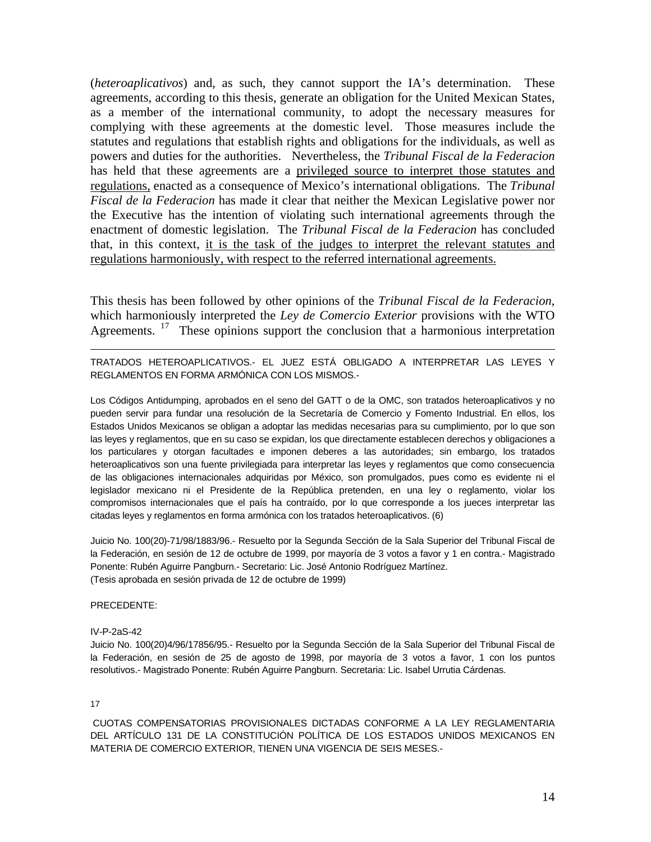(*heteroaplicativos*) and, as such, they cannot support the IA's determination. These agreements, according to this thesis, generate an obligation for the United Mexican States, as a member of the international community, to adopt the necessary measures for complying with these agreements at the domestic level. Those measures include the statutes and regulations that establish rights and obligations for the individuals, as well as powers and duties for the authorities. Nevertheless, the *Tribunal Fiscal de la Federacion* has held that these agreements are a privileged source to interpret those statutes and regulations, enacted as a consequence of Mexico's international obligations. The *Tribunal Fiscal de la Federacion* has made it clear that neither the Mexican Legislative power nor the Executive has the intention of violating such international agreements through the enactment of domestic legislation. The *Tribunal Fiscal de la Federacion* has concluded that, in this context, it is the task of the judges to interpret the relevant statutes and regulations harmoniously, with respect to the referred international agreements.

This thesis has been followed by other opinions of the *Tribunal Fiscal de la Federacion*, which harmoniously interpreted the *Ley de Comercio Exterior* provisions with the WTO Agreements.<sup>[17](#page-135-0)</sup> These opinions support the conclusion that a harmonious interpretation

TRATADOS HETEROAPLICATIVOS.- EL JUEZ ESTÁ OBLIGADO A INTERPRETAR LAS LEYES Y REGLAMENTOS EN FORMA ARMÓNICA CON LOS MISMOS.-

Los Códigos Antidumping, aprobados en el seno del GATT o de la OMC, son tratados heteroaplicativos y no pueden servir para fundar una resolución de la Secretaría de Comercio y Fomento Industrial. En ellos, los Estados Unidos Mexicanos se obligan a adoptar las medidas necesarias para su cumplimiento, por lo que son las leyes y reglamentos, que en su caso se expidan, los que directamente establecen derechos y obligaciones a los particulares y otorgan facultades e imponen deberes a las autoridades; sin embargo, los tratados heteroaplicativos son una fuente privilegiada para interpretar las leyes y reglamentos que como consecuencia de las obligaciones internacionales adquiridas por México, son promulgados, pues como es evidente ni el legislador mexicano ni el Presidente de la República pretenden, en una ley o reglamento, violar los compromisos internacionales que el país ha contraído, por lo que corresponde a los jueces interpretar las citadas leyes y reglamentos en forma armónica con los tratados heteroaplicativos. (6)

Juicio No. 100(20)-71/98/1883/96.- Resuelto por la Segunda Sección de la Sala Superior del Tribunal Fiscal de la Federación, en sesión de 12 de octubre de 1999, por mayoría de 3 votos a favor y 1 en contra.- Magistrado Ponente: Rubén Aguirre Pangburn.- Secretario: Lic. José Antonio Rodríguez Martínez. (Tesis aprobada en sesión privada de 12 de octubre de 1999)

#### PRECEDENTE:

IV-P-2aS-42

Juicio No. 100(20)4/96/17856/95.- Resuelto por la Segunda Sección de la Sala Superior del Tribunal Fiscal de la Federación, en sesión de 25 de agosto de 1998, por mayoría de 3 votos a favor, 1 con los puntos resolutivos.- Magistrado Ponente: Rubén Aguirre Pangburn. Secretaria: Lic. Isabel Urrutia Cárdenas.

<span id="page-135-0"></span>17

1

 CUOTAS COMPENSATORIAS PROVISIONALES DICTADAS CONFORME A LA LEY REGLAMENTARIA DEL ARTÍCULO 131 DE LA CONSTITUCIÓN POLÍTICA DE LOS ESTADOS UNIDOS MEXICANOS EN MATERIA DE COMERCIO EXTERIOR, TIENEN UNA VIGENCIA DE SEIS MESES.-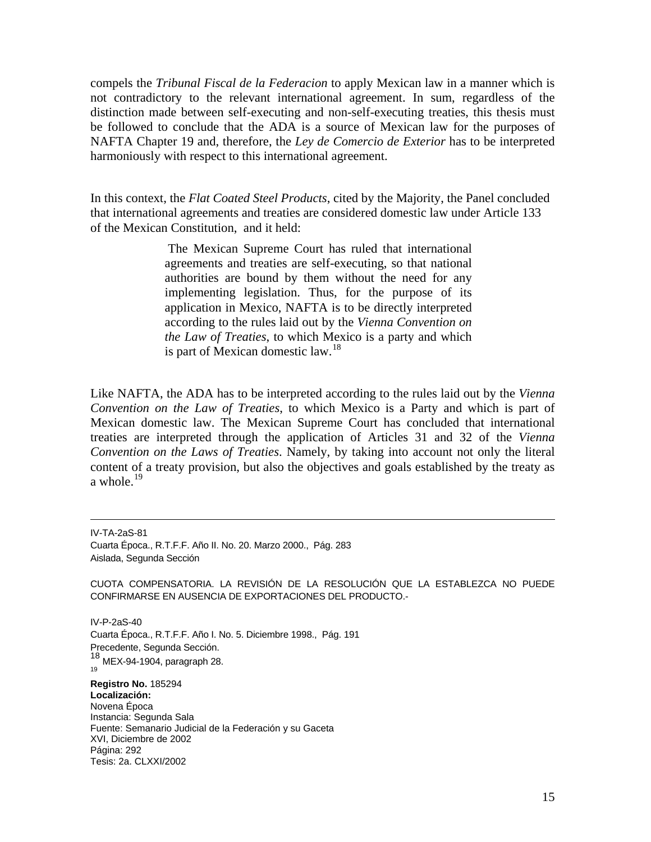compels the *Tribunal Fiscal de la Federacion* to apply Mexican law in a manner which is not contradictory to the relevant international agreement. In sum, regardless of the distinction made between self-executing and non-self-executing treaties, this thesis must be followed to conclude that the ADA is a source of Mexican law for the purposes of NAFTA Chapter 19 and, therefore, the *Ley de Comercio de Exterior* has to be interpreted harmoniously with respect to this international agreement.

In this context, the *Flat Coated Steel Products*, cited by the Majority, the Panel concluded that international agreements and treaties are considered domestic law under Article 133 of the Mexican Constitution, and it held:

> The Mexican Supreme Court has ruled that international agreements and treaties are self-executing, so that national authorities are bound by them without the need for any implementing legislation. Thus, for the purpose of its application in Mexico, NAFTA is to be directly interpreted according to the rules laid out by the *Vienna Convention on the Law of Treaties*, to which Mexico is a party and which is part of Mexican domestic  $law.<sup>18</sup>$  $law.<sup>18</sup>$  $law.<sup>18</sup>$

Like NAFTA, the ADA has to be interpreted according to the rules laid out by the *Vienna Convention on the Law of Treaties*, to which Mexico is a Party and which is part of Mexican domestic law. The Mexican Supreme Court has concluded that international treaties are interpreted through the application of Articles 31 and 32 of the *Vienna Convention on the Laws of Treaties*. Namely, by taking into account not only the literal content of a treaty provision, but also the objectives and goals established by the treaty as a whole.<sup>[19](#page-136-1)</sup>

<u>.</u>

<span id="page-136-1"></span><span id="page-136-0"></span>IV-P-2aS-40 Cuarta Época., R.T.F.F. Año I. No. 5. Diciembre 1998., Pág. 191 Precedente, Segunda Sección.<br>18 xentes españos  $\frac{18}{19}$  MEX-94-1904, paragraph 28. **Registro No.** 185294 **Localización:** Novena Época Instancia: Segunda Sala Fuente: Semanario Judicial de la Federación y su Gaceta XVI, Diciembre de 2002 Página: 292 Tesis: 2a. CLXXI/2002

IV-TA-2aS-81 Cuarta Época., R.T.F.F. Año II. No. 20. Marzo 2000., Pág. 283 Aislada, Segunda Sección

CUOTA COMPENSATORIA. LA REVISIÓN DE LA RESOLUCIÓN QUE LA ESTABLEZCA NO PUEDE CONFIRMARSE EN AUSENCIA DE EXPORTACIONES DEL PRODUCTO.-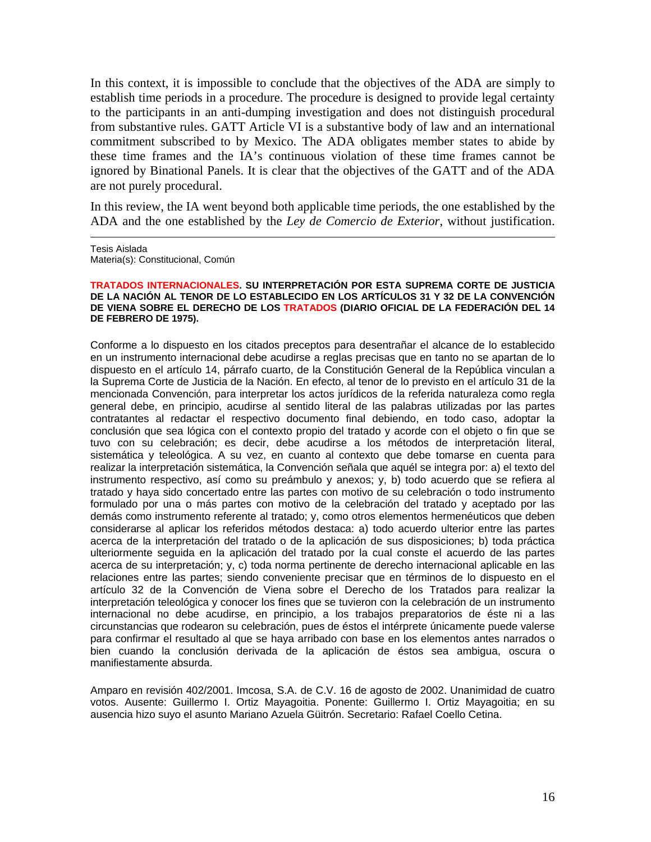In this context, it is impossible to conclude that the objectives of the ADA are simply to establish time periods in a procedure. The procedure is designed to provide legal certainty to the participants in an anti-dumping investigation and does not distinguish procedural from substantive rules. GATT Article VI is a substantive body of law and an international commitment subscribed to by Mexico. The ADA obligates member states to abide by these time frames and the IA's continuous violation of these time frames cannot be ignored by Binational Panels. It is clear that the objectives of the GATT and of the ADA are not purely procedural.

In this review, the IA went beyond both applicable time periods, the one established by the ADA and the one established by the *Ley de Comercio de Exterior*, without justification.

Tesis Aislada Materia(s): Constitucional, Común

<u>.</u>

#### **TRATADOS INTERNACIONALES. SU INTERPRETACIÓN POR ESTA SUPREMA CORTE DE JUSTICIA DE LA NACIÓN AL TENOR DE LO ESTABLECIDO EN LOS ARTÍCULOS 31 Y 32 DE LA CONVENCIÓN DE VIENA SOBRE EL DERECHO DE LOS TRATADOS (DIARIO OFICIAL DE LA FEDERACIÓN DEL 14 DE FEBRERO DE 1975).**

Conforme a lo dispuesto en los citados preceptos para desentrañar el alcance de lo establecido en un instrumento internacional debe acudirse a reglas precisas que en tanto no se apartan de lo dispuesto en el artículo 14, párrafo cuarto, de la Constitución General de la República vinculan a la Suprema Corte de Justicia de la Nación. En efecto, al tenor de lo previsto en el artículo 31 de la mencionada Convención, para interpretar los actos jurídicos de la referida naturaleza como regla general debe, en principio, acudirse al sentido literal de las palabras utilizadas por las partes contratantes al redactar el respectivo documento final debiendo, en todo caso, adoptar la conclusión que sea lógica con el contexto propio del tratado y acorde con el objeto o fin que se tuvo con su celebración; es decir, debe acudirse a los métodos de interpretación literal, sistemática y teleológica. A su vez, en cuanto al contexto que debe tomarse en cuenta para realizar la interpretación sistemática, la Convención señala que aquél se integra por: a) el texto del instrumento respectivo, así como su preámbulo y anexos; y, b) todo acuerdo que se refiera al tratado y haya sido concertado entre las partes con motivo de su celebración o todo instrumento formulado por una o más partes con motivo de la celebración del tratado y aceptado por las demás como instrumento referente al tratado; y, como otros elementos hermenéuticos que deben considerarse al aplicar los referidos métodos destaca: a) todo acuerdo ulterior entre las partes acerca de la interpretación del tratado o de la aplicación de sus disposiciones; b) toda práctica ulteriormente seguida en la aplicación del tratado por la cual conste el acuerdo de las partes acerca de su interpretación; y, c) toda norma pertinente de derecho internacional aplicable en las relaciones entre las partes; siendo conveniente precisar que en términos de lo dispuesto en el artículo 32 de la Convención de Viena sobre el Derecho de los Tratados para realizar la interpretación teleológica y conocer los fines que se tuvieron con la celebración de un instrumento internacional no debe acudirse, en principio, a los trabajos preparatorios de éste ni a las circunstancias que rodearon su celebración, pues de éstos el intérprete únicamente puede valerse para confirmar el resultado al que se haya arribado con base en los elementos antes narrados o bien cuando la conclusión derivada de la aplicación de éstos sea ambigua, oscura o manifiestamente absurda.

Amparo en revisión 402/2001. Imcosa, S.A. de C.V. 16 de agosto de 2002. Unanimidad de cuatro votos. Ausente: Guillermo I. Ortiz Mayagoitia. Ponente: Guillermo I. Ortiz Mayagoitia; en su ausencia hizo suyo el asunto Mariano Azuela Güitrón. Secretario: Rafael Coello Cetina.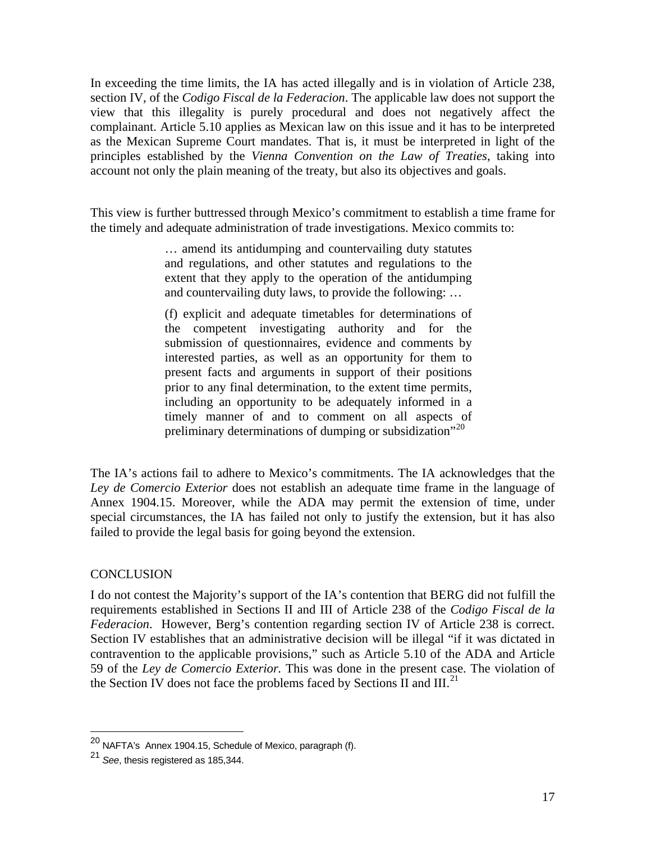In exceeding the time limits, the IA has acted illegally and is in violation of Article 238, section IV, of the *Codigo Fiscal de la Federacion*. The applicable law does not support the view that this illegality is purely procedural and does not negatively affect the complainant. Article 5.10 applies as Mexican law on this issue and it has to be interpreted as the Mexican Supreme Court mandates. That is, it must be interpreted in light of the principles established by the *Vienna Convention on the Law of Treaties*, taking into account not only the plain meaning of the treaty, but also its objectives and goals.

This view is further buttressed through Mexico's commitment to establish a time frame for the timely and adequate administration of trade investigations. Mexico commits to:

> … amend its antidumping and countervailing duty statutes and regulations, and other statutes and regulations to the extent that they apply to the operation of the antidumping and countervailing duty laws, to provide the following: …

> (f) explicit and adequate timetables for determinations of the competent investigating authority and for the submission of questionnaires, evidence and comments by interested parties, as well as an opportunity for them to present facts and arguments in support of their positions prior to any final determination, to the extent time permits, including an opportunity to be adequately informed in a timely manner of and to comment on all aspects of preliminary determinations of dumping or subsidization $120$  $120$

The IA's actions fail to adhere to Mexico's commitments. The IA acknowledges that the *Ley de Comercio Exterior* does not establish an adequate time frame in the language of Annex 1904.15. Moreover, while the ADA may permit the extension of time, under special circumstances, the IA has failed not only to justify the extension, but it has also failed to provide the legal basis for going beyond the extension.

## **CONCLUSION**

1

I do not contest the Majority's support of the IA's contention that BERG did not fulfill the requirements established in Sections II and III of Article 238 of the *Codigo Fiscal de la Federacion*. However, Berg's contention regarding section IV of Article 238 is correct. Section IV establishes that an administrative decision will be illegal "if it was dictated in contravention to the applicable provisions," such as Article 5.10 of the ADA and Article 59 of the *Ley de Comercio Exterior.* This was done in the present case. The violation of the Section IV does not face the problems faced by Sections II and  $III.^{21}$  $III.^{21}$  $III.^{21}$ .

<span id="page-138-0"></span> $^{20}$  NAFTA's Annex 1904.15, Schedule of Mexico, paragraph (f).

<span id="page-138-1"></span><sup>21</sup> *See*, thesis registered as 185,344.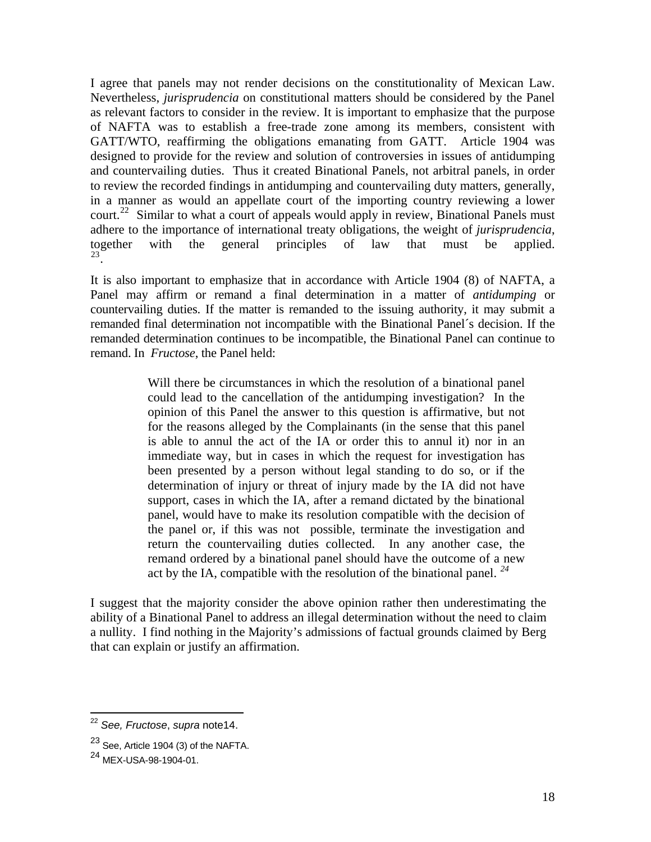I agree that panels may not render decisions on the constitutionality of Mexican Law. Nevertheless, *jurisprudencia* on constitutional matters should be considered by the Panel as relevant factors to consider in the review. It is important to emphasize that the purpose of NAFTA was to establish a free-trade zone among its members, consistent with GATT/WTO, reaffirming the obligations emanating from GATT. Article 1904 was designed to provide for the review and solution of controversies in issues of antidumping and countervailing duties. Thus it created Binational Panels, not arbitral panels, in order to review the recorded findings in antidumping and countervailing duty matters, generally, in a manner as would an appellate court of the importing country reviewing a lower court.<sup>[22](#page-139-0)</sup> Similar to what a court of appeals would apply in review, Binational Panels must adhere to the importance of international treaty obligations, the weight of *jurisprudencia*, together with the general principles of law that must be applied. [23](#page-139-1).

It is also important to emphasize that in accordance with Article 1904 (8) of NAFTA, a Panel may affirm or remand a final determination in a matter of *antidumping* or countervailing duties. If the matter is remanded to the issuing authority, it may submit a remanded final determination not incompatible with the Binational Panel´s decision. If the remanded determination continues to be incompatible, the Binational Panel can continue to remand. In *Fructose*, the Panel held:

> Will there be circumstances in which the resolution of a binational panel could lead to the cancellation of the antidumping investigation? In the opinion of this Panel the answer to this question is affirmative, but not for the reasons alleged by the Complainants (in the sense that this panel is able to annul the act of the IA or order this to annul it) nor in an immediate way, but in cases in which the request for investigation has been presented by a person without legal standing to do so, or if the determination of injury or threat of injury made by the IA did not have support, cases in which the IA, after a remand dictated by the binational panel, would have to make its resolution compatible with the decision of the panel or, if this was not possible, terminate the investigation and return the countervailing duties collected. In any another case, the remand ordered by a binational panel should have the outcome of a new act by the IA, compatible with the resolution of the binational panel. *[24](#page-139-2)*

I suggest that the majority consider the above opinion rather then underestimating the ability of a Binational Panel to address an illegal determination without the need to claim a nullity. I find nothing in the Majority's admissions of factual grounds claimed by Berg that can explain or justify an affirmation.

<span id="page-139-0"></span><sup>22</sup> *See, Fructose*, *supra* note14.

<span id="page-139-1"></span><sup>23</sup> See, Article 1904 (3) of the NAFTA.

<span id="page-139-2"></span><sup>24</sup> MEX-USA-98-1904-01.